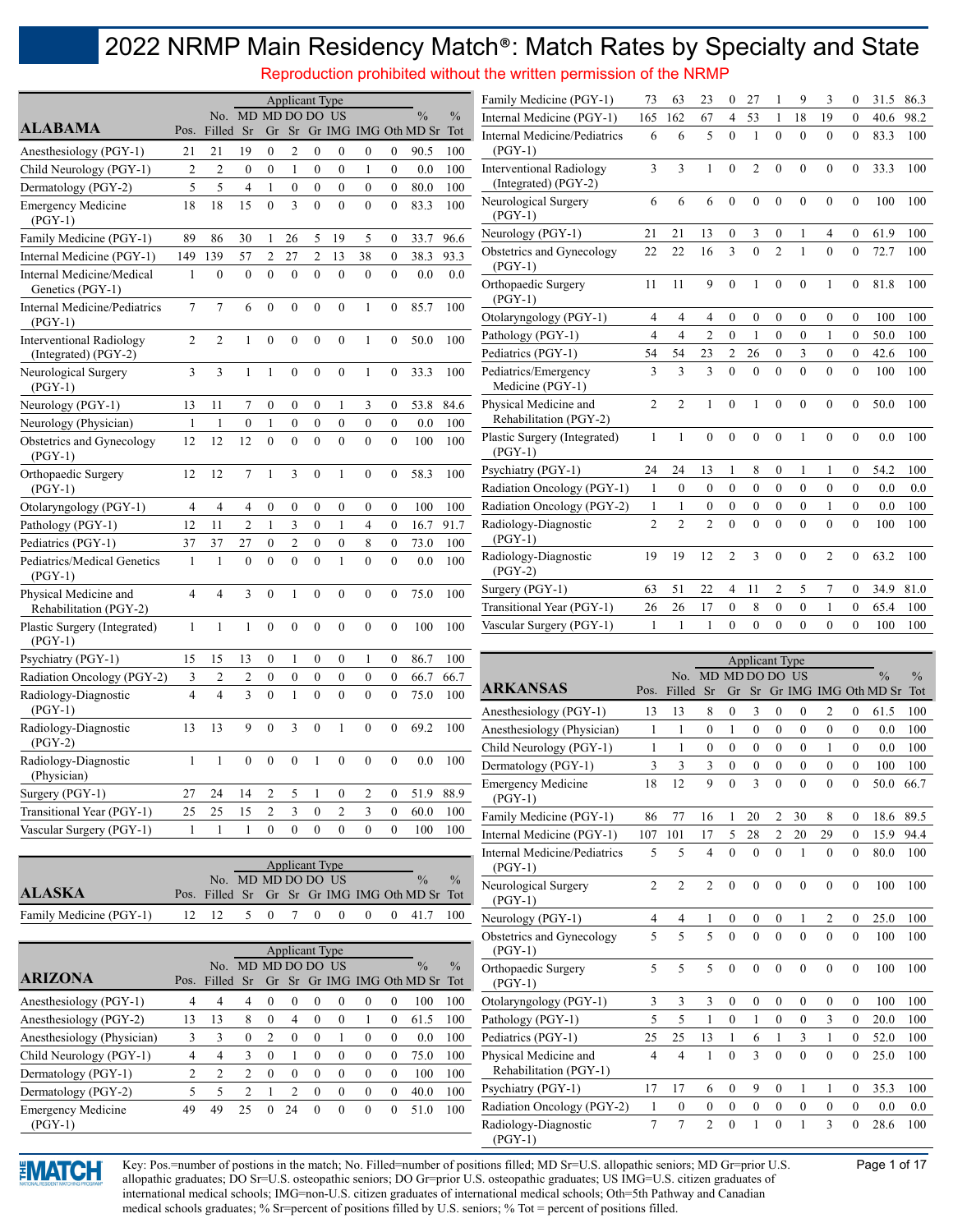Reproduction prohibited without the written permission of the NRMP

|                                                 |                     |                     |                     |                        |                                  | <b>Applicant Type</b>            |                                      |                                  |                                      |                                                 |               | Family Medicine (PGY-1)                            | 73             | 63                    | 23                    | $\bf{0}$                         | 27                                 |                                      | 9                            | 3                                | $\bf{0}$                             | 31.5                           | 86.3          |
|-------------------------------------------------|---------------------|---------------------|---------------------|------------------------|----------------------------------|----------------------------------|--------------------------------------|----------------------------------|--------------------------------------|-------------------------------------------------|---------------|----------------------------------------------------|----------------|-----------------------|-----------------------|----------------------------------|------------------------------------|--------------------------------------|------------------------------|----------------------------------|--------------------------------------|--------------------------------|---------------|
| <b>ALABAMA</b>                                  |                     |                     | No. MD MD DO DO US  |                        |                                  |                                  |                                      |                                  |                                      | $\frac{0}{0}$                                   | $\frac{0}{0}$ | Internal Medicine (PGY-1)                          | 165            | 162                   | 67                    | 4                                | 53                                 |                                      | 18                           | 19                               | $\mathbf{0}$                         | 40.6                           | 98.2          |
|                                                 | Pos.                | Filled Sr           |                     |                        |                                  |                                  |                                      |                                  |                                      | Gr Sr Gr IMG IMG Oth MD Sr Tot                  |               | Internal Medicine/Pediatrics                       | 6              | 6                     | 5                     | $\theta$                         | $\mathbf{1}$                       | $\mathbf{0}$                         | $\mathbf{0}$                 | $\mathbf{0}$                     | $\theta$                             | 83.3                           | 100           |
| Anesthesiology (PGY-1)                          | 21                  | 21                  | 19                  | $\mathbf{0}$           | $\overline{c}$                   | 0                                | $\theta$                             | $\theta$                         | $\mathbf{0}$                         | 90.5                                            | 100           | $(PGY-1)$                                          | 3              | 3                     | 1                     | $\mathbf{0}$                     | 2                                  | $\mathbf{0}$                         | $\mathbf{0}$                 | $\mathbf{0}$                     | $\overline{0}$                       | 33.3                           | 100           |
| Child Neurology (PGY-1)<br>Dermatology (PGY-2)  | $\overline{c}$<br>5 | $\overline{2}$<br>5 | $\overline{0}$<br>4 | $\boldsymbol{0}$<br>-1 | $\mathbf{1}$<br>$\boldsymbol{0}$ | $\boldsymbol{0}$<br>$\mathbf{0}$ | $\boldsymbol{0}$<br>$\boldsymbol{0}$ | $\mathbf{1}$<br>$\boldsymbol{0}$ | $\boldsymbol{0}$<br>$\boldsymbol{0}$ | 0.0<br>80.0                                     | 100<br>100    | Interventional Radiology<br>(Integrated) (PGY-2)   |                |                       |                       |                                  |                                    |                                      |                              |                                  |                                      |                                |               |
| <b>Emergency Medicine</b>                       | 18                  | 18                  | 15                  | $\mathbf{0}$           | 3                                | $\mathbf{0}$                     | $\mathbf{0}$                         | $\mathbf{0}$                     | $\mathbf{0}$                         | 83.3                                            | 100           | Neurological Surgery                               | 6              | 6                     | 6                     | $\mathbf{0}$                     | $\mathbf{0}$                       | $\boldsymbol{0}$                     | $\boldsymbol{0}$             | $\mathbf{0}$                     | $\mathbf{0}$                         | 100                            | 100           |
| $(PGY-1)$                                       |                     |                     |                     |                        |                                  |                                  |                                      |                                  |                                      |                                                 |               | $(PGY-1)$                                          |                |                       |                       |                                  |                                    |                                      |                              |                                  |                                      |                                |               |
| Family Medicine (PGY-1)                         | 89                  | 86                  | 30                  |                        | 26                               | 5                                | 19                                   | 5                                | $\mathbf{0}$                         | 33.7                                            | 96.6          | Neurology (PGY-1)                                  | 21             | 21                    | 13                    | $\boldsymbol{0}$                 | 3                                  | $\mathbf{0}$                         |                              | 4                                | $\overline{0}$                       | 61.9                           | 100           |
| Internal Medicine (PGY-1)                       | 149                 | 139                 | 57                  | 2                      | 27                               | $\overline{c}$                   | 13                                   | 38                               | $\boldsymbol{0}$                     | 38.3                                            | 93.3          | Obstetrics and Gynecology<br>$(PGY-1)$             | 22             | 22                    | 16                    | 3                                | $\mathbf{0}$                       | $\overline{2}$                       | 1                            | $\mathbf{0}$                     | $\theta$                             | 72.7                           | 100           |
| Internal Medicine/Medical<br>Genetics (PGY-1)   | 1                   | $\mathbf{0}$        | $\theta$            | $\mathbf{0}$           | $\mathbf{0}$                     | $\theta$                         | $\theta$                             | $\mathbf{0}$                     | $\mathbf{0}$                         | 0.0                                             | 0.0           | Orthopaedic Surgery                                | 11             | -11                   | 9                     | $\mathbf{0}$                     | -1                                 | $\mathbf{0}$                         | $\mathbf{0}$                 | -1                               | $\overline{0}$                       | 81.8                           | 100           |
| Internal Medicine/Pediatrics<br>$(PGY-1)$       | $\tau$              | 7                   | 6                   | $\mathbf{0}$           | $\mathbf{0}$                     | $\Omega$                         | $\theta$                             |                                  | $\mathbf{0}$                         | 85.7                                            | 100           | $(PGY-1)$<br>Otolaryngology (PGY-1)                | 4              | $\overline{4}$        | 4                     | $\mathbf{0}$                     | $\mathbf{0}$                       | $\boldsymbol{0}$                     | $\boldsymbol{0}$             | $\boldsymbol{0}$                 | $\boldsymbol{0}$                     | 100                            | 100           |
| <b>Interventional Radiology</b>                 | $\overline{2}$      | 2                   |                     | $\theta$               | $\mathbf{0}$                     | $\theta$                         | $\theta$                             | 1                                | $\mathbf{0}$                         | 50.0                                            | 100           | Pathology (PGY-1)                                  | $\overline{4}$ | $\overline{4}$        | 2                     | $\boldsymbol{0}$                 | 1                                  | $\boldsymbol{0}$                     | $\boldsymbol{0}$             | $\mathbf{1}$                     | $\boldsymbol{0}$                     | 50.0                           | 100           |
| (Integrated) (PGY-2)<br>Neurological Surgery    | 3                   | 3                   | 1                   |                        | $\mathbf{0}$                     | $\mathbf{0}$                     | $\mathbf{0}$                         | 1                                | $\mathbf{0}$                         | 33.3                                            | 100           | Pediatrics (PGY-1)<br>Pediatrics/Emergency         | 54<br>3        | 54<br>3               | 23<br>3               | $\overline{2}$<br>$\mathbf{0}$   | 26<br>$\mathbf{0}$                 | $\boldsymbol{0}$<br>$\mathbf{0}$     | 3<br>$\mathbf{0}$            | $\boldsymbol{0}$<br>$\mathbf{0}$ | $\boldsymbol{0}$<br>$\overline{0}$   | 42.6<br>100                    | 100<br>100    |
| $(PGY-1)$                                       |                     |                     |                     |                        |                                  |                                  |                                      |                                  |                                      |                                                 |               | Medicine (PGY-1)                                   |                |                       |                       |                                  |                                    |                                      |                              |                                  |                                      |                                |               |
| Neurology (PGY-1)                               | 13                  | 11                  |                     | $\boldsymbol{0}$       | $\boldsymbol{0}$                 | $\boldsymbol{0}$                 |                                      | 3                                | $\bf{0}$                             | 53.8                                            | 84.6          | Physical Medicine and<br>Rehabilitation (PGY-2)    | 2              | $\overline{2}$        | 1                     | $\mathbf{0}$                     |                                    | $\boldsymbol{0}$                     | $\mathbf{0}$                 | $\Omega$                         | $\Omega$                             | 50.0                           | 100           |
| Neurology (Physician)                           | 1                   | $\mathbf{1}$        | $\overline{0}$      | 1                      | $\boldsymbol{0}$                 | $\mathbf{0}$                     | $\mathbf{0}$                         | $\boldsymbol{0}$                 | $\boldsymbol{0}$                     | 0.0                                             | 100           | Plastic Surgery (Integrated)                       | 1              | $\mathbf{1}$          | $\overline{0}$        | $\mathbf{0}$                     | $\mathbf{0}$                       | $\mathbf{0}$                         | 1                            | $\mathbf{0}$                     | $\theta$                             | 0.0                            | 100           |
| Obstetrics and Gynecology<br>$(PGY-1)$          | 12                  | 12                  | 12                  | $\mathbf{0}$           | $\mathbf{0}$                     | $\Omega$                         | $\theta$                             | $\mathbf{0}$                     | $\mathbf{0}$                         | 100                                             | 100           | $(PGY-1)$                                          |                |                       |                       |                                  |                                    |                                      |                              |                                  |                                      |                                |               |
| Orthopaedic Surgery                             | 12                  | 12                  | 7                   |                        | 3                                | $\overline{0}$                   |                                      | $\mathbf{0}$                     | $\overline{0}$                       | 58.3                                            | 100           | Psychiatry (PGY-1)                                 | 24             | 24                    | 13                    | -1                               | 8                                  | $\boldsymbol{0}$                     |                              | 1                                | $\overline{0}$                       | 54.2                           | 100           |
| $(PGY-1)$                                       |                     |                     |                     |                        |                                  |                                  |                                      |                                  |                                      |                                                 |               | Radiation Oncology (PGY-1)                         |                | $\boldsymbol{0}$      | $\boldsymbol{0}$      | $\boldsymbol{0}$                 | $\overline{0}$                     | $\boldsymbol{0}$                     | $\boldsymbol{0}$             | $\boldsymbol{0}$                 | $\mathbf{0}$                         | 0.0                            | 0.0           |
| Otolaryngology (PGY-1)                          | 4                   | 4                   | 4                   | $\bf{0}$               | $\boldsymbol{0}$                 | $\boldsymbol{0}$                 | $\bf{0}$                             | $\boldsymbol{0}$                 | $\boldsymbol{0}$                     | 100                                             | 100           | Radiation Oncology (PGY-2)                         |                |                       | 0                     | $\boldsymbol{0}$                 | $\boldsymbol{0}$                   | $\boldsymbol{0}$                     | $\boldsymbol{0}$             | 1                                | $\boldsymbol{0}$                     | 0.0                            | 100           |
| Pathology (PGY-1)                               | 12                  | 11                  | $\overline{2}$      | -1                     | 3                                | $\boldsymbol{0}$                 | $\mathbf{1}$                         | $\overline{4}$                   | $\boldsymbol{0}$                     | 16.7                                            | 91.7          | Radiology-Diagnostic                               | $\overline{2}$ | $\overline{2}$        | $\overline{2}$        | $\theta$                         | $\theta$                           | $\theta$                             | $\mathbf{0}$                 | $\theta$                         | $\theta$                             | 100                            | 100           |
| Pediatrics (PGY-1)                              | 37                  | 37                  | 27                  | $\boldsymbol{0}$       | $\overline{c}$                   | $\boldsymbol{0}$                 | $\boldsymbol{0}$                     | 8                                | $\boldsymbol{0}$                     | 73.0                                            | 100           | $(PGY-1)$<br>Radiology-Diagnostic                  | 19             | 19                    | 12                    | $\overline{2}$                   | 3                                  | $\overline{0}$                       | $\boldsymbol{0}$             | 2                                | $\theta$                             | 63.2                           | 100           |
| Pediatrics/Medical Genetics<br>$(PGY-1)$        | $\mathbf{1}$        |                     | $\theta$            | $\theta$               | $\theta$                         | $\theta$                         |                                      | $\theta$                         | $\theta$                             | 0.0                                             | 100           | $(PGY-2)$                                          |                |                       |                       |                                  |                                    |                                      |                              |                                  |                                      |                                |               |
| Physical Medicine and<br>Rehabilitation (PGY-2) | 4                   | 4                   | 3                   | $\theta$               | 1                                | $\mathbf{0}$                     | $\mathbf{0}$                         | $\mathbf{0}$                     | $\mathbf{0}$                         | 75.0                                            | 100           | Surgery (PGY-1)<br>Transitional Year (PGY-1)       | 63<br>26       | 51<br>26              | 22<br>17              | 4<br>$\mathbf{0}$                | 11<br>8                            | $\overline{2}$<br>$\boldsymbol{0}$   | 5<br>$\boldsymbol{0}$        | 7<br>1                           | $\mathbf{0}$<br>$\boldsymbol{0}$     | 34.9<br>65.4                   | 81.0<br>100   |
| Plastic Surgery (Integrated)<br>$(PGY-1)$       | $\mathbf{1}$        | $\mathbf{1}$        | 1                   | $\mathbf{0}$           | $\mathbf{0}$                     | $\mathbf{0}$                     | $\Omega$                             | $\mathbf{0}$                     | $\mathbf{0}$                         | 100                                             | 100           | Vascular Surgery (PGY-1)                           |                |                       | 1                     | $\theta$                         | $\Omega$                           | $\mathbf{0}$                         | $\theta$                     | $\theta$                         | $\theta$                             | 100                            | 100           |
| Psychiatry (PGY-1)                              | 15                  | 15                  | 13                  | $\boldsymbol{0}$       | 1                                | $\bf{0}$                         | $\mathbf{0}$                         | 1                                | $\boldsymbol{0}$                     | 86.7                                            | 100           |                                                    |                |                       |                       |                                  |                                    | <b>Applicant Type</b>                |                              |                                  |                                      |                                |               |
| Radiation Oncology (PGY-2)                      | 3                   | $\overline{c}$      | 2                   | $\theta$               | $\mathbf{0}$                     | $\boldsymbol{0}$                 | $\boldsymbol{0}$                     | $\mathbf{0}$                     | $\mathbf{0}$                         | 66.7                                            | 66.7          |                                                    |                |                       | No. MD MD DO DO US    |                                  |                                    |                                      |                              |                                  |                                      | $\frac{0}{0}$                  | $\frac{0}{0}$ |
| Radiology-Diagnostic                            | $\overline{4}$      | $\overline{4}$      | 3                   | $\theta$               |                                  | $\theta$                         | $\theta$                             | $\mathbf{0}$                     | $\theta$                             | 75.0                                            | 100           | <b>ARKANSAS</b>                                    | Pos.           | Filled Sr             |                       |                                  |                                    |                                      |                              |                                  |                                      | Gr Sr Gr IMG IMG Oth MD Sr Tot |               |
| $(PGY-1)$                                       |                     |                     |                     |                        |                                  |                                  |                                      |                                  |                                      |                                                 |               | Anesthesiology (PGY-1)                             | 13             | 13                    | 8                     | $\mathbf{0}$                     | 3                                  | $\boldsymbol{0}$                     | $\theta$                     | 2                                | $\bf{0}$                             | 61.5                           | 100           |
| Radiology-Diagnostic<br>$(PGY-2)$               | 13                  | 13                  | 9                   | $\theta$               | 3                                | $\mathbf{0}$                     |                                      | $\mathbf{0}$                     | $\mathbf{0}$                         | 69.2                                            | 100           | Anesthesiology (Physician)                         | $\mathbf{1}$   | $\mathbf{1}$          | $\boldsymbol{0}$      | $\mathbf{1}$                     | $\boldsymbol{0}$                   | $\boldsymbol{0}$                     | $\boldsymbol{0}$             | $\boldsymbol{0}$                 | $\boldsymbol{0}$                     | 0.0                            | 100           |
| Radiology-Diagnostic                            | 1                   | 1                   | $\overline{0}$      | $\mathbf{0}$           | $\mathbf{0}$                     |                                  | $\mathbf{0}$                         | $\mathbf{0}$                     | $\theta$                             | $0.0\,$                                         | 100           | Child Neurology (PGY-1)                            | 1              | $\mathbf{1}$          | $\boldsymbol{0}$      | $\mathbf{0}$                     | $\mathbf{0}$                       | $\mathbf{0}$                         | $\mathbf{0}$                 | 1                                | $\mathbf{0}$                         | 0.0                            | 100           |
| (Physician)                                     |                     |                     |                     |                        |                                  |                                  |                                      |                                  |                                      |                                                 |               | Dermatology (PGY-1)                                | 3<br>$1\,8$    | 3<br>12               | 3<br>$\mathbf Q$      | $\mathbf{0}$<br>$\mathbf{0}$     | $\mathbf{0}$<br>3                  | $\mathbf{0}$<br>$\boldsymbol{0}$     | $\mathbf{0}$<br>$\mathbf{0}$ | $\mathbf{0}$<br>$\boldsymbol{0}$ | $\mathbf{0}$<br>$\boldsymbol{0}$     | 100<br>50.0                    | 100<br>66.7   |
| Surgery (PGY-1)                                 | 27                  | 24                  | 14                  | $\overline{c}$         | 5                                | -1                               | $\boldsymbol{0}$                     | $\overline{\mathbf{c}}$          | $\boldsymbol{0}$                     | 51.9                                            | 88.9          | <b>Emergency Medicine</b><br>$(PGY-1)$             |                |                       |                       |                                  |                                    |                                      |                              |                                  |                                      |                                |               |
| Transitional Year (PGY-1)                       | 25                  | 25                  | 15                  | $\overline{2}$         | 3                                | $\boldsymbol{0}$                 | $\overline{c}$                       | 3                                | $\boldsymbol{0}$                     | 60.0                                            | 100           | Family Medicine (PGY-1)                            | 86             | 77                    | 16                    | -1                               | 20                                 | $\overline{2}$                       | 30                           | 8                                | $\mathbf{0}$                         | 18.6 89.5                      |               |
| Vascular Surgery (PGY-1)                        | $\mathbf{1}$        | -1                  | 1                   | $\boldsymbol{0}$       | $\boldsymbol{0}$                 | $\mathbf{0}$                     | $\overline{0}$                       | $\boldsymbol{0}$                 | $\overline{0}$                       | 100                                             | 100           | Internal Medicine (PGY-1)                          | 107            | 101                   | 17                    | 5                                | 28                                 | $\overline{c}$                       | 20                           | 29                               | $\boldsymbol{0}$                     | 15.9 94.4                      |               |
|                                                 |                     |                     |                     |                        |                                  | <b>Applicant Type</b>            |                                      |                                  |                                      |                                                 |               | Internal Medicine/Pediatrics<br>$(PGY-1)$          | 5              | 5                     | $\overline{4}$        | $\mathbf{0}$                     | $\boldsymbol{0}$                   | $\boldsymbol{0}$                     | 1                            | $\bf{0}$                         | $\mathbf{0}$                         | 80.0                           | 100           |
| <b>ALASKA</b>                                   |                     | Pos. Filled Sr      | No. MD MD DO DO US  |                        |                                  |                                  |                                      |                                  |                                      | $\frac{0}{0}$<br>Gr Sr Gr IMG IMG Oth MD Sr Tot | $\%$          | Neurological Surgery                               | $\overline{2}$ | $\overline{c}$        | 2                     | $\boldsymbol{0}$                 | $\boldsymbol{0}$                   | $\boldsymbol{0}$                     | $\boldsymbol{0}$             | $\boldsymbol{0}$                 | $\boldsymbol{0}$                     | 100                            | 100           |
| Family Medicine (PGY-1)                         | 12                  | 12                  | 5                   | $\boldsymbol{0}$       | 7                                | $\boldsymbol{0}$                 | 0                                    | 0                                | $\overline{0}$                       | 41.7                                            | 100           | $(PGY-1)$                                          |                |                       |                       |                                  |                                    |                                      |                              |                                  |                                      |                                |               |
|                                                 |                     |                     |                     |                        |                                  |                                  |                                      |                                  |                                      |                                                 |               | Neurology (PGY-1)<br>Obstetrics and Gynecology     | 4<br>5         | 4<br>5                | 5                     | $\boldsymbol{0}$<br>$\mathbf{0}$ | $\boldsymbol{0}$<br>$\overline{0}$ | $\boldsymbol{0}$<br>$\boldsymbol{0}$ | $\boldsymbol{0}$             | 2<br>$\mathbf{0}$                | $\boldsymbol{0}$<br>$\overline{0}$   | 25.0<br>100                    | 100<br>100    |
|                                                 |                     |                     | No. MD MD DO DO US  |                        |                                  | <b>Applicant Type</b>            |                                      |                                  |                                      | $\frac{0}{0}$                                   | $\%$          | $(PGY-1)$                                          |                |                       |                       |                                  |                                    |                                      |                              |                                  |                                      |                                |               |
| <b>ARIZONA</b>                                  | Pos.                | Filled Sr           |                     |                        |                                  |                                  |                                      |                                  |                                      | Gr Sr Gr IMG IMG Oth MD Sr Tot                  |               | Orthopaedic Surgery<br>$(PGY-1)$                   | 5              | 5                     | 5                     | $\boldsymbol{0}$                 | $\boldsymbol{0}$                   | $\bf{0}$                             | $\bf{0}$                     | $\boldsymbol{0}$                 | $\boldsymbol{0}$                     | 100                            | 100           |
| Anesthesiology (PGY-1)                          | 4                   | 4                   | 4                   | $\boldsymbol{0}$       | $\boldsymbol{0}$                 | 0                                | $\bf{0}$                             | 0                                | $\bf{0}$                             | 100                                             | 100           | Otolaryngology (PGY-1)                             | 3              | 3                     | 3                     | $\bf{0}$                         | $\boldsymbol{0}$                   | $\boldsymbol{0}$                     | $\boldsymbol{0}$             | $\boldsymbol{0}$                 | $\bf{0}$                             | 100                            | 100           |
| Anesthesiology (PGY-2)                          | 13                  | 13                  | 8                   | $\boldsymbol{0}$       | $\overline{4}$                   | $\bf{0}$                         | $\boldsymbol{0}$                     | 1                                | $\boldsymbol{0}$                     | 61.5                                            | 100           | Pathology (PGY-1)                                  | 5              | 5                     | 1                     | $\boldsymbol{0}$                 | 1                                  | $\boldsymbol{0}$                     | $\boldsymbol{0}$             | 3                                | $\boldsymbol{0}$                     | 20.0                           | 100           |
| Anesthesiology (Physician)                      | 3                   | 3                   | $\boldsymbol{0}$    | 2                      | $\boldsymbol{0}$                 | $\boldsymbol{0}$                 | 1                                    | $\boldsymbol{0}$                 | $\boldsymbol{0}$                     | 0.0                                             | 100           | Pediatrics (PGY-1)                                 | 25             | 25                    | 13                    | $\mathbf{1}$                     | 6                                  | 1                                    | 3                            | $\mathbf{1}$                     | $\boldsymbol{0}$                     | 52.0                           | 100           |
| Child Neurology (PGY-1)                         | $\overline{4}$      | $\overline{4}$      | 3                   | $\boldsymbol{0}$       | 1                                | $\boldsymbol{0}$                 | $\boldsymbol{0}$                     | $\boldsymbol{0}$                 | $\boldsymbol{0}$                     | 75.0                                            | 100           | Physical Medicine and                              | 4              | $\overline{4}$        | $\mathbf{1}$          | $\boldsymbol{0}$                 | 3                                  | $\boldsymbol{0}$                     | $\boldsymbol{0}$             | $\boldsymbol{0}$                 | $\boldsymbol{0}$                     | 25.0                           | 100           |
| Dermatology (PGY-1)                             | $\overline{c}$      | $\overline{c}$      | 2                   | $\boldsymbol{0}$       | $\boldsymbol{0}$                 | $\boldsymbol{0}$                 | $\boldsymbol{0}$                     | $\boldsymbol{0}$                 | $\boldsymbol{0}$                     | 100                                             | 100           | Rehabilitation (PGY-1)                             |                |                       |                       |                                  |                                    |                                      |                              |                                  |                                      |                                |               |
| Dermatology (PGY-2)                             | 5                   | 5                   | $\overline{c}$      | 1                      | $\overline{c}$                   | $\boldsymbol{0}$                 | $\boldsymbol{0}$                     | $\boldsymbol{0}$                 | $\boldsymbol{0}$                     | 40.0                                            | 100           | Psychiatry (PGY-1)                                 | 17             | 17                    | 6                     | $\boldsymbol{0}$                 | 9                                  | $\boldsymbol{0}$                     |                              | 1                                | $\boldsymbol{0}$                     | 35.3                           | 100           |
| <b>Emergency Medicine</b><br>$(PGY-1)$          | 49                  | 49                  | 25                  | $\mathbf{0}$           | 24                               | $\boldsymbol{0}$                 | $\boldsymbol{0}$                     | $\boldsymbol{0}$                 | $\boldsymbol{0}$                     | 51.0                                            | 100           | Radiation Oncology (PGY-2)<br>Radiology-Diagnostic | $\tau$         | $\boldsymbol{0}$<br>7 | $\boldsymbol{0}$<br>2 | $\bf{0}$<br>$\boldsymbol{0}$     | $\boldsymbol{0}$<br>1              | $\boldsymbol{0}$<br>$\boldsymbol{0}$ | $\boldsymbol{0}$<br>1        | $\boldsymbol{0}$<br>3            | $\boldsymbol{0}$<br>$\boldsymbol{0}$ | 0.0<br>28.6                    | 0.0<br>100    |
|                                                 |                     |                     |                     |                        |                                  |                                  |                                      |                                  |                                      |                                                 |               | $(PGY-1)$                                          |                |                       |                       |                                  |                                    |                                      |                              |                                  |                                      |                                |               |

**EMATCH** 

Key: Pos.=number of postions in the match; No. Filled=number of positions filled; MD Sr=U.S. allopathic seniors; MD Gr=prior U.S. Page 1 of 17 allopathic graduates; DO Sr=U.S. osteopathic seniors; DO Gr=prior U.S. osteopathic graduates; US IMG=U.S. citizen graduates of international medical schools; IMG=non-U.S. citizen graduates of international medical schools; Oth=5th Pathway and Canadian medical schools graduates; % Sr=percent of positions filled by U.S. seniors; % Tot = percent of positions filled.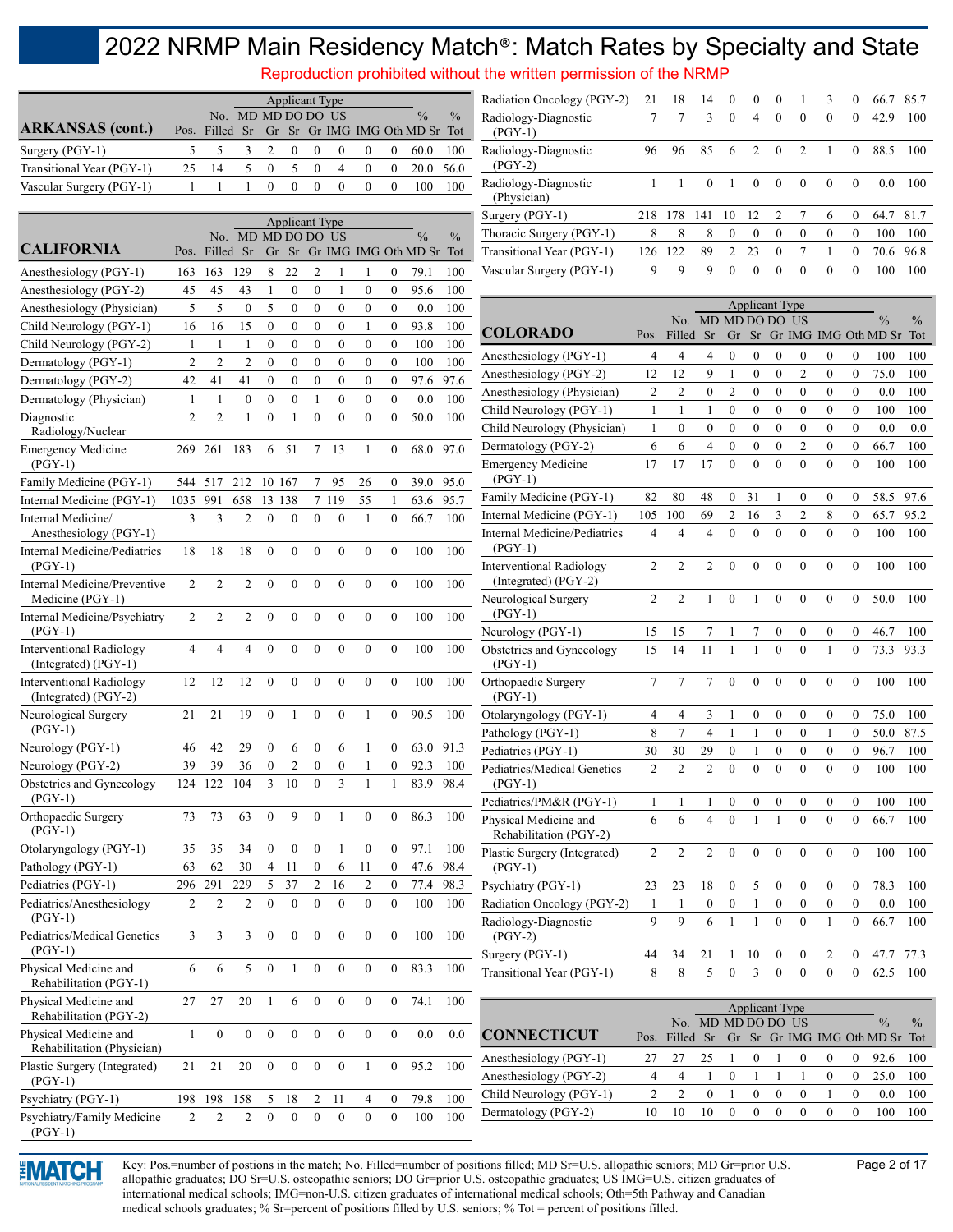Reproduction prohibited without the written permission of the NRMP

|                           |                    |    |                |          |          | <b>Applicant Type</b> |          |          |                                               |               |
|---------------------------|--------------------|----|----------------|----------|----------|-----------------------|----------|----------|-----------------------------------------------|---------------|
|                           | No. MD MD DO DO US |    |                |          |          |                       |          |          | $\frac{0}{0}$                                 | $\frac{0}{0}$ |
| <b>ARKANSAS</b> (cont.)   |                    |    |                |          |          |                       |          |          | Pos. Filled Sr Gr Sr Gr IMG IMG Oth MD Sr Tot |               |
| Surgery (PGY-1)           |                    |    | 3 2 0          |          | $\theta$ | $\theta$              | $\theta$ | $\theta$ | 60.0                                          | 100           |
| Transitional Year (PGY-1) | -14                | 5. | $\overline{0}$ | -5       | $\Omega$ | 4                     | $\theta$ |          | 20.0 56.0                                     |               |
| Vascular Surgery (PGY-1)  |                    |    | $\theta$       | $\theta$ | $\theta$ | $\theta$              | $\theta$ |          | 100                                           | 100           |

|                                                         |                |                  |                   |                  | <b>Applicant Type</b> |                  |                  |                  |                  |                                       |                      |
|---------------------------------------------------------|----------------|------------------|-------------------|------------------|-----------------------|------------------|------------------|------------------|------------------|---------------------------------------|----------------------|
| <b>CALIFORNIA</b>                                       | Pos.           | No.<br>Filled    | MD MD DO DO<br>Sr | Gr               | Sr                    |                  | US               |                  |                  | $\frac{0}{0}$<br>Gr IMG IMG Oth MD Sr | $\frac{0}{0}$<br>Tot |
| Anesthesiology (PGY-1)                                  | 163            | 163              | 129               | 8                | 22                    | $\overline{c}$   | 1                | 1                | $\boldsymbol{0}$ | 79.1                                  | 100                  |
| Anesthesiology (PGY-2)                                  | 45             | 45               | 43                | $\mathbf{1}$     | $\boldsymbol{0}$      | $\overline{0}$   | 1                | $\overline{0}$   | $\overline{0}$   | 95.6                                  | 100                  |
| Anesthesiology (Physician)                              | 5              | 5                | $\boldsymbol{0}$  | 5                | 0                     | $\boldsymbol{0}$ | $\overline{0}$   | $\mathbf{0}$     | $\boldsymbol{0}$ | 0.0                                   | 100                  |
| Child Neurology (PGY-1)                                 | 16             | 16               | 15                | $\boldsymbol{0}$ | 0                     | $\mathbf{0}$     | $\mathbf{0}$     | 1                | $\mathbf{0}$     | 93.8                                  | 100                  |
| Child Neurology (PGY-2)                                 | 1              | 1                | 1                 | 0                | 0                     | $\boldsymbol{0}$ | $\mathbf{0}$     | 0                | $\boldsymbol{0}$ | 100                                   | 100                  |
| Dermatology (PGY-1)                                     | $\overline{2}$ | $\overline{2}$   | $\overline{2}$    | $\mathbf{0}$     | $\mathbf{0}$          | 0                | $\mathbf{0}$     | $\mathbf{0}$     | $\mathbf{0}$     | 100                                   | 100                  |
| Dermatology (PGY-2)                                     | 42             | 41               | 41                | 0                | 0                     | 0                | $\boldsymbol{0}$ | $\mathbf{0}$     | $\mathbf{0}$     | 97.6                                  | 97.6                 |
| Dermatology (Physician)                                 | 1              | 1                | $\boldsymbol{0}$  | 0                | 0                     | 1                | $\mathbf{0}$     | $\boldsymbol{0}$ | $\boldsymbol{0}$ | 0.0                                   | 100                  |
| Diagnostic<br>Radiology/Nuclear                         | $\overline{2}$ | $\overline{c}$   | 1                 | $\boldsymbol{0}$ | $\mathbf{1}$          | $\overline{0}$   | $\mathbf{0}$     | $\boldsymbol{0}$ | 0                | 50.0                                  | 100                  |
| <b>Emergency Medicine</b><br>$(PGY-1)$                  | 269            | 261              | 183               | 6                | 51                    | 7                | 13               | $\mathbf{1}$     | $\boldsymbol{0}$ | 68.0                                  | 97.0                 |
| Family Medicine (PGY-1)                                 | 544            | 517              | 212               |                  | 10 167                | 7                | 95               | 26               | 0                | 39.0                                  | 95.0                 |
| Internal Medicine (PGY-1)                               | 1035           | 991              | 658               | 13               | 138                   | 7                | 119              | 55               | 1                | 63.6                                  | 95.7                 |
| Internal Medicine/<br>Anesthesiology (PGY-1)            | 3              | 3                | $\overline{2}$    | $\mathbf{0}$     | $\boldsymbol{0}$      | $\theta$         | $\mathbf{0}$     | $\mathbf{1}$     | $\mathbf{0}$     | 66.7                                  | 100                  |
| Internal Medicine/Pediatrics<br>$(PGY-1)$               | 18             | 18               | 18                | $\boldsymbol{0}$ | $\boldsymbol{0}$      | $\mathbf{0}$     | $\boldsymbol{0}$ | $\boldsymbol{0}$ | $\boldsymbol{0}$ | 100                                   | 100                  |
| Internal Medicine/Preventive<br>Medicine (PGY-1)        | $\overline{2}$ | $\overline{2}$   | $\overline{2}$    | $\boldsymbol{0}$ | $\boldsymbol{0}$      | $\mathbf{0}$     | $\mathbf{0}$     | $\mathbf{0}$     | $\mathbf{0}$     | 100                                   | 100                  |
| Internal Medicine/Psychiatry<br>$(PGY-1)$               | $\overline{2}$ | 2                | 2                 | $\boldsymbol{0}$ | $\boldsymbol{0}$      | $\mathbf{0}$     | $\mathbf{0}$     | $\boldsymbol{0}$ | $\boldsymbol{0}$ | 100                                   | 100                  |
| <b>Interventional Radiology</b><br>(Integrated) (PGY-1) | 4              | $\overline{4}$   | 4                 | $\mathbf{0}$     | $\mathbf{0}$          | $\mathbf{0}$     | $\mathbf{0}$     | $\overline{0}$   | $\mathbf{0}$     | 100                                   | 100                  |
| <b>Interventional Radiology</b><br>(Integrated) (PGY-2) | 12             | 12               | 12                | $\boldsymbol{0}$ | $\boldsymbol{0}$      | $\mathbf{0}$     | $\boldsymbol{0}$ | $\boldsymbol{0}$ | $\boldsymbol{0}$ | 100                                   | 100                  |
| Neurological Surgery<br>$(PGY-1)$                       | 21             | 21               | 19                | $\boldsymbol{0}$ | 1                     | $\mathbf{0}$     | $\mathbf{0}$     | $\mathbf{1}$     | $\boldsymbol{0}$ | 90.5                                  | 100                  |
| Neurology (PGY-1)                                       | 46             | 42               | 29                | $\boldsymbol{0}$ | 6                     | $\boldsymbol{0}$ | 6                | 1                | $\mathbf{0}$     | 63.0                                  | 91.3                 |
| Neurology (PGY-2)                                       | 39             | 39               | 36                | $\boldsymbol{0}$ | 2                     | $\boldsymbol{0}$ | $\mathbf{0}$     | 1                | $\boldsymbol{0}$ | 92.3                                  | 100                  |
| Obstetrics and Gynecology<br>$(PGY-1)$                  | 124            | 122              | 104               | 3                | 10                    | $\mathbf{0}$     | 3                | $\mathbf{1}$     | 1                | 83.9                                  | 98.4                 |
| Orthopaedic Surgery<br>$(PGY-1)$                        | 73             | 73               | 63                | $\boldsymbol{0}$ | 9                     | $\mathbf{0}$     | 1                | $\mathbf{0}$     | $\mathbf{0}$     | 86.3                                  | 100                  |
| Otolaryngology (PGY-1)                                  | 35             | 35               | 34                | $\boldsymbol{0}$ | $\boldsymbol{0}$      | $\mathbf{0}$     | 1                | $\boldsymbol{0}$ | $\boldsymbol{0}$ | 97.1                                  | 100                  |
| Pathology (PGY-1)                                       | 63             | 62               | 30                | $\overline{4}$   | 11                    | $\boldsymbol{0}$ | 6                | 11               | $\mathbf{0}$     | 47.6                                  | 98.4                 |
| Pediatrics (PGY-1)                                      | 296            | 291              | 229               | 5                | 37                    | 2                | 16               | $\overline{2}$   | $\mathbf{0}$     | 77.4                                  | 98.3                 |
| Pediatrics/Anesthesiology<br>$(PGY-1)$                  | $\overline{c}$ | $\overline{c}$   | $\overline{c}$    | $\boldsymbol{0}$ | $\boldsymbol{0}$      | 0                | $\mathbf{0}$     | $\mathbf{0}$     | $\boldsymbol{0}$ | 100                                   | 100                  |
| Pediatrics/Medical Genetics<br>$(PGY-1)$                | 3              | 3                | 3                 | $\boldsymbol{0}$ | $\boldsymbol{0}$      | $\boldsymbol{0}$ | $\boldsymbol{0}$ | $\boldsymbol{0}$ | $\boldsymbol{0}$ | 100                                   | 100                  |
| Physical Medicine and<br>Rehabilitation (PGY-1)         | 6              | 6                | 5                 | $\boldsymbol{0}$ | $\mathbf{1}$          | $\boldsymbol{0}$ | 0                | 0                | 0                | 83.3                                  | 100                  |
| Physical Medicine and<br>Rehabilitation (PGY-2)         | 27             | 27               | 20                | 1                | 6                     | $\boldsymbol{0}$ | $\boldsymbol{0}$ | $\boldsymbol{0}$ | 0                | 74.1                                  | 100                  |
| Physical Medicine and<br>Rehabilitation (Physician)     | 1              | $\boldsymbol{0}$ | $\boldsymbol{0}$  | $\boldsymbol{0}$ | $\boldsymbol{0}$      | $\boldsymbol{0}$ | 0                | 0                | 0                | 0.0                                   | $_{0.0}$             |
| Plastic Surgery (Integrated)<br>$(PGY-1)$               | 21             | 21               | 20                | $\boldsymbol{0}$ | $\boldsymbol{0}$      | $\boldsymbol{0}$ | $\boldsymbol{0}$ | $\mathbf{1}$     | $\boldsymbol{0}$ | 95.2                                  | 100                  |
| Psychiatry (PGY-1)                                      | 198            | 198              | 158               | 5                | 18                    | 2                | 11               | 4                | 0                | 79.8                                  | 100                  |
| Psychiatry/Family Medicine<br>$(PGY-1)$                 | 2              | 2                | 2                 | $\boldsymbol{0}$ | $\boldsymbol{0}$      | 0                | 0                | 0                | 0                | 100                                   | 100                  |

| Radiation Oncology (PGY-2)          | 21  | 18  | 14       | $\theta$      | $\Omega$      | $\theta$       |               | 3        | $\theta$ | 66.7 | 85.7 |
|-------------------------------------|-----|-----|----------|---------------|---------------|----------------|---------------|----------|----------|------|------|
| Radiology-Diagnostic<br>$(PGY-1)$   | 7   |     | 3        | $\Omega$      | 4             | $\theta$       | $\Omega$      | $\theta$ | $\theta$ | 42.9 | 100  |
| Radiology-Diagnostic<br>$(PGY-2)$   | 96  | 96  | 85       | 6             | $\mathcal{D}$ | $\Omega$       | $\mathcal{L}$ |          | 0        | 88.5 | 100  |
| Radiology-Diagnostic<br>(Physician) |     |     | $\Omega$ | 1             | $\Omega$      | $\Omega$       | $\Omega$      | $\Omega$ | 0        | 0.0  | 100  |
| Surgery (PGY-1)                     | 218 | 178 | 141      | 10            | 12            | $\mathfrak{D}$ |               | 6        | $\Omega$ | 64.7 | 81.7 |
| Thoracic Surgery (PGY-1)            | 8   | 8   | 8        | $\theta$      | $\Omega$      | $\theta$       | $\theta$      | $\theta$ | $\Omega$ | 100  | 100  |
| Transitional Year (PGY-1)           | 126 | 122 | 89       | $\mathcal{P}$ | 23            | $\Omega$       |               |          | $\theta$ | 70.6 | 96.8 |
| Vascular Surgery (PGY-1)            | 9   | 9   | 9        | 0             | $\Omega$      | $\Omega$       | $\Omega$      | $\Omega$ | $\Omega$ | 100  | 100  |
|                                     |     |     |          |               |               |                |               |          |          |      |      |

|                                                         |                |                |                  |                  | <b>Applicant Type</b> |                  |                  |                  |                  |                      |               |
|---------------------------------------------------------|----------------|----------------|------------------|------------------|-----------------------|------------------|------------------|------------------|------------------|----------------------|---------------|
|                                                         |                | No.            |                  | MD MD DO DO      |                       |                  | US               |                  |                  | $\frac{0}{0}$        | $\frac{0}{0}$ |
| <b>COLORADO</b>                                         | Pos.           | Filled         | Sr               | Gr               | Sr                    |                  |                  |                  |                  | Gr IMG IMG Oth MD Sr | Tot           |
| Anesthesiology (PGY-1)                                  | 4              | 4              | $\overline{4}$   | $\overline{0}$   | $\overline{0}$        | $\overline{0}$   | $\boldsymbol{0}$ | 0                | $\overline{0}$   | 100                  | 100           |
| Anesthesiology (PGY-2)                                  | 12             | 12             | 9                | $\mathbf{1}$     | $\overline{0}$        | $\overline{0}$   | $\overline{2}$   | $\overline{0}$   | $\overline{0}$   | 75.0                 | 100           |
| Anesthesiology (Physician)                              | $\overline{2}$ | $\overline{c}$ | $\overline{0}$   | $\overline{c}$   | $\mathbf{0}$          | $\theta$         | $\theta$         | 0                | 0                | 0.0                  | 100           |
| Child Neurology (PGY-1)                                 | 1              | 1              | 1                | $\overline{0}$   | 0                     | $\theta$         | $\theta$         | $\theta$         | $\overline{0}$   | 100                  | 100           |
| Child Neurology (Physician)                             | 1              | $\overline{0}$ | $\mathbf{0}$     | $\overline{0}$   | $\overline{0}$        | $\theta$         | $\overline{0}$   | $\overline{0}$   | $\overline{0}$   | 0.0                  | 0.0           |
| Dermatology (PGY-2)                                     | 6              | 6              | $\overline{4}$   | $\overline{0}$   | $\overline{0}$        | $\overline{0}$   | $\overline{2}$   | $\overline{0}$   | $\overline{0}$   | 66.7                 | 100           |
| <b>Emergency Medicine</b><br>$(PGY-1)$                  | 17             | 17             | 17               | $\overline{0}$   | $\theta$              | $\theta$         | $\theta$         | $\theta$         | $\overline{0}$   | 100                  | 100           |
| Family Medicine (PGY-1)                                 | 82             | 80             | 48               | $\mathbf{0}$     | 31                    | 1                | 0                | 0                | $\mathbf{0}$     | 58.5                 | 97.6          |
| Internal Medicine (PGY-1)                               | 105            | 100            | 69               | $\overline{c}$   | 16                    | 3                | $\overline{2}$   | 8                | $\overline{0}$   | 65.7                 | 95.2          |
| <b>Internal Medicine/Pediatrics</b><br>$(PGY-1)$        | $\overline{4}$ | $\overline{4}$ | $\overline{4}$   | $\theta$         | $\mathbf{0}$          | $\theta$         | $\theta$         | $\overline{0}$   | $\overline{0}$   | 100                  | 100           |
| <b>Interventional Radiology</b><br>(Integrated) (PGY-2) | $\overline{2}$ | $\overline{2}$ | $\overline{2}$   | $\theta$         | $\theta$              | $\theta$         | $\theta$         | $\theta$         | $\mathbf{0}$     | 100                  | 100           |
| Neurological Surgery<br>$(PGY-1)$                       | $\overline{2}$ | $\overline{2}$ | $\mathbf{1}$     | $\theta$         | $\mathbf{1}$          | $\theta$         | $\theta$         | $\theta$         | $\overline{0}$   | 50.0                 | 100           |
| Neurology (PGY-1)                                       | 15             | 15             | 7                | $\mathbf{1}$     | $\boldsymbol{7}$      | $\boldsymbol{0}$ | $\boldsymbol{0}$ | $\boldsymbol{0}$ | $\boldsymbol{0}$ | 46.7                 | 100           |
| Obstetrics and Gynecology<br>(PGY-1)                    | 15             | 14             | 11               | 1                | 1                     | $\theta$         | $\theta$         | 1                | $\overline{0}$   | 73.3                 | 93.3          |
| Orthopaedic Surgery<br>$(PGY-1)$                        | 7              | 7              | 7                | 0                | $\mathbf{0}$          | $\mathbf{0}$     | $\mathbf{0}$     | $\mathbf{0}$     | $\mathbf{0}$     | 100                  | 100           |
| Otolaryngology (PGY-1)                                  | 4              | $\overline{4}$ | 3                | 1                | $\overline{0}$        | $\mathbf{0}$     | $\mathbf{0}$     | $\overline{0}$   | $\overline{0}$   | 75.0                 | 100           |
| Pathology (PGY-1)                                       | 8              | 7              | $\overline{4}$   | 1                | 1                     | $\theta$         | $\theta$         | 1                | $\theta$         | 50.0                 | 87.5          |
| Pediatrics (PGY-1)                                      | 30             | 30             | 29               | $\theta$         | 1                     | $\theta$         | $\theta$         | $\theta$         | $\theta$         | 96.7                 | 100           |
| Pediatrics/Medical Genetics<br>$(PGY-1)$                | $\overline{2}$ | $\overline{2}$ | $\overline{2}$   | $\theta$         | $\theta$              | $\theta$         | $\theta$         | $\overline{0}$   | $\overline{0}$   | 100                  | 100           |
| Pediatrics/PM&R (PGY-1)                                 | 1              | 1              | 1                | 0                | 0                     | 0                | $\boldsymbol{0}$ | $\boldsymbol{0}$ | $\boldsymbol{0}$ | 100                  | 100           |
| Physical Medicine and<br>Rehabilitation (PGY-2)         | 6              | 6              | $\overline{4}$   | $\theta$         | 1                     | 1                | $\theta$         | $\theta$         | $\overline{0}$   | 66.7                 | 100           |
| Plastic Surgery (Integrated)<br>$(PGY-1)$               | $\overline{2}$ | $\overline{2}$ | $\overline{2}$   | $\overline{0}$   | $\mathbf{0}$          | $\mathbf{0}$     | $\mathbf{0}$     | $\overline{0}$   | $\overline{0}$   | 100                  | 100           |
| Psychiatry (PGY-1)                                      | 23             | 23             | 18               | 0                | 5                     | $\theta$         | 0                | $\mathbf{0}$     | $\mathbf{0}$     | 78.3                 | 100           |
| Radiation Oncology (PGY-2)                              | $\,1$          | $\mathbf{1}$   | $\boldsymbol{0}$ | $\boldsymbol{0}$ | 1                     | $\mathbf{0}$     | $\mathbf{0}$     | $\bf{0}$         | $\boldsymbol{0}$ | 0.0                  | 100           |
| Radiology-Diagnostic<br>$(PGY-2)$                       | 9              | 9              | 6                | $\mathbf{1}$     | $\mathbf{1}$          | $\mathbf{0}$     | $\mathbf{0}$     | $\mathbf{1}$     | $\mathbf{0}$     | 66.7                 | 100           |
| Surgery (PGY-1)                                         | 44             | 34             | 21               | 1                | 10                    | 0                | $\mathbf{0}$     | $\overline{c}$   | 0                | 47.7                 | 77.3          |
| Transitional Year (PGY-1)                               | 8              | 8              | 5                | $\theta$         | 3                     | $\theta$         | $\theta$         | $\theta$         | $\theta$         | 62.5                 | 100           |

|                         |      |                    |          |          |          | <b>Applicant Type</b> |          |                                          |               |
|-------------------------|------|--------------------|----------|----------|----------|-----------------------|----------|------------------------------------------|---------------|
|                         |      | No. MD MD DO DO US |          |          |          |                       |          | $\frac{0}{0}$                            | $\frac{0}{0}$ |
| <b>CONNECTICUT</b>      | Pos. |                    |          |          |          |                       |          | Filled Sr Gr Sr Gr IMG IMG Oth MD Sr Tot |               |
| Anesthesiology (PGY-1)  |      |                    | 25       | $\theta$ |          |                       | $\Omega$ | 92.6                                     | 100           |
| Anesthesiology (PGY-2)  |      |                    |          |          |          |                       | $\Omega$ | 25.0                                     | 100           |
| Child Neurology (PGY-1) |      |                    | $\theta$ | $\theta$ | $\theta$ |                       |          | 0.0                                      | 100           |
| Dermatology (PGY-2)     |      |                    | 10       |          |          |                       | $\theta$ | 100                                      | 00            |



Key: Pos.=number of postions in the match; No. Filled=number of positions filled; MD Sr=U.S. allopathic seniors; MD Gr=prior U.S. Page 2 of 17 allopathic graduates; DO Sr=U.S. osteopathic seniors; DO Gr=prior U.S. osteopathic graduates; US IMG=U.S. citizen graduates of international medical schools; IMG=non-U.S. citizen graduates of international medical schools; Oth=5th Pathway and Canadian medical schools graduates; % Sr=percent of positions filled by U.S. seniors; % Tot = percent of positions filled.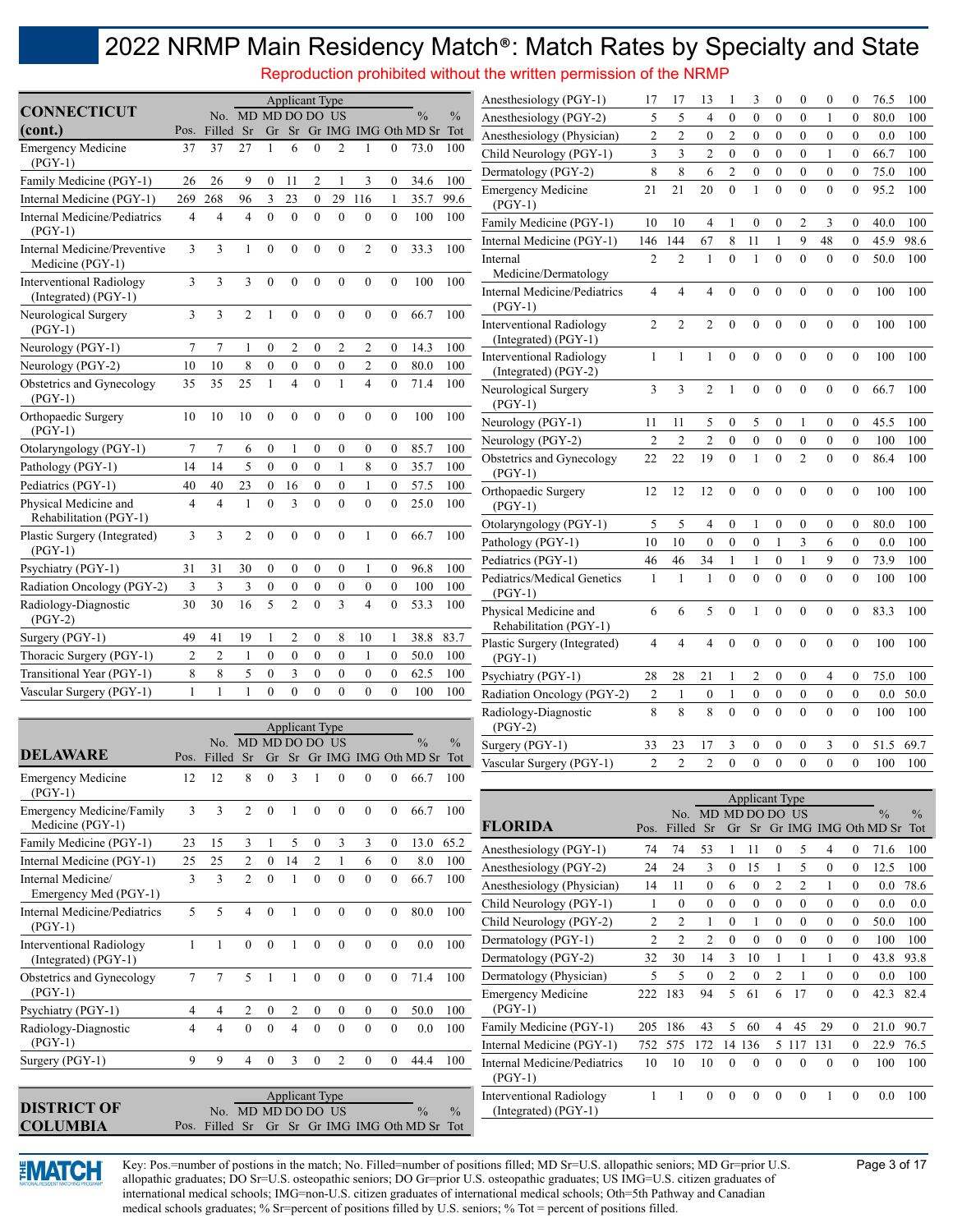Reproduction prohibited without the written permission of the NRMP

|                                                         |                |                |                    |                  |                       |                  |                  |                  |                  |                                                 |               | $\sim$ addition promotion mateural and million p            |                                |                                    |                       |                                      |                       |                                      |                                      |                                      |                                      |                                                 |            |
|---------------------------------------------------------|----------------|----------------|--------------------|------------------|-----------------------|------------------|------------------|------------------|------------------|-------------------------------------------------|---------------|-------------------------------------------------------------|--------------------------------|------------------------------------|-----------------------|--------------------------------------|-----------------------|--------------------------------------|--------------------------------------|--------------------------------------|--------------------------------------|-------------------------------------------------|------------|
| <b>CONNECTICUT</b>                                      |                |                |                    |                  | <b>Applicant Type</b> |                  |                  |                  |                  |                                                 |               | Anesthesiology (PGY-1)                                      | 17                             | 17                                 | 13                    |                                      | 3                     | $\left($                             | $\theta$                             | $\theta$                             | $\left($                             | 76.5                                            | 100        |
| (cont.)                                                 | Pos.           | Filled Sr      | No. MD MD DO DO US |                  |                       |                  |                  |                  |                  | $\frac{0}{0}$<br>Gr Sr Gr IMG IMG Oth MD Sr Tot | $\frac{0}{0}$ | Anesthesiology (PGY-2)                                      | 5                              | 5                                  | 4                     | $\boldsymbol{0}$                     | $\boldsymbol{0}$      | $\mathbf{0}$                         | $\mathbf{0}$                         | 1                                    | $\boldsymbol{0}$                     | 80.0                                            | 100        |
| <b>Emergency Medicine</b>                               | 37             | 37             | 27                 |                  | 6                     | $\mathbf{0}$     | $\overline{2}$   |                  | 0                | 73.0                                            | 100           | Anesthesiology (Physician)                                  | $\overline{c}$                 | $\overline{2}$                     | $\boldsymbol{0}$      | $\overline{2}$                       | $\boldsymbol{0}$      | $\mathbf{0}$                         | $\mathbf{0}$                         | $\boldsymbol{0}$                     | $\boldsymbol{0}$                     | 0.0                                             | 100        |
| $(PGY-1)$                                               |                |                |                    |                  |                       |                  |                  |                  |                  |                                                 |               | Child Neurology (PGY-1)                                     | 3                              | 3                                  | $\mathfrak{2}$        | $\boldsymbol{0}$                     | $\boldsymbol{0}$      | $\mathbf{0}$                         | $\mathbf{0}$                         | 1                                    | $\boldsymbol{0}$                     | 66.7                                            | 100        |
| Family Medicine (PGY-1)                                 | 26             | 26             | 9                  | $\boldsymbol{0}$ | 11                    | $\overline{c}$   |                  | 3                | $\mathbf{0}$     | 34.6                                            | 100           | Dermatology (PGY-2)                                         | $\,$ 8 $\,$                    | 8                                  | 6                     | $\overline{2}$                       | $\boldsymbol{0}$      | $\boldsymbol{0}$                     | $\boldsymbol{0}$                     | $\boldsymbol{0}$                     | $\bf{0}$                             | 75.0                                            | 100        |
| Internal Medicine (PGY-1)                               | 269            | 268            | 96                 | 3                | 23                    | $\boldsymbol{0}$ | 29               | 116              | 1                | 35.7                                            | 99.6          | <b>Emergency Medicine</b><br>$(PGY-1)$                      | 21                             | 21                                 | 20                    | $\overline{0}$                       | $\mathbf{1}$          | $\mathbf{0}$                         | $\theta$                             | $\mathbf{0}$                         | $\mathbf{0}$                         | 95.2                                            | 100        |
| Internal Medicine/Pediatrics                            | $\overline{4}$ | 4              | $\overline{4}$     | $\mathbf{0}$     | $\mathbf{0}$          | $\Omega$         | $\theta$         | $\mathbf{0}$     | $\overline{0}$   | 100                                             | 100           | Family Medicine (PGY-1)                                     | 10                             | 10                                 | 4                     |                                      | $\boldsymbol{0}$      | $\mathbf{0}$                         | 2                                    | 3                                    | $\mathbf{0}$                         | 40.0                                            | 100        |
| $(PGY-1)$                                               |                |                |                    |                  |                       |                  |                  |                  |                  |                                                 |               | Internal Medicine (PGY-1)                                   | 146                            | 144                                | 67                    | 8                                    | 11                    | $\mathbf{1}$                         | 9                                    | 48                                   | $\mathbf{0}$                         | 45.9                                            | 98.6       |
| Internal Medicine/Preventive<br>Medicine (PGY-1)        | 3              | 3              | 1                  | $\mathbf{0}$     | $\mathbf{0}$          | $\mathbf{0}$     | $\mathbf{0}$     | $\overline{2}$   | $\overline{0}$   | 33.3                                            | 100           | Internal                                                    | $\overline{c}$                 | $\overline{2}$                     |                       | $\mathbf{0}$                         | 1                     | $\mathbf{0}$                         | $\mathbf{0}$                         | $\mathbf{0}$                         | $\mathbf{0}$                         | 50.0                                            | 100        |
| <b>Interventional Radiology</b><br>(Integrated) (PGY-1) | 3              | 3              | 3                  | $\mathbf{0}$     | $\mathbf{0}$          | $\mathbf{0}$     | $\mathbf{0}$     | $\mathbf{0}$     | $\overline{0}$   | 100                                             | 100           | Medicine/Dermatology<br><b>Internal Medicine/Pediatrics</b> | 4                              | $\overline{4}$                     | 4                     | $\mathbf{0}$                         | $\theta$              | $\theta$                             | $\Omega$                             | $\mathbf{0}$                         | $\theta$                             | 100                                             | 100        |
| Neurological Surgery<br>$(PGY-1)$                       | 3              | 3              | $\overline{2}$     | 1                | $\mathbf{0}$          | $\mathbf{0}$     | $\mathbf{0}$     | $\mathbf{0}$     | $\overline{0}$   | 66.7                                            | 100           | $(PGY-1)$<br><b>Interventional Radiology</b>                | 2                              | $\overline{2}$                     | $\overline{2}$        | $\mathbf{0}$                         | $\mathbf{0}$          | $\mathbf{0}$                         | $\mathbf{0}$                         | $\mathbf{0}$                         | $\mathbf{0}$                         | 100                                             | 100        |
| Neurology (PGY-1)                                       | $\tau$         | $\tau$         |                    | $\boldsymbol{0}$ | $\overline{c}$        | $\boldsymbol{0}$ | $\overline{2}$   | $\overline{2}$   | $\overline{0}$   | 14.3                                            | 100           | (Integrated) (PGY-1)                                        |                                |                                    |                       |                                      |                       |                                      |                                      |                                      |                                      |                                                 |            |
| Neurology (PGY-2)                                       | 10             | 10             | 8                  | $\boldsymbol{0}$ | $\bf{0}$              | $\boldsymbol{0}$ | $\boldsymbol{0}$ | $\overline{c}$   | $\overline{0}$   | 80.0                                            | 100           | <b>Interventional Radiology</b>                             | $\mathbf{1}$                   |                                    | 1                     | $\mathbf{0}$                         | $\mathbf{0}$          | $\mathbf{0}$                         | $\theta$                             | $\theta$                             | $\mathbf{0}$                         | 100                                             | 100        |
| Obstetrics and Gynecology<br>$(PGY-1)$                  | 35             | 35             | 25                 | 1                | $\overline{4}$        | $\mathbf{0}$     | 1                | $\overline{4}$   | $\mathbf{0}$     | 71.4                                            | 100           | (Integrated) (PGY-2)<br>Neurological Surgery                | 3                              | 3                                  | 2                     | 1                                    | $\boldsymbol{0}$      | $\mathbf{0}$                         | $\mathbf{0}$                         | $\mathbf{0}$                         | $\mathbf{0}$                         | 66.7                                            | 100        |
| Orthopaedic Surgery                                     | 10             | 10             | 10                 | $\boldsymbol{0}$ | $\boldsymbol{0}$      | $\boldsymbol{0}$ | $\boldsymbol{0}$ | $\mathbf{0}$     | $\boldsymbol{0}$ | 100                                             | 100           | $(PGY-1)$                                                   |                                |                                    |                       |                                      |                       |                                      |                                      |                                      |                                      |                                                 |            |
| $(PGY-1)$                                               |                |                |                    |                  |                       |                  |                  |                  |                  |                                                 |               | Neurology (PGY-1)                                           | 11                             | 11                                 | 5                     | $\boldsymbol{0}$                     | 5                     | $\boldsymbol{0}$                     | $\mathbf{1}$                         | $\boldsymbol{0}$                     | $\mathbf{0}$                         | 45.5                                            | 100        |
| Otolaryngology (PGY-1)                                  | $\tau$         | 7              | 6                  | $\boldsymbol{0}$ |                       | $\boldsymbol{0}$ | $\boldsymbol{0}$ | $\boldsymbol{0}$ | $\mathbf{0}$     | 85.7                                            | 100           | Neurology (PGY-2)                                           | $\overline{2}$                 | $\overline{2}$                     | $\overline{2}$        | $\boldsymbol{0}$                     | $\boldsymbol{0}$      | $\boldsymbol{0}$                     | $\boldsymbol{0}$                     | $\boldsymbol{0}$                     | $\boldsymbol{0}$                     | 100                                             | 100        |
| Pathology (PGY-1)                                       | 14             | 14             | 5                  | $\boldsymbol{0}$ | $\boldsymbol{0}$      | $\boldsymbol{0}$ | 1                | $\,$ 8 $\,$      | $\boldsymbol{0}$ | 35.7                                            | 100           | Obstetrics and Gynecology<br>$(PGY-1)$                      | 22                             | 22                                 | 19                    | $\mathbf{0}$                         | $\mathbf{1}$          | $\mathbf{0}$                         | $\overline{2}$                       | $\mathbf{0}$                         | $\mathbf{0}$                         | 86.4                                            | 100        |
| Pediatrics (PGY-1)                                      | 40             | 40             | 23                 | $\boldsymbol{0}$ | 16                    | $\boldsymbol{0}$ | $\boldsymbol{0}$ | $\mathbf{1}$     | $\overline{0}$   | 57.5                                            | 100           | Orthopaedic Surgery                                         | 12                             | 12                                 | 12                    | $\boldsymbol{0}$                     | $\mathbf{0}$          | $\mathbf{0}$                         | $\mathbf{0}$                         | $\mathbf{0}$                         | $\theta$                             | 100                                             | 100        |
| Physical Medicine and<br>Rehabilitation (PGY-1)         | $\overline{4}$ | $\overline{4}$ | $\mathbf{1}$       | $\mathbf{0}$     | 3                     | $\mathbf{0}$     | $\mathbf{0}$     | $\mathbf{0}$     | $\overline{0}$   | 25.0                                            | 100           | $(PGY-1)$                                                   | 5                              |                                    | 4                     |                                      | 1                     |                                      |                                      |                                      |                                      | 80.0                                            |            |
| Plastic Surgery (Integrated)                            | 3              | 3              | $\overline{2}$     | $\mathbf{0}$     | $\boldsymbol{0}$      | $\boldsymbol{0}$ | $\theta$         |                  | $\overline{0}$   | 66.7                                            | 100           | Otolaryngology (PGY-1)<br>Pathology (PGY-1)                 | 10                             | 5<br>10                            | $\boldsymbol{0}$      | $\boldsymbol{0}$<br>$\boldsymbol{0}$ | $\boldsymbol{0}$      | $\boldsymbol{0}$<br>-1               | $\boldsymbol{0}$<br>3                | $\boldsymbol{0}$<br>6                | $\bf{0}$<br>$\boldsymbol{0}$         | 0.0                                             | 100<br>100 |
| $(PGY-1)$                                               |                |                |                    |                  |                       |                  |                  |                  |                  |                                                 |               | Pediatrics (PGY-1)                                          | 46                             | 46                                 | 34                    | -1                                   | 1                     | $\boldsymbol{0}$                     | 1                                    | 9                                    | $\boldsymbol{0}$                     | 73.9                                            | 100        |
| Psychiatry (PGY-1)                                      | 31             | 31             | 30                 | $\boldsymbol{0}$ | $\boldsymbol{0}$      | $\boldsymbol{0}$ | $\boldsymbol{0}$ |                  | 0                | 96.8                                            | 100           | Pediatrics/Medical Genetics                                 | 1                              |                                    |                       | $\mathbf{0}$                         | $\mathbf{0}$          | $\theta$                             | $\theta$                             | $\mathbf{0}$                         | $\mathbf{0}$                         | 100                                             | 100        |
| Radiation Oncology (PGY-2)                              | 3              | 3              | 3                  | $\boldsymbol{0}$ | $\boldsymbol{0}$      | $\boldsymbol{0}$ | $\boldsymbol{0}$ | $\boldsymbol{0}$ | $\boldsymbol{0}$ | 100                                             | 100           | $(PGY-1)$                                                   |                                |                                    |                       |                                      |                       |                                      |                                      |                                      |                                      |                                                 |            |
| Radiology-Diagnostic<br>$(PGY-2)$                       | 30             | 30             | 16                 | 5                | $\overline{2}$        | $\boldsymbol{0}$ | 3                | $\overline{4}$   | $\overline{0}$   | 53.3                                            | 100           | Physical Medicine and<br>Rehabilitation (PGY-1)             | 6                              | 6                                  | 5                     | $\mathbf{0}$                         |                       | $\Omega$                             | $\theta$                             | $\boldsymbol{0}$                     | $\theta$                             | 83.3                                            | 100        |
| Surgery (PGY-1)                                         | 49             | 41             | 19                 |                  | 2                     | $\boldsymbol{0}$ | 8                | 10               |                  | 38.8                                            | 83.7          | Plastic Surgery (Integrated)                                | 4                              | $\overline{4}$                     | 4                     | $\mathbf{0}$                         | $\mathbf{0}$          | $\mathbf{0}$                         | $\mathbf{0}$                         | $\mathbf{0}$                         | $\mathbf{0}$                         | 100                                             | 100        |
| Thoracic Surgery (PGY-1)                                | $\overline{c}$ | $\overline{2}$ |                    | $\boldsymbol{0}$ | $\boldsymbol{0}$      | $\boldsymbol{0}$ | $\boldsymbol{0}$ |                  | $\overline{0}$   | 50.0                                            | 100           | $(PGY-1)$                                                   |                                |                                    |                       |                                      |                       |                                      |                                      |                                      |                                      |                                                 |            |
| Transitional Year (PGY-1)                               | 8              | 8              | 5                  | $\boldsymbol{0}$ | 3                     | $\boldsymbol{0}$ | $\boldsymbol{0}$ | $\boldsymbol{0}$ | $\mathbf{0}$     | 62.5                                            | 100           | Psychiatry (PGY-1)                                          | 28                             | 28                                 | 21                    | 1                                    | $\overline{c}$        | $\boldsymbol{0}$                     | $\boldsymbol{0}$                     | 4                                    | $\boldsymbol{0}$                     | 75.0                                            | 100        |
| Vascular Surgery (PGY-1)                                | $\mathbf{1}$   |                | -1                 | $\mathbf{0}$     | $\mathbf{0}$          | $\boldsymbol{0}$ | $\theta$         | $\mathbf{0}$     | $\Omega$         | 100                                             | 100           | Radiation Oncology (PGY-2)                                  | 2                              | $\mathbf{1}$                       | $\boldsymbol{0}$      | 1                                    | $\boldsymbol{0}$      | $\boldsymbol{0}$                     | $\boldsymbol{0}$                     | $\boldsymbol{0}$                     | $\boldsymbol{0}$                     | 0.0                                             | 50.0       |
|                                                         |                |                |                    |                  | <b>Applicant Type</b> |                  |                  |                  |                  |                                                 |               | Radiology-Diagnostic<br>$(PGY-2)$                           | 8                              | 8                                  | 8                     | $\mathbf{0}$                         | $\mathbf{0}$          | $\Omega$                             | $\theta$                             | $\overline{0}$                       | $\mathbf{0}$                         | 100                                             | 100        |
|                                                         |                |                | No. MD MD DO DO US |                  |                       |                  |                  |                  |                  | $\frac{0}{0}$                                   | $\frac{0}{0}$ | Surgery (PGY-1)                                             | 33                             | 23                                 | 17                    | 3                                    | $\mathbf{0}$          | $\mathbf{0}$                         | $\mathbf{0}$                         | 3                                    | $\mathbf{0}$                         | 51.5                                            | 69.7       |
| <b>DELAWARE</b>                                         |                |                |                    |                  |                       |                  |                  |                  |                  | Pos. Filled Sr Gr Sr Gr IMG IMG Oth MD Sr Tot   |               | Vascular Surgery (PGY-1)                                    | $\overline{c}$                 | $\overline{2}$                     | $\overline{2}$        | $\mathbf{0}$                         | $\mathbf{0}$          | $\mathbf{0}$                         | $\theta$                             | $\theta$                             | $\theta$                             | 100                                             | 100        |
| <b>Emergency Medicine</b><br>$(PGY-1)$                  |                | $12\quad 12$   |                    | $8 \quad 0$      |                       | $3 \quad 1$      | $\boldsymbol{0}$ | $\mathbf{0}$     | $\mathbf{0}$     | 66.7                                            | 100           |                                                             |                                |                                    |                       |                                      |                       | <b>Applicant Type</b>                |                                      |                                      |                                      |                                                 |            |
| <b>Emergency Medicine/Family</b><br>Medicine (PGY-1)    | 3              | 3              | $\overline{2}$     | $\mathbf{0}$     | $\mathbf{1}$          | $\boldsymbol{0}$ | $\boldsymbol{0}$ | $\boldsymbol{0}$ | $\overline{0}$   | 66.7 100                                        |               | <b>FLORIDA</b>                                              |                                | Pos. Filled Sr                     | No. MD MD DO DO US    |                                      |                       |                                      |                                      |                                      |                                      | $\frac{0}{0}$<br>Gr Sr Gr IMG IMG Oth MD Sr Tot | $\%$       |
| Family Medicine (PGY-1)                                 | 23             | 15             | 3                  | 1                | 5                     | $\boldsymbol{0}$ | $\mathfrak{Z}$   | 3                | $\boldsymbol{0}$ | 13.0 65.2                                       |               | Anesthesiology (PGY-1)                                      | 74                             | 74                                 | 53                    | 1                                    | 11                    | $\boldsymbol{0}$                     | 5                                    | 4                                    | $\boldsymbol{0}$                     | 71.6                                            | 100        |
| Internal Medicine (PGY-1)                               | 25             | $25\,$         | $\overline{2}$     | $\boldsymbol{0}$ | 14                    | $\overline{c}$   | $\mathbf{1}$     | 6                | $\mathbf{0}$     | $\ \ 8.0$                                       | 100           | Anesthesiology (PGY-2)                                      | 24                             | 24                                 | $\mathfrak{Z}$        | $\boldsymbol{0}$                     | 15                    | 1                                    | 5                                    | $\boldsymbol{0}$                     | $\boldsymbol{0}$                     | 12.5                                            | 100        |
| Internal Medicine/<br>Emergency Med (PGY-1)             | $\overline{3}$ | 3              | $\overline{2}$     | $\mathbf{0}$     | 1                     | $\boldsymbol{0}$ | $\mathbf{0}$     | $\boldsymbol{0}$ | $\overline{0}$   | 66.7                                            | 100           | Anesthesiology (Physician)                                  | 14                             | 11                                 | $\boldsymbol{0}$      | 6                                    | $\boldsymbol{0}$      | $\overline{c}$                       | $\overline{c}$                       | 1                                    | $\boldsymbol{0}$                     | 0.0                                             | 78.6       |
| <b>Internal Medicine/Pediatrics</b><br>$(PGY-1)$        | 5              | 5              | 4                  | $\mathbf{0}$     | $\mathbf{1}$          | $\boldsymbol{0}$ | $\boldsymbol{0}$ | $\boldsymbol{0}$ | $\overline{0}$   | 80.0                                            | 100           | Child Neurology (PGY-1)<br>Child Neurology (PGY-2)          | $\mathbf{1}$<br>$\overline{c}$ | $\boldsymbol{0}$<br>$\overline{c}$ | $\boldsymbol{0}$<br>1 | $\boldsymbol{0}$<br>$\boldsymbol{0}$ | $\boldsymbol{0}$<br>1 | $\boldsymbol{0}$<br>$\boldsymbol{0}$ | $\boldsymbol{0}$<br>$\boldsymbol{0}$ | $\boldsymbol{0}$<br>$\boldsymbol{0}$ | $\boldsymbol{0}$<br>$\boldsymbol{0}$ | 0.0<br>50.0                                     | 0.0<br>100 |
| <b>Interventional Radiology</b>                         | $\mathbf{1}$   | 1              | $\overline{0}$     | $\mathbf{0}$     | $\mathbf{1}$          | $\boldsymbol{0}$ | $\boldsymbol{0}$ | $\boldsymbol{0}$ | $\mathbf{0}$     | 0.0                                             | 100           | Dermatology (PGY-1)                                         | $\overline{c}$                 | $\sqrt{2}$                         | 2                     | $\boldsymbol{0}$                     | $\boldsymbol{0}$      | $\boldsymbol{0}$                     | $\boldsymbol{0}$                     | $\boldsymbol{0}$                     | $\boldsymbol{0}$                     | 100                                             | 100        |
| (Integrated) (PGY-1)                                    |                |                |                    |                  |                       |                  |                  |                  |                  |                                                 |               | Dermatology (PGY-2)                                         | 32                             | 30                                 | 14                    | 3                                    | 10                    | -1                                   | -1                                   | 1                                    | $\boldsymbol{0}$                     | 43.8                                            | 93.8       |
| Obstetrics and Gynecology                               | $\tau$         | 7              | 5 <sup>5</sup>     | $\overline{1}$   | $\mathbf{1}$          | $\boldsymbol{0}$ | $\boldsymbol{0}$ | $\boldsymbol{0}$ | $\mathbf{0}$     | 71.4                                            | 100           | Dermatology (Physician)                                     | 5                              | 5                                  | $\mathbf{0}$          | $\boldsymbol{2}$                     | $\boldsymbol{0}$      | $\mathfrak{2}$                       | $\mathbf{1}$                         | $\boldsymbol{0}$                     | $\boldsymbol{0}$                     | 0.0                                             | 100        |
| $(PGY-1)$                                               |                |                |                    |                  |                       |                  |                  |                  |                  |                                                 |               | <b>Emergency Medicine</b>                                   |                                | 222 183                            | 94                    |                                      | $5\quad 61$           | 6                                    | 17                                   | $\boldsymbol{0}$                     | $\mathbf{0}$                         | 42.3 82.4                                       |            |
| Psychiatry (PGY-1)                                      | $\overline{4}$ | 4              | 2                  | $\boldsymbol{0}$ | 2                     | $\boldsymbol{0}$ | $\boldsymbol{0}$ | $\boldsymbol{0}$ | $\overline{0}$   | 50.0                                            | 100           | $(PGY-1)$                                                   |                                |                                    |                       |                                      |                       |                                      |                                      |                                      |                                      |                                                 |            |
| Radiology-Diagnostic                                    | $\overline{4}$ | $\overline{4}$ | $\overline{0}$     | $\mathbf{0}$     | $\overline{4}$        | $\mathbf{0}$     | $\mathbf{0}$     | $\mathbf{0}$     | $\overline{0}$   | 0.0                                             | 100           | Family Medicine (PGY-1)                                     | 205                            | 186                                | 43                    | 5 <sub>5</sub>                       | 60                    | $\overline{4}$                       | 45                                   | 29                                   | $\mathbf{0}$                         | 21.0                                            | 90.7       |
| $(PGY-1)$                                               |                |                |                    |                  |                       |                  |                  |                  |                  |                                                 |               | Internal Medicine (PGY-1)                                   |                                | 752 575                            | 172 14 136            |                                      |                       |                                      | 5 117 131                            |                                      | $\mathbf{0}$                         | 22.9 76.5                                       |            |
| Surgery (PGY-1)                                         | 9              | 9              | $\overline{4}$     | $\boldsymbol{0}$ | 3                     | $\boldsymbol{0}$ | $\overline{2}$   | $\boldsymbol{0}$ | $\overline{0}$   | 44.4                                            | 100           | Internal Medicine/Pediatrics                                |                                | 10 10                              | 10                    | $\bf{0}$                             | $\mathbf{0}$          | $\overline{0}$                       | $\mathbf{0}$                         | $\overline{0}$                       | $\overline{0}$                       |                                                 | 100 100    |

**DISTRICT OF COLUMBIA** Applicant Type No. MD MD DO DO US

Pos. Filled Sr Gr Sr Gr IMG IMG Oth MD Sr Tot  $\frac{0}{0}$  $\frac{0}{0}$ (Integrated) (PGY-1)

10 10 10 0 0 0 0 0 0 100 100

1 1 0 0 0 0 0 1 0 0.0 100

**WATCH** 

Key: Pos.=number of postions in the match; No. Filled=number of positions filled; MD Sr=U.S. allopathic seniors; MD Gr=prior U.S. Page 3 of 17 allopathic graduates; DO Sr=U.S. osteopathic seniors; DO Gr=prior U.S. osteopathic graduates; US IMG=U.S. citizen graduates of international medical schools; IMG=non-U.S. citizen graduates of international medical schools; Oth=5th Pathway and Canadian medical schools graduates; % Sr=percent of positions filled by U.S. seniors; % Tot = percent of positions filled.

Interventional Radiology

(PGY-1)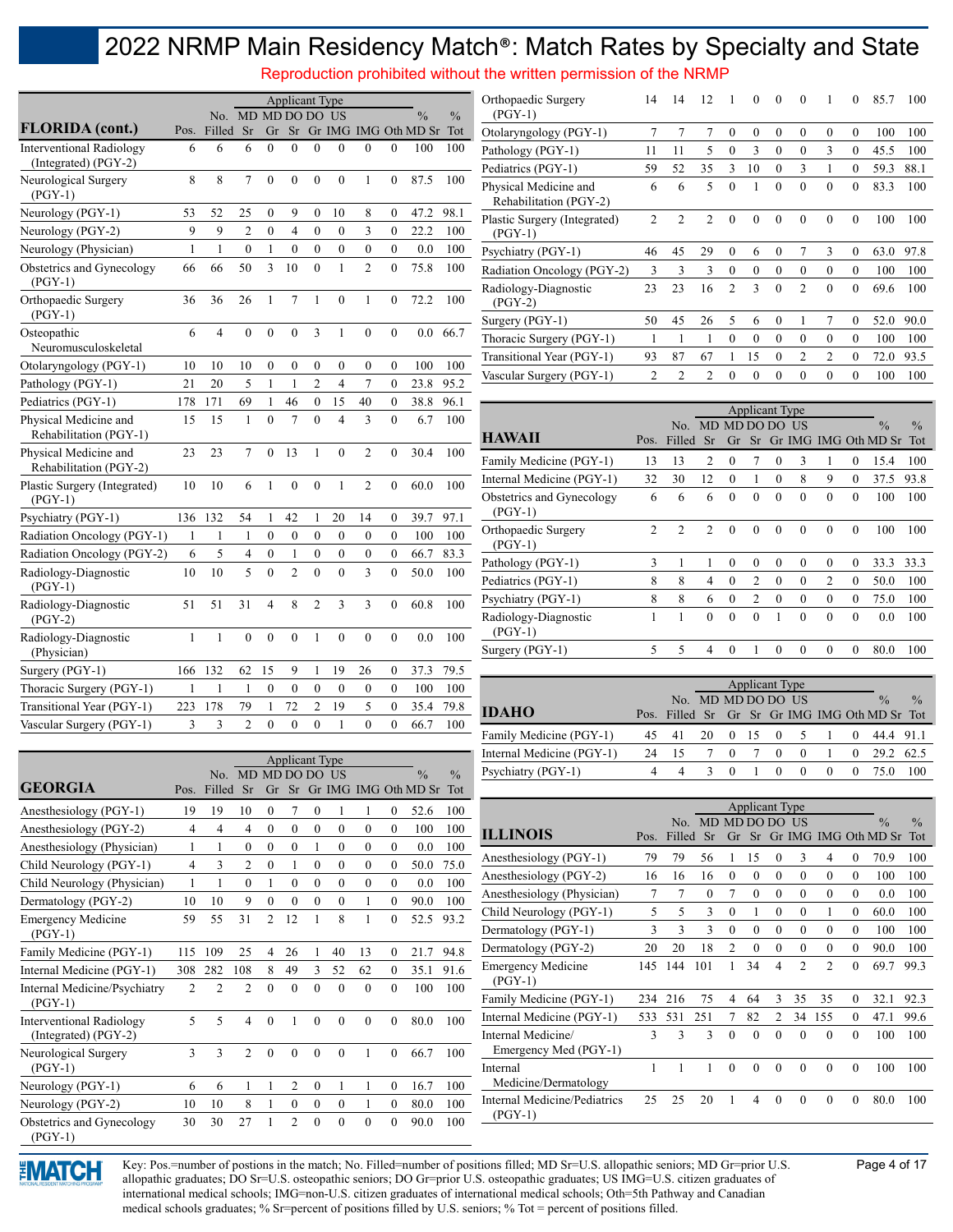Reproduction prohibited without the written permission of the NRMP

|                                                         |              |                |                  |                | <b>Applicant Type</b> |                |                |                         |                  |                      |               |
|---------------------------------------------------------|--------------|----------------|------------------|----------------|-----------------------|----------------|----------------|-------------------------|------------------|----------------------|---------------|
|                                                         |              | No.            |                  |                | MD MD DO DO           |                | US             |                         |                  | $\frac{0}{0}$        | $\frac{0}{0}$ |
| <b>FLORIDA</b> (cont.)                                  | Pos.         | Filled         | Sr               | Gr             | Sr                    |                |                |                         |                  | Gr IMG IMG Oth MD Sr | Tot           |
| <b>Interventional Radiology</b><br>(Integrated) (PGY-2) | 6            | 6              | 6                | $\overline{0}$ | $\overline{0}$        | $\overline{0}$ | $\overline{0}$ | $\theta$                | $\mathbf{0}$     | 100                  | 100           |
| Neurological Surgery<br>$(PGY-1)$                       | 8            | 8              | $\overline{7}$   | $\mathbf{0}$   | $\mathbf{0}$          | $\mathbf{0}$   | $\overline{0}$ | $\mathbf{1}$            | $\overline{0}$   | 87.5                 | 100           |
| Neurology (PGY-1)                                       | 53           | 52             | 25               | 0              | 9                     | 0              | 10             | 8                       | 0                | 47.2                 | 98.1          |
| Neurology (PGY-2)                                       | 9            | 9              | $\overline{2}$   | $\mathbf{0}$   | 4                     | $\theta$       | $\overline{0}$ | 3                       | $\overline{0}$   | 22.2                 | 100           |
| Neurology (Physician)                                   | 1            | 1              | $\boldsymbol{0}$ | $\mathbf{1}$   | $\mathbf{0}$          | $\overline{0}$ | $\mathbf{0}$   | $\boldsymbol{0}$        | $\boldsymbol{0}$ | 0.0                  | 100           |
| Obstetrics and Gynecology<br>$(PGY-1)$                  | 66           | 66             | 50               | 3              | 10                    | $\theta$       | 1              | $\overline{c}$          | $\mathbf{0}$     | 75.8                 | 100           |
| Orthopaedic Surgery<br>$(PGY-1)$                        | 36           | 36             | 26               | 1              | $\overline{7}$        | 1              | $\mathbf{0}$   | $\mathbf{1}$            | $\mathbf{0}$     | 72.2                 | 100           |
| Osteopathic<br>Neuromusculoskeletal                     | 6            | $\overline{4}$ | $\mathbf{0}$     | $\mathbf{0}$   | $\mathbf{0}$          | 3              | 1              | $\mathbf{0}$            | $\mathbf{0}$     | 0.0                  | 66.7          |
| Otolaryngology (PGY-1)                                  | 10           | 10             | 10               | $\mathbf{0}$   | $\mathbf{0}$          | $\overline{0}$ | $\mathbf{0}$   | $\mathbf{0}$            | $\boldsymbol{0}$ | 100                  | 100           |
| Pathology (PGY-1)                                       | 21           | 20             | 5                | 1              | $\mathbf{1}$          | $\overline{2}$ | 4              | 7                       | $\overline{0}$   | 23.8                 | 95.2          |
| Pediatrics (PGY-1)                                      | 178          | 171            | 69               | 1              | 46                    | 0              | 15             | 40                      | 0                | 38.8                 | 96.1          |
| Physical Medicine and<br>Rehabilitation (PGY-1)         | 15           | 15             | 1                | $\theta$       | 7                     | $\theta$       | $\overline{4}$ | 3                       | $\mathbf{0}$     | 6.7                  | 100           |
| Physical Medicine and<br>Rehabilitation (PGY-2)         | 23           | 23             | 7                | $\theta$       | 13                    | 1              | $\theta$       | $\overline{2}$          | $\mathbf{0}$     | 30.4                 | 100           |
| Plastic Surgery (Integrated)<br>$(PGY-1)$               | 10           | 10             | 6                | 1              | $\mathbf{0}$          | $\theta$       | 1              | $\overline{2}$          | $\mathbf{0}$     | 60.0                 | 100           |
| Psychiatry (PGY-1)                                      | 136          | 132            | 54               | 1              | 42                    | 1              | 20             | 14                      | $\mathbf{0}$     | 39.7                 | 97.1          |
| Radiation Oncology (PGY-1)                              | 1            | 1              | 1                | $\theta$       | $\theta$              | 0              | $\mathbf{0}$   | $\theta$                | $\mathbf{0}$     | 100                  | 100           |
| Radiation Oncology (PGY-2)                              | 6            | 5              | $\overline{4}$   | $\mathbf{0}$   | 1                     | 0              | $\mathbf{0}$   | $\mathbf{0}$            | $\overline{0}$   | 66.7                 | 83.3          |
| Radiology-Diagnostic<br>$(PGY-1)$                       | 10           | 10             | 5                | $\theta$       | $\overline{2}$        | $\theta$       | $\theta$       | $\overline{\mathbf{3}}$ | $\overline{0}$   | 50.0                 | 100           |
| Radiology-Diagnostic<br>$(PGY-2)$                       | 51           | 51             | 31               | $\overline{4}$ | 8                     | $\overline{c}$ | 3              | 3                       | $\mathbf{0}$     | 60.8                 | 100           |
| Radiology-Diagnostic<br>(Physician)                     | $\mathbf{1}$ | $\mathbf{1}$   | $\overline{0}$   | $\mathbf{0}$   | $\mathbf{0}$          | $\mathbf{1}$   | $\overline{0}$ | $\overline{0}$          | $\overline{0}$   | 0.0                  | 100           |
| Surgery (PGY-1)                                         | 166          | 132            | 62               | 15             | 9                     | 1              | 19             | 26                      | $\overline{0}$   | 37.3                 | 79.5          |
| Thoracic Surgery (PGY-1)                                | 1            | 1              | 1                | $\mathbf{0}$   | $\mathbf{0}$          | 0              | $\mathbf{0}$   | $\mathbf{0}$            | $\overline{0}$   | 100                  | 100           |
| Transitional Year (PGY-1)                               | 223          | 178            | 79               | 1              | 72                    | $\overline{2}$ | 19             | 5                       | $\overline{0}$   | 35.4                 | 79.8          |
| Vascular Surgery (PGY-1)                                | 3            | $\overline{3}$ | $\overline{2}$   | $\theta$       | $\theta$              | $\theta$       | 1              | $\theta$                | $\theta$         | 66.7                 | 100           |

Applicant Type

No. MD MD DO DO US

Pos.

| Orthopaedic Surgery<br>$(PGY-1)$                | 14             | 14             | 12             | 1              | $\theta$ | $\theta$ | $\theta$       | 1              | $\theta$ | 85.7 | 100  |
|-------------------------------------------------|----------------|----------------|----------------|----------------|----------|----------|----------------|----------------|----------|------|------|
| Otolaryngology (PGY-1)                          | 7              | 7              | 7              | $\theta$       | $\theta$ | $\theta$ | $\theta$       | $\theta$       | $\theta$ | 100  | 100  |
| Pathology (PGY-1)                               | 11             | 11             | 5              | $\theta$       | 3        | $\theta$ | $\theta$       | 3              | $\theta$ | 45.5 | 100  |
| Pediatrics (PGY-1)                              | 59             | 52             | 35             | 3              | 10       | $\Omega$ | 3              | 1              | $\theta$ | 59.3 | 88.1 |
| Physical Medicine and<br>Rehabilitation (PGY-2) | 6              | 6              | 5              | $\theta$       | 1        | $\theta$ | $\theta$       | $\theta$       | $\theta$ | 83.3 | 100  |
| Plastic Surgery (Integrated)<br>$(PGY-1)$       | $\overline{2}$ | 2              | $\overline{2}$ | $\theta$       | $\theta$ | $\Omega$ | $\theta$       | $\theta$       | $\theta$ | 100  | 100  |
| Psychiatry (PGY-1)                              | 46             | 45             | 29             | $\theta$       | 6        | $\theta$ | 7              | 3              | $\theta$ | 63.0 | 97.8 |
| Radiation Oncology (PGY-2)                      | 3              | 3              | 3              | $\theta$       | $\theta$ | $\theta$ | $\theta$       | $\theta$       | $\theta$ | 100  | 100  |
| Radiology-Diagnostic<br>$(PGY-2)$               | 23             | 23             | 16             | $\overline{2}$ | 3        | $\theta$ | $\overline{2}$ | $\theta$       | $\theta$ | 69.6 | 100  |
| Surgery (PGY-1)                                 | 50             | 45             | 26             | 5              | 6        | $\theta$ | 1              | 7              | $\theta$ | 52.0 | 90.0 |
| Thoracic Surgery (PGY-1)                        | 1              | 1              | 1              | $\theta$       | $\theta$ | $\theta$ | $\theta$       | $\theta$       | $\theta$ | 100  | 100  |
| Transitional Year (PGY-1)                       | 93             | 87             | 67             | 1              | 15       | $\theta$ | $\overline{2}$ | $\overline{c}$ | $\theta$ | 72.0 | 93.5 |
| Vascular Surgery (PGY-1)                        | 2              | $\overline{c}$ | 2              | $\theta$       | $\theta$ | $\theta$ | $\theta$       | $\theta$       | $\theta$ | 100  | 100  |
|                                                 |                |                |                |                |          |          |                |                |          |      |      |

|                                      |                |                |                |                |                | <b>Applicant Type</b> |          |                |          |                         |               |
|--------------------------------------|----------------|----------------|----------------|----------------|----------------|-----------------------|----------|----------------|----------|-------------------------|---------------|
|                                      |                | No.            |                | MD MD DO DO US |                |                       |          |                |          | $\frac{0}{0}$           | $\frac{0}{0}$ |
| <b>HAWAII</b>                        | Pos.           | Filled         | Sr             | Gr             |                |                       |          |                |          | Sr Gr IMG IMG Oth MD Sr | Tot           |
| Family Medicine (PGY-1)              | 13             | 13             | 2              | $\theta$       | 7              | $\theta$              | 3        | 1              | $\theta$ | 15.4                    | 100           |
| Internal Medicine (PGY-1)            | 32             | 30             | 12             | $\theta$       | 1              | $\theta$              | 8        | 9              | $\theta$ | 37.5                    | 93.8          |
| Obstetrics and Gynecology<br>(PGY-1) | 6              | 6              | 6              | $\theta$       | $\theta$       | $\theta$              | $\theta$ | $\theta$       | $\theta$ | 100                     | 100           |
| Orthopaedic Surgery<br>$(PGY-1)$     | $\overline{c}$ | $\overline{2}$ | $\overline{2}$ | $\theta$       | $\theta$       | $\Omega$              | $\Omega$ | $\theta$       | $\theta$ | 100                     | 100           |
| Pathology (PGY-1)                    | 3              | 1              | 1              | $\theta$       | $\theta$       | $\theta$              | $\theta$ | $\theta$       | $\theta$ | 33.3                    | 33.3          |
| Pediatrics (PGY-1)                   | 8              | 8              | 4              | $\theta$       | $\overline{2}$ | $\Omega$              | $\theta$ | $\overline{2}$ | $\theta$ | 50.0                    | 100           |
| Psychiatry (PGY-1)                   | 8              | 8              | 6              | $\theta$       | $\overline{c}$ | $\Omega$              | $\Omega$ | $\theta$       | $\theta$ | 75.0                    | 100           |
| Radiology-Diagnostic<br>(PGY-1)      |                |                | $\theta$       | $\theta$       | $\theta$       |                       | $\theta$ | $\theta$       | $\theta$ | 0.0                     | 100           |
| Surgery (PGY-1)                      | $\overline{5}$ | 5              | 4              | $\theta$       | 1              | $\theta$              | $\theta$ | $\theta$       | $\theta$ | 80.0                    | 100           |

|                           |    |                    |      |            | Applicant Type |                     |          |          |                                               |               |
|---------------------------|----|--------------------|------|------------|----------------|---------------------|----------|----------|-----------------------------------------------|---------------|
|                           |    | No. MD MD DO DO US |      |            |                |                     |          |          | $\frac{0}{0}$                                 | $\frac{0}{0}$ |
| <b>IDAHO</b>              |    |                    |      |            |                |                     |          |          | Pos. Filled Sr Gr Sr Gr IMG IMG Oth MD Sr Tot |               |
| Family Medicine (PGY-1)   |    | 41                 | -20- | $0\quad15$ |                | $0 \quad 5 \quad 1$ |          | $\theta$ | 44.4 91.1                                     |               |
| Internal Medicine (PGY-1) | 24 | 15                 |      | $\theta$   | $\Omega$       | $\bf{0}$            |          | $\theta$ | 29.2                                          | -62.5         |
| Psychiatry (PGY-1)        |    | Δ                  |      | $\bigcirc$ | $\Omega$       | $\theta$            | $\theta$ | $\theta$ |                                               |               |
|                           |    |                    |      |            |                |                     |          |          |                                               |               |

| GEORGIA                         | Pos.           | Filled       | <b>Sr</b> | Gr       |          |            |          |          |          | Sr Gr IMG IMG Oth MD Sr Tot |      |                                     |      |               |                      |          |                       |            |          |          |          |                                                 |               |
|---------------------------------|----------------|--------------|-----------|----------|----------|------------|----------|----------|----------|-----------------------------|------|-------------------------------------|------|---------------|----------------------|----------|-----------------------|------------|----------|----------|----------|-------------------------------------------------|---------------|
| Anesthesiology (PGY-1)          | 19             | 19           | 10        |          |          |            |          |          | 0        | 52.6                        | 100  |                                     |      |               |                      |          | <b>Applicant Type</b> |            |          |          |          |                                                 |               |
| Anesthesiology (PGY-2)          | 4              |              |           |          |          |            | $\theta$ |          | $\theta$ | 100                         | 100  | <b>ILLINOIS</b>                     | Pos. | No.<br>Filled | MD MD DO DO US<br>Sr |          |                       |            |          |          |          | $\frac{0}{0}$<br>Gr Sr Gr IMG IMG Oth MD Sr Tot | $\frac{0}{0}$ |
| Anesthesiology (Physician)      |                |              |           |          |          |            |          |          |          | 0.0                         | 100  |                                     |      |               |                      |          |                       |            |          |          |          |                                                 |               |
| Child Neurology (PGY-1)         | 4              |              |           |          |          |            |          |          | 0        | 50.0                        | 75.0 | Anesthesiology (PGY-1)              | 79   | 79            | 56                   |          | 15                    |            |          | 4        |          | 70.9                                            | 100           |
| Child Neurology (Physician)     |                |              |           |          |          |            | $\Omega$ | $\Omega$ |          | 0.0                         | 100  | Anesthesiology (PGY-2)              | 16   | 16            | 16                   | $\theta$ | 0                     |            |          | 0        | $\Omega$ | 100                                             | 100           |
| Dermatology (PGY-2)             | 10             | 10           | 9         | 0        |          |            |          |          | 0        | 90.0                        | 100  | Anesthesiology (Physician)          |      |               |                      |          | 0                     |            |          | $^{(1)}$ |          | 0.0                                             | 100           |
| <b>Emergency Medicine</b>       | 59             | 55           | 31        |          | 12       |            | 8        |          |          | 52.5                        | 93.2 | Child Neurology (PGY-1)             | 5    |               |                      |          |                       |            |          |          | 0        | 60.0                                            | 100           |
| $(PGY-1)$                       |                |              |           |          |          |            |          |          |          |                             |      | Dermatology (PGY-1)                 |      |               |                      |          |                       |            |          | 0        |          | 100                                             | 100           |
| Family Medicine (PGY-1)         | 115            | 109          | 25        | 4        | 26       |            | 40       | 13       | 0        | 21.7                        | 94.8 | Dermatology (PGY-2)                 | 20   | 20            | 18                   |          |                       |            |          | 0        |          | 90.0                                            | 100           |
| Internal Medicine (PGY-1)       | 308            | 282          | 108       | 8        | 49       | 3          | 52       | 62       | $\theta$ | 35.1                        | 91.6 | <b>Emergency Medicine</b>           | 145  | 144           | 101                  |          | 34                    | 4          |          |          | $\Omega$ | 69.7                                            | 99.3          |
| Internal Medicine/Psychiatry    | $\mathfrak{D}$ |              |           | 0        | $\Omega$ | $\Omega$   | $\Omega$ | $\Omega$ | $\Omega$ | 100                         | 100  | $(PGY-1)$                           |      |               |                      |          |                       |            |          |          |          |                                                 |               |
| $(PGY-1)$                       |                |              |           |          |          |            |          |          |          |                             |      | Family Medicine (PGY-1)             | 234  | 216           | 75                   |          | 64                    |            | 35       | 35       |          | 32.1                                            | 92.3          |
| <b>Interventional Radiology</b> | 5.             |              |           |          |          | $^{\circ}$ | $\Omega$ |          | 0        | 80.0                        | 100  | Internal Medicine (PGY-1)           | 533  | 531           | 251                  |          | 82                    |            | 34       | 155      |          | 47.1                                            | 99.6          |
| (Integrated) (PGY-2)            |                |              |           |          |          |            |          |          |          |                             |      | Internal Medicine/                  | 3    | $\mathbf{3}$  | ٩                    | $\Omega$ | $\Omega$              |            | $\Omega$ | $\theta$ | 0        | 100                                             | 100           |
| Neurological Surgery            | 3              | 3            |           | $\Omega$ | $\Omega$ | $\Omega$   | $\Omega$ |          | 0        | 66.7                        | 100  | Emergency Med (PGY-1)               |      |               |                      |          |                       |            |          |          |          |                                                 |               |
| $(PGY-1)$                       |                |              |           |          |          |            |          |          |          |                             |      | Internal                            |      |               |                      | 0        | 0                     | $^{\circ}$ | $\Omega$ | $\left($ | $\Omega$ | 100                                             | 100           |
| Neurology (PGY-1)               | 6.             | <sub>6</sub> |           |          |          | $\Omega$   |          |          | 0        | 16.7                        | 100  | Medicine/Dermatology                |      |               |                      |          |                       |            |          |          |          |                                                 |               |
| Neurology (PGY-2)               | 10             | 10           |           |          |          |            | $\theta$ |          | 0        | 80.0                        | 100  | <b>Internal Medicine/Pediatrics</b> | 25   | 25            | 20                   |          |                       |            | $\Omega$ | $\theta$ | 0        | 80.0                                            | 100           |
| Obstetrics and Gynecology       | 30             | 30           | 27        |          |          |            | $\Omega$ |          |          | 90.0                        | 100  | $(PGY-1)$                           |      |               |                      |          |                       |            |          |          |          |                                                 |               |



(PGY-1)

**GEORGIA**

> Key: Pos.=number of postions in the match; No. Filled=number of positions filled; MD Sr=U.S. allopathic seniors; MD Gr=prior U.S. Page 4 of 17 allopathic graduates; DO Sr=U.S. osteopathic seniors; DO Gr=prior U.S. osteopathic graduates; US IMG=U.S. citizen graduates of international medical schools; IMG=non-U.S. citizen graduates of international medical schools; Oth=5th Pathway and Canadian medical schools graduates; % Sr=percent of positions filled by U.S. seniors; % Tot = percent of positions filled.

 $\frac{0}{0}$ 

 $\frac{0}{0}$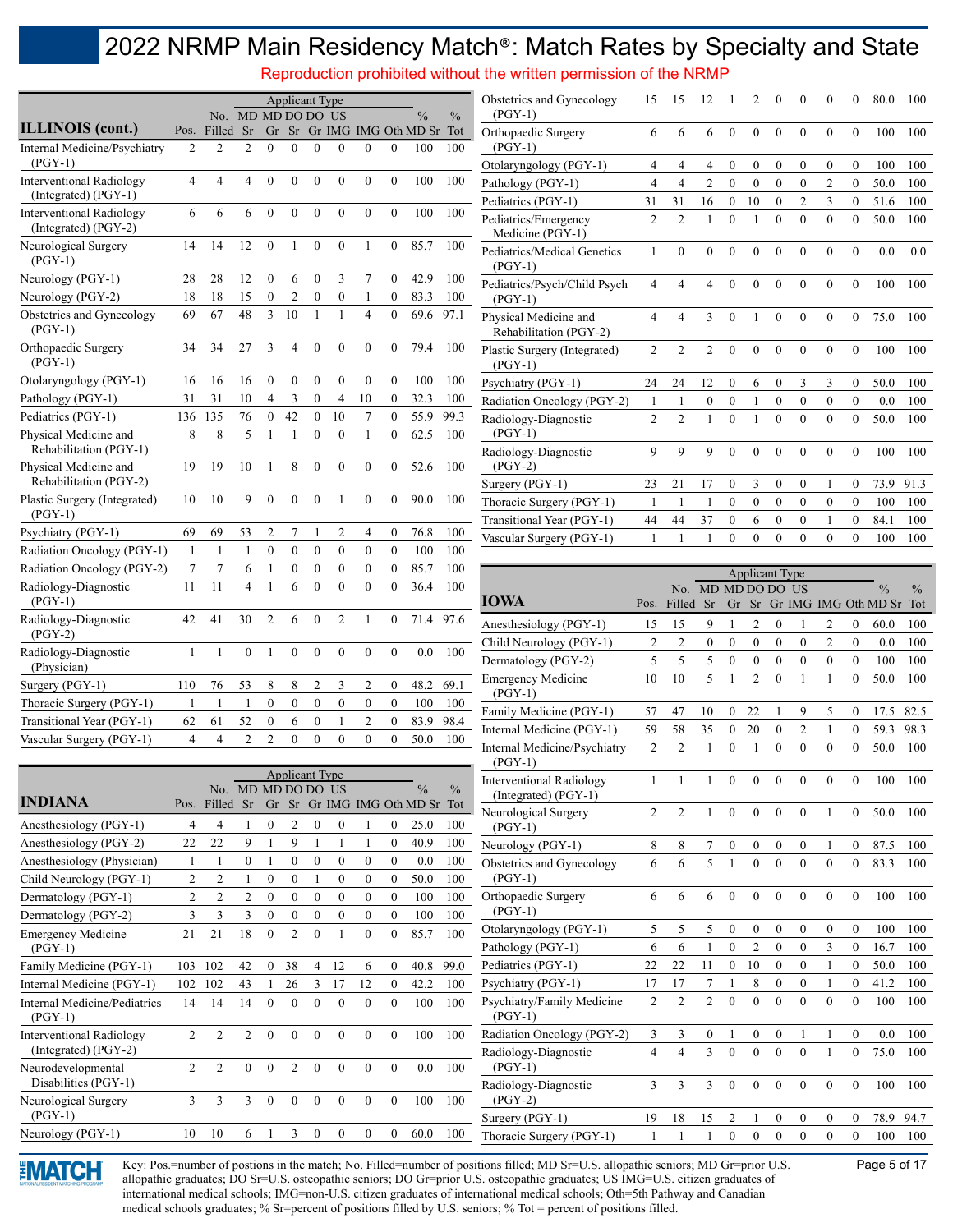Reproduction prohibited without the written permission of the NRMP

|                                                         |                |                               |                             |                  | <b>Applicant Type</b> |                  |                  |                  |                  |                                               |               | Obstetrics and Gynecology                             | 15                   | 15                   | 12                   |                                      | 2                                  | 0                                |                                    |                                    | 0                                | 80.0                                   | -100                             |
|---------------------------------------------------------|----------------|-------------------------------|-----------------------------|------------------|-----------------------|------------------|------------------|------------------|------------------|-----------------------------------------------|---------------|-------------------------------------------------------|----------------------|----------------------|----------------------|--------------------------------------|------------------------------------|----------------------------------|------------------------------------|------------------------------------|----------------------------------|----------------------------------------|----------------------------------|
| <b>ILLINOIS</b> (cont.)                                 |                |                               | No. MD MD DO DO US          |                  |                       |                  |                  |                  |                  | $\frac{0}{0}$                                 | $\frac{0}{0}$ | $(PGY-1)$                                             |                      |                      |                      |                                      |                                    |                                  |                                    |                                    |                                  |                                        |                                  |
| Internal Medicine/Psychiatry                            | 2              | Pos. Filled<br>$\overline{2}$ | <b>Sr</b><br>$\overline{c}$ | $\Omega$         | $\Omega$              | $\theta$         | $\Omega$         | $\Omega$         | $\Omega$         | Gr Sr Gr IMG IMG Oth MD Sr Tot<br>100         | 100           | Orthopaedic Surgery<br>$(PGY-1)$                      | 6                    | 6                    | 6                    | $\mathbf{0}$                         | $\mathbf{0}$                       | $\mathbf{0}$                     | $\theta$                           | $\mathbf{0}$                       | $\mathbf{0}$                     | 100                                    | 100                              |
| $(PGY-1)$                                               |                |                               |                             |                  |                       |                  |                  |                  |                  |                                               |               | Otolaryngology (PGY-1)                                | 4                    | 4                    | 4                    | $\mathbf{0}$                         | $\bf{0}$                           | $\mathbf{0}$                     | $\mathbf{0}$                       | $\bf{0}$                           | $\mathbf{0}$                     | 100                                    | 100                              |
| <b>Interventional Radiology</b><br>(Integrated) (PGY-1) | 4              | 4                             | 4                           | $\mathbf{0}$     | $\mathbf{0}$          | $\boldsymbol{0}$ | $\theta$         | $\theta$         | $\mathbf{0}$     | 100                                           | 100           | Pathology (PGY-1)<br>Pediatrics (PGY-1)               | $\overline{4}$<br>31 | $\overline{4}$<br>31 | $\overline{2}$<br>16 | $\boldsymbol{0}$<br>$\boldsymbol{0}$ | $\boldsymbol{0}$<br>10             | $\mathbf{0}$<br>$\boldsymbol{0}$ | $\mathbf{0}$<br>$\overline{2}$     | $\overline{2}$<br>$\mathfrak{Z}$   | $\mathbf{0}$<br>$\boldsymbol{0}$ | 50.0<br>51.6                           | 100<br>100                       |
| <b>Interventional Radiology</b><br>(Integrated) (PGY-2) | 6              | 6                             | 6                           | $\mathbf{0}$     | $\theta$              | $\mathbf{0}$     | $\theta$         | $\theta$         | $\mathbf{0}$     | 100                                           | 100           | Pediatrics/Emergency                                  | $\overline{2}$       | $\overline{2}$       | $\mathbf{1}$         | $\mathbf{0}$                         | $\mathbf{1}$                       | $\mathbf{0}$                     | $\overline{0}$                     | $\overline{0}$                     | $\overline{0}$                   | 50.0                                   | 100                              |
| Neurological Surgery<br>$(PGY-1)$                       | 14             | 14                            | 12                          | $\mathbf{0}$     |                       | $\mathbf{0}$     | $\theta$         |                  | $\overline{0}$   | 85.7                                          | 100           | Medicine (PGY-1)<br>Pediatrics/Medical Genetics       | 1                    | $\theta$             | $\mathbf{0}$         | $\mathbf{0}$                         | $\mathbf{0}$                       | $\mathbf{0}$                     | $\mathbf{0}$                       | $\mathbf{0}$                       | $\mathbf{0}$                     | 0.0                                    | 0.0                              |
| Neurology (PGY-1)                                       | 28             | 28                            | 12                          | $\boldsymbol{0}$ | 6                     | $\boldsymbol{0}$ | 3                | 7                | $\bf{0}$         | 42.9                                          | 100           | $(PGY-1)$<br>Pediatrics/Psych/Child Psych             | $\overline{4}$       | 4                    | $\overline{4}$       | $\mathbf{0}$                         | $\mathbf{0}$                       | $\mathbf{0}$                     | $\mathbf{0}$                       | $\mathbf{0}$                       | $\mathbf{0}$                     | 100                                    | 100                              |
| Neurology (PGY-2)                                       | 18             | 18                            | 15                          | $\boldsymbol{0}$ | $\overline{2}$        | $\boldsymbol{0}$ | $\boldsymbol{0}$ | $\mathbf{1}$     | $\boldsymbol{0}$ | 83.3                                          | 100           | $(PGY-1)$                                             |                      |                      |                      |                                      |                                    |                                  |                                    |                                    |                                  |                                        |                                  |
| Obstetrics and Gynecology<br>$(PGY-1)$                  | 69             | 67                            | 48                          | 3                | 10                    | $\mathbf{1}$     | $\mathbf{1}$     | $\overline{4}$   | $\theta$         | 69.6                                          | 97.1          | Physical Medicine and<br>Rehabilitation (PGY-2)       | $\overline{4}$       | 4                    | 3                    | $\mathbf{0}$                         | $\mathbf{1}$                       | $\mathbf{0}$                     | $\theta$                           | $\overline{0}$                     | $\mathbf{0}$                     | 75.0                                   | 100                              |
| Orthopaedic Surgery<br>$(PGY-1)$                        | 34             | 34                            | 27                          | 3                | 4                     | $\boldsymbol{0}$ | $\boldsymbol{0}$ | $\theta$         | $\mathbf{0}$     | 79.4                                          | 100           | Plastic Surgery (Integrated)<br>$(PGY-1)$             | 2                    | 2                    | 2                    | $\mathbf{0}$                         | $\mathbf{0}$                       | $\mathbf{0}$                     | $\mathbf{0}$                       | $\mathbf{0}$                       | $\mathbf{0}$                     | 100                                    | 100                              |
| Otolaryngology (PGY-1)                                  | 16             | 16                            | 16                          | $\boldsymbol{0}$ | $\boldsymbol{0}$      | $\boldsymbol{0}$ | $\mathbf{0}$     | $\boldsymbol{0}$ | $\bf{0}$         | 100                                           | 100           | Psychiatry (PGY-1)                                    | 24                   | 24                   | 12                   | $\boldsymbol{0}$                     | 6                                  | $\boldsymbol{0}$                 | 3                                  | 3                                  | $\boldsymbol{0}$                 | 50.0                                   | 100                              |
| Pathology (PGY-1)                                       | 31             | 31                            | 10                          | $\overline{4}$   | 3                     | $\boldsymbol{0}$ | $\overline{4}$   | 10               | $\boldsymbol{0}$ | 32.3                                          | 100           | Radiation Oncology (PGY-2)                            | 1                    | $\mathbf{1}$         | $\boldsymbol{0}$     | $\boldsymbol{0}$                     | 1                                  | $\boldsymbol{0}$                 | $\mathbf{0}$                       | $\mathbf{0}$                       | $\mathbf{0}$                     | 0.0                                    | 100                              |
| Pediatrics (PGY-1)                                      | 136            | 135                           | 76                          | $\boldsymbol{0}$ | 42                    | $\boldsymbol{0}$ | 10               | $\overline{7}$   | $\bf{0}$         | 55.9                                          | 99.3          | Radiology-Diagnostic                                  | $\overline{2}$       | $\overline{c}$       | $\mathbf{1}$         | $\mathbf{0}$                         | $\mathbf{1}$                       | $\mathbf{0}$                     | $\theta$                           | $\mathbf{0}$                       | $\mathbf{0}$                     | 50.0                                   | 100                              |
| Physical Medicine and<br>Rehabilitation (PGY-1)         | 8              | 8                             | 5                           | $\mathbf{1}$     |                       | $\mathbf{0}$     | $\boldsymbol{0}$ | $\mathbf{1}$     | $\mathbf{0}$     | 62.5                                          | 100           | $(PGY-1)$<br>Radiology-Diagnostic                     | 9                    | 9                    | 9                    | $\mathbf{0}$                         | $\mathbf{0}$                       | $\mathbf{0}$                     | $\mathbf{0}$                       | $\mathbf{0}$                       | $\mathbf{0}$                     | 100                                    | 100                              |
| Physical Medicine and<br>Rehabilitation (PGY-2)         | 19             | 19                            | 10                          |                  | 8                     | $\mathbf{0}$     | $\theta$         | $\theta$         | $\overline{0}$   | 52.6                                          | 100           | $(PGY-2)$                                             |                      |                      |                      |                                      |                                    |                                  |                                    |                                    |                                  |                                        |                                  |
| Plastic Surgery (Integrated)                            | 10             | 10                            | 9                           | $\mathbf{0}$     | $\overline{0}$        | $\mathbf{0}$     | -1               | $\mathbf{0}$     | $\mathbf{0}$     | 90.0                                          | 100           | Surgery (PGY-1)                                       | 23                   | 21                   | 17                   | $\boldsymbol{0}$                     | 3                                  | $\boldsymbol{0}$                 | $\mathbf{0}$                       |                                    | $\mathbf{0}$                     | 73.9                                   | 91.3                             |
| $(PGY-1)$                                               |                |                               |                             |                  |                       |                  |                  |                  |                  |                                               |               | Thoracic Surgery (PGY-1)                              | 1<br>44              | 1<br>44              | $\mathbf{1}$<br>37   | $\boldsymbol{0}$<br>$\mathbf{0}$     | $\boldsymbol{0}$<br>6              | $\boldsymbol{0}$<br>$\mathbf{0}$ | $\boldsymbol{0}$<br>$\mathbf{0}$   | $\boldsymbol{0}$<br>$\overline{1}$ | $\mathbf{0}$<br>$\overline{0}$   | 100<br>84.1                            | 100<br>100                       |
| Psychiatry (PGY-1)                                      | 69             | 69                            | 53                          | 2                | 7                     | -1               | $\overline{c}$   | 4                | $\boldsymbol{0}$ | 76.8                                          | 100           | Transitional Year (PGY-1)<br>Vascular Surgery (PGY-1) | $\mathbf{1}$         | 1                    | -1                   | $\mathbf{0}$                         | $\mathbf{0}$                       | $\mathbf{0}$                     | $\theta$                           | $\mathbf{0}$                       | $\mathbf{0}$                     | 100                                    | 100                              |
| Radiation Oncology (PGY-1)                              | 1              | $\mathbf{1}$                  |                             | $\boldsymbol{0}$ | $\boldsymbol{0}$      | $\boldsymbol{0}$ | $\boldsymbol{0}$ | $\boldsymbol{0}$ | $\boldsymbol{0}$ | 100                                           | 100           |                                                       |                      |                      |                      |                                      |                                    |                                  |                                    |                                    |                                  |                                        |                                  |
| Radiation Oncology (PGY-2)                              | 7              | $\overline{7}$                | 6                           | 1                | $\boldsymbol{0}$      | $\boldsymbol{0}$ | $\boldsymbol{0}$ | $\boldsymbol{0}$ | $\bf{0}$         | 85.7                                          | 100           |                                                       |                      |                      |                      |                                      | <b>Applicant Type</b>              |                                  |                                    |                                    |                                  |                                        |                                  |
|                                                         |                |                               |                             |                  |                       |                  |                  |                  |                  |                                               |               |                                                       |                      |                      |                      |                                      |                                    |                                  |                                    |                                    |                                  |                                        |                                  |
| Radiology-Diagnostic<br>$(PGY-1)$                       | 11             | 11                            | 4                           |                  | 6                     | $\theta$         | $\theta$         | $\theta$         | $\mathbf{0}$     | 36.4                                          | 100           | <b>IOWA</b>                                           | Pos.                 | Filled Sr            | No. MD MD DO DO US   |                                      |                                    |                                  |                                    |                                    |                                  | $\frac{0}{0}$                          | $\%$                             |
| Radiology-Diagnostic                                    | 42             | 41                            | 30                          | 2                | 6                     | $\mathbf{0}$     | $\overline{2}$   |                  | $\overline{0}$   | 71.4 97.6                                     |               | Anesthesiology (PGY-1)                                | 15                   | 15                   | 9                    |                                      | 2                                  | $\boldsymbol{0}$                 |                                    | 2                                  | $\mathbf{0}$                     | Gr Sr Gr IMG IMG Oth MD Sr Tot<br>60.0 |                                  |
| $(PGY-2)$<br>Radiology-Diagnostic                       | -1             | -1                            | $\theta$                    |                  | $\theta$              | $\Omega$         | $\theta$         | $\Omega$         | $\theta$         | 0.0                                           | 100           | Child Neurology (PGY-1)                               | $\overline{2}$       | $\overline{c}$       | $\boldsymbol{0}$     | $\overline{0}$                       | $\boldsymbol{0}$                   | $\boldsymbol{0}$                 | $\boldsymbol{0}$                   | $\overline{2}$                     | $\mathbf{0}$                     | 0.0                                    |                                  |
| (Physician)                                             |                |                               |                             |                  |                       |                  |                  |                  |                  |                                               |               | Dermatology (PGY-2)                                   | 5<br>10              | 5<br>10              | 5<br>5               | $\boldsymbol{0}$<br>1                | $\boldsymbol{0}$                   | $\mathbf{0}$<br>$\mathbf{0}$     | $\boldsymbol{0}$<br>-1             | $\mathbf{0}$<br>1                  | $\mathbf{0}$<br>$\mathbf{0}$     | 100<br>50.0                            |                                  |
| Surgery (PGY-1)                                         | 110            | 76                            | 53                          | 8                | 8                     | $\overline{c}$   | 3                | 2                | $\boldsymbol{0}$ | 48.2                                          | 69.1          | <b>Emergency Medicine</b><br>$(PGY-1)$                |                      |                      |                      |                                      | $\overline{2}$                     |                                  |                                    |                                    |                                  |                                        |                                  |
| Thoracic Surgery (PGY-1)                                | 1              | $\mathbf{1}$                  | $\mathbf{1}$                | $\boldsymbol{0}$ | $\boldsymbol{0}$      | $\boldsymbol{0}$ | $\boldsymbol{0}$ | $\boldsymbol{0}$ | $\boldsymbol{0}$ | 100                                           | 100           | Family Medicine (PGY-1)                               | 57                   | 47                   | 10                   | $\bf{0}$                             | 22                                 |                                  | 9                                  | 5                                  | $\overline{0}$                   | 17.5                                   | 100<br>100<br>100<br>100<br>82.5 |
| Transitional Year (PGY-1)                               | 62             | 61                            | 52                          | $\boldsymbol{0}$ | 6                     | $\boldsymbol{0}$ | $\mathbf{1}$     | 2                | $\mathbf{0}$     | 83.9                                          | 98.4          | Internal Medicine (PGY-1)                             | 59                   | 58                   | 35                   | $\boldsymbol{0}$                     | 20                                 | $\mathbf{0}$                     | $\overline{2}$                     | $\mathbf{1}$                       | $\mathbf{0}$                     | 59.3                                   |                                  |
| Vascular Surgery (PGY-1)                                | $\overline{4}$ | 4                             | $\overline{2}$              | $\overline{2}$   | $\theta$              | $\theta$         | $\mathbf{0}$     | $\mathbf{0}$     | $\mathbf{0}$     | 50.0                                          | 100           | Internal Medicine/Psychiatry<br>$(PGY-1)$             | $\overline{2}$       | $\mathfrak{D}$       |                      | $\theta$                             |                                    | $\Omega$                         | $\Omega$                           | $\Omega$                           | $\theta$                         | 50.0                                   |                                  |
|                                                         |                |                               | No. MD MD DO DO US          |                  | <b>Applicant Type</b> |                  |                  |                  |                  | $\%$                                          | $\%$          | Interventional Radiology                              |                      |                      | 1                    | $\boldsymbol{0}$                     | $\boldsymbol{0}$                   | $\overline{0}$                   | $\bf{0}$                           | $\bf{0}$                           | $\boldsymbol{0}$                 | 100                                    |                                  |
| <b>INDIANA</b>                                          |                |                               |                             |                  |                       |                  |                  |                  |                  | Pos. Filled Sr Gr Sr Gr IMG IMG Oth MD Sr Tot |               | (Integrated) (PGY-1)                                  |                      |                      |                      |                                      |                                    |                                  |                                    |                                    |                                  |                                        | 98.3<br>100<br>100               |
| Anesthesiology (PGY-1)                                  | 4              | $\overline{4}$                |                             | $\boldsymbol{0}$ | 2                     | $\boldsymbol{0}$ | $\boldsymbol{0}$ |                  | $\boldsymbol{0}$ | 25.0                                          | 100           | Neurological Surgery<br>$(PGY-1)$                     | 2                    | 2                    | 1                    | $\boldsymbol{0}$                     | $\boldsymbol{0}$                   | $\boldsymbol{0}$                 | $\bf{0}$                           | -1                                 | $\overline{0}$                   | 50.0 100                               |                                  |
| Anesthesiology (PGY-2)                                  | 22             | 22                            | 9                           | 1                | 9                     | $\mathbf{1}$     | $\mathbf{1}$     | 1                | $\boldsymbol{0}$ | 40.9                                          | 100           | Neurology (PGY-1)                                     | 8                    | 8                    | 7                    | $\bf{0}$                             | $\bf{0}$                           | $\overline{0}$                   | $\overline{0}$                     | $\mathbf{1}$                       | $\overline{0}$                   | 87.5                                   |                                  |
| Anesthesiology (Physician)                              | $\mathbf{1}$   | $\mathbf{1}$                  | $\boldsymbol{0}$            | 1                | $\boldsymbol{0}$      | $\boldsymbol{0}$ | $\boldsymbol{0}$ | $\boldsymbol{0}$ | $\boldsymbol{0}$ | 0.0                                           | 100           | Obstetrics and Gynecology                             | 6                    | 6                    | 5                    | -1                                   | $\mathbf{0}$                       | $\overline{0}$                   | $\mathbf{0}$                       | $\mathbf{0}$                       | $\overline{0}$                   | 83.3 100                               | 100                              |
| Child Neurology (PGY-1)                                 | 2              | 2                             | 1                           | $\boldsymbol{0}$ | $\bf{0}$              | $\mathbf{1}$     | $\boldsymbol{0}$ | $\boldsymbol{0}$ | $\boldsymbol{0}$ | 50.0                                          | 100           | $(PGY-1)$                                             |                      |                      |                      |                                      |                                    |                                  |                                    |                                    |                                  |                                        |                                  |
| Dermatology (PGY-1)                                     | 2              | 2                             | 2                           | $\boldsymbol{0}$ | $\boldsymbol{0}$      | $\boldsymbol{0}$ | $\boldsymbol{0}$ | $\boldsymbol{0}$ | $\boldsymbol{0}$ | 100                                           | 100           | Orthopaedic Surgery                                   | 6                    | 6                    | 6                    | $\boldsymbol{0}$                     | $\boldsymbol{0}$                   | $\boldsymbol{0}$                 | $\mathbf{0}$                       | $\bf{0}$                           | $\boldsymbol{0}$                 | 100                                    |                                  |
| Dermatology (PGY-2)                                     | 3              | 3                             | 3                           | $\boldsymbol{0}$ | $\boldsymbol{0}$      | $\boldsymbol{0}$ | $\boldsymbol{0}$ | $\boldsymbol{0}$ | $\boldsymbol{0}$ | 100                                           | 100           | $(PGY-1)$                                             |                      |                      |                      |                                      |                                    |                                  |                                    |                                    |                                  |                                        |                                  |
| <b>Emergency Medicine</b><br>$(PGY-1)$                  | 21             | 21                            | $18\,$                      | $\boldsymbol{0}$ | $\overline{c}$        | $\boldsymbol{0}$ | $\mathbf{1}$     | $\boldsymbol{0}$ | $\boldsymbol{0}$ | 85.7                                          | 100           | Otolaryngology (PGY-1)<br>Pathology (PGY-1)           | 5<br>6               | 5<br>6               | 5<br>$\mathbf{1}$    | $\boldsymbol{0}$<br>$\mathbf{0}$     | $\boldsymbol{0}$<br>$\overline{2}$ | $\mathbf{0}$<br>$\overline{0}$   | $\boldsymbol{0}$<br>$\overline{0}$ | $\boldsymbol{0}$<br>$\mathfrak{Z}$ | $\mathbf{0}$<br>$\mathbf{0}$     | 100<br>16.7                            |                                  |
| Family Medicine (PGY-1)                                 |                | 103 102                       | 42                          | $\boldsymbol{0}$ | 38                    | $\overline{4}$   | 12               | 6                | $\boldsymbol{0}$ | 40.8                                          | 99.0          | Pediatrics (PGY-1)                                    | 22                   | 22                   | 11                   | $\mathbf{0}$                         | 10                                 | $\overline{0}$                   | $\overline{0}$                     | $\mathbf{1}$                       | $\mathbf{0}$                     | 50.0                                   | 100<br>100<br>100<br>100         |
| Internal Medicine (PGY-1)                               |                | 102 102                       | 43                          | $\mathbf{1}$     | $26\,$                | $\mathbf{3}$     | 17               | 12               | $\boldsymbol{0}$ | 42.2                                          | 100           | Psychiatry (PGY-1)                                    | 17                   | 17                   | 7                    | 1                                    | 8                                  | $\overline{0}$                   | $\boldsymbol{0}$                   | 1                                  | $\mathbf{0}$                     | 41.2                                   | 100                              |
| <b>Internal Medicine/Pediatrics</b><br>$(PGY-1)$        |                | 14 14                         | 14                          | $\boldsymbol{0}$ | $\boldsymbol{0}$      | $\boldsymbol{0}$ | $\boldsymbol{0}$ | $\boldsymbol{0}$ | $\boldsymbol{0}$ | 100                                           | 100           | Psychiatry/Family Medicine<br>$(PGY-1)$               | 2                    | 2                    | $\overline{2}$       | $\boldsymbol{0}$                     | $\boldsymbol{0}$                   | $\mathbf{0}$                     | $\boldsymbol{0}$                   | $\boldsymbol{0}$                   | $\boldsymbol{0}$                 | 100                                    | 100                              |

Neurodevelopmental Disabilities (PGY-1) 2 2 0 0 2 0 0 0 0.0 100 0 Neurological Surgery (PGY-1) 3 3 3 0 0 0 0 0 100 100 0 Neurology (PGY-1) 10 10 6 1 3 0 0 0 60.0 100

(Integrated) (PGY-2)

**WATCH** 



Radiology-Diagnostic (PGY-1)

Radiology-Diagnostic (PGY-2)

4 4 3 0 0 0 0 1 0 75.0 100

3 3 3 0 0 0 0 0 100 100 0

Surgery (PGY-1) 19 18 15 2 1 0 0 0 0 78.9 94.7 Thoracic Surgery (PGY-1) 1 1 1 0 0 0 0 0 0 100 100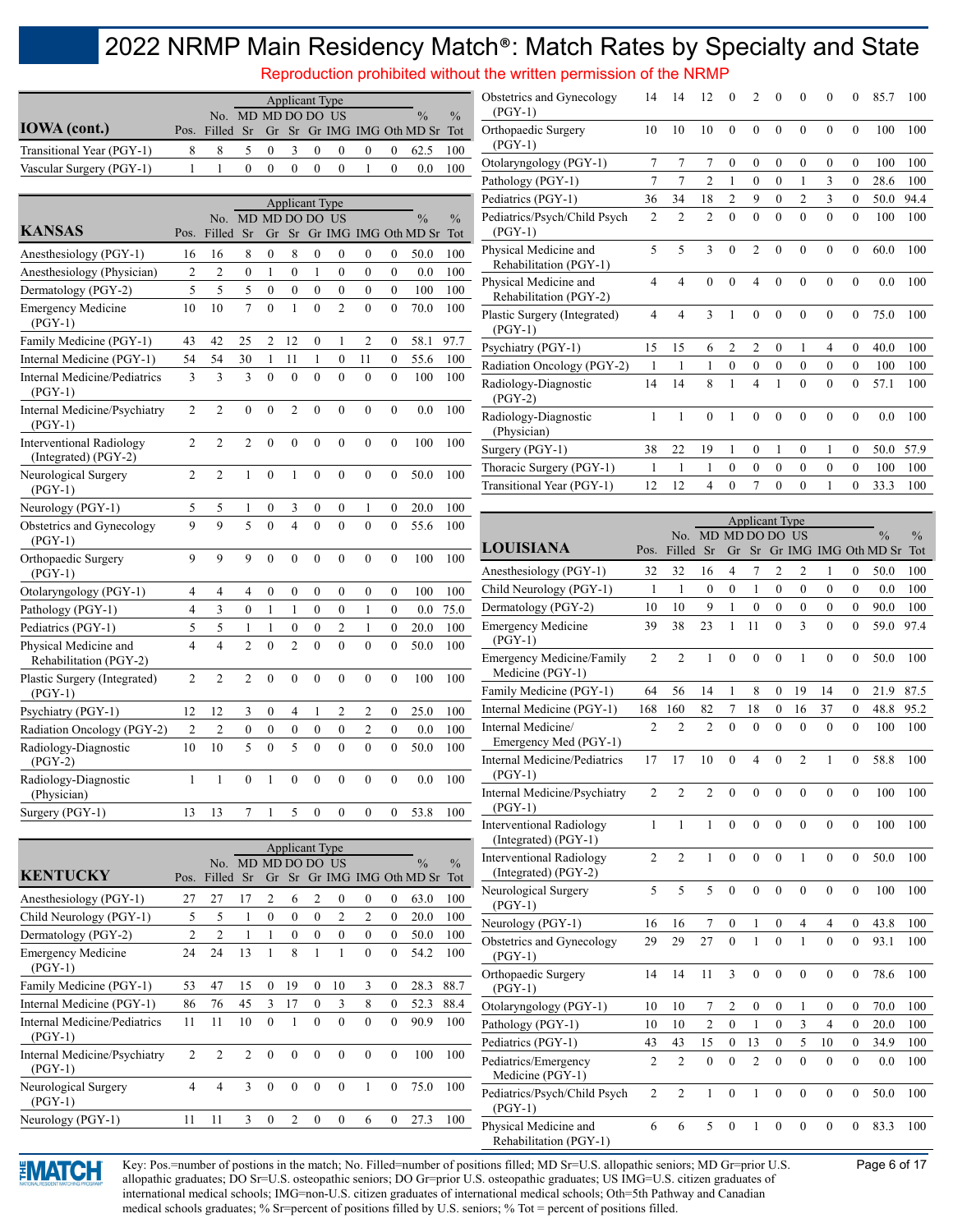Reproduction prohibited without the written permission of the NRMP

|                           |                    |              |     |  | Applicant Type                         |  |                                               |     |
|---------------------------|--------------------|--------------|-----|--|----------------------------------------|--|-----------------------------------------------|-----|
|                           | No. MD MD DO DO US |              |     |  |                                        |  | $\frac{0}{0}$                                 | 0/2 |
| <b>IOWA</b> (cont.)       |                    |              |     |  |                                        |  | Pos. Filled Sr Gr Sr Gr IMG IMG Oth MD Sr Tot |     |
| Transitional Year (PGY-1) | -8                 |              | 5 0 |  | 3 0 0                                  |  | $0 \t 0 \t 62.5 \t 100$                       |     |
| Vascular Surgery (PGY-1)  |                    | $\mathbf{U}$ |     |  | $0\quad 0\quad 0\quad 0\quad 1\quad 0$ |  | $0.0\quad 100$                                |     |

|                                                         |                |                              |                  |                  | <b>Applicant Type</b>   |                  |                  |                  |                  |                                       |                      |
|---------------------------------------------------------|----------------|------------------------------|------------------|------------------|-------------------------|------------------|------------------|------------------|------------------|---------------------------------------|----------------------|
| <b>KANSAS</b>                                           | Pos.           | No. MD MD DO DO US<br>Filled | Sr               | Gr               | Sr                      |                  |                  |                  |                  | $\frac{0}{0}$<br>Gr IMG IMG Oth MD Sr | $\frac{0}{0}$<br>Tot |
|                                                         |                |                              |                  |                  |                         |                  |                  |                  |                  |                                       |                      |
| Anesthesiology (PGY-1)                                  | 16             | 16                           | 8                | $\mathbf{0}$     | 8                       | $\mathbf{0}$     | $\overline{0}$   | $\boldsymbol{0}$ | $\mathbf{0}$     | 50.0                                  | 100                  |
| Anesthesiology (Physician)                              | $\overline{2}$ | $\overline{2}$               | $\mathbf{0}$     | $\mathbf{1}$     | $\mathbf{0}$            | $\mathbf{1}$     | $\theta$         | $\mathbf{0}$     | $\mathbf{0}$     | 0.0                                   | 100                  |
| Dermatology (PGY-2)                                     | 5              | 5                            | 5                | $\overline{0}$   | $\overline{0}$          | $\overline{0}$   | $\overline{0}$   | $\overline{0}$   | $\overline{0}$   | 100                                   | 100                  |
| <b>Emergency Medicine</b><br>$(PGY-1)$                  | 10             | 10                           | $\overline{7}$   | $\theta$         | $\mathbf{1}$            | $\theta$         | $\overline{2}$   | $\overline{0}$   | $\overline{0}$   | 70.0                                  | 100                  |
| Family Medicine (PGY-1)                                 | 43             | 42                           | 25               | $\overline{2}$   | 12                      | $\theta$         | 1                | $\overline{2}$   | 0                | 58.1                                  | 97.7                 |
| Internal Medicine (PGY-1)                               | 54             | 54                           | 30               | $\mathbf{1}$     | 11                      | $\mathbf{1}$     | $\overline{0}$   | 11               | $\mathbf{0}$     | 55.6                                  | 100                  |
| <b>Internal Medicine/Pediatrics</b><br>$(PGY-1)$        | 3              | 3                            | 3                | $\mathbf{0}$     | $\mathbf{0}$            | $\theta$         | $\theta$         | $\mathbf{0}$     | $\overline{0}$   | 100                                   | 100                  |
| Internal Medicine/Psychiatry<br>$(PGY-1)$               | $\overline{2}$ | $\overline{2}$               | $\mathbf{0}$     | $\mathbf{0}$     | $\overline{2}$          | $\mathbf{0}$     | $\mathbf{0}$     | $\boldsymbol{0}$ | $\boldsymbol{0}$ | 0.0                                   | 100                  |
| <b>Interventional Radiology</b><br>(Integrated) (PGY-2) | $\overline{2}$ | $\overline{c}$               | $\overline{2}$   | $\overline{0}$   | $\mathbf{0}$            | $\overline{0}$   | $\overline{0}$   | $\mathbf{0}$     | $\overline{0}$   | 100                                   | 100                  |
| Neurological Surgery<br>$(PGY-1)$                       | $\overline{c}$ | $\overline{2}$               | $\mathbf{1}$     | $\overline{0}$   | $\mathbf{1}$            | $\theta$         | $\theta$         | $\overline{0}$   | $\overline{0}$   | 50.0                                  | 100                  |
| Neurology (PGY-1)                                       | 5              | 5                            | 1                | $\mathbf{0}$     | 3                       | $\mathbf{0}$     | $\mathbf{0}$     | $\mathbf{1}$     | $\mathbf{0}$     | 20.0                                  | 100                  |
| Obstetrics and Gynecology<br>$(PGY-1)$                  | 9              | $\overline{9}$               | 5                | $\overline{0}$   | $\overline{\mathbf{4}}$ | $\theta$         | $\overline{0}$   | $\mathbf{0}$     | $\overline{0}$   | 55.6                                  | 100                  |
| Orthopaedic Surgery<br>$(PGY-1)$                        | 9              | 9                            | 9                | $\theta$         | $\theta$                | $\theta$         | $\theta$         | $\theta$         | $\theta$         | 100                                   | 100                  |
| Otolaryngology (PGY-1)                                  | 4              | $\overline{4}$               | $\overline{4}$   | $\mathbf{0}$     | $\mathbf{0}$            | $\theta$         | $\theta$         | $\mathbf{0}$     | $\mathbf{0}$     | 100                                   | 100                  |
| Pathology (PGY-1)                                       | $\overline{4}$ | 3                            | $\mathbf{0}$     | 1                | $\mathbf{1}$            | $\mathbf{0}$     | $\mathbf{0}$     | $\mathbf{1}$     | $\mathbf{0}$     | 0.0                                   | 75.0                 |
| Pediatrics (PGY-1)                                      | 5              | 5                            | $\mathbf{1}$     | $\mathbf{1}$     | $\mathbf{0}$            | $\overline{0}$   | $\overline{2}$   | $\mathbf{1}$     | $\overline{0}$   | 20.0                                  | 100                  |
| Physical Medicine and<br>Rehabilitation (PGY-2)         | $\overline{4}$ | $\overline{4}$               | $\overline{2}$   | $\mathbf{0}$     | $\overline{2}$          | $\overline{0}$   | $\overline{0}$   | $\mathbf{0}$     | $\overline{0}$   | 50.0                                  | 100                  |
| Plastic Surgery (Integrated)<br>$(PGY-1)$               | $\overline{2}$ | $\overline{c}$               | $\overline{2}$   | $\mathbf{0}$     | $\mathbf{0}$            | $\mathbf{0}$     | $\mathbf{0}$     | $\boldsymbol{0}$ | $\boldsymbol{0}$ | 100                                   | 100                  |
| Psychiatry (PGY-1)                                      | 12             | 12                           | 3                | $\mathbf{0}$     | 4                       | $\mathbf{1}$     | $\overline{2}$   | $\overline{c}$   | $\overline{0}$   | 25.0                                  | 100                  |
| Radiation Oncology (PGY-2)                              | $\overline{c}$ | $\overline{c}$               | $\boldsymbol{0}$ | $\boldsymbol{0}$ | $\boldsymbol{0}$        | $\boldsymbol{0}$ | $\boldsymbol{0}$ | $\overline{c}$   | $\boldsymbol{0}$ | 0.0                                   | 100                  |
| Radiology-Diagnostic<br>$(PGY-2)$                       | 10             | 10                           | 5                | $\theta$         | 5                       | $\theta$         | $\theta$         | $\theta$         | $\overline{0}$   | 50.0                                  | 100                  |
| Radiology-Diagnostic<br>(Physician)                     | $\mathbf{1}$   | $\mathbf{1}$                 | $\overline{0}$   | $\mathbf{1}$     | $\mathbf{0}$            | $\overline{0}$   | $\theta$         | $\mathbf{0}$     | $\overline{0}$   | 0.0                                   | 100                  |
| Surgery (PGY-1)                                         | 13             | 13                           | 7                | 1                | 5                       | $\mathbf{0}$     | $\overline{0}$   | $\mathbf{0}$     | $\mathbf{0}$     | 53.8                                  | 100                  |

|                                           |                |                    |                |          | <b>Applicant Type</b> |                |                |                |          |                      |               |
|-------------------------------------------|----------------|--------------------|----------------|----------|-----------------------|----------------|----------------|----------------|----------|----------------------|---------------|
|                                           |                | No. MD MD DO DO US |                |          |                       |                |                |                |          | $\frac{0}{0}$        | $\frac{0}{0}$ |
| <b>KENTUCKY</b>                           | Pos.           | Filled             | Sr             | Gr       | Sr                    |                |                |                |          | Gr IMG IMG Oth MD Sr | Tot           |
| Anesthesiology (PGY-1)                    | 27             | 27                 | 17             | 2        | 6                     | $\overline{c}$ | $\Omega$       | $\theta$       | $\theta$ | 63.0                 | 100           |
| Child Neurology (PGY-1)                   | 5              | 5                  | 1              | $\theta$ | $\theta$              | $\theta$       | $\overline{2}$ | $\overline{2}$ | $\theta$ | 20.0                 | 100           |
| Dermatology (PGY-2)                       | $\overline{2}$ | $\overline{c}$     | 1              | 1        | $\theta$              | $\theta$       | $\mathbf{0}$   | $\theta$       | $\theta$ | 50.0                 | 100           |
| <b>Emergency Medicine</b><br>$(PGY-1)$    | 24             | 24                 | 13             | 1        | 8                     | 1              | 1              | $\theta$       | $\theta$ | 54.2                 | 100           |
| Family Medicine (PGY-1)                   | 53             | 47                 | 15             | $\theta$ | 19                    | $\theta$       | 10             | 3              | $\theta$ | 28.3                 | 88.7          |
| Internal Medicine (PGY-1)                 | 86             | 76                 | 45             | 3        | 17                    | $\theta$       | 3              | 8              | $\theta$ | 52.3                 | 88.4          |
| Internal Medicine/Pediatrics<br>$(PGY-1)$ | 11             | 11                 | 10             | $\theta$ | 1                     | $\theta$       | $\theta$       | $\theta$       | $\theta$ | 90.9                 | 100           |
| Internal Medicine/Psychiatry<br>$(PGY-1)$ | $\overline{2}$ | $\overline{2}$     | $\overline{2}$ | $\theta$ | $\theta$              | $\theta$       | $\theta$       | $\theta$       | $\theta$ | 100                  | 100           |
| Neurological Surgery<br>$(PGY-1)$         | 4              | 4                  | 3              | $\theta$ | $\theta$              | $\theta$       | $\theta$       | 1              | $\Omega$ | 75.0                 | 100           |
| Neurology (PGY-1)                         | 11             | 11                 | 3              | $\theta$ | $\overline{2}$        | $\theta$       | $\theta$       | 6              | $\theta$ | 27.3                 | 100           |
|                                           |                |                    |                |          |                       |                |                |                |          |                      |               |

| Obstetrics and Gynecology<br>$(PGY-1)$          | 14             | 14             | 12             | $\theta$       | $\overline{2}$ | $\theta$     | $\theta$       | $\theta$     | $\theta$       | 85.7 | 100  |
|-------------------------------------------------|----------------|----------------|----------------|----------------|----------------|--------------|----------------|--------------|----------------|------|------|
| Orthopaedic Surgery<br>$(PGY-1)$                | 10             | 10             | 10             | $\theta$       | $\theta$       | $\theta$     | $\theta$       | $\theta$     | $\theta$       | 100  | 100  |
| Otolaryngology (PGY-1)                          | 7              | 7              | $\overline{7}$ | $\mathbf{0}$   | $\mathbf{0}$   | $\mathbf{0}$ | $\mathbf{0}$   | $\mathbf{0}$ | $\overline{0}$ | 100  | 100  |
| Pathology (PGY-1)                               | 7              | 7              | $\overline{2}$ | 1              | $\mathbf{0}$   | $\mathbf{0}$ | 1              | 3            | $\mathbf{0}$   | 28.6 | 100  |
| Pediatrics (PGY-1)                              | 36             | 34             | 18             | $\overline{c}$ | 9              | $\theta$     | $\mathfrak{D}$ | 3            | $\theta$       | 50.0 | 94.4 |
| Pediatrics/Psych/Child Psych<br>$(PGY-1)$       | $\overline{2}$ | $\overline{2}$ | $\overline{2}$ | $\theta$       | $\theta$       | $\theta$     | $\theta$       | $\theta$     | $\theta$       | 100  | 100  |
| Physical Medicine and<br>Rehabilitation (PGY-1) | 5              | 5              | 3              | $\theta$       | $\overline{2}$ | $\theta$     | $\theta$       | $\theta$     | $\theta$       | 60.0 | 100  |
| Physical Medicine and<br>Rehabilitation (PGY-2) | $\overline{4}$ | $\overline{4}$ | $\theta$       | $\theta$       | $\overline{4}$ | $\theta$     | $\theta$       | $\mathbf{0}$ | $\overline{0}$ | 0.0  | 100  |
| Plastic Surgery (Integrated)<br>$(PGY-1)$       | $\overline{4}$ | $\overline{4}$ | 3              | 1              | $\theta$       | $\theta$     | $\theta$       | $\mathbf{0}$ | $\overline{0}$ | 75.0 | 100  |
| Psychiatry (PGY-1)                              | 15             | 15             | 6              | $\mathfrak{D}$ | $\mathfrak{D}$ | $\theta$     | 1              | 4            | $\mathbf{0}$   | 40.0 | 100  |
| Radiation Oncology (PGY-2)                      | 1              | 1              | 1              | $\mathbf{0}$   | $\theta$       | $\theta$     | $\theta$       | $\theta$     | $\theta$       | 100  | 100  |
| Radiology-Diagnostic<br>$(PGY-2)$               | 14             | 14             | 8              | 1              | 4              | 1            | $\theta$       | $\theta$     | $\theta$       | 57.1 | 100  |
| Radiology-Diagnostic<br>(Physician)             | 1              | 1              | $\mathbf{0}$   | 1              | $\theta$       | $\mathbf{0}$ | $\theta$       | $\mathbf{0}$ | $\overline{0}$ | 0.0  | 100  |
| Surgery (PGY-1)                                 | 38             | 22             | 19             | 1              | $\mathbf{0}$   | 1            | $\mathbf{0}$   | 1            | $\overline{0}$ | 50.0 | 57.9 |
| Thoracic Surgery (PGY-1)                        | 1              | 1              | 1              | $\mathbf{0}$   | $\mathbf{0}$   | $\theta$     | $\theta$       | $\mathbf{0}$ | $\overline{0}$ | 100  | 100  |
| Transitional Year (PGY-1)                       | 12             | 12             | $\overline{4}$ | $\overline{0}$ | 7              | $\theta$     | $\theta$       | 1            | $\mathbf{0}$   | 33.3 | 100  |
|                                                 |                |                |                |                |                |              |                |              |                |      |      |

|                                                         |                |                |                |                  | <b>Applicant Type</b> |                  |                |                  |                  |                      |               |
|---------------------------------------------------------|----------------|----------------|----------------|------------------|-----------------------|------------------|----------------|------------------|------------------|----------------------|---------------|
| <b>LOUISIANA</b>                                        |                | No.            | MD MD DO DO    |                  |                       |                  | US             |                  |                  | $\frac{0}{0}$        | $\frac{0}{0}$ |
|                                                         | Pos.           | Filled         | Sr             | Gr               | Sr                    |                  |                |                  |                  | Gr IMG IMG Oth MD Sr | Tot           |
| Anesthesiology (PGY-1)                                  | 32             | 32             | 16             | 4                | 7                     | 2                | $\overline{2}$ | 1                | 0                | 50.0                 | 100           |
| Child Neurology (PGY-1)                                 | 1              | $\mathbf{1}$   | $\overline{0}$ | $\mathbf{0}$     | 1                     | $\mathbf{0}$     | $\overline{0}$ | $\overline{0}$   | $\boldsymbol{0}$ | 0.0                  | 100           |
| Dermatology (PGY-2)                                     | 10             | 10             | 9              | $\mathbf{1}$     | $\overline{0}$        | $\mathbf{0}$     | $\overline{0}$ | $\boldsymbol{0}$ | $\boldsymbol{0}$ | 90.0                 | 100           |
| <b>Emergency Medicine</b><br>$(PGY-1)$                  | 39             | 38             | 23             | $\mathbf{1}$     | 11                    | $\theta$         | $\overline{3}$ | $\theta$         | $\overline{0}$   | 59.0                 | 97.4          |
| <b>Emergency Medicine/Family</b><br>Medicine (PGY-1)    | $\overline{2}$ | $\overline{2}$ | $\mathbf{1}$   | $\mathbf{0}$     | $\theta$              | $\theta$         | 1              | $\theta$         | $\mathbf{0}$     | 50.0                 | 100           |
| Family Medicine (PGY-1)                                 | 64             | 56             | 14             | 1                | 8                     | $\theta$         | 19             | 14               | 0                | 21.9                 | 87.5          |
| Internal Medicine (PGY-1)                               | 168            | 160            | 82             | 7                | 18                    | $\theta$         | 16             | 37               | $\mathbf{0}$     | 48.8                 | 95.2          |
| Internal Medicine/<br>Emergency Med (PGY-1)             | $\overline{2}$ | $\overline{2}$ | $\overline{2}$ | $\theta$         | $\mathbf{0}$          | $\theta$         | $\theta$       | $\mathbf{0}$     | $\mathbf{0}$     | 100                  | 100           |
| <b>Internal Medicine/Pediatrics</b><br>$(PGY-1)$        | 17             | 17             | 10             | $\theta$         | $\overline{4}$        | $\theta$         | $\overline{2}$ | 1                | $\mathbf{0}$     | 58.8                 | 100           |
| Internal Medicine/Psychiatry<br>$(PGY-1)$               | $\overline{2}$ | $\overline{2}$ | $\overline{2}$ | $\overline{0}$   | $\overline{0}$        | $\theta$         | $\overline{0}$ | $\mathbf{0}$     | $\overline{0}$   | 100                  | 100           |
| <b>Interventional Radiology</b><br>(Integrated) (PGY-1) | 1              | 1              | 1              | $\theta$         | $\theta$              | $\theta$         | $\theta$       | $\theta$         | $\theta$         | 100                  | 100           |
| <b>Interventional Radiology</b><br>(Integrated) (PGY-2) | $\overline{2}$ | $\overline{2}$ | 1              | $\theta$         | $\theta$              | $\theta$         | 1              | $\theta$         | $\mathbf{0}$     | 50.0                 | 100           |
| Neurological Surgery<br>$(PGY-1)$                       | 5              | 5              | 5              | $\overline{0}$   | $\overline{0}$        | $\mathbf{0}$     | $\overline{0}$ | $\mathbf{0}$     | $\overline{0}$   | 100                  | 100           |
| Neurology (PGY-1)                                       | 16             | 16             | 7              | $\boldsymbol{0}$ | 1                     | $\boldsymbol{0}$ | $\overline{4}$ | 4                | $\mathbf{0}$     | 43.8                 | 100           |
| Obstetrics and Gynecology<br>$(PGY-1)$                  | 29             | 29             | 27             | $\theta$         | $\mathbf{1}$          | $\theta$         | $\mathbf{1}$   | $\theta$         | $\theta$         | 93.1                 | 100           |
| Orthopaedic Surgery<br>$(PGY-1)$                        | 14             | 14             | 11             | 3                | $\mathbf{0}$          | $\mathbf{0}$     | $\mathbf{0}$   | $\mathbf{0}$     | $\mathbf{0}$     | 78.6                 | 100           |
| Otolaryngology (PGY-1)                                  | 10             | 10             | 7              | $\overline{c}$   | $\mathbf{0}$          | $\mathbf{0}$     | 1              | 0                | $\mathbf{0}$     | 70.0                 | 100           |
| Pathology (PGY-1)                                       | 10             | 10             | $\overline{c}$ | $\mathbf{0}$     | $\mathbf{1}$          | $\mathbf{0}$     | $\overline{3}$ | $\overline{4}$   | $\mathbf{0}$     | 20.0                 | 100           |
| Pediatrics (PGY-1)                                      | 43             | 43             | 15             | $\boldsymbol{0}$ | 13                    | $\boldsymbol{0}$ | 5              | 10               | $\boldsymbol{0}$ | 34.9                 | 100           |
| Pediatrics/Emergency<br>Medicine (PGY-1)                | $\overline{2}$ | $\overline{2}$ | $\theta$       | $\theta$         | $\overline{2}$        | $\theta$         | $\theta$       | $\theta$         | $\overline{0}$   | 0.0                  | 100           |
| Pediatrics/Psych/Child Psych<br>$(PGY-1)$               | $\overline{2}$ | $\overline{2}$ | $\mathbf{1}$   | $\mathbf{0}$     | $\mathbf{1}$          | $\mathbf{0}$     | $\overline{0}$ | $\mathbf{0}$     | $\overline{0}$   | 50.0                 | 100           |
| Physical Medicine and<br>Rehabilitation (PGY-1)         | 6              | 6              | 5              | $\theta$         | 1                     | $\theta$         | $\theta$       | $\theta$         | $\overline{0}$   | 83.3                 | 100           |



Key: Pos.=number of postions in the match; No. Filled=number of positions filled; MD Sr=U.S. allopathic seniors; MD Gr=prior U.S. Page 6 of 17 allopathic graduates; DO Sr=U.S. osteopathic seniors; DO Gr=prior U.S. osteopathic graduates; US IMG=U.S. citizen graduates of international medical schools; IMG=non-U.S. citizen graduates of international medical schools; Oth=5th Pathway and Canadian medical schools graduates; % Sr=percent of positions filled by U.S. seniors; % Tot = percent of positions filled.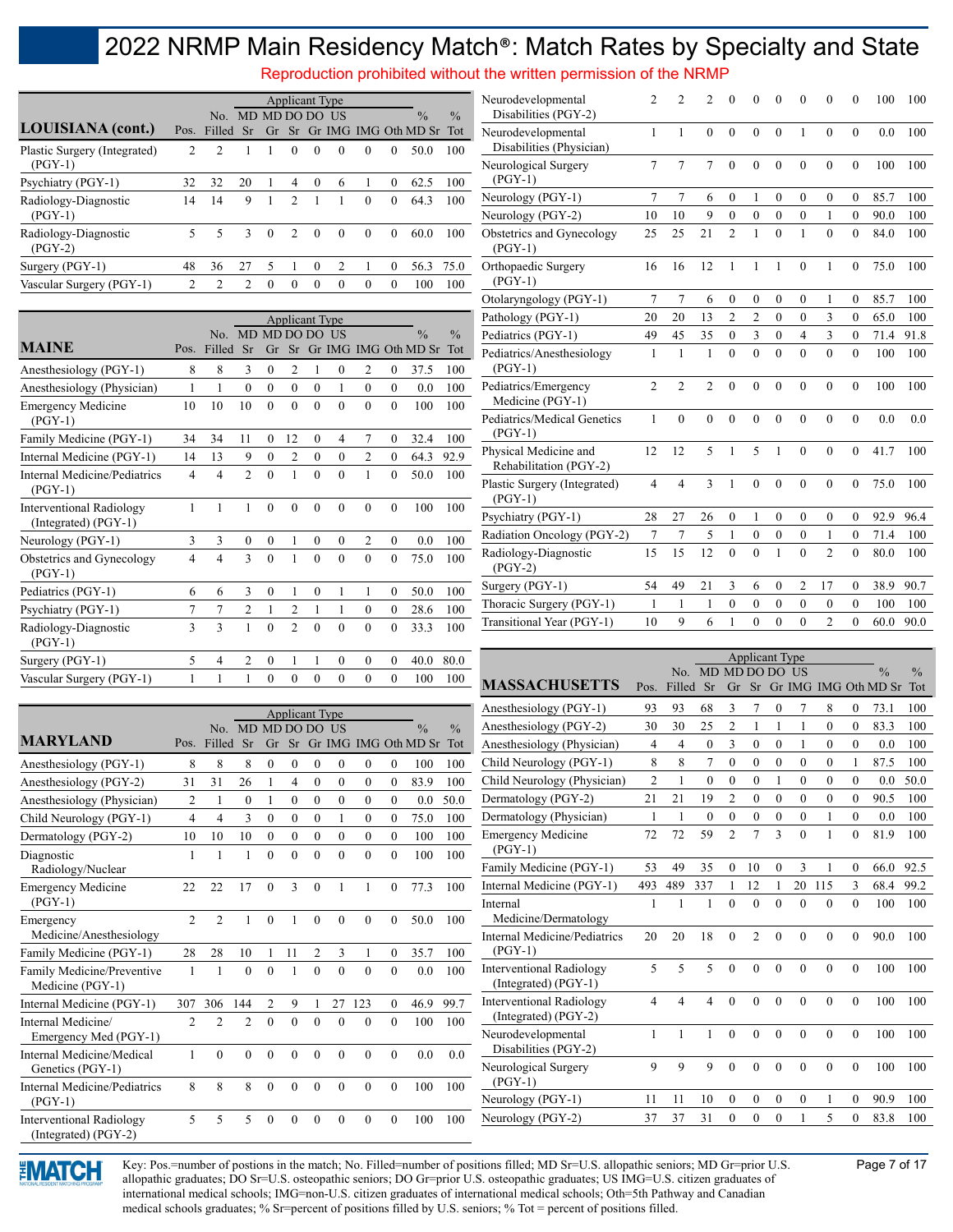Reproduction prohibited without the written permission of the NRMP

|                                           |                |                    |                |          | <b>Applicant Type</b> |          |                |          |          |                            |               |
|-------------------------------------------|----------------|--------------------|----------------|----------|-----------------------|----------|----------------|----------|----------|----------------------------|---------------|
|                                           |                | No. MD MD DO DO US |                |          |                       |          |                |          |          | $\frac{0}{0}$              | $\frac{0}{0}$ |
| LOUISIANA (cont.)                         | Pos.           | Filled             | Sr             |          |                       |          |                |          |          | Gr Sr Gr IMG IMG Oth MD Sr | Tot           |
| Plastic Surgery (Integrated)<br>$(PGY-1)$ | $\overline{c}$ | $\mathcal{D}$      |                |          | $\Omega$              | $\theta$ | 0              | $\theta$ | $\Omega$ | 50.0                       | 100           |
| Psychiatry (PGY-1)                        | 32             | 32                 | 20             |          | 4                     | $\theta$ | 6              |          | $\Omega$ | 62.5                       | 100           |
| Radiology-Diagnostic<br>$(PGY-1)$         | 14             | 14                 | 9              |          | $\mathcal{D}$         |          |                | $\theta$ | $\theta$ | 64.3                       | 100           |
| Radiology-Diagnostic<br>$(PGY-2)$         | 5              | 5                  | 3              | $\Omega$ | $\mathfrak{D}$        | $\theta$ | $\Omega$       | $\theta$ | $\theta$ | 60.0                       | 100           |
| Surgery (PGY-1)                           | 48             | 36                 | 27             | 5        |                       | $\Omega$ | $\mathfrak{D}$ |          | $\theta$ | 56.3                       | 75.0          |
| Vascular Surgery (PGY-1)                  | 2              | $\mathcal{D}$      | $\mathfrak{D}$ | $\Omega$ | $\Omega$              | $\Omega$ | $\Omega$       | $\theta$ | $\Omega$ | 100                        | 100           |

|                                                         |      |                |                  |              | <b>Applicant Type</b> |              |          |                |              |                      |               |
|---------------------------------------------------------|------|----------------|------------------|--------------|-----------------------|--------------|----------|----------------|--------------|----------------------|---------------|
|                                                         |      | No.            |                  | MD MD DO DO  |                       |              | - US     |                |              | $\frac{0}{0}$        | $\frac{0}{0}$ |
| <b>MAINE</b>                                            | Pos. | Filled         | Sr               | Gr           | Sr                    |              |          |                |              | Gr IMG IMG Oth MD Sr | Tot           |
| Anesthesiology (PGY-1)                                  | 8    | 8              | 3                | $\theta$     | $\overline{c}$        | 1            | $\theta$ | $\overline{2}$ | $\theta$     | 37.5                 | 100           |
| Anesthesiology (Physician)                              | 1    | 1              | $\theta$         | $\theta$     | $\theta$              | $\theta$     | 1        | $\theta$       | $\theta$     | 0.0                  | 100           |
| <b>Emergency Medicine</b><br>$(PGY-1)$                  | 10   | 10             | 10               | $\theta$     | $\theta$              | $\Omega$     | $\theta$ | $\Omega$       | $\theta$     | 100                  | 100           |
| Family Medicine (PGY-1)                                 | 34   | 34             | 11               | $\mathbf{0}$ | 12                    | $\theta$     | 4        | 7              | $\mathbf{0}$ | 32.4                 | 100           |
| Internal Medicine (PGY-1)                               | 14   | 13             | 9                | $\theta$     | $\overline{2}$        | $\theta$     | $\theta$ | $\overline{2}$ | $\mathbf{0}$ | 64.3                 | 92.9          |
| Internal Medicine/Pediatrics<br>$(PGY-1)$               | 4    | $\overline{4}$ | $\mathfrak{D}$   | $\theta$     | 1                     | $\Omega$     | $\Omega$ | 1              | $\theta$     | 50.0                 | 100           |
| <b>Interventional Radiology</b><br>(Integrated) (PGY-1) | 1    | 1              | 1                | $\theta$     | $\theta$              | $\theta$     | $\theta$ | $\theta$       | $\theta$     | 100                  | 100           |
| Neurology (PGY-1)                                       | 3    | 3              | $\boldsymbol{0}$ | $\mathbf{0}$ | 1                     | $\theta$     | $\theta$ | $\overline{2}$ | $\mathbf{0}$ | 0.0                  | 100           |
| Obstetrics and Gynecology<br>$(PGY-1)$                  | 4    | $\overline{4}$ | 3                | $\theta$     | 1                     | $\theta$     | $\theta$ | $\theta$       | $\theta$     | 75.0                 | 100           |
| Pediatrics (PGY-1)                                      | 6    | 6              | 3                | $\mathbf{0}$ | 1                     | $\mathbf{0}$ | 1        | 1              | $\mathbf{0}$ | 50.0                 | 100           |
| Psychiatry (PGY-1)                                      | 7    | 7              | $\overline{2}$   | 1            | $\overline{c}$        | 1            | 1        | $\theta$       | $\mathbf{0}$ | 28.6                 | 100           |
| Radiology-Diagnostic<br>$(PGY-1)$                       | 3    | $\mathcal{E}$  | 1                | $\theta$     | $\mathfrak{D}$        | $\Omega$     | $\theta$ | $\Omega$       | $\theta$     | 33.3                 | 100           |
| Surgery (PGY-1)                                         | 5    | 4              | $\overline{2}$   | $\mathbf{0}$ | 1                     | 1            | $\theta$ | $\mathbf{0}$   | $\theta$     | 40.0                 | 80.0          |
| Vascular Surgery (PGY-1)                                | 1    | 1              | 1                | $\theta$     | $\overline{0}$        | $\theta$     | $\theta$ | $\mathbf{0}$   | $\mathbf{0}$ | 100                  | 100           |

| Neurodevelopmental<br>Disabilities (PGY-2)      | $\overline{2}$ | $\overline{2}$ | $\overline{2}$ | $\mathbf{0}$   | $\mathbf{0}$   | $\overline{0}$ | $\overline{0}$   | $\mathbf{0}$   | $\mathbf{0}$     | 100  | 100  |
|-------------------------------------------------|----------------|----------------|----------------|----------------|----------------|----------------|------------------|----------------|------------------|------|------|
| Neurodevelopmental<br>Disabilities (Physician)  | 1              | 1              | $\mathbf{0}$   | $\theta$       | $\theta$       | $\theta$       | 1                | $\theta$       | $\mathbf{0}$     | 0.0  | 100  |
| Neurological Surgery<br>$(PGY-1)$               | $\overline{7}$ | $\overline{7}$ | $\overline{7}$ | $\mathbf{0}$   | $\mathbf{0}$   | $\mathbf{0}$   | $\overline{0}$   | $\mathbf{0}$   | $\mathbf{0}$     | 100  | 100  |
| Neurology (PGY-1)                               | 7              | $\overline{7}$ | 6              | $\overline{0}$ | 1              | $\theta$       | $\theta$         | $\mathbf{0}$   | $\mathbf{0}$     | 85.7 | 100  |
| Neurology (PGY-2)                               | 10             | 10             | 9              | $\overline{0}$ | $\mathbf{0}$   | $\theta$       | $\theta$         | 1              | $\mathbf{0}$     | 90.0 | 100  |
| Obstetrics and Gynecology<br>$(PGY-1)$          | 25             | 25             | 21             | $\overline{2}$ | $\mathbf{1}$   | $\overline{0}$ | $\mathbf{1}$     | $\mathbf{0}$   | $\mathbf{0}$     | 84.0 | 100  |
| Orthopaedic Surgery<br>$(PGY-1)$                | 16             | 16             | 12             | 1              | 1              | $\mathbf{1}$   | $\theta$         | $\mathbf{1}$   | $\mathbf{0}$     | 75.0 | 100  |
| Otolaryngology (PGY-1)                          | 7              | $\overline{7}$ | 6              | $\mathbf{0}$   | $\theta$       | $\mathbf{0}$   | $\mathbf{0}$     | 1              | $\mathbf{0}$     | 85.7 | 100  |
| Pathology (PGY-1)                               | 20             | 20             | 13             | $\overline{2}$ | $\overline{2}$ | $\theta$       | $\mathbf{0}$     | $\overline{3}$ | $\mathbf{0}$     | 65.0 | 100  |
| Pediatrics (PGY-1)                              | 49             | 45             | 35             | $\overline{0}$ | 3              | $\theta$       | $\overline{4}$   | 3              | $\overline{0}$   | 71.4 | 91.8 |
| Pediatrics/Anesthesiology<br>$(PGY-1)$          | 1              | 1              | $\mathbf{1}$   | $\theta$       | $\theta$       | $\theta$       | $\theta$         | $\theta$       | $\theta$         | 100  | 100  |
| Pediatrics/Emergency<br>Medicine (PGY-1)        | $\overline{2}$ | $\overline{2}$ | $\overline{2}$ | $\theta$       | $\theta$       | $\theta$       | $\theta$         | $\theta$       | $\overline{0}$   | 100  | 100  |
| Pediatrics/Medical Genetics<br>$(PGY-1)$        | 1              | $\theta$       | $\mathbf{0}$   | $\theta$       | $\theta$       | $\theta$       | $\theta$         | $\theta$       | $\mathbf{0}$     | 0.0  | 0.0  |
| Physical Medicine and<br>Rehabilitation (PGY-2) | 12             | 12             | 5              | 1              | 5              | 1              | $\theta$         | $\theta$       | $\mathbf{0}$     | 41.7 | 100  |
| Plastic Surgery (Integrated)<br>$(PGY-1)$       | $\overline{4}$ | $\overline{4}$ | 3              | $\mathbf{1}$   | $\mathbf{0}$   | $\mathbf{0}$   | $\mathbf{0}$     | $\mathbf{0}$   | $\mathbf{0}$     | 75.0 | 100  |
| Psychiatry (PGY-1)                              | 28             | 27             | 26             | $\mathbf{0}$   | 1              | $\theta$       | $\theta$         | $\theta$       | $\mathbf{0}$     | 92.9 | 96.4 |
| Radiation Oncology (PGY-2)                      | 7              | $\overline{7}$ | 5              | 1              | $\mathbf{0}$   | $\mathbf{0}$   | $\boldsymbol{0}$ | 1              | $\boldsymbol{0}$ | 71.4 | 100  |
| Radiology-Diagnostic<br>$(PGY-2)$               | 15             | 15             | 12             | $\overline{0}$ | $\mathbf{0}$   | 1              | $\theta$         | $\overline{c}$ | $\mathbf{0}$     | 80.0 | 100  |
| Surgery (PGY-1)                                 | 54             | 49             | 21             | 3              | 6              | $\mathbf{0}$   | $\overline{2}$   | 17             | $\boldsymbol{0}$ | 38.9 | 90.7 |
| Thoracic Surgery (PGY-1)                        | 1              | 1              | 1              | $\mathbf{0}$   | $\mathbf{0}$   | $\theta$       | $\theta$         | $\mathbf{0}$   | $\mathbf{0}$     | 100  | 100  |
| Transitional Year (PGY-1)                       | 10             | 9              | 6              | 1              | $\mathbf{0}$   | $\theta$       | $\theta$         | $\overline{c}$ | $\mathbf{0}$     | 60.0 | 90.0 |

Applicant Type

| Vascular Surgery (PGY-1)                                |                |                |                    | $\theta$ |               |                       |          | $\Omega$ | $\Omega$ | 100                         | 100           |                                                           |                |                           | No. MD MD DO DO US |                |                |              |          |          |          | $\frac{0}{0}$            | $\frac{0}{0}$ |
|---------------------------------------------------------|----------------|----------------|--------------------|----------|---------------|-----------------------|----------|----------|----------|-----------------------------|---------------|-----------------------------------------------------------|----------------|---------------------------|--------------------|----------------|----------------|--------------|----------|----------|----------|--------------------------|---------------|
|                                                         |                |                |                    |          |               |                       |          |          |          |                             |               | <b>MASSACHUSETTS</b>                                      | Pos.           | Filled                    | <b>Sr</b>          | Gr             | Sr             |              |          |          |          | Gr IMG IMG Oth MD Sr Tot |               |
|                                                         |                |                |                    |          |               | <b>Applicant Type</b> |          |          |          |                             |               | Anesthesiology (PGY-1)                                    | 93             | 93                        | 68                 |                |                |              |          |          | 0        | 73.1                     | 100           |
|                                                         |                |                | No. MD MD DO DO US |          |               |                       |          |          |          |                             | $\frac{0}{0}$ | Anesthesiology (PGY-2)                                    | 30             | 30                        | 25                 |                |                |              |          |          | $\Omega$ | 83.3                     | 100           |
| <b>MARYLAND</b>                                         |                | Pos. Filled    | <b>Sr</b>          | Gr       |               |                       |          |          |          | Sr Gr IMG IMG Oth MD Sr Tot |               | Anesthesiology (Physician)                                | 4              | 4                         | $\overline{0}$     |                | 0              | $\Omega$     |          | 0        | 0        | 0.0                      | 100           |
| Anesthesiology (PGY-1)                                  | 8              | 8              |                    |          |               |                       |          |          |          | 100                         | 100           | Child Neurology (PGY-1)                                   | 8              | 8                         |                    | $\theta$       | $\theta$       | $\theta$     | $\theta$ | $\theta$ |          | 87.5                     | 100           |
| Anesthesiology (PGY-2)                                  | 31             | 31             | 26                 |          | 4             | $\theta$              | $\theta$ |          | $\Omega$ | 83.9                        | 100           | Child Neurology (Physician)                               | $\overline{c}$ |                           | $\Omega$           | $\theta$       | $\theta$       |              | $\theta$ | $\Omega$ | $\Omega$ | 0.0                      | 50.0          |
| Anesthesiology (Physician)                              | 2              |                | 0                  |          |               |                       |          | $\theta$ | $\theta$ | 0.0                         | 50.0          | Dermatology (PGY-2)                                       | 21             | 21                        | 19                 | $\overline{c}$ | $\theta$       | $\theta$     | $\theta$ | $\Omega$ | $\theta$ | 90.5                     | 100           |
| Child Neurology (PGY-1)                                 | 4              | $\overline{4}$ | 3                  | $\theta$ |               | $\Omega$              |          | $\Omega$ | $\Omega$ | 75.0                        | 100           | Dermatology (Physician)                                   |                |                           | 0                  | $\theta$       | $\Omega$       | $\theta$     | $\theta$ |          | $\Omega$ | 0.0                      | 100           |
| Dermatology (PGY-2)                                     | 10             | 10             | 10                 | $\theta$ | $\theta$      | $\theta$              | $\theta$ | $\theta$ | $\theta$ | 100                         | 100           | <b>Emergency Medicine</b>                                 | 72             | 72                        | 59                 | $\overline{2}$ | 7              | $\mathbf{3}$ | $\Omega$ |          | 0        | 81.9                     | 100           |
| Diagnostic<br>Radiology/Nuclear                         | 1              |                |                    | $\theta$ | $\theta$      | $\Omega$              | $\Omega$ | $\Omega$ | $\Omega$ | 100                         | 100           | $(PGY-1)$<br>Family Medicine (PGY-1)                      | 53             | 49                        | 35                 | $\Omega$       | 10             |              |          |          | $\Omega$ | 66.0                     | 92.5          |
| <b>Emergency Medicine</b>                               | 22             | 22             | 17                 | $\Omega$ | $\mathcal{E}$ | $\Omega$              |          |          | Ô        | 77.3                        | 100           | Internal Medicine (PGY-1)                                 | 493            | 489                       | 337                |                | 12             |              | 20       | -115     |          | 68.4                     | 99.2          |
| $(PGY-1)$                                               |                |                |                    |          |               |                       |          |          |          |                             |               | Internal                                                  |                |                           |                    | 0              | $\Omega$       | $\Omega$     | $\Omega$ |          | 0        | 100                      | 100           |
| Emergency                                               | $\overline{2}$ | $\overline{2}$ |                    | $\theta$ |               | $\theta$              | $\theta$ | $\Omega$ | $\Omega$ | 50.0                        | 100           | Medicine/Dermatology                                      |                |                           |                    |                |                |              |          |          |          |                          |               |
| Medicine/Anesthesiology                                 |                |                |                    |          |               |                       |          |          |          |                             |               | <b>Internal Medicine/Pediatrics</b>                       | 20             | 20                        | 18                 | $\Omega$       | $\mathfrak{D}$ | $\Omega$     | $\Omega$ |          | $\Omega$ | 90.0                     | 100           |
| Family Medicine (PGY-1)                                 | 28             | 28             | 10                 |          | 11            |                       |          |          | $\Omega$ | 35.7                        | 100           | $(PGY-1)$                                                 |                |                           |                    |                |                |              |          |          |          |                          |               |
| Family Medicine/Preventive<br>Medicine (PGY-1)          | 1              |                | 0                  | $\theta$ |               | $\theta$              | $\theta$ | $\Omega$ | $\Omega$ | 0.0                         | 100           | <b>Interventional Radiology</b><br>$(Integrated) (PGY-1)$ | 5              | $\tilde{\mathcal{L}}$     | 5.                 | $\Omega$       | $\Omega$       | $\Omega$     | $\Omega$ |          | 0        | 100                      | 100           |
| Internal Medicine (PGY-1)                               | 307            | 306            | 144                |          |               |                       | 27       | 123      | $\theta$ | 46.9                        | 99.7          | <b>Interventional Radiology</b>                           | 4              | $\boldsymbol{\varLambda}$ | 4                  | $\Omega$       | $\Omega$       | $\Omega$     | $\Omega$ | $\Omega$ | $\Omega$ | 100                      | 100           |
| Internal Medicine/                                      | 2              |                | $\mathfrak{D}$     | $\theta$ | $\theta$      | $\Omega$              | $\Omega$ | $\Omega$ | $\theta$ | 100                         | 100           | (Integrated) (PGY-2)                                      |                |                           |                    |                |                |              |          |          |          |                          |               |
| Emergency Med (PGY-1)                                   |                |                |                    |          |               |                       |          |          |          |                             |               | Neurodevelopmental                                        |                |                           |                    | $\Omega$       | 0              | $\Omega$     | $\Omega$ | $\Omega$ | $\Omega$ | 100                      | 100           |
| Internal Medicine/Medical                               |                | $\Omega$       | 0                  | $\Omega$ | $\Omega$      | $\Omega$              | $\Omega$ | $\Omega$ | $\Omega$ | 0.0                         | 0.0           | Disabilities (PGY-2)                                      |                |                           |                    |                |                |              |          |          |          |                          |               |
| Genetics (PGY-1)                                        |                |                |                    |          |               |                       |          |          |          |                             |               | Neurological Surgery<br>$(PGY-1)$                         | 9              | 9                         | 9                  | $\Omega$       | $\Omega$       | $\Omega$     | $\Omega$ |          | $\Omega$ | 100                      | 100           |
| <b>Internal Medicine/Pediatrics</b><br>$(PGY-1)$        | 8              | 8              | 8                  | $\Omega$ | $\Omega$      | $\Omega$              | $\Omega$ | $\Omega$ | $\Omega$ | 100                         | 100           | Neurology (PGY-1)                                         | 11             | 11                        | 10                 | $\theta$       | $\Omega$       | $\Omega$     | $\theta$ |          | 0        | 90.9                     | 100           |
|                                                         |                |                |                    |          |               |                       |          |          |          |                             |               | Neurology (PGY-2)                                         | 37             | 37                        | 31                 | $\theta$       | $\Omega$       | $\theta$     |          |          | 0        | 83.8                     | 100           |
| <b>Interventional Radiology</b><br>(Integrated) (PGY-2) | 5.             |                |                    |          |               |                       |          |          |          | 100                         | 100           |                                                           |                |                           |                    |                |                |              |          |          |          |                          |               |



Key: Pos.=number of postions in the match; No. Filled=number of positions filled; MD Sr=U.S. allopathic seniors; MD Gr=prior U.S. Page 7 of 17 allopathic graduates; DO Sr=U.S. osteopathic seniors; DO Gr=prior U.S. osteopathic graduates; US IMG=U.S. citizen graduates of international medical schools; IMG=non-U.S. citizen graduates of international medical schools; Oth=5th Pathway and Canadian medical schools graduates; % Sr=percent of positions filled by U.S. seniors; % Tot = percent of positions filled.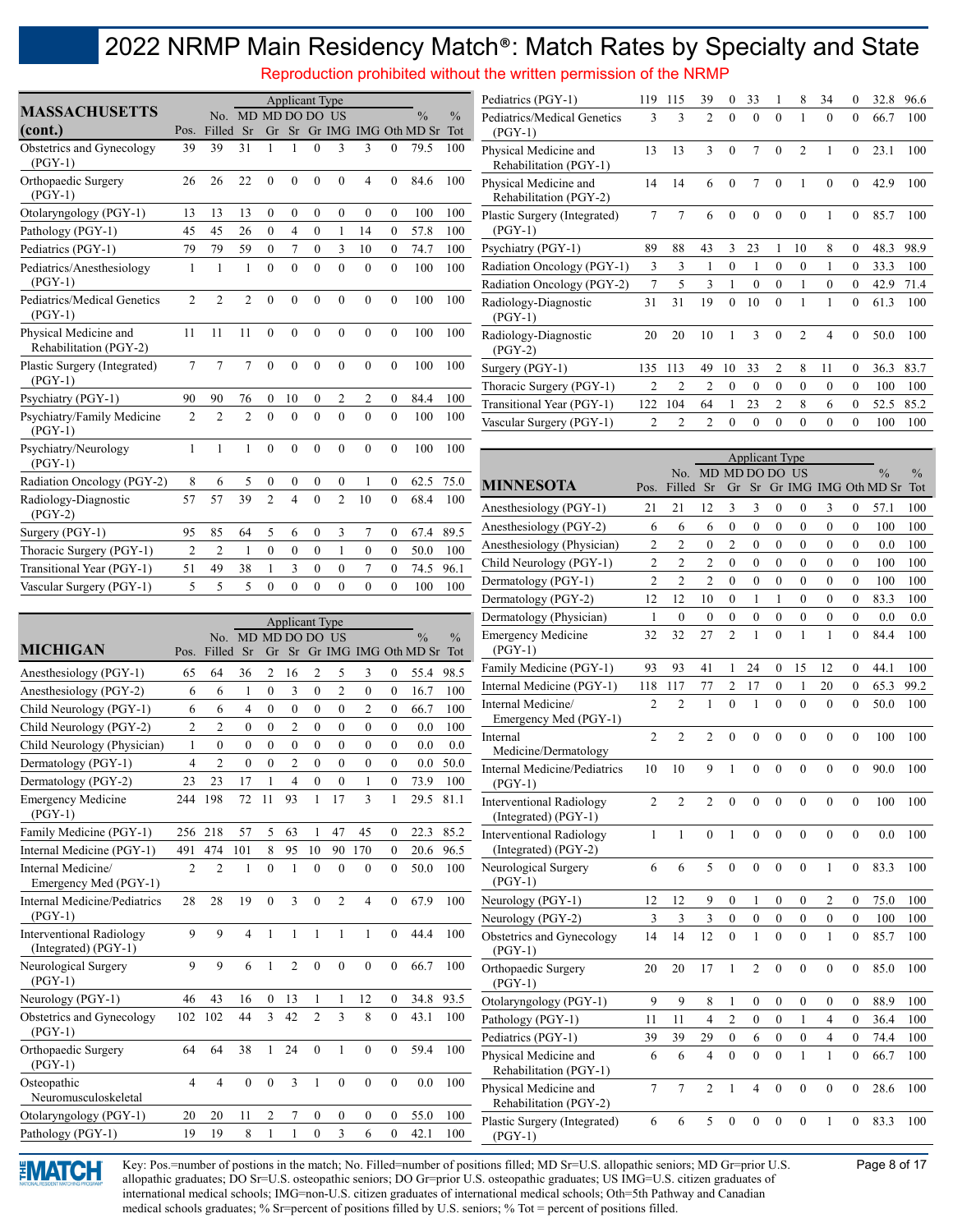Reproduction prohibited without the written permission of the NRMP

|                                                 |                |                |                |                  | <b>Applicant Type</b> |              |                |                |                |                      |               |
|-------------------------------------------------|----------------|----------------|----------------|------------------|-----------------------|--------------|----------------|----------------|----------------|----------------------|---------------|
| <b>MASSACHUSETTS</b>                            |                | No.            |                | MD MD DO DO      |                       |              | - US           |                |                | $\frac{0}{0}$        | $\frac{0}{0}$ |
| (cont.)                                         | Pos.           | Filled         | Sr             | Gr               | Sr                    |              |                |                |                | Gr IMG IMG Oth MD Sr | Tot           |
| Obstetrics and Gynecology<br>$(PGY-1)$          | 39             | 39             | 31             | 1                | 1                     | $\mathbf{0}$ | $\overline{3}$ | 3              | $\overline{0}$ | 79.5                 | 100           |
| Orthopaedic Surgery<br>$(PGY-1)$                | 26             | 26             | 22             | $\theta$         | $\theta$              | $\theta$     | $\theta$       | $\overline{4}$ | $\overline{0}$ | 84.6                 | 100           |
| Otolaryngology (PGY-1)                          | 13             | 13             | 13             | $\mathbf{0}$     | $\mathbf{0}$          | $\theta$     | $\theta$       | $\mathbf{0}$   | $\mathbf{0}$   | 100                  | 100           |
| Pathology (PGY-1)                               | 45             | 45             | 26             | $\mathbf{0}$     | $\overline{4}$        | $\mathbf{0}$ | 1              | 14             | $\overline{0}$ | 57.8                 | 100           |
| Pediatrics (PGY-1)                              | 79             | 79             | 59             | $\mathbf{0}$     | $\overline{7}$        | $\mathbf{0}$ | $\overline{3}$ | 10             | $\overline{0}$ | 74.7                 | 100           |
| Pediatrics/Anesthesiology<br>$(PGY-1)$          | 1              | $\mathbf{1}$   | $\mathbf{1}$   | $\overline{0}$   | $\theta$              | $\theta$     | $\theta$       | $\mathbf{0}$   | $\mathbf{0}$   | 100                  | 100           |
| Pediatrics/Medical Genetics<br>$(PGY-1)$        | $\mathfrak{D}$ | $\mathfrak{D}$ | $\overline{2}$ | $\theta$         | $\theta$              | $\theta$     | $\theta$       | $\theta$       | $\overline{0}$ | 100                  | 100           |
| Physical Medicine and<br>Rehabilitation (PGY-2) | 11             | 11             | 11             | $\theta$         | $\theta$              | $\theta$     | $\theta$       | $\mathbf{0}$   | $\overline{0}$ | 100                  | 100           |
| Plastic Surgery (Integrated)<br>$(PGY-1)$       | $\overline{7}$ | 7              | 7              | $\mathbf{0}$     | $\theta$              | $\theta$     | $\theta$       | $\mathbf{0}$   | $\mathbf{0}$   | 100                  | 100           |
| Psychiatry (PGY-1)                              | 90             | 90             | 76             | $\mathbf{0}$     | 10                    | $\theta$     | 2              | $\overline{c}$ | $\mathbf{0}$   | 84.4                 | 100           |
| Psychiatry/Family Medicine<br>$(PGY-1)$         | $\overline{2}$ | $\overline{2}$ | $\overline{2}$ | $\theta$         | $\theta$              | $\theta$     | $\theta$       | $\theta$       | $\mathbf{0}$   | 100                  | 100           |
| Psychiatry/Neurology<br>$(PGY-1)$               | 1              | 1              | $\mathbf{1}$   | $\theta$         | $\theta$              | $\theta$     | $\theta$       | $\theta$       | $\theta$       | 100                  | 100           |
| Radiation Oncology (PGY-2)                      | 8              | 6              | 5              | $\boldsymbol{0}$ | $\mathbf{0}$          | $\mathbf{0}$ | $\mathbf{0}$   | 1              | $\mathbf{0}$   | 62.5                 | 75.0          |
| Radiology-Diagnostic<br>$(PGY-2)$               | 57             | 57             | 39             | $\overline{2}$   | $\overline{4}$        | $\theta$     | $\overline{2}$ | 10             | $\theta$       | 68.4                 | 100           |
| Surgery (PGY-1)                                 | 95             | 85             | 64             | 5                | 6                     | $\theta$     | 3              | 7              | $\mathbf{0}$   | 67.4                 | 89.5          |
| Thoracic Surgery (PGY-1)                        | $\overline{2}$ | $\overline{2}$ | 1              | $\overline{0}$   | $\overline{0}$        | $\theta$     | 1              | $\mathbf{0}$   | $\overline{0}$ | 50.0                 | 100           |
| Transitional Year (PGY-1)                       | 51             | 49             | 38             | $\mathbf{1}$     | $\overline{3}$        | $\theta$     | $\theta$       | $\overline{7}$ | $\overline{0}$ | 74.5                 | 96.1          |
| Vascular Surgery (PGY-1)                        | 5              | 5              | 5              | $\overline{0}$   | $\overline{0}$        | $\mathbf{0}$ | $\overline{0}$ | $\mathbf{0}$   | $\overline{0}$ | 100                  | 100           |

| Pediatrics (PGY-1)                              | 119            | 115                      | 39             | 0        | 33       | 1              | 8              | 34       | $\theta$         | 32.8 | 96.6 |
|-------------------------------------------------|----------------|--------------------------|----------------|----------|----------|----------------|----------------|----------|------------------|------|------|
| Pediatrics/Medical Genetics<br>$(PGY-1)$        | $\mathbf{3}$   | 3                        | $\overline{2}$ | $\theta$ | $\theta$ | $\Omega$       | 1              | $\theta$ | $\theta$         | 66.7 | 100  |
| Physical Medicine and<br>Rehabilitation (PGY-1) | 13             | 13                       | 3              | $\theta$ | 7        | $\theta$       | $\overline{2}$ | 1        | $\theta$         | 23.1 | 100  |
| Physical Medicine and<br>Rehabilitation (PGY-2) | 14             | 14                       | 6              | $\Omega$ | 7        | $\Omega$       | 1              | $\theta$ | $\Omega$         | 42.9 | 100  |
| Plastic Surgery (Integrated)<br>$(PGY-1)$       | $\overline{7}$ | 7                        | 6              | $\theta$ | $\theta$ | $\theta$       | $\theta$       | 1        | $\theta$         | 85.7 | 100  |
| Psychiatry (PGY-1)                              | 89             | 88                       | 43             | 3        | 23       | 1              | 10             | 8        | $\theta$         | 48.3 | 98.9 |
| Radiation Oncology (PGY-1)                      | 3              | 3                        | 1              | $\theta$ | 1        | $\Omega$       | $\Omega$       | 1        | $\theta$         | 33.3 | 100  |
| Radiation Oncology (PGY-2)                      | 7              | $\overline{\phantom{0}}$ | 3              | 1        | $\theta$ | $\Omega$       | 1              | $\theta$ | $\theta$         | 42.9 | 71.4 |
| Radiology-Diagnostic<br>$(PGY-1)$               | 31             | 31                       | 19             | $\theta$ | 10       | $\theta$       | 1              | 1        | $\theta$         | 61.3 | 100  |
| Radiology-Diagnostic<br>$(PGY-2)$               | 20             | 20                       | 10             | 1        | 3        | $\theta$       | $\overline{2}$ | 4        | $\theta$         | 50.0 | 100  |
| Surgery (PGY-1)                                 | 135            | 113                      | 49             | 10       | 33       | $\overline{2}$ | 8              | 11       | $\theta$         | 36.3 | 83.7 |
| Thoracic Surgery (PGY-1)                        | $\overline{2}$ | $\overline{c}$           | $\overline{c}$ | $\theta$ | $\theta$ | $\Omega$       | $\Omega$       | $\theta$ | $\boldsymbol{0}$ | 100  | 100  |
| Transitional Year (PGY-1)                       | 122            | 104                      | 64             | 1        | 23       | $\overline{2}$ | 8              | 6        | $\mathbf{0}$     | 52.5 | 85.2 |
| Vascular Surgery (PGY-1)                        | $\overline{2}$ | $\overline{c}$           | $\overline{c}$ | $\theta$ | $\theta$ | $\Omega$       | $\Omega$       | $\theta$ | $\theta$         | 100  | 100  |
|                                                 |                |                          |                |          |          |                |                |          |                  |      |      |

| Psychiatry/Neurology<br>$(PGY-1)$                         |                          |                          | $\perp$                  | $\mathbf{0}$     | $\mathbf{0}$             | $\mathbf{0}$     | $\mathbf{0}$     | $\mathbf{0}$   | $\mathbf{0}$     | 100                      | 100           |                                                                           |                |                |                                |                      | <b>Applicant Type</b> |                              |              |                  |                          |                                |            |
|-----------------------------------------------------------|--------------------------|--------------------------|--------------------------|------------------|--------------------------|------------------|------------------|----------------|------------------|--------------------------|---------------|---------------------------------------------------------------------------|----------------|----------------|--------------------------------|----------------------|-----------------------|------------------------------|--------------|------------------|--------------------------|--------------------------------|------------|
| Radiation Oncology (PGY-2)                                | 8                        | 6                        | 5                        | 0                | $\theta$                 | $\mathbf{0}$     | $\theta$         | $\mathbf{1}$   | $\overline{0}$   | 62.5                     | 75.0          |                                                                           |                |                | No. MD MD DO DO US             |                      |                       |                              |              |                  |                          |                                |            |
|                                                           | 57                       | 57                       | 39                       | $\overline{2}$   | $\overline{\mathcal{A}}$ | $\theta$         | $\overline{2}$   | 10             | $\Omega$         | 68.4                     | 100           | <b>MINNESOTA</b>                                                          | Pos.           | Filled Sr      |                                |                      |                       |                              |              |                  |                          | Gr Sr Gr IMG IMG Oth MD Sr Tot |            |
| Radiology-Diagnostic<br>$(PGY-2)$                         |                          |                          |                          |                  |                          |                  |                  |                |                  |                          |               | Anesthesiology (PGY-1)                                                    | 21             | 21             | 12                             | 3                    | 3                     | $\boldsymbol{0}$             | $\theta$     | 3                | $\overline{0}$           | 57.1                           | 100        |
| Surgery (PGY-1)                                           | 95                       | 85                       | 64                       | 5                | 6                        | $\boldsymbol{0}$ | 3                | 7              | $\boldsymbol{0}$ | 67.4                     | 89.5          | Anesthesiology (PGY-2)                                                    | 6              | 6              | 6                              | $\mathbf{0}$         | $\overline{0}$        | $\boldsymbol{0}$             | $\mathbf{0}$ | $\mathbf{0}$     | $\boldsymbol{0}$         | 100                            | 100        |
| Thoracic Surgery (PGY-1)                                  | $\overline{2}$           | $\overline{c}$           | $\mathbf{1}$             | $\mathbf{0}$     | $\mathbf{0}$             | $\mathbf{0}$     | $\mathbf{1}$     | $\mathbf{0}$   | $\mathbf{0}$     | 50.0                     | 100           | Anesthesiology (Physician)                                                | 2              | $\overline{2}$ | $\overline{0}$                 | $\overline{c}$       | $\boldsymbol{0}$      | $\boldsymbol{0}$             | $\mathbf{0}$ | $\boldsymbol{0}$ | $\boldsymbol{0}$         | 0.0                            | 100        |
| Transitional Year (PGY-1)                                 | 51                       | 49                       | 38                       | $\mathbf{1}$     | 3                        | $\mathbf{0}$     | $\mathbf{0}$     | $\overline{7}$ | $\mathbf{0}$     | 74.5                     | 96.1          | Child Neurology (PGY-1)                                                   | 2              | $\overline{c}$ | $\overline{c}$                 | $\mathbf{0}$         | $\mathbf{0}$          | $\theta$                     | $\theta$     | $\mathbf{0}$     | $\mathbf{0}$             | 100                            | 100        |
| Vascular Surgery (PGY-1)                                  | $\overline{\phantom{0}}$ | $\overline{\phantom{0}}$ | $\overline{\phantom{0}}$ | $\Omega$         | $\Omega$                 | $\theta$         | $\theta$         | $\Omega$       | $\Omega$         | 100                      | 100           | Dermatology (PGY-1)                                                       | $\overline{2}$ | $\overline{2}$ | $\overline{c}$                 | $\theta$             | $\overline{0}$        | $\theta$                     | $\theta$     | $\mathbf{0}$     | $\theta$                 | 100                            | 100        |
|                                                           |                          |                          |                          |                  |                          |                  |                  |                |                  |                          |               | Dermatology (PGY-2)                                                       | 12             | 12             | 10                             | $\mathbf{0}$         |                       |                              | $\theta$     | $\theta$         | $\theta$                 | 83.3                           | 100        |
|                                                           |                          |                          |                          |                  | <b>Applicant Type</b>    |                  |                  |                |                  |                          |               | Dermatology (Physician)                                                   | $\mathbf{1}$   | $\theta$       | $\overline{0}$                 | $\theta$             | $\overline{0}$        | $\mathbf{0}$                 | $\mathbf{0}$ | $\mathbf{0}$     | $\theta$                 | 0.0                            | 0.0        |
|                                                           |                          |                          | No. MD MD DO DO US       |                  |                          |                  |                  |                |                  | $\frac{0}{0}$            | $\frac{0}{0}$ | <b>Emergency Medicine</b>                                                 | 32             | 32             | 27                             | $\overline{2}$       | $\mathbf{1}$          | $\theta$                     |              | $\mathbf{1}$     | $\theta$                 | 84.4                           | 100        |
| <b>MICHIGAN</b>                                           | Pos.                     | Filled                   | <b>Sr</b>                | Gr               | Sr                       |                  |                  |                |                  | Gr IMG IMG Oth MD Sr Tot |               | $(PGY-1)$                                                                 |                |                |                                |                      |                       |                              |              |                  |                          |                                |            |
| Anesthesiology (PGY-1)                                    | 65                       | 64                       | 36                       | 2                | 16                       | $\overline{2}$   | 5                | 3              | $\mathbf{0}$     | 55.4                     | 98.5          | Family Medicine (PGY-1)                                                   | 93             | 93             | 41                             |                      | 24                    | $\bf{0}$                     | 15           | 12               | $\overline{0}$           | 44.1                           | 100        |
| Anesthesiology (PGY-2)                                    | 6                        | 6                        | 1                        | $\mathbf{0}$     | 3                        | $\overline{0}$   | $\overline{2}$   | $\mathbf{0}$   | $\mathbf{0}$     | 16.7                     | 100           | Internal Medicine (PGY-1)                                                 | 118            | 117            | 77                             | $\overline{c}$       | 17                    | $\mathbf{0}$                 |              | 20               | $\theta$                 | 65.3                           | 99.2       |
| Child Neurology (PGY-1)                                   | 6                        | 6                        | 4                        | $\mathbf{0}$     | $\mathbf{0}$             | $\mathbf{0}$     | $\mathbf{0}$     | $\overline{c}$ | $\mathbf{0}$     | 66.7                     | 100           | Internal Medicine/                                                        | $\mathfrak{D}$ | $\mathfrak{D}$ |                                | $\theta$             |                       | $\theta$                     | $\theta$     | $\theta$         | $\theta$                 | 50.0                           | 100        |
| Child Neurology (PGY-2)                                   | $\overline{c}$           | $\overline{c}$           | $\theta$                 | $\theta$         | $\overline{c}$           | $\mathbf{0}$     | $\mathbf{0}$     | $\overline{0}$ | $\mathbf{0}$     | 0.0                      | 100           | Emergency Med (PGY-1)                                                     |                |                |                                |                      |                       |                              |              |                  |                          |                                |            |
| Child Neurology (Physician)                               | 1                        | $\overline{0}$           | $\mathbf{0}$             | $\boldsymbol{0}$ | $\overline{0}$           | $\boldsymbol{0}$ | $\boldsymbol{0}$ | $\overline{0}$ | $\mathbf{0}$     | 0.0                      | $0.0\,$       | Internal<br>Medicine/Dermatology                                          | $\overline{2}$ | $\overline{2}$ | $\overline{2}$                 | $\theta$             | $\Omega$              | $\Omega$                     | $\theta$     | $\Omega$         | $\Omega$                 | 100                            | 100        |
| Dermatology (PGY-1)                                       | 4                        | $\overline{c}$           | $\mathbf{0}$             | $\mathbf{0}$     | $\overline{c}$           | $\mathbf{0}$     | $\boldsymbol{0}$ | $\mathbf{0}$   | $\mathbf{0}$     | $0.0\,$                  | 50.0          | <b>Internal Medicine/Pediatrics</b>                                       | 10             | 10             | 9                              | $\overline{1}$       | $\theta$              | $\theta$                     | $\theta$     | $\theta$         | $\theta$                 | 90.0                           | 100        |
| Dermatology (PGY-2)                                       | 23                       | 23                       | 17                       |                  | $\overline{4}$           | $\mathbf{0}$     | $\mathbf{0}$     | 1              | $\mathbf{0}$     | 73.9                     | 100           | $(PGY-1)$                                                                 |                |                |                                |                      |                       |                              |              |                  |                          |                                |            |
| <b>Emergency Medicine</b><br>$(PGY-1)$                    | 244                      | 198                      | 72                       | 11               | 93                       | $\mathbf{1}$     | 17               | 3              |                  | 29.5                     | 81.1          | <b>Interventional Radiology</b><br>(Integrated) (PGY-1)                   | $\overline{2}$ | $\overline{2}$ | $\overline{2}$                 | $\Omega$             | $\theta$              | $\theta$                     | $\theta$     | $\Omega$         | $\theta$                 | 100                            | 100        |
| Family Medicine (PGY-1)                                   |                          | 256 218                  | 57                       | 5                | 63                       |                  | 47               | 45             | $\Omega$         | 22.3                     | 85.2          | <b>Interventional Radiology</b>                                           | $\mathbf{1}$   |                | $\theta$                       | $\mathbf{1}$         | $\theta$              | $\theta$                     | $\theta$     | $\Omega$         | $\theta$                 | 0.0                            | 100        |
| Internal Medicine (PGY-1)                                 | 491                      | 474                      | 101                      | 8                | 95                       | 10               | 90               | 170            | $\Omega$         | 20.6                     | 96.5          | (Integrated) (PGY-2)                                                      |                |                |                                |                      |                       |                              |              |                  |                          |                                |            |
| Internal Medicine/<br>Emergency Med (PGY-1)               | 2                        | $\overline{2}$           | 1                        | $\theta$         |                          | $\mathbf{0}$     | $\Omega$         | $\theta$       | $\theta$         | 50.0                     | 100           | Neurological Surgery<br>$(PGY-1)$                                         | 6              | 6              | 5                              | $\theta$             | $\theta$              | $\Omega$                     | $\theta$     |                  | $\Omega$                 | 83.3                           | 100        |
| <b>Internal Medicine/Pediatrics</b>                       | 28                       | 28                       | 19                       | $\theta$         | 3                        | $\theta$         | $\overline{2}$   | 4              | $\Omega$         | 67.9                     | 100           | Neurology (PGY-1)                                                         | 12             | 12             | 9                              | $\mathbf{0}$         | $\mathbf{1}$          | $\mathbf{0}$                 | $\mathbf{0}$ | $\overline{2}$   | $\mathbf{0}$             | 75.0                           | 100        |
| $(PGY-1)$                                                 |                          |                          |                          |                  |                          |                  |                  |                |                  |                          |               | Neurology (PGY-2)                                                         | 3              | $\overline{3}$ | 3                              | $\theta$             | $\mathbf{0}$          | $\mathbf{0}$                 | $\mathbf{0}$ | $\mathbf{0}$     | $\theta$                 | 100                            | 100        |
| <b>Interventional Radiology</b><br>$(Integrated) (PGY-1)$ | 9                        | 9                        | $\overline{\mathcal{A}}$ |                  | $\mathbf{1}$             | $\overline{1}$   | $\mathbf{1}$     | $\mathbf{1}$   | $\Omega$         | 44.4                     | 100           | Obstetrics and Gynecology<br>$(PGY-1)$                                    | 14             | 14             | 12                             | $\theta$             | $\mathbf{1}$          | $\theta$                     | $\theta$     | $\mathbf{1}$     | $\theta$                 | 85.7                           | 100        |
| Neurological Surgery<br>$(PGY-1)$                         | 9                        | 9                        | 6                        |                  | $\overline{c}$           | $\mathbf{0}$     | $\mathbf{0}$     | $\theta$       | $\Omega$         | 66.7                     | 100           | Orthopaedic Surgery<br>$(PGY-1)$                                          | 20             | 20             | 17                             | 1                    | $\overline{2}$        | $\mathbf{0}$                 | $\mathbf{0}$ | $\theta$         | $\Omega$                 | 85.0                           | 100        |
| Neurology (PGY-1)                                         | 46                       | 43                       | 16                       | $\overline{0}$   | 13                       |                  |                  | 12             | $\overline{0}$   | 34.8                     | 93.5          | Otolaryngology (PGY-1)                                                    | 9              | 9              | 8                              |                      | $\overline{0}$        | $\mathbf{0}$                 | $\mathbf{0}$ | $\mathbf{0}$     | $\mathbf{0}$             | 88.9                           | 100        |
| Obstetrics and Gynecology<br>$(PGY-1)$                    |                          | 102 102                  | 44                       | 3                | 42                       | $\overline{2}$   | 3                | 8              | $\mathbf{0}$     | 43.1                     | 100           | Pathology (PGY-1)                                                         | 11             | 11             | 4                              | $\overline{c}$       | $\boldsymbol{0}$      | $\boldsymbol{0}$             | 1            | $\overline{4}$   | $\mathbf{0}$             | 36.4                           | 100        |
| Orthopaedic Surgery<br>$(PGY-1)$                          | 64                       | 64                       | 38                       | 1                | 24                       | $\theta$         |                  | $\theta$       | $\theta$         | 59.4                     | 100           | Pediatrics (PGY-1)<br>Physical Medicine and                               | 39<br>6        | 39<br>6        | 29<br>$\overline{\mathcal{L}}$ | $\theta$<br>$\theta$ | 6<br>$\theta$         | $\boldsymbol{0}$<br>$\theta$ | $\mathbf{0}$ | $\overline{4}$   | $\Omega$<br>$\mathbf{0}$ | 74.4<br>66.7                   | 100<br>100 |
| Osteopathic<br>Neuromusculoskeletal                       | $\overline{4}$           | $\overline{4}$           | $\theta$                 | $\theta$         | 3                        | $\mathbf{1}$     | $\theta$         | $\overline{0}$ | $\theta$         | 0.0                      | 100           | Rehabilitation (PGY-1)<br>Physical Medicine and<br>Rehabilitation (PGY-2) | $\tau$         | $\tau$         | $\overline{c}$                 |                      | Δ                     | $\Omega$                     | $\theta$     | $\Omega$         | $\Omega$                 | 28.6                           | 100        |
| Otolaryngology (PGY-1)                                    | 20                       | 20                       | 11                       | 2                |                          | $\boldsymbol{0}$ | $\boldsymbol{0}$ | 0              | $\mathbf{0}$     | 55.0                     | 100           | Plastic Surgery (Integrated)                                              | 6              | 6              | 5                              | $\Omega$             | $\theta$              | $\theta$                     | $\theta$     |                  | $\Omega$                 | 83.3                           | 100        |
| Pathology (PGY-1)                                         | 19                       | 19                       | 8                        |                  |                          | $\mathbf{0}$     | 3                | 6              | $\mathbf{0}$     | 42.1                     | 100           | $(PGY-1)$                                                                 |                |                |                                |                      |                       |                              |              |                  |                          |                                |            |



> Key: Pos.=number of postions in the match; No. Filled=number of positions filled; MD Sr=U.S. allopathic seniors; MD Gr=prior U.S. Page 8 of 17 allopathic graduates; DO Sr=U.S. osteopathic seniors; DO Gr=prior U.S. osteopathic graduates; US IMG=U.S. citizen graduates of international medical schools; IMG=non-U.S. citizen graduates of international medical schools; Oth=5th Pathway and Canadian medical schools graduates; % Sr=percent of positions filled by U.S. seniors; % Tot = percent of positions filled.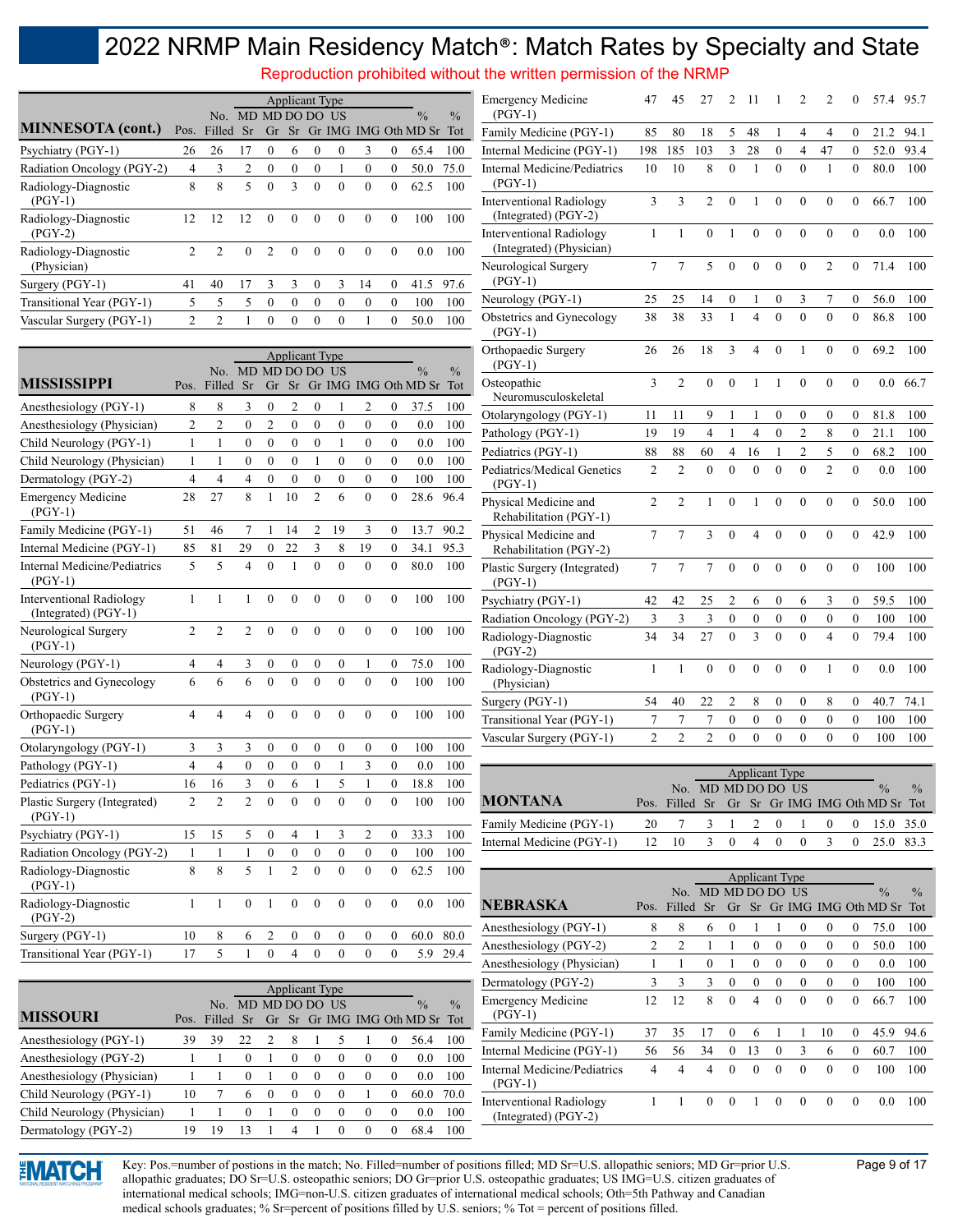Reproduction prohibited without the written permission of the NRMP

|                                     | <b>Applicant Type</b><br>MD MD DO DO US |                |          |                |          |          |          |          |          |                      |               |  |  |
|-------------------------------------|-----------------------------------------|----------------|----------|----------------|----------|----------|----------|----------|----------|----------------------|---------------|--|--|
|                                     |                                         | No.            |          |                |          |          |          |          |          | $\frac{0}{0}$        | $\frac{0}{0}$ |  |  |
| <b>MINNESOTA</b> (cont.)            | Pos.                                    | Filled         | Sr       | Gr             | Sr       |          |          |          |          | Gr IMG IMG Oth MD Sr | Tot           |  |  |
| Psychiatry (PGY-1)                  | 26                                      | 26             | 17       | $\Omega$       | 6        | $\theta$ | $\theta$ | 3        | $\theta$ | 65.4                 | 100           |  |  |
| Radiation Oncology (PGY-2)          | 4                                       | 3              | 2        | $\theta$       | $\theta$ | $\Omega$ | 1        | $\theta$ | $\theta$ | 50.0                 | 75.0          |  |  |
| Radiology-Diagnostic<br>$(PGY-1)$   | 8                                       | 8              | 5        | $\theta$       | 3        | $\theta$ | $\theta$ | $\theta$ | $\Omega$ | 62.5                 | 100           |  |  |
| Radiology-Diagnostic<br>$(PGY-2)$   | 12                                      | 12             | 12       | $\Omega$       | $\Omega$ | $\Omega$ | $\Omega$ | $\theta$ | $\theta$ | 100                  | 100           |  |  |
| Radiology-Diagnostic<br>(Physician) | $\mathfrak{D}$                          | $\mathfrak{D}$ | $\theta$ | $\mathfrak{D}$ | $\Omega$ | $\Omega$ | $\Omega$ | $\theta$ | $\theta$ | 0.0                  | 100           |  |  |
| Surgery (PGY-1)                     | 41                                      | 40             | 17       | 3              | 3        | $\theta$ | 3        | 14       | $\theta$ | 41.5                 | 97.6          |  |  |
| Transitional Year (PGY-1)           | 5                                       | 5              | 5        | $\Omega$       | $\Omega$ | $\Omega$ | $\Omega$ | $\theta$ | $\theta$ | 100                  | 100           |  |  |
| Vascular Surgery (PGY-1)            | $\overline{c}$                          | $\mathfrak{D}$ | 1        | $\Omega$       | $\theta$ | $\Omega$ | $\theta$ |          | $\theta$ | 50.0                 | 100           |  |  |

|                                                         |                |                |                         |                  | <b>Applicant Type</b>   |                  |                  |                  |                  |                      |               |
|---------------------------------------------------------|----------------|----------------|-------------------------|------------------|-------------------------|------------------|------------------|------------------|------------------|----------------------|---------------|
|                                                         |                | No.            | MD MD DO DO             |                  |                         |                  | <b>US</b>        |                  |                  | $\frac{0}{0}$        | $\frac{0}{0}$ |
| <b>MISSISSIPPI</b>                                      | Pos.           | Filled         | Sr                      | Gr               | Sr                      |                  |                  |                  |                  | Gr IMG IMG Oth MD Sr | Tot           |
| Anesthesiology (PGY-1)                                  | 8              | 8              | 3                       | $\mathbf{0}$     | $\overline{2}$          | $\theta$         | 1                | 2                | 0                | 37.5                 | 100           |
| Anesthesiology (Physician)                              | $\overline{c}$ | $\overline{2}$ | $\mathbf{0}$            | $\overline{2}$   | $\overline{0}$          | $\theta$         | $\overline{0}$   | $\mathbf{0}$     | $\mathbf{0}$     | 0.0                  | 100           |
| Child Neurology (PGY-1)                                 | $\mathbf{1}$   | 1              | $\mathbf{0}$            | $\mathbf{0}$     | $\mathbf{0}$            | $\theta$         | 1                | $\mathbf{0}$     | $\mathbf{0}$     | 0.0                  | 100           |
| Child Neurology (Physician)                             | $\mathbf{1}$   | 1              | $\theta$                | $\theta$         | $\theta$                | $\mathbf{1}$     | $\theta$         | $\theta$         | $\theta$         | 0.0                  | 100           |
| Dermatology (PGY-2)                                     | $\overline{4}$ | $\overline{4}$ | $\overline{4}$          | $\overline{0}$   | $\overline{0}$          | $\overline{0}$   | $\overline{0}$   | $\boldsymbol{0}$ | $\boldsymbol{0}$ | 100                  | 100           |
| <b>Emergency Medicine</b><br>$(PGY-1)$                  | 28             | 27             | 8                       | $\mathbf{1}$     | 10                      | $\overline{2}$   | 6                | $\mathbf{0}$     | $\overline{0}$   | 28.6                 | 96.4          |
| Family Medicine (PGY-1)                                 | 51             | 46             | 7                       | 1                | 14                      | $\overline{2}$   | 19               | 3                | $\mathbf{0}$     | 13.7                 | 90.2          |
| Internal Medicine (PGY-1)                               | 85             | 81             | 29                      | $\mathbf{0}$     | 22                      | 3                | 8                | 19               | $\mathbf{0}$     | 34.1                 | 95.3          |
| <b>Internal Medicine/Pediatrics</b><br>$(PGY-1)$        | 5              | 5              | $\overline{4}$          | $\overline{0}$   | $\mathbf{1}$            | $\overline{0}$   | $\overline{0}$   | $\mathbf{0}$     | $\overline{0}$   | 80.0                 | 100           |
| <b>Interventional Radiology</b><br>(Integrated) (PGY-1) | $\mathbf{1}$   | 1              | $\mathbf{1}$            | $\overline{0}$   | $\overline{0}$          | $\overline{0}$   | $\overline{0}$   | $\boldsymbol{0}$ | $\mathbf{0}$     | 100                  | 100           |
| Neurological Surgery<br>$(PGY-1)$                       | $\overline{2}$ | $\overline{2}$ | $\overline{2}$          | $\overline{0}$   | $\overline{0}$          | $\overline{0}$   | $\overline{0}$   | $\mathbf{0}$     | $\overline{0}$   | 100                  | 100           |
| Neurology (PGY-1)                                       | $\overline{4}$ | $\overline{4}$ | 3                       | $\boldsymbol{0}$ | $\boldsymbol{0}$        | $\boldsymbol{0}$ | $\boldsymbol{0}$ | 1                | $\boldsymbol{0}$ | 75.0                 | 100           |
| Obstetrics and Gynecology<br>$(PGY-1)$                  | 6              | 6              | 6                       | $\overline{0}$   | $\overline{0}$          | $\theta$         | $\theta$         | $\mathbf{0}$     | $\overline{0}$   | 100                  | 100           |
| Orthopaedic Surgery<br>$(PGY-1)$                        | 4              | $\overline{4}$ | $\overline{\mathbf{4}}$ | $\overline{0}$   | $\overline{0}$          | $\overline{0}$   | $\overline{0}$   | $\mathbf{0}$     | $\overline{0}$   | 100                  | 100           |
| Otolaryngology (PGY-1)                                  | 3              | 3              | 3                       | $\boldsymbol{0}$ | $\overline{0}$          | $\mathbf{0}$     | $\overline{0}$   | $\mathbf{0}$     | $\mathbf{0}$     | 100                  | 100           |
| Pathology (PGY-1)                                       | $\overline{4}$ | $\overline{4}$ | $\mathbf{0}$            | $\mathbf{0}$     | $\mathbf{0}$            | $\mathbf{0}$     | 1                | 3                | $\mathbf{0}$     | 0.0                  | 100           |
| Pediatrics (PGY-1)                                      | 16             | 16             | 3                       | $\mathbf{0}$     | 6                       | $\mathbf{1}$     | 5                | 1                | $\mathbf{0}$     | 18.8                 | 100           |
| Plastic Surgery (Integrated)<br>$(PGY-1)$               | $\overline{2}$ | $\overline{2}$ | $\overline{c}$          | $\overline{0}$   | $\overline{0}$          | $\theta$         | $\overline{0}$   | $\mathbf{0}$     | $\overline{0}$   | 100                  | 100           |
| Psychiatry (PGY-1)                                      | 15             | 15             | 5                       | $\mathbf{0}$     | 4                       | 1                | 3                | $\overline{c}$   | $\mathbf{0}$     | 33.3                 | 100           |
| Radiation Oncology (PGY-2)                              | 1              | $\mathbf{1}$   | 1                       | $\overline{0}$   | $\overline{0}$          | $\mathbf{0}$     | $\mathbf{0}$     | $\mathbf{0}$     | $\mathbf{0}$     | 100                  | 100           |
| Radiology-Diagnostic<br>$(PGY-1)$                       | 8              | 8              | 5                       | 1                | $\overline{2}$          | $\theta$         | $\theta$         | $\mathbf{0}$     | $\overline{0}$   | 62.5                 | 100           |
| Radiology-Diagnostic<br>$(PGY-2)$                       | $\mathbf{1}$   | 1              | $\overline{0}$          | 1                | $\overline{0}$          | $\theta$         | $\overline{0}$   | $\mathbf{0}$     | $\mathbf{0}$     | 0.0                  | 100           |
| Surgery (PGY-1)                                         | 10             | 8              | 6                       | $\overline{2}$   | $\mathbf{0}$            | $\mathbf{0}$     | $\mathbf{0}$     | $\mathbf{0}$     | $\mathbf{0}$     | 60.0                 | 80.0          |
| Transitional Year (PGY-1)                               | 17             | 5              | 1                       | $\theta$         | $\overline{\mathbf{4}}$ | $\theta$         | $\theta$         | $\theta$         | $\theta$         | 5.9                  | 29.4          |

|                             |      |        |          |                |          |          | Applicant Type |          |          |                                |               |
|-----------------------------|------|--------|----------|----------------|----------|----------|----------------|----------|----------|--------------------------------|---------------|
|                             |      | No.    |          | MD MD DO DO US |          |          |                |          |          | $\frac{0}{0}$                  | $\frac{0}{0}$ |
| <b>MISSOURI</b>             | Pos. | Filled | Sr       |                |          |          |                |          |          | Gr Sr Gr IMG IMG Oth MD Sr Tot |               |
| Anesthesiology (PGY-1)      | 39   | 39     | 22       |                | 8        |          | 5              |          | $\Omega$ | 56.4                           | 100           |
| Anesthesiology (PGY-2)      |      |        | $\theta$ |                | $\theta$ | $\Omega$ | $\theta$       | $\theta$ | $\theta$ | 0.0                            | 100           |
| Anesthesiology (Physician)  |      |        | $\Omega$ |                | $\theta$ | $\Omega$ | $\Omega$       | $\theta$ | $\theta$ | 0.0                            | 100           |
| Child Neurology (PGY-1)     | 10   |        | 6        | $\theta$       | $\theta$ | $\theta$ | $\Omega$       |          | $\theta$ | 60.0                           | 70.0          |
| Child Neurology (Physician) |      |        | $\Omega$ |                | $\theta$ | $\Omega$ | $\Omega$       | $\theta$ | $\Omega$ | 0.0                            | 100           |
| Dermatology (PGY-2)         | 19   | 19     | 13       |                | 4        |          | $\Omega$       | $\theta$ | $\Omega$ | 68.4                           | 100           |

| <b>Emergency Medicine</b><br>$(PGY-1)$                      | 47             | 45             | 27             | 2              | 11               | 1                | $\overline{2}$ | $\overline{2}$   | $\mathbf{0}$     | 57.4 | 95.7 |
|-------------------------------------------------------------|----------------|----------------|----------------|----------------|------------------|------------------|----------------|------------------|------------------|------|------|
| Family Medicine (PGY-1)                                     | 85             | 80             | 18             | 5              | 48               | 1                | 4              | 4                | 0                | 21.2 | 94.1 |
| Internal Medicine (PGY-1)                                   | 198            | 185            | 103            | 3              | 28               | $\theta$         | $\overline{4}$ | 47               | $\overline{0}$   | 52.0 | 93.4 |
| Internal Medicine/Pediatrics<br>$(PGY-1)$                   | 10             | 10             | 8              | $\theta$       | $\mathbf{1}$     | $\theta$         | $\theta$       | 1                | $\overline{0}$   | 80.0 | 100  |
| <b>Interventional Radiology</b><br>(Integrated) (PGY-2)     | $\overline{3}$ | $\overline{3}$ | $\overline{2}$ | $\mathbf{0}$   | $\mathbf{1}$     | $\theta$         | $\overline{0}$ | $\overline{0}$   | $\mathbf{0}$     | 66.7 | 100  |
| <b>Interventional Radiology</b><br>(Integrated) (Physician) | 1              | 1              | $\overline{0}$ | 1              | $\theta$         | $\theta$         | $\theta$       | $\theta$         | $\overline{0}$   | 0.0  | 100  |
| Neurological Surgery<br>$(PGY-1)$                           | $\overline{7}$ | $\overline{7}$ | 5              | $\overline{0}$ | $\theta$         | $\theta$         | $\theta$       | $\overline{2}$   | $\overline{0}$   | 71.4 | 100  |
| Neurology (PGY-1)                                           | 25             | 25             | 14             | 0              | 1                | $\boldsymbol{0}$ | 3              | $\boldsymbol{7}$ | 0                | 56.0 | 100  |
| Obstetrics and Gynecology<br>$(PGY-1)$                      | 38             | 38             | 33             | $\mathbf{1}$   | $\overline{4}$   | $\mathbf{0}$     | $\overline{0}$ | $\overline{0}$   | $\mathbf{0}$     | 86.8 | 100  |
| Orthopaedic Surgery<br>$(PGY-1)$                            | 26             | 26             | 18             | $\overline{3}$ | 4                | $\mathbf{0}$     | 1              | $\overline{0}$   | $\mathbf{0}$     | 69.2 | 100  |
| Osteopathic<br>Neuromusculoskeletal                         | 3              | $\overline{2}$ | $\overline{0}$ | $\overline{0}$ | $\mathbf{1}$     | 1                | $\theta$       | $\overline{0}$   | $\overline{0}$   | 0.0  | 66.7 |
| Otolaryngology (PGY-1)                                      | 11             | 11             | 9              | 1              | 1                | $\mathbf{0}$     | $\mathbf{0}$   | $\mathbf{0}$     | $\mathbf{0}$     | 81.8 | 100  |
| Pathology (PGY-1)                                           | 19             | 19             | 4              | 1              | $\overline{4}$   | $\mathbf{0}$     | $\overline{2}$ | 8                | $\overline{0}$   | 21.1 | 100  |
| Pediatrics (PGY-1)                                          | 88             | 88             | 60             | $\overline{4}$ | 16               | $\mathbf{1}$     | $\overline{2}$ | 5                | $\mathbf{0}$     | 68.2 | 100  |
| Pediatrics/Medical Genetics<br>$(PGY-1)$                    | $\overline{c}$ | $\overline{2}$ | $\mathbf{0}$   | $\theta$       | $\theta$         | $\theta$         | $\theta$       | $\overline{2}$   | $\overline{0}$   | 0.0  | 100  |
| Physical Medicine and<br>Rehabilitation (PGY-1)             | $\overline{2}$ | $\overline{2}$ | 1              | $\theta$       | 1                | $\theta$         | $\theta$       | $\theta$         | $\overline{0}$   | 50.0 | 100  |
| Physical Medicine and<br>Rehabilitation (PGY-2)             | $\overline{7}$ | $\overline{7}$ | $\overline{3}$ | $\overline{0}$ | $\overline{4}$   | $\overline{0}$   | $\theta$       | $\overline{0}$   | $\mathbf{0}$     | 42.9 | 100  |
| Plastic Surgery (Integrated)<br>$(PGY-1)$                   | 7              | $\overline{7}$ | $\overline{7}$ | $\overline{0}$ | $\overline{0}$   | $\overline{0}$   | $\overline{0}$ | $\overline{0}$   | $\mathbf{0}$     | 100  | 100  |
| Psychiatry (PGY-1)                                          | 42             | 42             | 25             | $\overline{c}$ | 6                | $\mathbf{0}$     | 6              | 3                | 0                | 59.5 | 100  |
| Radiation Oncology (PGY-2)                                  | 3              | 3              | 3              | $\overline{0}$ | $\boldsymbol{0}$ | $\boldsymbol{0}$ | $\mathbf{0}$   | $\boldsymbol{0}$ | 0                | 100  | 100  |
| Radiology-Diagnostic<br>$(PGY-2)$                           | 34             | 34             | 27             | $\overline{0}$ | $\overline{3}$   | $\theta$         | $\theta$       | $\overline{4}$   | $\overline{0}$   | 79.4 | 100  |
| Radiology-Diagnostic<br>(Physician)                         | 1              | $\mathbf{1}$   | $\mathbf{0}$   | $\mathbf{0}$   | $\mathbf{0}$     | $\mathbf{0}$     | $\mathbf{0}$   | $\mathbf{1}$     | $\boldsymbol{0}$ | 0.0  | 100  |
| Surgery (PGY-1)                                             | 54             | 40             | 22             | $\overline{c}$ | 8                | 0                | 0              | 8                | $\boldsymbol{0}$ | 40.7 | 74.1 |
| Transitional Year (PGY-1)                                   | 7              | $\tau$         | 7              | $\overline{0}$ | $\overline{0}$   | $\theta$         | $\theta$       | $\overline{0}$   | $\overline{0}$   | 100  | 100  |
| Vascular Surgery (PGY-1)                                    | $\overline{2}$ | $\overline{2}$ | $\overline{2}$ | $\overline{0}$ | $\overline{0}$   | $\mathbf{0}$     | $\theta$       | $\overline{0}$   | $\mathbf{0}$     | 100  | 100  |

|                           |                                                               |  | <b>Applicant Type</b> |  |  |                                               |                    |
|---------------------------|---------------------------------------------------------------|--|-----------------------|--|--|-----------------------------------------------|--------------------|
|                           | No. MD MD DO DO US                                            |  |                       |  |  | $\frac{0}{0}$                                 | $\frac{0}{\alpha}$ |
| <b>MONTANA</b>            |                                                               |  |                       |  |  | Pos. Filled Sr Gr Sr Gr IMG IMG Oth MD Sr Tot |                    |
| Family Medicine (PGY-1)   | 20 7 3 1 2 0 1 0                                              |  |                       |  |  | $0 \quad 15.0 \quad 35.0$                     |                    |
| Internal Medicine (PGY-1) | $12 \quad 10 \quad 3 \quad 0 \quad 4 \quad 0 \quad 0 \quad 3$ |  |                       |  |  | $0\quad 25.0\quad 83.3$                       |                    |

|                                                           | <b>Applicant Type</b><br>MD MD DO DO US |                |          |          |          |          |          |          |          |                         |               |  |  |  |
|-----------------------------------------------------------|-----------------------------------------|----------------|----------|----------|----------|----------|----------|----------|----------|-------------------------|---------------|--|--|--|
|                                                           |                                         | No.            |          |          |          |          |          |          |          | $\frac{0}{0}$           | $\frac{0}{0}$ |  |  |  |
| <b>NEBRASKA</b>                                           | Pos.                                    | Filled         | Sr       | Gr       |          |          |          |          |          | Sr Gr IMG IMG Oth MD Sr | Tot           |  |  |  |
| Anesthesiology (PGY-1)                                    | 8                                       | 8              | 6        | $\theta$ | 1        |          | $\Omega$ | $\theta$ | $\theta$ | 75.0                    | 100           |  |  |  |
| Anesthesiology (PGY-2)                                    | 2                                       | $\overline{c}$ |          |          | $\theta$ | $\Omega$ | $\Omega$ | $\theta$ | $\theta$ | 50.0                    | 100           |  |  |  |
| Anesthesiology (Physician)                                | 1                                       | 1              | $\theta$ | 1        | $\theta$ | $\theta$ | $\theta$ | $\theta$ | $\theta$ | 0.0                     | 100           |  |  |  |
| Dermatology (PGY-2)                                       | 3                                       | 3              | 3        | $\theta$ | $\theta$ | $\Omega$ | $\theta$ | $\theta$ | $\theta$ | 100                     | 100           |  |  |  |
| <b>Emergency Medicine</b><br>$(PGY-1)$                    | 12                                      | 12             | 8        | $\theta$ | 4        | $\Omega$ | $\Omega$ | $\theta$ | $\theta$ | 66.7                    | 100           |  |  |  |
| Family Medicine (PGY-1)                                   | 37                                      | 35             | 17       | $\theta$ | 6        | 1        | 1        | 10       | $\theta$ | 45.9                    | 94.6          |  |  |  |
| Internal Medicine (PGY-1)                                 | 56                                      | 56             | 34       | $\theta$ | 13       | $\Omega$ | 3        | 6        | $\theta$ | 60.7                    | 100           |  |  |  |
| Internal Medicine/Pediatrics<br>$(PGY-1)$                 | 4                                       | 4              | 4        | $\Omega$ | $\Omega$ | $\Omega$ | $\Omega$ | $\theta$ | $\theta$ | 100                     | 100           |  |  |  |
| <b>Interventional Radiology</b><br>(Integrated) $(PGY-2)$ | 1                                       | 1              | $\Omega$ | $\theta$ | 1        | $\Omega$ | $\Omega$ | $\Omega$ | $\theta$ | 0.0                     | 100           |  |  |  |

**EMATCH** 

Key: Pos.=number of postions in the match; No. Filled=number of positions filled; MD Sr=U.S. allopathic seniors; MD Gr=prior U.S. Page 9 of 17 allopathic graduates; DO Sr=U.S. osteopathic seniors; DO Gr=prior U.S. osteopathic graduates; US IMG=U.S. citizen graduates of international medical schools; IMG=non-U.S. citizen graduates of international medical schools; Oth=5th Pathway and Canadian medical schools graduates; % Sr=percent of positions filled by U.S. seniors; % Tot = percent of positions filled.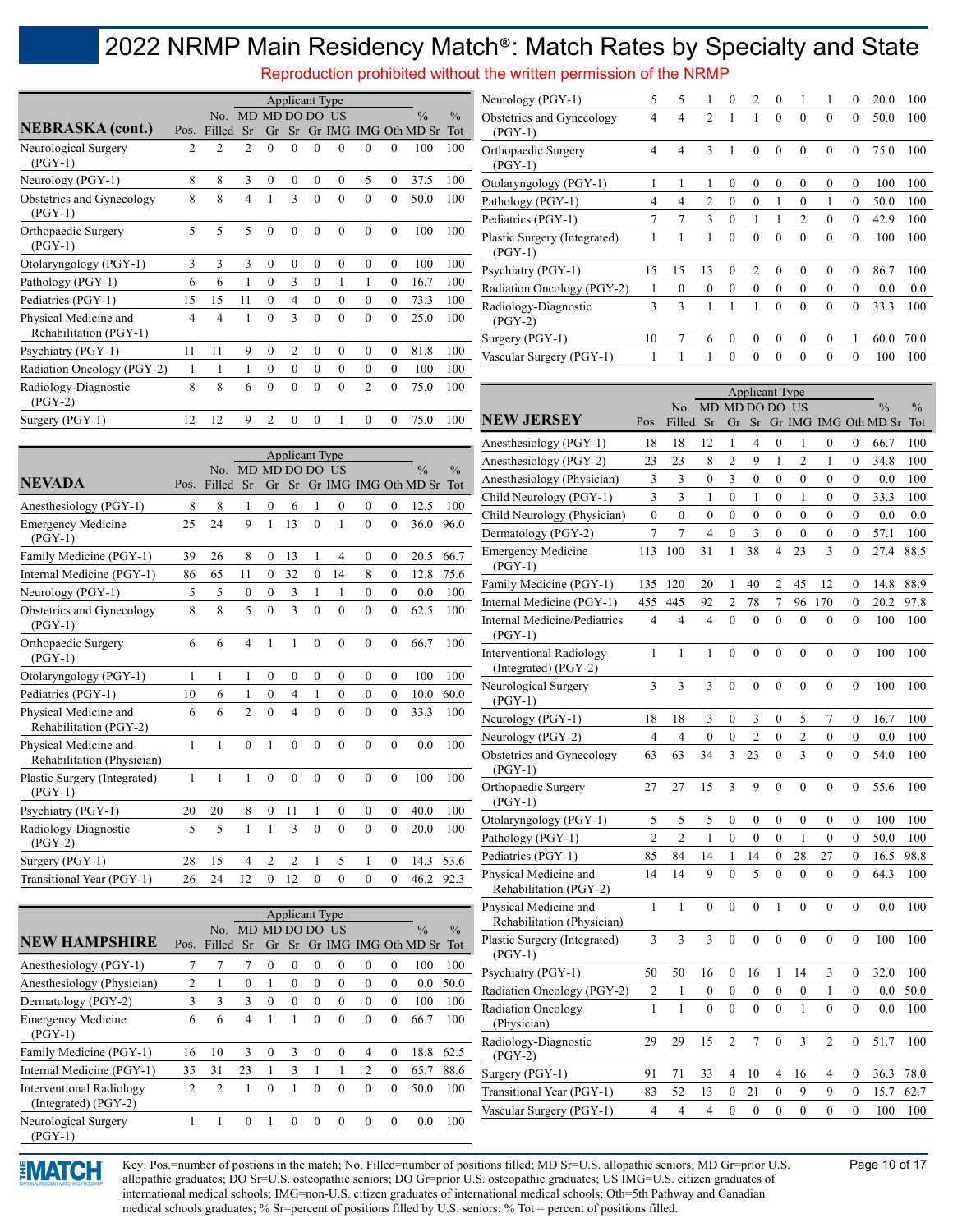Reproduction prohibited without the written permission of the NRMP

|                                                 |                          | No. MD MD DO DO |                |                  |                  |          | -US      |                  |              | $\frac{0}{0}$        | $\frac{0}{0}$ |
|-------------------------------------------------|--------------------------|-----------------|----------------|------------------|------------------|----------|----------|------------------|--------------|----------------------|---------------|
| <b>NEBRASKA</b> (cont.)                         | Pos.                     | Filled          | Sr             | Gr               | Sr               |          |          |                  |              | Gr IMG IMG Oth MD Sr | Tot           |
| Neurological Surgery<br>$(PGY-1)$               | $\overline{c}$           | 2               | $\overline{2}$ | $\theta$         | $\theta$         | $\theta$ | $\theta$ | $\theta$         | $\Omega$     | 100                  | 100           |
| Neurology (PGY-1)                               | 8                        | 8               | 3              | $\boldsymbol{0}$ | $\boldsymbol{0}$ | $\theta$ | $\theta$ | 5                | $\theta$     | 37.5                 | 100           |
| Obstetrics and Gynecology<br>$(PGY-1)$          | 8                        | 8               | $\overline{4}$ | 1                | 3                | $\theta$ | $\theta$ | $\theta$         | $\theta$     | 50.0                 | 100           |
| Orthopaedic Surgery<br>$(PGY-1)$                | $\overline{\phantom{0}}$ | 5               | 5              | $\Omega$         | $\Omega$         | $\theta$ | $\theta$ | $\theta$         | $\Omega$     | 100                  | 100           |
| Otolaryngology (PGY-1)                          | 3                        | 3               | 3              | $\boldsymbol{0}$ | $\theta$         | $\theta$ | $\theta$ | $\boldsymbol{0}$ | $\mathbf{0}$ | 100                  | 100           |
| Pathology (PGY-1)                               | 6                        | 6               | 1              | $\theta$         | 3                | $\theta$ | 1        | 1                | $\theta$     | 16.7                 | 100           |
| Pediatrics (PGY-1)                              | 15                       | 15              | 11             | $\theta$         | 4                | $\Omega$ | $\theta$ | $\theta$         | $\mathbf{0}$ | 73.3                 | 100           |
| Physical Medicine and<br>Rehabilitation (PGY-1) | 4                        | $\overline{4}$  | 1              | $\theta$         | 3                | $\theta$ | $\theta$ | $\theta$         | $\theta$     | 25.0                 | 100           |
| Psychiatry (PGY-1)                              | 11                       | 11              | 9              | $\theta$         | $\overline{2}$   | $\theta$ | $\theta$ | $\theta$         | $\mathbf{0}$ | 81.8                 | 100           |
| Radiation Oncology (PGY-2)                      | 1                        | 1               | 1              | $\theta$         | $\theta$         | $\Omega$ | $\Omega$ | $\theta$         | $\mathbf{0}$ | 100                  | 100           |
| Radiology-Diagnostic<br>$(PGY-2)$               | 8                        | 8               | 6              | $\theta$         | $\theta$         | $\theta$ | $\theta$ | $\overline{2}$   | $\theta$     | 75.0                 | 100           |
| Surgery (PGY-1)                                 | 12                       | 12              | 9              | $\mathfrak{D}$   | $\theta$         | $\theta$ | 1        | $\Omega$         | $\theta$     | 75.0                 | 100           |

| Neurology (PGY-1)                       | 5  | 5             | 1              | $\theta$ | $\overline{c}$ | $\Omega$ | 1              | 1            | $\Omega$ | 20.0 | 100  |
|-----------------------------------------|----|---------------|----------------|----------|----------------|----------|----------------|--------------|----------|------|------|
| Obstetrics and Gynecology<br>(PGY-1)    | 4  | 4             | $\overline{2}$ | 1        | 1              | $\theta$ | $\theta$       | $\theta$     | $\theta$ | 50.0 | 100  |
| Orthopaedic Surgery<br>$(PGY-1)$        | 4  | 4             | 3              | 1        | $\theta$       | $\theta$ | $\theta$       | $\theta$     | $\theta$ | 75.0 | 100  |
| Otolaryngology (PGY-1)                  |    |               | 1              | $\theta$ | $\theta$       | $\Omega$ | $\theta$       | $\mathbf{0}$ | $\theta$ | 100  | 100  |
| Pathology (PGY-1)                       | 4  | 4             | $\overline{2}$ | $\theta$ | $\theta$       | 1        | $\theta$       | 1            | $\theta$ | 50.0 | 100  |
| Pediatrics (PGY-1)                      | 7  | 7             | 3              | $\theta$ | 1              | 1        | $\overline{2}$ | $\theta$     | $\theta$ | 42.9 | 100  |
| Plastic Surgery (Integrated)<br>(PGY-1) |    |               | 1              | $\theta$ | $\theta$       | $\theta$ | $\theta$       | $\mathbf{0}$ | $\theta$ | 100  | 100  |
| Psychiatry (PGY-1)                      | 15 | 15            | 13             | $\theta$ | $\overline{2}$ | $\theta$ | $\theta$       | $\theta$     | $\theta$ | 86.7 | 100  |
| Radiation Oncology (PGY-2)              | 1  | $\theta$      | $\mathbf{0}$   | $\theta$ | $\theta$       | $\theta$ | $\theta$       | $\theta$     | $\theta$ | 0.0  | 0.0  |
| Radiology-Diagnostic<br>(PGY-2)         | 3  | $\mathcal{E}$ | 1              | 1        | 1              | $\Omega$ | $\Omega$       | $\theta$     | $\theta$ | 33.3 | 100  |
| Surgery (PGY-1)                         | 10 | 7             | 6              | $\theta$ | $\theta$       | $\theta$ | $\theta$       | $\mathbf{0}$ | 1        | 60.0 | 70.0 |
| Vascular Surgery (PGY-1)                |    |               | 1              | $\theta$ | $\theta$       | $\theta$ | $\theta$       | $\theta$     | $\theta$ | 100  | 100  |

|                                                     |      |               |                  |                  |                | <b>Applicant Type</b> |              |                  |              |                      |               |
|-----------------------------------------------------|------|---------------|------------------|------------------|----------------|-----------------------|--------------|------------------|--------------|----------------------|---------------|
| <b>NEVADA</b>                                       |      | No.<br>Filled | <b>MD</b>        | <b>MD</b>        |                | DO DO                 | US           |                  |              | $\frac{0}{0}$        | $\frac{0}{0}$ |
|                                                     | Pos. |               | Sr               | Gr               | Sr             |                       |              |                  |              | Gr IMG IMG Oth MD Sr | Tot           |
| Anesthesiology (PGY-1)                              | 8    | 8             | 1                | $\boldsymbol{0}$ | 6              | 1                     | $\mathbf{0}$ | $\boldsymbol{0}$ | $\theta$     | 12.5                 | 100           |
| <b>Emergency Medicine</b><br>$(PGY-1)$              | 25   | 24            | 9                | 1                | 13             | $\theta$              | 1            | $\theta$         | $\theta$     | 36.0                 | 96.0          |
| Family Medicine (PGY-1)                             | 39   | 26            | 8                | $\boldsymbol{0}$ | 13             | 1                     | 4            | $\mathbf{0}$     | $\mathbf{0}$ | 20.5                 | 66.7          |
| Internal Medicine (PGY-1)                           | 86   | 65            | 11               | $\mathbf{0}$     | 32             | $\overline{0}$        | 14           | 8                | $\mathbf{0}$ | 12.8                 | 75.6          |
| Neurology (PGY-1)                                   | 5    | 5             | $\boldsymbol{0}$ | $\mathbf{0}$     | 3              | 1                     | 1            | $\mathbf{0}$     | $\mathbf{0}$ | 0.0                  | 100           |
| Obstetrics and Gynecology<br>$(PGY-1)$              | 8    | 8             | 5                | $\theta$         | 3              | $\theta$              | $\theta$     | $\overline{0}$   | $\mathbf{0}$ | 62.5                 | 100           |
| Orthopaedic Surgery<br>$(PGY-1)$                    | 6    | 6             | $\overline{4}$   | 1                | 1              | $\theta$              | $\theta$     | $\theta$         | $\theta$     | 66.7                 | 100           |
| Otolaryngology (PGY-1)                              | 1    | 1             | 1                | $\mathbf{0}$     | $\mathbf{0}$   | $\mathbf{0}$          | $\mathbf{0}$ | $\mathbf{0}$     | $\mathbf{0}$ | 100                  | 100           |
| Pediatrics (PGY-1)                                  | 10   | 6             | 1                | $\mathbf{0}$     | 4              | 1                     | $\mathbf{0}$ | $\overline{0}$   | $\mathbf{0}$ | 10.0                 | 60.0          |
| Physical Medicine and<br>Rehabilitation (PGY-2)     | 6    | 6             | $\overline{2}$   | $\theta$         | $\overline{4}$ | $\theta$              | $\theta$     | $\overline{0}$   | $\mathbf{0}$ | 33.3                 | 100           |
| Physical Medicine and<br>Rehabilitation (Physician) | 1    | 1             | $\mathbf{0}$     | 1                | $\mathbf{0}$   | $\theta$              | $\theta$     | $\mathbf{0}$     | $\mathbf{0}$ | 0.0                  | 100           |
| Plastic Surgery (Integrated)<br>$(PGY-1)$           | 1    | 1             | 1                | $\theta$         | $\theta$       | $\theta$              | $\theta$     | $\theta$         | $\theta$     | 100                  | 100           |
| Psychiatry (PGY-1)                                  | 20   | 20            | 8                | $\mathbf{0}$     | 11             | 1                     | $\mathbf{0}$ | $\mathbf{0}$     | $\mathbf{0}$ | 40.0                 | 100           |
| Radiology-Diagnostic<br>$(PGY-2)$                   | 5    | 5             | 1                | 1                | 3              | $\theta$              | $\theta$     | $\theta$         | $\theta$     | 20.0                 | 100           |
| Surgery (PGY-1)                                     | 28   | 15            | $\overline{4}$   | $\overline{2}$   | $\overline{2}$ | 1                     | 5            | 1                | $\mathbf{0}$ | 14.3                 | 53.6          |
| Transitional Year (PGY-1)                           | 26   | 24            | 12               | $\mathbf{0}$     | 12             | $\mathbf{0}$          | $\mathbf{0}$ | $\overline{0}$   | $\mathbf{0}$ | 46.2                 | 92.3          |

|                                                         |                | No. MD MD DO DO US |          |          |          |          |          |                |          | $\frac{0}{0}$               | $\frac{0}{0}$ |
|---------------------------------------------------------|----------------|--------------------|----------|----------|----------|----------|----------|----------------|----------|-----------------------------|---------------|
| <b>NEW HAMPSHIRE</b>                                    | Pos.           | Filled             | Sr       | Gr       |          |          |          |                |          | Sr Gr IMG IMG Oth MD Sr Tot |               |
| Anesthesiology (PGY-1)                                  | 7              |                    |          | $\theta$ | $\theta$ | $\Omega$ | $\Omega$ | $\theta$       | $\theta$ | 100                         | 100           |
| Anesthesiology (Physician)                              | $\overline{c}$ | 1                  | $\theta$ | 1        | $\theta$ | $\Omega$ | $\theta$ | $\theta$       | $\theta$ | 0.0                         | 50.0          |
| Dermatology (PGY-2)                                     | 3              | 3                  | 3        | $\theta$ | $\theta$ | $\Omega$ | $\theta$ | $\theta$       | $\Omega$ | 100                         | 100           |
| <b>Emergency Medicine</b><br>$(PGY-1)$                  | 6              | 6                  | 4        |          | 1        | $\Omega$ | $\Omega$ | $\theta$       | $\theta$ | 66.7                        | 100           |
| Family Medicine (PGY-1)                                 | 16             | 10                 | 3        | $\theta$ | 3        | $\theta$ | $\Omega$ | 4              | $\Omega$ | 18.8                        | 62.5          |
| Internal Medicine (PGY-1)                               | 35             | 31                 | 23       | 1        | 3        | 1        | 1        | $\overline{c}$ | $\theta$ | 65.7                        | 88.6          |
| <b>Interventional Radiology</b><br>(Integrated) (PGY-2) | $\mathfrak{D}$ | $\mathfrak{D}$     |          | $\Omega$ |          | $\Omega$ | $\Omega$ | $\theta$       | $\theta$ | 50.0                        | 100           |
| Neurological Surgery<br>$(PGY-1)$                       |                | 1                  | $\theta$ | 1        | $\Omega$ | $\Omega$ | $\Omega$ | $\theta$       | $\theta$ | 0.0                         | 100           |

|                                                         | <b>Applicant Type</b>    |                         |                          |                  |                  |                  |                 |                  |                  |                      |               |
|---------------------------------------------------------|--------------------------|-------------------------|--------------------------|------------------|------------------|------------------|-----------------|------------------|------------------|----------------------|---------------|
|                                                         |                          | No.                     | MD MD DO DO              |                  |                  |                  | US <sup>1</sup> |                  |                  | $\frac{0}{0}$        | $\frac{0}{0}$ |
| NEW JERSEY                                              | Pos.                     | Filled                  | Sr                       | Gr               | Sr               |                  |                 |                  |                  | Gr IMG IMG Oth MD Sr | Tot           |
| Anesthesiology (PGY-1)                                  | 18                       | 18                      | 12                       | $\mathbf{1}$     | $\overline{4}$   | $\overline{0}$   | 1               | $\boldsymbol{0}$ | $\boldsymbol{0}$ | 66.7                 | 100           |
| Anesthesiology (PGY-2)                                  | 23                       | 23                      | 8                        | 2                | 9                | $\mathbf{1}$     | $\overline{c}$  | 1                | $\overline{0}$   | 34.8                 | 100           |
| Anesthesiology (Physician)                              | 3                        | 3                       | $\bf{0}$                 | 3                | $\mathbf{0}$     | 0                | $\overline{0}$  | $\overline{0}$   | $\overline{0}$   | 0.0                  | 100           |
| Child Neurology (PGY-1)                                 | 3                        | 3                       | 1                        | $\overline{0}$   | 1                | $\overline{0}$   | $\mathbf{1}$    | $\overline{0}$   | $\bf{0}$         | 33.3                 | 100           |
| Child Neurology (Physician)                             | $\overline{0}$           | $\theta$                | $\overline{0}$           | $\overline{0}$   | $\overline{0}$   | $\theta$         | $\theta$        | $\overline{0}$   | $\overline{0}$   | 0.0                  | 0.0           |
| Dermatology (PGY-2)                                     | $\overline{7}$           | $\overline{7}$          | $\overline{4}$           | $\overline{0}$   | $\overline{3}$   | $\overline{0}$   | $\overline{0}$  | $\overline{0}$   | $\overline{0}$   | 57.1                 | 100           |
| <b>Emergency Medicine</b><br>$(PGY-1)$                  | 113                      | 100                     | 31                       | $\mathbf{1}$     | 38               | $\overline{4}$   | 23              | $\overline{3}$   | $\overline{0}$   | 27.4                 | 88.5          |
| Family Medicine (PGY-1)                                 | 135                      | 120                     | 20                       | 1                | 40               | 2                | 45              | 12               | $\mathbf{0}$     | 14.8                 | 88.9          |
| Internal Medicine (PGY-1)                               | 455                      | 445                     | 92                       | $\overline{c}$   | 78               | 7                | 96              | 170              | $\mathbf{0}$     | 20.2                 | 97.8          |
| <b>Internal Medicine/Pediatrics</b><br>$(PGY-1)$        | $\overline{4}$           | $\overline{4}$          | $\overline{\mathcal{L}}$ | $\theta$         | $\theta$         | $\theta$         | $\overline{0}$  | $\overline{0}$   | $\overline{0}$   | 100                  | 100           |
| <b>Interventional Radiology</b><br>(Integrated) (PGY-2) | $\mathbf{1}$             | $\mathbf{1}$            | 1                        | $\overline{0}$   | $\overline{0}$   | $\overline{0}$   | $\overline{0}$  | $\overline{0}$   | $\overline{0}$   | 100                  | 100           |
| Neurological Surgery<br>$(PGY-1)$                       | 3                        | 3                       | 3                        | $\boldsymbol{0}$ | $\theta$         | $\theta$         | $\theta$        | $\theta$         | $\boldsymbol{0}$ | 100                  | 100           |
| Neurology (PGY-1)                                       | 18                       | 18                      | 3                        | $\mathbf{0}$     | 3                | 0                | 5               | 7                | $\mathbf{0}$     | 16.7                 | 100           |
| Neurology (PGY-2)                                       | $\overline{4}$           | $\overline{4}$          | $\mathbf{0}$             | $\overline{0}$   | $\overline{2}$   | $\mathbf{0}$     | $\overline{2}$  | $\overline{0}$   | $\overline{0}$   | 0.0                  | 100           |
| Obstetrics and Gynecology<br>$(PGY-1)$                  | 63                       | 63                      | 34                       | 3                | 23               | $\theta$         | 3               | $\theta$         | $\theta$         | 54.0                 | 100           |
| Orthopaedic Surgery<br>$(PGY-1)$                        | 27                       | 27                      | 15                       | 3                | 9                | $\overline{0}$   | $\overline{0}$  | $\overline{0}$   | $\mathbf{0}$     | 55.6                 | 100           |
| Otolaryngology (PGY-1)                                  | 5                        | 5                       | 5                        | $\mathbf{0}$     | $\mathbf{0}$     | 0                | $\theta$        | $\mathbf{0}$     | $\mathbf{0}$     | 100                  | 100           |
| Pathology (PGY-1)                                       | $\overline{c}$           | $\overline{c}$          | 1                        | 0                | $\boldsymbol{0}$ | 0                | 1               | $\bf{0}$         | $\boldsymbol{0}$ | 50.0                 | 100           |
| Pediatrics (PGY-1)                                      | 85                       | 84                      | 14                       | $\mathbf{1}$     | 14               | $\overline{0}$   | 28              | 27               | $\overline{0}$   | 16.5                 | 98.8          |
| Physical Medicine and<br>Rehabilitation (PGY-2)         | 14                       | 14                      | 9                        | $\theta$         | 5                | $\theta$         | $\theta$        | $\overline{0}$   | $\mathbf{0}$     | 64.3                 | 100           |
| Physical Medicine and<br>Rehabilitation (Physician)     | $\mathbf{1}$             | 1                       | $\boldsymbol{0}$         | $\overline{0}$   | $\overline{0}$   | 1                | $\overline{0}$  | $\mathbf{0}$     | $\boldsymbol{0}$ | 0.0                  | 100           |
| Plastic Surgery (Integrated)<br>$(PGY-1)$               | $\overline{3}$           | $\overline{3}$          | $\overline{3}$           | $\mathbf{0}$     | $\overline{0}$   | $\mathbf{0}$     | $\mathbf{0}$    | $\mathbf{0}$     | $\mathbf{0}$     | 100                  | 100           |
| Psychiatry (PGY-1)                                      | 50                       | 50                      | 16                       | $\mathbf{0}$     | 16               | 1                | 14              | 3                | $\mathbf{0}$     | 32.0                 | 100           |
| Radiation Oncology (PGY-2)                              | $\overline{c}$           | 1                       | $\boldsymbol{0}$         | $\boldsymbol{0}$ | $\boldsymbol{0}$ | $\boldsymbol{0}$ | $\bf{0}$        | $\mathbf{1}$     | $\boldsymbol{0}$ | 0.0                  | 50.0          |
| <b>Radiation Oncology</b><br>(Physician)                | $\mathbf{1}$             | $\mathbf{1}$            | $\overline{0}$           | $\overline{0}$   | $\overline{0}$   | $\overline{0}$   | $\mathbf{1}$    | $\overline{0}$   | $\mathbf{0}$     | 0.0                  | 100           |
| Radiology-Diagnostic<br>$(PGY-2)$                       | 29                       | 29                      | 15                       | $\overline{2}$   | 7                | $\theta$         | 3               | $\overline{2}$   | $\mathbf{0}$     | 51.7                 | 100           |
| Surgery (PGY-1)                                         | 91                       | 71                      | 33                       | 4                | 10               | 4                | 16              | 4                | $\boldsymbol{0}$ | 36.3                 | 78.0          |
| Transitional Year (PGY-1)                               | 83                       | 52                      | 13                       | $\overline{0}$   | 21               | $\overline{0}$   | 9               | 9                | $\overline{0}$   | 15.7                 | 62.7          |
| Vascular Surgery (PGY-1)                                | $\overline{\mathcal{L}}$ | $\overline{\mathbf{4}}$ | $\overline{4}$           | $\theta$         | $\theta$         | $\theta$         | $\theta$        | $\theta$         | $\theta$         | 100                  | 100           |



Key: Pos.=number of postions in the match; No. Filled=number of positions filled; MD Sr=U.S. allopathic seniors; MD Gr=prior U.S. Page 10 of 17 allopathic graduates; DO Sr=U.S. osteopathic seniors; DO Gr=prior U.S. osteopathic graduates; US IMG=U.S. citizen graduates of international medical schools; IMG=non-U.S. citizen graduates of international medical schools; Oth=5th Pathway and Canadian medical schools graduates; % Sr=percent of positions filled by U.S. seniors; % Tot = percent of positions filled.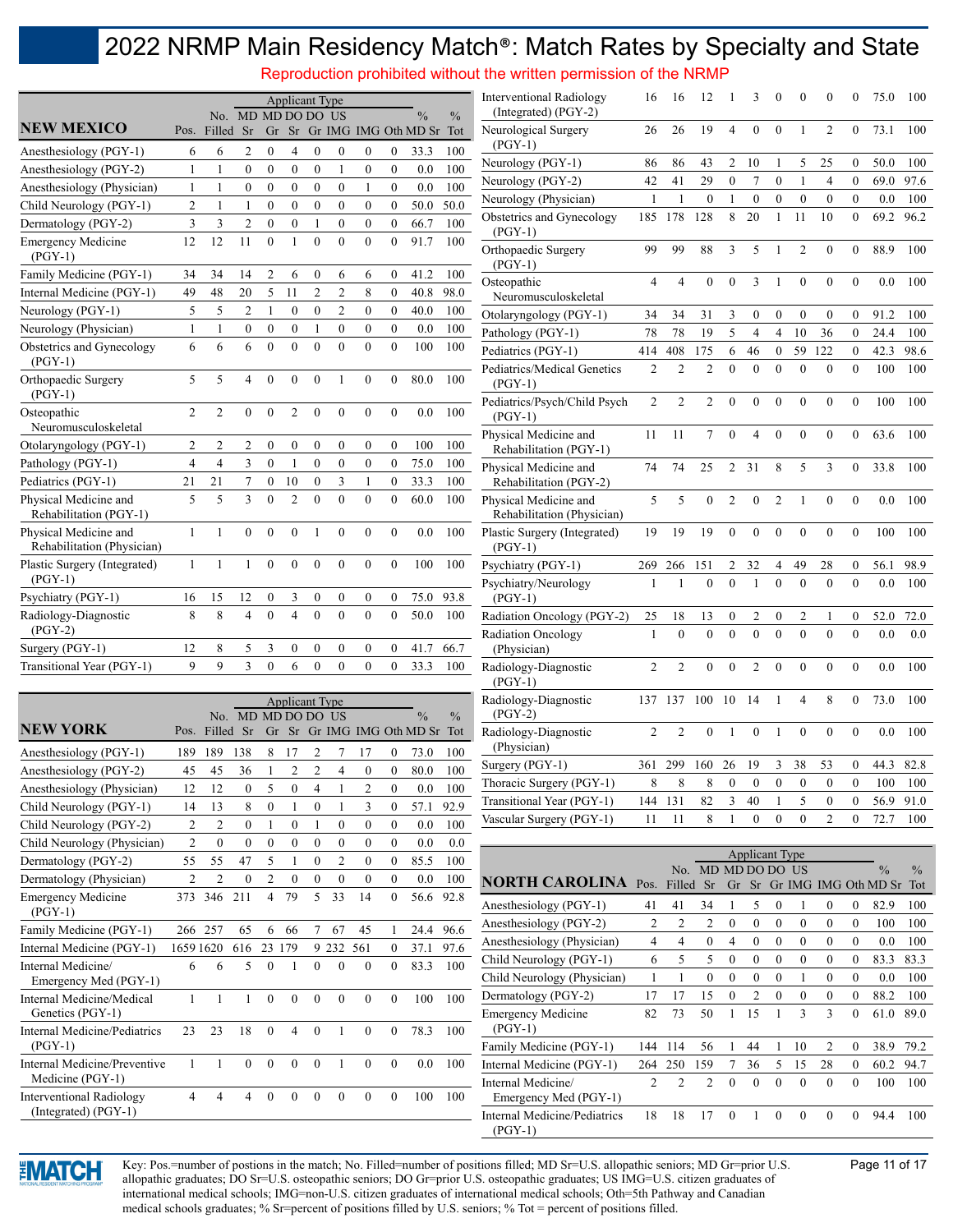Reproduction prohibited without the written permission of the NRMP

|                                                     |                |                | No. MD MD DO DO US |                  |                  | <b>Applicant Type</b> |                |                  |                  | $\%$                           | $\frac{0}{0}$ | Interventional Radiology<br>(Integrated) (PGY-2)    | 16             | 16             | 12              |                  | 3              | $\boldsymbol{0}$ | $\Omega$         |                | $^{(1)}$         | 75.0 | 100  |
|-----------------------------------------------------|----------------|----------------|--------------------|------------------|------------------|-----------------------|----------------|------------------|------------------|--------------------------------|---------------|-----------------------------------------------------|----------------|----------------|-----------------|------------------|----------------|------------------|------------------|----------------|------------------|------|------|
| <b>NEW MEXICO</b>                                   |                | Pos. Filled Sr |                    |                  |                  |                       |                |                  |                  | Gr Sr Gr IMG IMG Oth MD Sr Tot |               | Neurological Surgery                                | 26             | 26             | 19              | 4                | $\theta$       | $\theta$         |                  | 2              | $\theta$         | 73.1 | 100  |
| Anesthesiology (PGY-1)                              | 6              | 6              | 2                  | $\boldsymbol{0}$ | 4                | $\theta$              | $\theta$       | $\boldsymbol{0}$ | $\boldsymbol{0}$ | 33.3                           | 100           | $(PGY-1)$                                           |                |                |                 |                  |                |                  |                  |                |                  |      |      |
| Anesthesiology (PGY-2)                              | $\mathbf{1}$   | 1              | $\theta$           | $\mathbf{0}$     | $\theta$         | $\Omega$              | $\mathbf{1}$   | $\theta$         | $\mathbf{0}$     | 0.0                            | 100           | Neurology (PGY-1)                                   | 86             | 86             | 43              | $\overline{2}$   | 10             | $\mathbf{1}$     | 5                | 25             | $\boldsymbol{0}$ | 50.0 | 100  |
| Anesthesiology (Physician)                          | 1              | 1              | $\overline{0}$     | $\theta$         | $\theta$         | $\mathbf{0}$          | $\mathbf{0}$   | 1                | $\mathbf{0}$     | 0.0                            | 100           | Neurology (PGY-2)                                   | 42             | 41             | 29              | $\mathbf{0}$     | 7              | $\mathbf{0}$     | $\mathbf{1}$     | $\overline{4}$ | $\mathbf{0}$     | 69.0 | 97.6 |
| Child Neurology (PGY-1)                             | 2              | -1             |                    | $\theta$         | $\mathbf{0}$     | $\mathbf{0}$          | $\overline{0}$ | $\mathbf{0}$     | $\boldsymbol{0}$ | 50.0                           | 50.0          | Neurology (Physician)                               | -1             |                | $\overline{0}$  | $\mathbf{1}$     | $\mathbf{0}$   | $\boldsymbol{0}$ | $\boldsymbol{0}$ | $\bf{0}$       | $\mathbf{0}$     | 0.0  | 100  |
| Dermatology (PGY-2)                                 | 3              | 3              | $\overline{2}$     | $\mathbf{0}$     | $\mathbf{0}$     |                       | $\mathbf{0}$   | $\mathbf{0}$     | $\mathbf{0}$     | 66.7                           | 100           | Obstetrics and Gynecology                           | 185            | 178            | 128             | 8                | 20             | 1                | 11               | 10             | $\theta$         | 69.2 | 96.2 |
| <b>Emergency Medicine</b><br>$(PGY-1)$              | 12             | 12             | 11                 | $\overline{0}$   | $\mathbf{1}$     | $\theta$              | $\theta$       | $\theta$         | $\theta$         | 91.7                           | 100           | $(PGY-1)$<br>Orthopaedic Surgery<br>$(PGY-1)$       | 99             | 99             | 88              | 3                | 5              |                  | 2                | $\mathbf{0}$   | $\Omega$         | 88.9 | 100  |
| Family Medicine (PGY-1)                             | 34             | 34             | 14                 | $\overline{2}$   | 6                | $\mathbf{0}$          | 6              | 6                | $\mathbf{0}$     | 41.2                           | 100           | Osteopathic                                         | $\overline{4}$ | $\overline{4}$ | $\mathbf{0}$    | $\Omega$         | 3              |                  | $\theta$         | $\theta$       | $\theta$         | 0.0  | 100  |
| Internal Medicine (PGY-1)                           | 49             | 48             | 20                 | 5                | 11               | $\overline{2}$        | $\overline{2}$ | 8                | $\mathbf{0}$     | 40.8                           | 98.0          | Neuromusculoskeletal                                |                |                |                 |                  |                |                  |                  |                |                  |      |      |
| Neurology (PGY-1)                                   | 5              | 5              | 2                  | $\mathbf{1}$     | $\mathbf{0}$     | $\mathbf{0}$          | $\overline{2}$ | $\mathbf{0}$     | $\mathbf{0}$     | 40.0                           | 100           | Otolaryngology (PGY-1)                              | 34             | 34             | 31              | 3                | $\mathbf{0}$   | $\mathbf{0}$     | $\theta$         | $\theta$       | $\Omega$         | 91.2 | 100  |
| Neurology (Physician)                               | $\mathbf{1}$   | $\mathbf{1}$   | $\mathbf{0}$       | $\mathbf{0}$     | $\boldsymbol{0}$ | $\mathbf{1}$          | $\mathbf{0}$   | $\mathbf{0}$     | $\mathbf{0}$     | 0.0                            | 100           | Pathology (PGY-1)                                   | 78             | 78             | 19              | 5                | $\overline{4}$ | $\overline{4}$   | 10               | 36             | $\mathbf{0}$     | 24.4 | 100  |
| Obstetrics and Gynecology                           | 6              | 6              | 6                  | $\overline{0}$   | $\theta$         | $\theta$              | $\theta$       | $\theta$         | $\theta$         | 100                            | 100           | Pediatrics (PGY-1)                                  | 414            | 408            | 175             | 6                | 46             | $\mathbf{0}$     | 59               | 122            | $\mathbf{0}$     | 42.3 | 98.6 |
| $(PGY-1)$                                           |                |                |                    |                  |                  |                       |                |                  |                  |                                |               | Pediatrics/Medical Genetics                         | 2              | $\overline{2}$ | $\overline{2}$  | $\Omega$         | $\Omega$       | $\Omega$         | $\theta$         | $\mathbf{0}$   | $\theta$         | 100  | 100  |
| Orthopaedic Surgery<br>$(PGY-1)$                    | 5              | 5              | 4                  | $\mathbf{0}$     | $\mathbf{0}$     | $\theta$              |                | $\mathbf{0}$     | $\theta$         | 80.0                           | 100           | $(PGY-1)$                                           |                |                |                 |                  |                |                  |                  |                |                  |      |      |
| Osteopathic<br>Neuromusculoskeletal                 | $\overline{2}$ | $\overline{2}$ | $\theta$           | $\theta$         | $\overline{c}$   | $\Omega$              | $\theta$       | $\theta$         | $\theta$         | 0.0                            | 100           | Pediatrics/Psych/Child Psych<br>$(PGY-1)$           | 2              | $\overline{2}$ | 2               | $\theta$         | $\theta$       | $\theta$         | $\theta$         | $\theta$       | $\theta$         | 100  | 100  |
| Otolaryngology (PGY-1)                              | 2              | 2              | 2                  | $\mathbf{0}$     | $\mathbf{0}$     | $\mathbf{0}$          | $\mathbf{0}$   | $\mathbf{0}$     | $\mathbf{0}$     | 100                            | 100           | Physical Medicine and                               | 11             | 11             | $7\overline{ }$ | $\theta$         | 4              | $\theta$         | $\boldsymbol{0}$ | $\mathbf{0}$   | $\theta$         | 63.6 | 100  |
| Pathology (PGY-1)                                   | $\overline{4}$ | $\overline{4}$ | 3                  | $\mathbf{0}$     | $\mathbf{1}$     | $\mathbf{0}$          | $\mathbf{0}$   | $\mathbf{0}$     | $\overline{0}$   | 75.0                           | 100           | Rehabilitation (PGY-1)                              |                |                |                 |                  |                |                  |                  |                |                  |      |      |
| Pediatrics (PGY-1)                                  | 21             | 21             |                    | $\mathbf{0}$     | 10               | $\mathbf{0}$          | 3              | 1                | $\overline{0}$   | 33.3                           | 100           | Physical Medicine and<br>Rehabilitation (PGY-2)     | 74             | 74             | 25              | 2                | 31             | 8                | 5                | 3              | $\theta$         | 33.8 | 100  |
| Physical Medicine and<br>Rehabilitation (PGY-1)     | 5              | 5              | 3                  | $\theta$         | $\overline{c}$   | $\Omega$              | $\theta$       | $\theta$         | $\theta$         | 60.0                           | 100           | Physical Medicine and<br>Rehabilitation (Physician) | 5              | 5              | $\mathbf{0}$    | 2                | $\mathbf{0}$   | 2                |                  | $\mathbf{0}$   | $\theta$         | 0.0  | 100  |
| Physical Medicine and<br>Rehabilitation (Physician) | $\mathbf{1}$   |                | $\Omega$           | $\Omega$         | $\mathbf{0}$     |                       | $\theta$       | $\mathbf{0}$     | $\theta$         | 0.0                            | 100           | Plastic Surgery (Integrated)<br>$(PGY-1)$           | 19             | 19             | 19              | $\theta$         | $\theta$       | $\mathbf{0}$     | $\theta$         | $\theta$       | $\theta$         | 100  | 100  |
| Plastic Surgery (Integrated)                        | $\mathbf{1}$   | 1              | 1                  | $\mathbf{0}$     | $\mathbf{0}$     | $\mathbf{0}$          | $\mathbf{0}$   | $\mathbf{0}$     | $\mathbf{0}$     | 100                            | 100           | Psychiatry (PGY-1)                                  | 269            | 266            | 151             | 2                | 32             | 4                | 49               | 28             | $\bf{0}$         | 56.1 | 98.9 |
| $(PGY-1)$                                           |                |                |                    |                  |                  |                       |                |                  |                  |                                |               | Psychiatry/Neurology                                | 1              |                | $\theta$        | $\theta$         |                | $\theta$         | $\theta$         | $\theta$       | $\theta$         | 0.0  | 100  |
| Psychiatry (PGY-1)                                  | 16             | 15             | 12                 | $\boldsymbol{0}$ | 3                | $\mathbf{0}$          | $\mathbf{0}$   | $\mathbf{0}$     | $\boldsymbol{0}$ | 75.0                           | 93.8          | $(PGY-1)$                                           |                |                |                 |                  |                |                  |                  |                |                  |      |      |
| Radiology-Diagnostic<br>$(PGY-2)$                   | 8              | 8              | $\overline{4}$     | $\mathbf{0}$     | $\overline{4}$   | $\theta$              | $\theta$       | $\mathbf{0}$     | $\mathbf{0}$     | 50.0                           | 100           | Radiation Oncology (PGY-2)                          | 25             | 18             | 13              | $\boldsymbol{0}$ | 2              | $\boldsymbol{0}$ | 2                |                | $\bf{0}$         | 52.0 | 72.0 |
| Surgery (PGY-1)                                     | 12             | 8              | 5                  | 3                | $\mathbf{0}$     | $\mathbf{0}$          | $\mathbf{0}$   | $\theta$         | $\theta$         | 41.7                           | 66.7          | <b>Radiation Oncology</b><br>(Physician)            | $\mathbf{1}$   | $\theta$       | $\theta$        | $\Omega$         | $\Omega$       | $\Omega$         | $\theta$         | $\Omega$       | $\Omega$         | 0.0  | 0.0  |
| Transitional Year (PGY-1)                           | 9              | $\mathbf{Q}$   | 3                  | $\mathbf{0}$     | 6                | $\theta$              | $\theta$       | $\mathbf{0}$     | $\mathbf{0}$     | 33.3                           | 100           | Radiology-Diagnostic<br>$(PGY-1)$                   | 2              | $\overline{2}$ | $\overline{0}$  | $\mathbf{0}$     | 2              | $\boldsymbol{0}$ | $\boldsymbol{0}$ | $\mathbf{0}$   | $\theta$         | 0.0  | 100  |
|                                                     |                |                | No. MD MD DO DO US |                  |                  | <b>Applicant Type</b> |                |                  |                  | $\frac{0}{0}$                  | $\frac{0}{0}$ | Radiology-Diagnostic<br>$(PGY-2)$                   |                |                | 137 137 100 10  |                  | 14             |                  | $\overline{4}$   | 8              | $\theta$         | 73.0 | 100  |
| <b>NEW YORK</b>                                     |                | Pos. Filled Sr |                    |                  |                  |                       |                |                  |                  | Gr Sr Gr IMG IMG Oth MD Sr Tot |               | Radiology-Diagnostic                                | $\overline{2}$ | $\overline{2}$ | $\theta$        | 1                | $\theta$       | $\mathbf{1}$     | $\theta$         | $\theta$       | $\theta$         | 0.0  | 100  |
| Anesthesiology (PGY-1)                              | 189            | 189            | 138                | 8                | -17              | 2                     | 7              | 17               | $\mathbf{0}$     | 73.0                           | 100           | (Physician)                                         |                |                |                 |                  |                |                  |                  |                |                  |      |      |
| Anoethooiolow (DCV)                                 | $\sqrt{5}$     | $\sqrt{5}$     | 36                 |                  | $\mathcal{L}$    | $\gamma$              |                | $\Omega$         | $\Omega$         | 900                            | 100           | Surgery (PGY-1)                                     | 361            | 299            | 160 26          |                  | 19             | 3                | 38               | 53             | $\Omega$         | 44.3 | 82.8 |

| Pos.           |                | Sr               |                | <b>Sr</b>      |                          |                |                |          |      | Tot                  |
|----------------|----------------|------------------|----------------|----------------|--------------------------|----------------|----------------|----------|------|----------------------|
| 189            | 189            | 138              | 8              | 17             | 2                        | 7              | 17             | $\theta$ | 73.0 | 100                  |
| 45             | 45             | 36               | 1              | $\mathfrak{D}$ | $\mathfrak{D}$           | 4              | $\Omega$       | $\Omega$ | 80.0 | 100                  |
| 12             | 12             | $\theta$         | 5              | $\theta$       | 4                        | 1              | $\overline{c}$ | $\theta$ | 0.0  | 100                  |
| 14             | 13             | 8                | $\theta$       | 1              | $\theta$                 | 1              | 3              | $\theta$ | 57.1 | 92.9                 |
| $\overline{2}$ | $\overline{2}$ | $\theta$         | 1              | $\theta$       | 1                        | $\theta$       | $\theta$       | $\theta$ | 0.0  | 100                  |
| $\overline{2}$ | $\mathbf{0}$   | $\theta$         | $\theta$       | $\theta$       | $\theta$                 | $\theta$       | $\theta$       | $\theta$ | 0.0  | 0.0                  |
| 55             | 55             | 47               | 5              | 1              | $\theta$                 | $\mathfrak{D}$ | $\theta$       | $\theta$ | 85.5 | 100                  |
| $\overline{2}$ | $\overline{2}$ | $\theta$         | $\mathfrak{D}$ | $\Omega$       | $\theta$                 | $\theta$       | $\theta$       | $\theta$ | 0.0  | 100                  |
| 373            | 346            | 211              | $\overline{4}$ | 79             | $\overline{\phantom{0}}$ | 33             | 14             | $\theta$ | 56.6 | 92.8                 |
|                | 257            | 65               | 6              | 66             | 7                        | 67             | 45             | 1        | 24.4 | 96.6                 |
|                |                | 616              | 23             | 179            | 9                        | 232            |                | $\theta$ | 37.1 | 97.6                 |
| 6              | 6              | 5                | $\theta$       | 1              | $\theta$                 | $\theta$       | $\theta$       | $\theta$ | 83.3 | 100                  |
| 1              | 1              | 1                | $\theta$       | $\theta$       | $\theta$                 | $\theta$       | $\theta$       | $\theta$ | 100  | 100                  |
| 23             | 23             | 18               | $\theta$       | 4              | $\theta$                 | 1              | $\theta$       | $\theta$ | 78.3 | 100                  |
| 1              | 1              | $\theta$         | $\theta$       | $\theta$       | $\theta$                 | 1              | $\theta$       | $\theta$ | 0.0  | 100                  |
| 4              | 4              | 4                | $\theta$       | $\theta$       | $\theta$                 | $\theta$       | $\theta$       | $\theta$ | 100  | 100                  |
|                |                | 266<br>1659 1620 | Filled         |                | Gr                       | MD MD DO DO    |                | 561      |      | Gr IMG IMG Oth MD Sr |

|                                           |                |                |                |                | <b>Applicant Type</b> |          |          |                |                  |                      |               |
|-------------------------------------------|----------------|----------------|----------------|----------------|-----------------------|----------|----------|----------------|------------------|----------------------|---------------|
|                                           |                | No.            | MD MD DO DO US |                |                       |          |          |                |                  | $\frac{0}{0}$        | $\frac{0}{0}$ |
| <b>NORTH CAROLINA</b>                     | Pos.           | Filled         | Sr             | Gr             | Sr                    |          |          |                |                  | Gr IMG IMG Oth MD Sr | Tot           |
| Anesthesiology (PGY-1)                    | 41             | 41             | 34             | 1              | 5                     | $\theta$ | 1        | $\theta$       | $\theta$         | 82.9                 | 100           |
| Anesthesiology (PGY-2)                    | $\overline{2}$ | $\mathfrak{D}$ | $\overline{2}$ | $\theta$       | $\theta$              | $\theta$ | $\theta$ | $\theta$       | $\theta$         | 100                  | 100           |
| Anesthesiology (Physician)                | 4              | 4              | $\mathbf{0}$   | $\overline{4}$ | $\theta$              | $\theta$ | $\theta$ | $\theta$       | $\theta$         | 0.0                  | 100           |
| Child Neurology (PGY-1)                   | 6              | 5              | 5              | $\theta$       | $\theta$              | $\theta$ | $\theta$ | $\theta$       | $\theta$         | 83.3                 | 83.3          |
| Child Neurology (Physician)               | 1              | 1              | $\theta$       | $\Omega$       | $\theta$              | $\Omega$ | 1        | $\Omega$       | $\theta$         | 0.0                  | 100           |
| Dermatology (PGY-2)                       | 17             | 17             | 15             | $\theta$       | $\overline{2}$        | $\theta$ | $\theta$ | $\theta$       | $\boldsymbol{0}$ | 88.2                 | 100           |
| <b>Emergency Medicine</b>                 | 82             | 73             | 50             | 1              | 15                    | 1        | 3        | 3              | $\theta$         | 61.0                 | 89.0          |
| $(PGY-1)$                                 |                |                |                |                |                       |          |          |                |                  |                      |               |
| Family Medicine (PGY-1)                   | 144            | 114            | 56             | 1              | 44                    | 1        | 10       | $\overline{2}$ | $\theta$         | 38.9                 | 79.2          |
| Internal Medicine (PGY-1)                 | 264            | 250            | 159            | 7              | 36                    | 5        | 15       | 28             | $\theta$         | 60.2                 | 94.7          |
| Internal Medicine/                        | $\overline{2}$ | $\overline{2}$ | $\overline{2}$ | $\theta$       | $\theta$              | $\theta$ | $\theta$ | $\theta$       | $\theta$         | 100                  | 100           |
| Emergency Med (PGY-1)                     |                |                |                |                |                       |          |          |                |                  |                      |               |
| Internal Medicine/Pediatrics<br>$(PGY-1)$ | 18             | 18             | 17             | $\theta$       | 1                     | $\theta$ | $\theta$ | $\theta$       | $\theta$         | 94.4                 | 100           |

Thoracic Surgery (PGY-1) 8 8 8 0 0 0 0 0 0 100 100 Transitional Year (PGY-1) 144 131 82 3 40 1 5 0 56.9 91.0 0 Vascular Surgery (PGY-1) 11 11 8 1 0 0 0 2 0 72.7 100



Key: Pos.=number of postions in the match; No. Filled=number of positions filled; MD Sr=U.S. allopathic seniors; MD Gr=prior U.S. Page 11 of 17 allopathic graduates; DO Sr=U.S. osteopathic seniors; DO Gr=prior U.S. osteopathic graduates; US IMG=U.S. citizen graduates of international medical schools; IMG=non-U.S. citizen graduates of international medical schools; Oth=5th Pathway and Canadian medical schools graduates; % Sr=percent of positions filled by U.S. seniors; % Tot = percent of positions filled.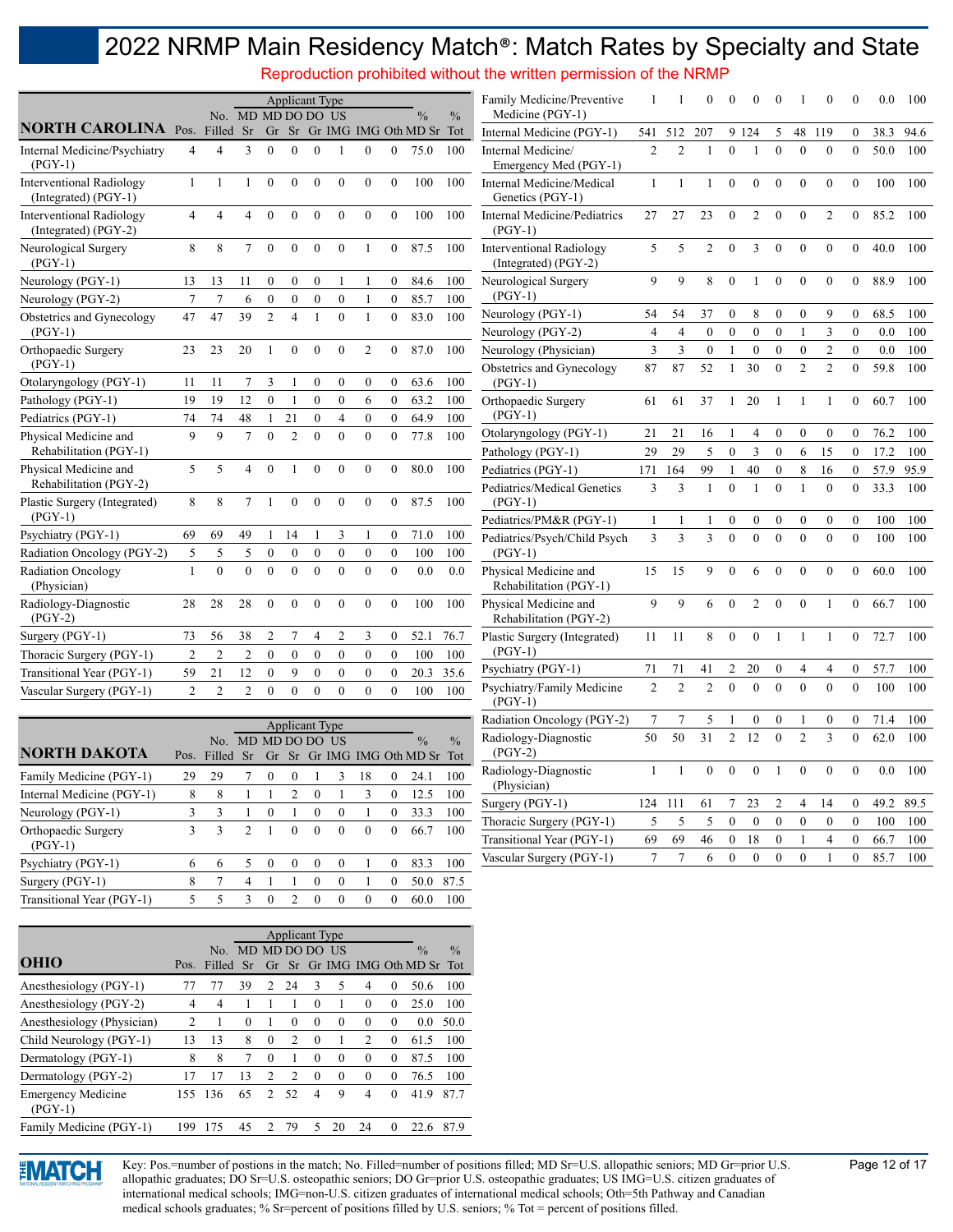Reproduction prohibited without the written permission of the NRMP

|                                                           |                |                |                    |                  | <b>Applicant Type</b>     |                  |                |                |                |                                |               | Family Medicine/Preventive                              |                |                | 0              |                  |                  | $\bf{0}$         |                  | $\theta$       | $\mathbf{0}$     | 0.0  | 100  |
|-----------------------------------------------------------|----------------|----------------|--------------------|------------------|---------------------------|------------------|----------------|----------------|----------------|--------------------------------|---------------|---------------------------------------------------------|----------------|----------------|----------------|------------------|------------------|------------------|------------------|----------------|------------------|------|------|
|                                                           |                |                | No. MD MD DO DO US |                  |                           |                  |                |                |                | $\frac{0}{0}$                  | $\frac{0}{0}$ | Medicine (PGY-1)                                        |                |                |                |                  |                  |                  |                  |                |                  |      |      |
| <b>NORTH CAROLINA Pos.</b>                                |                | Filled Sr      |                    |                  |                           |                  |                |                |                | Gr Sr Gr IMG IMG Oth MD Sr Tot |               | Internal Medicine (PGY-1)                               |                | 541 512        | 207            |                  | 9 1 2 4          | 5                | 48               | 119            | $\overline{0}$   | 38.3 | 94.6 |
| Internal Medicine/Psychiatry<br>$(PGY-1)$                 | 4              | 4              | 3                  | $\Omega$         | $\theta$                  | $\theta$         |                | $\theta$       | $\Omega$       | 75.0                           | 100           | Internal Medicine/<br>Emergency Med (PGY-1)             | 2              | $\mathfrak{D}$ |                | $\Omega$         |                  | $\theta$         | $\theta$         | $\theta$       | $\theta$         | 50.0 | 100  |
| <b>Interventional Radiology</b><br>(Integrated) (PGY-1)   | $\mathbf{1}$   | $\mathbf{1}$   |                    | $\theta$         | $\theta$                  | $\theta$         | $\theta$       | $\mathbf{0}$   | $\Omega$       | 100                            | 100           | Internal Medicine/Medical<br>Genetics (PGY-1)           | $\mathbf{1}$   |                |                | $\Omega$         | $\theta$         | $\theta$         | $\theta$         | $\theta$       | $\Omega$         | 100  | 100  |
| <b>Interventional Radiology</b><br>$(Integrated) (PGY-2)$ | 4              | 4              | 4                  | $\theta$         | $\theta$                  | $\theta$         | $\theta$       | $\mathbf{0}$   | $\Omega$       | 100                            | 100           | Internal Medicine/Pediatrics<br>$(PGY-1)$               | 27             | 27             | 23             | $\theta$         | $\overline{2}$   | $\theta$         | $\theta$         | $\overline{2}$ | $\Omega$         | 85.2 | 100  |
| Neurological Surgery<br>$(PGY-1)$                         | 8              | 8              |                    | $\Omega$         | $\mathbf{0}$              | $\overline{0}$   | $\theta$       |                | $\Omega$       | 87.5                           | 100           | <b>Interventional Radiology</b><br>(Integrated) (PGY-2) | 5              | 5              | 2              | $\Omega$         | 3                | $\theta$         | $\mathbf{0}$     | $\theta$       | $\theta$         | 40.0 | 100  |
| Neurology (PGY-1)                                         | 13             | 13             | 11                 | $\Omega$         | $\theta$                  | $\mathbf{0}$     |                |                | $\Omega$       | 84.6                           | 100           | Neurological Surgery                                    | 9              | 9              | 8              | $\theta$         |                  | $\Omega$         | $\Omega$         | $\theta$       | $\Omega$         | 88.9 | 100  |
| Neurology (PGY-2)                                         | 7              | 7              | 6                  | $\mathbf{0}$     | $\mathbf{0}$              | $\mathbf{0}$     | $\mathbf{0}$   |                | $\mathbf{0}$   | 85.7                           | 100           | $(PGY-1)$                                               |                |                |                |                  |                  |                  |                  |                |                  |      |      |
| Obstetrics and Gynecology                                 | 47             | 47             | 39                 | $\overline{2}$   | $\overline{4}$            |                  | $\theta$       |                | $\theta$       | 83.0                           | 100           | Neurology (PGY-1)                                       | 54             | 54             | 37             | $\boldsymbol{0}$ | 8                | $\mathbf{0}$     | $\mathbf{0}$     | 9              | $\theta$         | 68.5 | 100  |
| $(PGY-1)$                                                 |                |                |                    |                  |                           |                  |                |                |                |                                |               | Neurology (PGY-2)                                       | 4              | 4              | $\mathbf{0}$   | $\mathbf{0}$     | $\mathbf{0}$     | $\mathbf{0}$     |                  | 3              | $\mathbf{0}$     | 0.0  | 100  |
| Orthopaedic Surgery                                       | 23             | 23             | 20                 | $\mathbf{1}$     | $\mathbf{0}$              | $\mathbf{0}$     | $\Omega$       | $\overline{2}$ | $\overline{0}$ | 87.0                           | 100           | Neurology (Physician)                                   | 3              | 3              | $\mathbf{0}$   |                  | $\theta$         | $\theta$         | $\mathbf{0}$     | 2              | $\mathbf{0}$     | 0.0  | 100  |
| $(PGY-1)$                                                 |                |                |                    |                  |                           |                  |                |                |                |                                |               | Obstetrics and Gynecology                               | 87             | 87             | 52             |                  | 30               | $\theta$         | $\overline{c}$   | $\overline{2}$ | $\Omega$         | 59.8 | 100  |
| Otolaryngology (PGY-1)                                    | 11             | 11             |                    | 3                |                           | $\boldsymbol{0}$ | $\mathbf{0}$   | $\mathbf{0}$   | $\overline{0}$ | 63.6                           | 100           | $(PGY-1)$                                               |                |                |                |                  |                  |                  |                  |                |                  |      |      |
| Pathology (PGY-1)                                         | 19             | 19             | 12                 | $\mathbf{0}$     |                           | $\mathbf{0}$     | $\mathbf{0}$   | 6              | $\mathbf{0}$   | 63.2                           | 100           | Orthopaedic Surgery                                     | 61             | 61             | 37             | 1                | 20               |                  |                  |                | $\mathbf{0}$     | 60.7 | 100  |
| Pediatrics (PGY-1)                                        | 74             | 74             | 48                 |                  | 21                        | $\mathbf{0}$     | $\overline{4}$ | $\theta$       | $\Omega$       | 64.9                           | 100           | $(PGY-1)$                                               |                |                |                |                  |                  |                  |                  |                |                  |      |      |
| Physical Medicine and                                     | 9              | 9              | 7                  | $\Omega$         | $\overline{2}$            | $\theta$         | $\Omega$       | $\theta$       | $\Omega$       | 77.8                           | 100           | Otolaryngology (PGY-1)                                  | 21             | 21             | 16             |                  | 4                | $\mathbf{0}$     | $\mathbf{0}$     | $\mathbf{0}$   | $\mathbf{0}$     | 76.2 | 100  |
| Rehabilitation (PGY-1)                                    |                |                |                    |                  |                           |                  |                |                |                |                                |               | Pathology (PGY-1)                                       | 29             | 29             | 5              | $\theta$         | 3                | $\mathbf{0}$     | 6                | 15             | $\mathbf{0}$     | 17.2 | 100  |
| Physical Medicine and<br>Rehabilitation (PGY-2)           | 5              | 5              | 4                  | $\theta$         |                           | $\theta$         | $\theta$       | $\theta$       | $\Omega$       | 80.0                           | 100           | Pediatrics (PGY-1)                                      | 171            | 164            | 99             | 1                | 40               | $\theta$         | 8                | 16             | $\Omega$         | 57.9 | 95.9 |
| Plastic Surgery (Integrated)                              | 8              | 8              |                    | $\mathbf{1}$     | $\theta$                  | $\theta$         | $\theta$       | $\theta$       | $\theta$       | 87.5                           | 100           | Pediatrics/Medical Genetics<br>$(PGY-1)$                | 3              | 3              | 1              | $\theta$         |                  | $\theta$         |                  | $\mathbf{0}$   | $\Omega$         | 33.3 | 100  |
| $(PGY-1)$                                                 |                |                |                    |                  |                           |                  |                |                |                |                                |               | Pediatrics/PM&R (PGY-1)                                 |                |                |                | $\boldsymbol{0}$ | $\boldsymbol{0}$ | $\boldsymbol{0}$ | $\boldsymbol{0}$ | $\mathbf{0}$   | $\mathbf{0}$     | 100  | 100  |
| Psychiatry (PGY-1)                                        | 69             | 69             | 49                 |                  | 14                        |                  | 3              |                | $\mathbf{0}$   | 71.0                           | 100           | Pediatrics/Psych/Child Psych                            | 3              | 3              | 3              | $\Omega$         |                  | $\Omega$         | $\theta$         | $\theta$       | $\theta$         | 100  | 100  |
| Radiation Oncology (PGY-2)                                | 5              | 5              | 5                  | $\boldsymbol{0}$ | $\mathbf{0}$              | $\mathbf{0}$     | $\mathbf{0}$   | $\mathbf{0}$   | $\mathbf{0}$   | 100                            | 100           | $(PGY-1)$                                               |                |                |                |                  |                  |                  |                  |                |                  |      |      |
| <b>Radiation Oncology</b><br>(Physician)                  | 1              | $\theta$       | $\Omega$           | $\theta$         | $\theta$                  | $\theta$         | $\theta$       | $\theta$       | $\theta$       | 0.0                            | 0.0           | Physical Medicine and<br>Rehabilitation (PGY-1)         | 15             | 15             | 9              | $\Omega$         |                  | $\Omega$         | $\Omega$         | $\theta$       | $\Omega$         | 60.0 | 100  |
| Radiology-Diagnostic<br>$(PGY-2)$                         | 28             | 28             | 28                 | $\theta$         | $\theta$                  | $\theta$         | $\Omega$       | $\Omega$       | $\Omega$       | 100                            | 100           | Physical Medicine and<br>Rehabilitation (PGY-2)         | 9              | 9              | 6              | $\theta$         | $\overline{c}$   | $\theta$         | $\theta$         |                | $\theta$         | 66.7 | 100  |
| Surgery (PGY-1)                                           | 73             | 56             | 38                 | $\overline{2}$   | $\overline{7}$            | $\overline{4}$   | $\overline{2}$ | 3              | $\mathbf{0}$   | 52.1                           | 76.7          | Plastic Surgery (Integrated)                            | 11             | -11            | 8              | $\theta$         | $\theta$         | -1               |                  |                | $\theta$         | 72.7 | 100  |
| Thoracic Surgery (PGY-1)                                  | $\overline{2}$ | $\overline{2}$ | 2                  | $\mathbf{0}$     | $\mathbf{0}$              | $\mathbf{0}$     | $\mathbf{0}$   | $\mathbf{0}$   | $\mathbf{0}$   | 100                            | 100           | $(PGY-1)$                                               |                |                |                |                  |                  |                  |                  |                |                  |      |      |
| Transitional Year (PGY-1)                                 | 59             | 21             | 12                 | $\theta$         | 9                         | $\mathbf{0}$     | $\mathbf{0}$   | $\mathbf{0}$   | $\mathbf{0}$   | 20.3                           | 35.6          | Psychiatry (PGY-1)                                      | 71             | 71             | 41             | $\overline{c}$   | 20               | $\boldsymbol{0}$ | 4                | 4              | $\boldsymbol{0}$ | 57.7 | 100  |
| Vascular Surgery (PGY-1)                                  | $\mathfrak{D}$ | $\mathfrak{D}$ | $\overline{2}$     | $\theta$         | $\Omega$                  | $\Omega$         | $\Omega$       | $\Omega$       | $\Omega$       | 100                            | 100           | Psychiatry/Family Medicine<br>$(PGY-1)$                 | $\mathfrak{D}$ | $\mathfrak{D}$ | $\mathfrak{D}$ | $\Omega$         | $\Omega$         | $\Omega$         | $\Omega$         | $\Omega$       | $\Omega$         | 100  | 100  |
|                                                           |                |                |                    |                  | $\mathbf{A} = \mathbf{A}$ | $\sim$           |                |                |                |                                |               | Radiation Oncology (PGY-2)                              |                | 7              | 5              |                  | $\theta$         | $\theta$         |                  | $\theta$       | $\theta$         | 71.4 | 100  |

|                                  |      |        |                |                |               |          | <b>Applicant Type</b> |          |          |                                |               |
|----------------------------------|------|--------|----------------|----------------|---------------|----------|-----------------------|----------|----------|--------------------------------|---------------|
|                                  |      | No.    |                | MD MD DO DO US |               |          |                       |          |          | $\frac{0}{0}$                  | $\frac{0}{0}$ |
| <b>NORTH DAKOTA</b>              | Pos. | Filled | Sr             |                |               |          |                       |          |          | Gr Sr Gr IMG IMG Oth MD Sr Tot |               |
| Family Medicine (PGY-1)          | 29   | 29     |                | $\Omega$       | $\theta$      |          | 3                     | 18       | 0        | 24.1                           | 100           |
| Internal Medicine (PGY-1)        | 8    | 8      |                |                | $\mathcal{L}$ | $\theta$ |                       | 3        | $\Omega$ | 12.5                           | 100           |
| Neurology (PGY-1)                | 3    | 3      |                | $\Omega$       |               | $\Omega$ | $\theta$              |          | $\theta$ | 33.3                           | 100           |
| Orthopaedic Surgery<br>$(PGY-1)$ | 3    | 3      | $\mathfrak{D}$ |                | $\Omega$      | $\theta$ | $\theta$              | $\Omega$ | $\Omega$ | 66.7                           | 100           |
| Psychiatry (PGY-1)               | 6    | 6      | 5              | $\Omega$       | $\theta$      | $\Omega$ | $\theta$              |          | $\Omega$ | 83.3                           | 100           |
| Surgery (PGY-1)                  | 8    | 7      | 4              |                |               | $\theta$ | $\theta$              |          | 0        | 50.0                           | 87.5          |
| Transitional Year (PGY-1)        | 5    | 5      | ٩              | $\Omega$       | C             | $\Omega$ | $\Omega$              | $\Omega$ | $\Omega$ | 60.0                           | 100           |

|                                        |                |                    |          |                | <b>Applicant Type</b> |          |          |                |          |                            |               |
|----------------------------------------|----------------|--------------------|----------|----------------|-----------------------|----------|----------|----------------|----------|----------------------------|---------------|
|                                        |                | No. MD MD DO DO US |          |                |                       |          |          |                |          | $\frac{0}{0}$              | $\frac{0}{0}$ |
| <b>OHIO</b>                            | Pos.           | Filled             | Sr       |                |                       |          |          |                |          | Gr Sr Gr IMG IMG Oth MD Sr | Tot           |
| Anesthesiology (PGY-1)                 | 77             | 77                 | 39       | $\mathcal{D}$  | 24                    | 3        | 5        | 4              | $\Omega$ | 50.6                       | 100           |
| Anesthesiology (PGY-2)                 | 4              | 4                  |          |                |                       | $\theta$ |          | 0              | $\Omega$ | 25.0                       | 100           |
| Anesthesiology (Physician)             | $\overline{c}$ |                    | $\Omega$ |                | $\theta$              | $\theta$ | $\theta$ | $\theta$       | $\theta$ | 0.0                        | 50.0          |
| Child Neurology (PGY-1)                | 13             | 13                 | 8        | $\Omega$       | $\mathfrak{D}$        | $\Omega$ |          | $\mathfrak{D}$ | $\Omega$ | 61.5                       | 100           |
| Dermatology (PGY-1)                    | 8              | 8                  |          | $\Omega$       |                       | $\Omega$ | $\theta$ | 0              | $\Omega$ | 87.5                       | 100           |
| Dermatology (PGY-2)                    | 17             | 17                 | 13       | $\mathfrak{D}$ | $\mathcal{L}$         | $\Omega$ | $\Omega$ | $\Omega$       | $\Omega$ | 76.5                       | 100           |
| <b>Emergency Medicine</b><br>$(PGY-1)$ | 155            | 136                | 65       | $\mathcal{D}$  | 52                    | 4        | 9        | 4              | $\Omega$ | 41.9                       | 87.7          |
| Family Medicine (PGY-1)                | 199            | 175                | 45       | 2              | 79                    | 5        | 20       | 24             | $\Omega$ | 22.6                       | 87.9          |



Vascular Surgery (PGY-1) 7 7 6 0 0 0 0 1 0 85.7 100



Key: Pos.=number of postions in the match; No. Filled=number of positions filled; MD Sr=U.S. allopathic seniors; MD Gr=prior U.S. Page 12 of 17 allopathic graduates; DO Sr=U.S. osteopathic seniors; DO Gr=prior U.S. osteopathic graduates; US IMG=U.S. citizen graduates of international medical schools; IMG=non-U.S. citizen graduates of international medical schools; Oth=5th Pathway and Canadian medical schools graduates; % Sr=percent of positions filled by U.S. seniors; % Tot = percent of positions filled.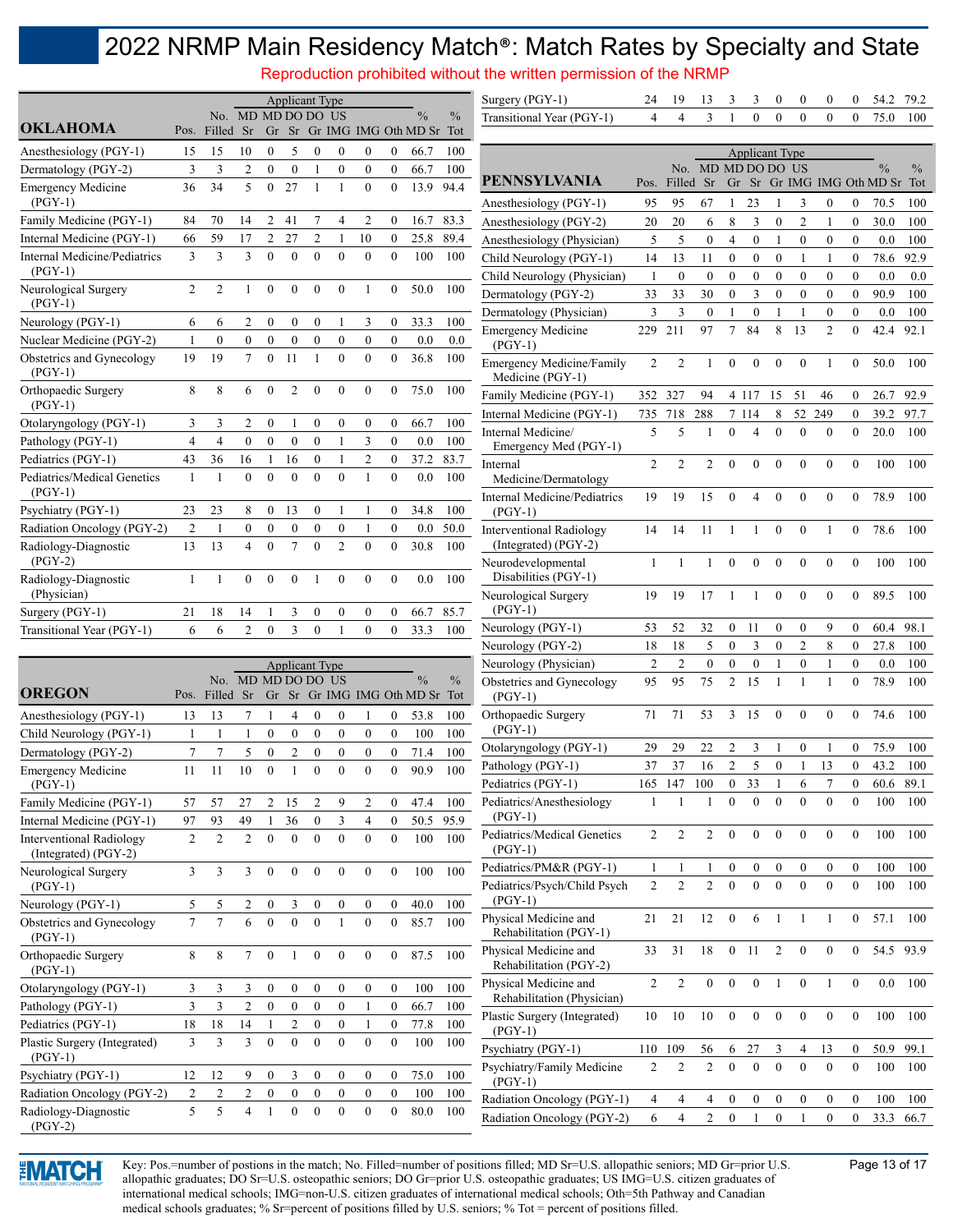Reproduction prohibited without the written permission of the NRMP

|                                                  |                     |                  |                    |                  |                                    | <b>Applicant Type</b> |                  |                  |                  |                                                 |      | Surgery (PGY-1)                                                   | 24             | 19             | 13                 | 3                | 3                        | 0                | $\boldsymbol{0}$ | $\boldsymbol{0}$ | $\boldsymbol{0}$ | 54.2                           | 79.2          |
|--------------------------------------------------|---------------------|------------------|--------------------|------------------|------------------------------------|-----------------------|------------------|------------------|------------------|-------------------------------------------------|------|-------------------------------------------------------------------|----------------|----------------|--------------------|------------------|--------------------------|------------------|------------------|------------------|------------------|--------------------------------|---------------|
| <b>OKLAHOMA</b>                                  | Pos.                | Filled Sr        | No. MD MD DO DO US |                  |                                    |                       |                  |                  |                  | $\frac{0}{0}$<br>Gr Sr Gr IMG IMG Oth MD Sr Tot | $\%$ | Transitional Year (PGY-1)                                         | 4              | 4              | 3                  |                  | $\mathbf{0}$             | $\overline{0}$   | $\mathbf{0}$     | $\mathbf{0}$     | $\theta$         | 75.0                           | 100           |
| Anesthesiology (PGY-1)                           | 15                  | 15               | 10                 | $\boldsymbol{0}$ | 5                                  | $\boldsymbol{0}$      | $\boldsymbol{0}$ | $\boldsymbol{0}$ | 0                | 66.7                                            | 100  |                                                                   |                |                |                    |                  | <b>Applicant Type</b>    |                  |                  |                  |                  |                                |               |
| Dermatology (PGY-2)                              | 3                   | 3                | $\overline{c}$     | $\boldsymbol{0}$ | $\boldsymbol{0}$                   |                       | $\boldsymbol{0}$ | $\boldsymbol{0}$ | $\boldsymbol{0}$ | 66.7                                            | 100  |                                                                   |                |                | No. MD MD DO DO US |                  |                          |                  |                  |                  |                  | $\frac{0}{0}$                  | $\frac{0}{0}$ |
| <b>Emergency Medicine</b>                        | 36                  | 34               | 5                  | $\mathbf{0}$     | 27                                 | 1                     |                  | $\theta$         | $\theta$         | 13.9                                            | 94.4 | <b>PENNSYLVANIA</b>                                               |                | Pos. Filled    | <b>Sr</b>          |                  |                          |                  |                  |                  |                  | Gr Sr Gr IMG IMG Oth MD Sr Tot |               |
| $(PGY-1)$                                        |                     |                  |                    |                  |                                    |                       |                  |                  |                  |                                                 |      | Anesthesiology (PGY-1)                                            | 95             | 95             | 67                 |                  | 23                       |                  | 3                | $\boldsymbol{0}$ | $\boldsymbol{0}$ | 70.5                           | 100           |
| Family Medicine (PGY-1)                          | 84                  | 70               | 14                 | 2                | 41                                 |                       | 4                | 2                | 0                | 16.7                                            | 83.3 | Anesthesiology (PGY-2)                                            | 20             | 20             | 6                  | $\,$ 8 $\,$      | 3                        | $\boldsymbol{0}$ | $\overline{2}$   | 1                | $\boldsymbol{0}$ | 30.0                           | 100           |
| Internal Medicine (PGY-1)                        | 66                  | 59               | 17                 | $\overline{c}$   | 27                                 | $\overline{c}$        | 1                | 10               | $\mathbf{0}$     | 25.8                                            | 89.4 | Anesthesiology (Physician)                                        | 5              | 5              | $\boldsymbol{0}$   | $\overline{4}$   | $\boldsymbol{0}$         | 1                | $\boldsymbol{0}$ | $\boldsymbol{0}$ | $\theta$         | 0.0                            | 100           |
| <b>Internal Medicine/Pediatrics</b>              | $\overline{3}$      | 3                | 3                  | $\theta$         | $\mathbf{0}$                       | $\theta$              | $\theta$         | $\mathbf{0}$     | $\theta$         | 100                                             | 100  | Child Neurology (PGY-1)                                           | 14             | 13             | 11                 | $\boldsymbol{0}$ | $\boldsymbol{0}$         | $\boldsymbol{0}$ | $\mathbf{1}$     | 1                | $\boldsymbol{0}$ | 78.6                           | 92.9          |
| $(PGY-1)$                                        |                     |                  |                    |                  |                                    |                       |                  |                  |                  |                                                 |      | Child Neurology (Physician)                                       | $\mathbf{1}$   | $\mathbf{0}$   | $\boldsymbol{0}$   | $\mathbf{0}$     | $\boldsymbol{0}$         | $\mathbf{0}$     | $\mathbf{0}$     | $\mathbf{0}$     | $\mathbf{0}$     | 0.0                            | 0.0           |
| Neurological Surgery<br>$(PGY-1)$                | 2                   | 2                | 1                  | $\mathbf{0}$     | $\mathbf{0}$                       | $\theta$              | $\mathbf{0}$     |                  | $\theta$         | 50.0                                            | 100  | Dermatology (PGY-2)                                               | 33             | 33             | 30                 | $\mathbf{0}$     | 3                        | $\mathbf{0}$     | $\mathbf{0}$     | $\mathbf{0}$     | $\mathbf{0}$     | 90.9                           | 100           |
| Neurology (PGY-1)                                | 6                   | 6                | 2                  | $\theta$         | $\mathbf{0}$                       | $\mathbf{0}$          |                  | 3                | $\mathbf{0}$     | 33.3                                            | 100  | Dermatology (Physician)                                           | 3              | 3              | $\overline{0}$     |                  | $\mathbf{0}$             |                  | $\mathbf{1}$     | $\mathbf{0}$     | $\mathbf{0}$     | 0.0                            | 100           |
| Nuclear Medicine (PGY-2)                         | 1                   | $\boldsymbol{0}$ | $\mathbf{0}$       | $\mathbf{0}$     | $\mathbf{0}$                       | $\mathbf{0}$          | $\boldsymbol{0}$ | $\boldsymbol{0}$ | $\mathbf{0}$     | 0.0                                             | 0.0  | <b>Emergency Medicine</b>                                         | 229            | 211            | 97                 | $\tau$           | 84                       | 8                | 13               | $\overline{2}$   | $\theta$         | 42.4                           | 92.1          |
| Obstetrics and Gynecology<br>$(PGY-1)$           | 19                  | 19               | $\tau$             | $\mathbf{0}$     | 11                                 | 1                     | $\mathbf{0}$     | $\mathbf{0}$     | $\Omega$         | 36.8                                            | 100  | $(PGY-1)$<br><b>Emergency Medicine/Family</b><br>Medicine (PGY-1) | $\overline{c}$ | $\overline{2}$ | -1                 | $\mathbf{0}$     | $\mathbf{0}$             | $\boldsymbol{0}$ | $\mathbf{0}$     | -1               | $\mathbf{0}$     | 50.0                           | 100           |
| Orthopaedic Surgery                              | 8                   | 8                | 6                  | $\mathbf{0}$     | $\overline{c}$                     | $\mathbf{0}$          | $\mathbf{0}$     | $\mathbf{0}$     | $\theta$         | 75.0                                            | 100  | Family Medicine (PGY-1)                                           |                | 352 327        | 94                 |                  | 4 1 1 7                  | 15               | 51               | 46               | $\boldsymbol{0}$ | 26.7                           | 92.9          |
| $(PGY-1)$<br>Otolaryngology (PGY-1)              |                     | 3                | 2                  | $\boldsymbol{0}$ |                                    | $\boldsymbol{0}$      | $\boldsymbol{0}$ | $\boldsymbol{0}$ | $\mathbf{0}$     | 66.7                                            | 100  | Internal Medicine (PGY-1)                                         | 735            | 718            | 288                |                  | 7 114                    | 8                | 52               | 249              | $\boldsymbol{0}$ | 39.2                           | 97.7          |
| Pathology (PGY-1)                                | 3<br>$\overline{4}$ | $\overline{4}$   | $\mathbf{0}$       | $\boldsymbol{0}$ | $\boldsymbol{0}$                   | $\mathbf{0}$          | -1               | 3                | $\mathbf{0}$     | 0.0                                             | 100  | Internal Medicine/                                                | 5              | 5              |                    | $\theta$         | $\overline{\mathcal{A}}$ | $\theta$         | $\theta$         | $\mathbf{0}$     | $\mathbf{0}$     | 20.0                           | 100           |
| Pediatrics (PGY-1)                               | 43                  | 36               | 16                 | 1                | 16                                 | $\mathbf{0}$          | 1                | $\overline{2}$   | $\mathbf{0}$     | 37.2                                            | 83.7 | Emergency Med (PGY-1)                                             |                |                |                    |                  |                          |                  |                  |                  |                  |                                |               |
| Pediatrics/Medical Genetics                      | 1                   |                  | $\theta$           | $\theta$         | $\theta$                           | $\theta$              | $\theta$         |                  | $\Omega$         | 0.0                                             | 100  | Internal                                                          | $\overline{2}$ | $\overline{2}$ | 2                  | $\mathbf{0}$     | $\boldsymbol{0}$         | $\mathbf{0}$     | $\mathbf{0}$     | $\mathbf{0}$     | $\theta$         | 100                            | 100           |
| $(PGY-1)$                                        |                     |                  |                    |                  |                                    |                       |                  |                  |                  |                                                 |      | Medicine/Dermatology<br><b>Internal Medicine/Pediatrics</b>       | 19             | 19             | 15                 | $\theta$         | 4                        | $\Omega$         | $\theta$         | $\theta$         | $\theta$         | 78.9                           | 100           |
| Psychiatry (PGY-1)                               | 23                  | 23               | 8                  | $\boldsymbol{0}$ | 13                                 | 0                     |                  |                  | $\mathbf{0}$     | 34.8                                            | 100  | $(PGY-1)$                                                         |                |                |                    |                  |                          |                  |                  |                  |                  |                                |               |
| Radiation Oncology (PGY-2)                       | $\overline{2}$      | -1               | $\boldsymbol{0}$   | $\mathbf{0}$     | $\boldsymbol{0}$<br>$\overline{7}$ | $\boldsymbol{0}$      | $\boldsymbol{0}$ |                  | $\mathbf{0}$     | 0.0                                             | 50.0 | <b>Interventional Radiology</b><br>(Integrated) (PGY-2)           | 14             | 14             | 11                 | -1               | 1                        | $\mathbf{0}$     | $\mathbf{0}$     | 1                | $\mathbf{0}$     | 78.6                           | 100           |
| Radiology-Diagnostic<br>$(PGY-2)$                | 13                  | 13               | 4                  | $\mathbf{0}$     |                                    | $\mathbf{0}$          | $\mathfrak{2}$   | $\mathbf{0}$     | $\mathbf{0}$     | 30.8                                            | 100  | Neurodevelopmental                                                | 1              | 1              | 1                  | $\boldsymbol{0}$ | $\mathbf{0}$             | $\mathbf{0}$     | $\mathbf{0}$     | $\boldsymbol{0}$ | $\mathbf{0}$     | 100                            | 100           |
| Radiology-Diagnostic<br>(Physician)              | $\mathbf{1}$        | 1                | $\Omega$           | $\theta$         | $\mathbf{0}$                       |                       | $\theta$         | $\theta$         | $\mathbf{0}$     | 0.0                                             | 100  | Disabilities (PGY-1)<br>Neurological Surgery                      | 19             | 19             | 17                 |                  |                          | $\mathbf{0}$     | $\mathbf{0}$     | $\mathbf{0}$     | $\mathbf{0}$     | 89.5                           | 100           |
| Surgery (PGY-1)                                  | 21                  | 18               | 14                 | 1                | 3                                  | $\boldsymbol{0}$      | $\boldsymbol{0}$ | $\mathbf{0}$     | $\mathbf{0}$     | 66.7                                            | 85.7 | $(PGY-1)$                                                         |                |                |                    |                  |                          |                  |                  |                  |                  |                                |               |
| Transitional Year (PGY-1)                        | 6                   | 6                | $\overline{c}$     | $\mathbf{0}$     | 3                                  | $\mathbf{0}$          |                  | $\theta$         | $\theta$         | 33.3                                            | 100  | Neurology (PGY-1)                                                 | 53             | 52             | 32                 | $\boldsymbol{0}$ | 11                       | $\boldsymbol{0}$ | $\boldsymbol{0}$ | 9                | $\boldsymbol{0}$ | 60.4                           | 98.1          |
|                                                  |                     |                  |                    |                  |                                    |                       |                  |                  |                  |                                                 |      | Neurology (PGY-2)                                                 | 18             | 18             | 5                  | $\boldsymbol{0}$ | 3                        | 0                | $\overline{2}$   | 8                | $\boldsymbol{0}$ | 27.8                           | 100           |
|                                                  |                     |                  |                    |                  |                                    | <b>Applicant Type</b> |                  |                  |                  |                                                 |      | Neurology (Physician)                                             | $\overline{2}$ | $\overline{2}$ | $\mathbf{0}$       | $\overline{0}$   | $\mathbf{0}$             | 1                | $\boldsymbol{0}$ | 1                | $\mathbf{0}$     | 0.0                            | 100           |
| <b>OREGON</b>                                    |                     |                  | No. MD MD DO DO US |                  |                                    |                       |                  |                  |                  | $\frac{0}{0}$                                   | $\%$ | Obstetrics and Gynecology                                         | 95             | 95             | 75                 | 2                | 15                       | 1                | -1               | -1               | $\theta$         | 78.9                           | 100           |
|                                                  | Pos.                | Filled Sr        |                    |                  |                                    |                       |                  |                  |                  | Gr Sr Gr IMG IMG Oth MD Sr Tot                  |      | $(PGY-1)$                                                         |                |                |                    |                  |                          |                  |                  |                  |                  |                                |               |
| Anesthesiology (PGY-1)                           | 13                  | 13               | 7                  |                  | 4                                  | 0                     | $\boldsymbol{0}$ |                  | $\boldsymbol{0}$ | 53.8                                            | 100  | Orthopaedic Surgery<br>$(PGY-1)$                                  | 71             | 71             | 53                 |                  | $3 \t15$                 | 0                | $\mathbf{0}$     | $\mathbf{0}$     | $\theta$         | 74.6                           | 100           |
| Child Neurology (PGY-1)                          | 1                   | -1               | 1                  | $\boldsymbol{0}$ | $\boldsymbol{0}$                   | $\boldsymbol{0}$      | $\boldsymbol{0}$ | $\boldsymbol{0}$ | $\boldsymbol{0}$ | 100                                             | 100  | Otolaryngology (PGY-1)                                            | 29             | 29             | 22                 | $\overline{c}$   | 3                        |                  | $\boldsymbol{0}$ | -1               | $\boldsymbol{0}$ | 75.9                           | 100           |
| Dermatology (PGY-2)                              | $\tau$              | 7                | 5                  | $\boldsymbol{0}$ | $\mathbf{2}$<br>1                  | $\boldsymbol{0}$      | $\boldsymbol{0}$ | $\boldsymbol{0}$ | $\boldsymbol{0}$ | 71.4                                            | 100  | Pathology (PGY-1)                                                 | 37             | 37             | 16                 | $\mathfrak{2}$   | 5                        | $\boldsymbol{0}$ | 1                | 13               | $\mathbf{0}$     | 43.2                           | 100           |
| <b>Emergency Medicine</b><br>$(PGY-1)$           | 11                  | 11               | 10                 | $\mathbf{0}$     |                                    | $\theta$              | $\theta$         | $\theta$         | $\theta$         | 90.9                                            | 100  | Pediatrics (PGY-1)                                                | 165            | 147            | 100                | $\mathbf{0}$     | 33                       | 1                | 6                | $\overline{7}$   | $\mathbf{0}$     | 60.6                           | 89.1          |
| Family Medicine (PGY-1)                          | 57                  | 57               | 27                 | $\overline{2}$   | 15                                 | 2                     | 9                | $\overline{c}$   | 0                | 47.4                                            | 100  | Pediatrics/Anesthesiology                                         | 1              | 1              | 1                  | $\boldsymbol{0}$ | $\boldsymbol{0}$         | $\boldsymbol{0}$ | $\bf{0}$         | $\bf{0}$         | $\boldsymbol{0}$ | 100                            | 100           |
| Internal Medicine (PGY-1)                        | 97                  | 93               | 49                 |                  | 36                                 | $\boldsymbol{0}$      | 3                | 4                | $\bf{0}$         | 50.5                                            | 95.9 | $(PGY-1)$                                                         |                |                |                    |                  |                          |                  |                  |                  |                  |                                |               |
| Interventional Radiology<br>(Integrated) (PGY-2) | 2                   | 2                | 2                  | $\boldsymbol{0}$ | $\mathbf{0}$                       | $\mathbf{0}$          | $\mathbf{0}$     | $\mathbf{0}$     | $\mathbf{0}$     | 100                                             | 100  | Pediatrics/Medical Genetics<br>$(PGY-1)$                          | 2              | 2              | 2                  | $\boldsymbol{0}$ | $\boldsymbol{0}$         | 0                | $\boldsymbol{0}$ | $\boldsymbol{0}$ | $\mathbf{0}$     | 100                            | 100           |
| Neurological Surgery                             | 3                   | 3                | 3                  | $\boldsymbol{0}$ | $\boldsymbol{0}$                   | $\boldsymbol{0}$      | $\boldsymbol{0}$ | $\boldsymbol{0}$ | $\mathbf{0}$     | 100                                             | 100  | Pediatrics/PM&R (PGY-1)                                           | 1              | 1              | 1                  | $\boldsymbol{0}$ | $\boldsymbol{0}$         | $\bf{0}$         | $\boldsymbol{0}$ | $\bf{0}$         | $\boldsymbol{0}$ | 100                            | 100           |
| $(PGY-1)$                                        |                     |                  |                    |                  |                                    |                       |                  |                  |                  |                                                 |      | Pediatrics/Psych/Child Psych<br>$(PGY-1)$                         | $\overline{c}$ | $\overline{c}$ | $\overline{2}$     | $\boldsymbol{0}$ | $\boldsymbol{0}$         | $\mathbf{0}$     | $\mathbf{0}$     | $\mathbf{0}$     | $\mathbf{0}$     | 100                            | 100           |
| Neurology (PGY-1)                                | 5                   | 5                | 2                  | $\boldsymbol{0}$ | 3                                  | $\boldsymbol{0}$      | $\boldsymbol{0}$ | $\boldsymbol{0}$ | $\bf{0}$         | 40.0                                            | 100  | Physical Medicine and                                             | 21             | 21             | 12                 | $\boldsymbol{0}$ | 6                        | 1                | 1                | -1               | $\mathbf{0}$     | 57.1                           | 100           |
| Obstetrics and Gynecology<br>$(PGY-1)$           | $\tau$              | $\tau$           | 6                  | $\boldsymbol{0}$ | $\boldsymbol{0}$                   | $\boldsymbol{0}$      | $\mathbf{1}$     | $\boldsymbol{0}$ | $\mathbf{0}$     | 85.7                                            | 100  | Rehabilitation (PGY-1)                                            |                |                |                    |                  |                          |                  |                  |                  |                  |                                |               |
| Orthopaedic Surgery<br>$(PGY-1)$                 | 8                   | 8                | $7^{\circ}$        | $\bf{0}$         | 1                                  | $\boldsymbol{0}$      | $\boldsymbol{0}$ | $\boldsymbol{0}$ | $\bf{0}$         | 87.5                                            | 100  | Physical Medicine and<br>Rehabilitation (PGY-2)                   | 33             | 31             | 18                 |                  | $0$ 11                   | $\overline{2}$   | $\boldsymbol{0}$ | $\bf{0}$         | $\boldsymbol{0}$ |                                | 54.5 93.9     |
| Otolaryngology (PGY-1)                           | 3                   | 3                | 3                  | $\boldsymbol{0}$ | $\boldsymbol{0}$                   | $\boldsymbol{0}$      | $\boldsymbol{0}$ | $\boldsymbol{0}$ | $\boldsymbol{0}$ | 100                                             | 100  | Physical Medicine and                                             | 2              | 2              | $\boldsymbol{0}$   | $\boldsymbol{0}$ | $\bf{0}$                 | -1               | $\boldsymbol{0}$ | -1               | $\boldsymbol{0}$ | $0.0\,$                        | 100           |
| Pathology (PGY-1)                                | 3                   | $\mathfrak{Z}$   | $\overline{c}$     | $\boldsymbol{0}$ | $\boldsymbol{0}$                   | $\boldsymbol{0}$      | $\boldsymbol{0}$ | 1                | $\boldsymbol{0}$ | 66.7                                            | 100  | Rehabilitation (Physician)<br>Plastic Surgery (Integrated)        | 10             | 10             | 10                 | $\boldsymbol{0}$ | $\boldsymbol{0}$         | $\boldsymbol{0}$ | $\boldsymbol{0}$ | $\boldsymbol{0}$ | $\mathbf{0}$     | 100                            | 100           |
| Pediatrics (PGY-1)                               | 18                  | 18               | 14                 | $\mathbf{1}$     | $\overline{2}$                     | $\boldsymbol{0}$      | $\boldsymbol{0}$ | $\mathbf{1}$     | $\boldsymbol{0}$ | 77.8                                            | 100  | $(PGY-1)$                                                         |                |                |                    |                  |                          |                  |                  |                  |                  |                                |               |
| Plastic Surgery (Integrated)<br>$(PGY-1)$        | 3                   | 3                | 3                  | $\boldsymbol{0}$ | $\boldsymbol{0}$                   | $\boldsymbol{0}$      | $\boldsymbol{0}$ | $\boldsymbol{0}$ | $\boldsymbol{0}$ | 100                                             | 100  | Psychiatry (PGY-1)                                                |                | 110 109        | 56                 | 6                | 27                       | 3                | 4                | 13               | $\boldsymbol{0}$ | 50.9                           | 99.1          |
| Psychiatry (PGY-1)                               | 12                  | 12               | 9                  | $\bf{0}$         | 3                                  | $\boldsymbol{0}$      | $\boldsymbol{0}$ | $\boldsymbol{0}$ | $\boldsymbol{0}$ | 75.0                                            | 100  | Psychiatry/Family Medicine<br>$(PGY-1)$                           | 2              | $\overline{2}$ | $\overline{c}$     | $\mathbf{0}$     | $\mathbf{0}$             | $\overline{0}$   | $\mathbf{0}$     | $\mathbf{0}$     | $\mathbf{0}$     | 100                            | 100           |
| Radiation Oncology (PGY-2)                       | $\overline{c}$      | 2                | 2                  | $\boldsymbol{0}$ | $\boldsymbol{0}$                   | $\boldsymbol{0}$      | $\boldsymbol{0}$ | $\boldsymbol{0}$ | $\boldsymbol{0}$ | 100                                             | 100  | Radiation Oncology (PGY-1)                                        | 4              | 4              | $\overline{4}$     | $\boldsymbol{0}$ | $\boldsymbol{0}$         | $\boldsymbol{0}$ | $\boldsymbol{0}$ | $\boldsymbol{0}$ | $\boldsymbol{0}$ | 100                            | 100           |
| Radiology-Diagnostic                             | 5                   | 5                | $\overline{4}$     | $\mathbf{1}$     | $\boldsymbol{0}$                   | $\mathbf{0}$          | $\boldsymbol{0}$ | $\boldsymbol{0}$ | $\boldsymbol{0}$ | $80.0\,$                                        | 100  | Radiation Oncology (PGY-2)                                        | 6              | $\overline{4}$ | $\overline{2}$     | $\bf{0}$         | $\mathbf{1}$             | $\boldsymbol{0}$ | $\mathbf{1}$     | $\boldsymbol{0}$ | $\boldsymbol{0}$ |                                | 33.3 66.7     |
| $(PGY-2)$                                        |                     |                  |                    |                  |                                    |                       |                  |                  |                  |                                                 |      |                                                                   |                |                |                    |                  |                          |                  |                  |                  |                  |                                |               |



Key: Pos.=number of postions in the match; No. Filled=number of positions filled; MD Sr=U.S. allopathic seniors; MD Gr=prior U.S. Page 13 of 17 allopathic graduates; DO Sr=U.S. osteopathic seniors; DO Gr=prior U.S. osteopathic graduates; US IMG=U.S. citizen graduates of international medical schools; IMG=non-U.S. citizen graduates of international medical schools; Oth=5th Pathway and Canadian medical schools graduates; % Sr=percent of positions filled by U.S. seniors; % Tot = percent of positions filled.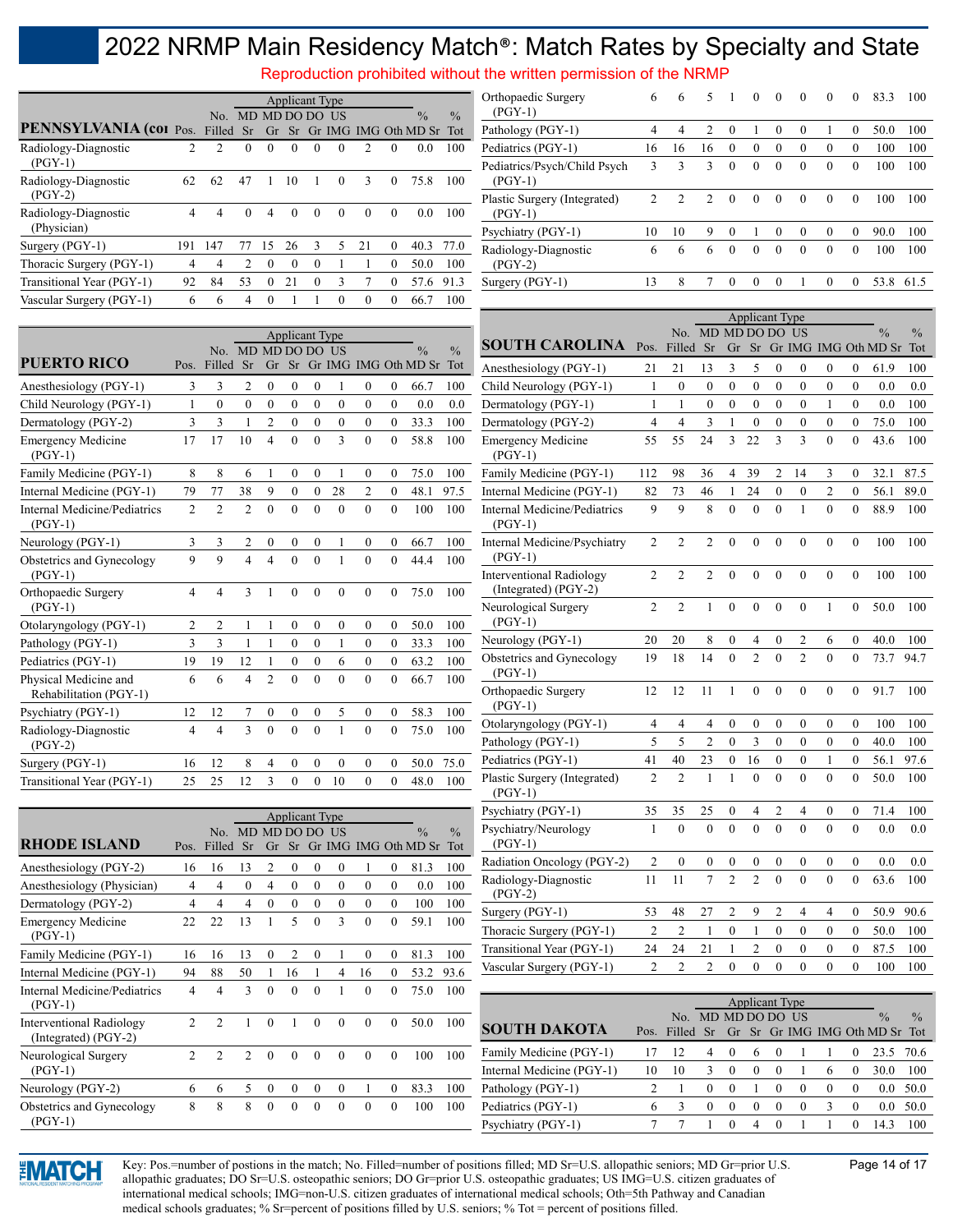|                                                 |                |                  |                |                  | <b>Applicant Type</b> |                  |                  |                  |                  |                                                                |               | Reproduction prohibited without the written permission of the NRMP<br>Orthopaedic Surgery | 6              |                  | 5                  |                  | $\boldsymbol{0}$      | $\bf{0}$         | $\boldsymbol{0}$ | $\boldsymbol{0}$ | $\bf{0}$         | 83.3                                            | 100  |
|-------------------------------------------------|----------------|------------------|----------------|------------------|-----------------------|------------------|------------------|------------------|------------------|----------------------------------------------------------------|---------------|-------------------------------------------------------------------------------------------|----------------|------------------|--------------------|------------------|-----------------------|------------------|------------------|------------------|------------------|-------------------------------------------------|------|
|                                                 |                |                  |                |                  | No. MD MD DO DO US    |                  |                  |                  |                  | $\frac{0}{0}$                                                  | $\frac{0}{0}$ | $(PGY-1)$                                                                                 |                |                  |                    |                  |                       |                  |                  |                  |                  |                                                 |      |
| PENNSYLVANIA (col Pos. Filled Sr                |                |                  |                |                  |                       |                  |                  |                  |                  | Gr Sr Gr IMG IMG Oth MD Sr Tot                                 |               | Pathology (PGY-1)                                                                         | $\overline{4}$ | $\overline{4}$   | $\overline{2}$     | $\boldsymbol{0}$ | 1                     | $\boldsymbol{0}$ | $\boldsymbol{0}$ | 1                | $\overline{0}$   | 50.0                                            | 100  |
| Radiology-Diagnostic                            | $\overline{2}$ | $\overline{2}$   | $\theta$       | $\mathbf{0}$     | $\mathbf{0}$          | $\mathbf{0}$     | $\theta$         | $\overline{2}$   | $\mathbf{0}$     | 0.0                                                            | 100           | Pediatrics (PGY-1)                                                                        | 16             | 16               | 16                 | $\boldsymbol{0}$ | $\boldsymbol{0}$      | $\boldsymbol{0}$ | $\boldsymbol{0}$ | $\mathbf{0}$     | $\overline{0}$   | 100                                             | 100  |
| $(PGY-1)$<br>Radiology-Diagnostic               | 62             | 62               | 47             | 1                | 10                    |                  | $\mathbf{0}$     | 3                | $\mathbf{0}$     | 75.8                                                           | 100           | Pediatrics/Psych/Child Psych<br>$(PGY-1)$                                                 | 3              | 3                | $\overline{3}$     | $\mathbf{0}$     | $\mathbf{0}$          | $\mathbf{0}$     | $\mathbf{0}$     | $\mathbf{0}$     | $\mathbf{0}$     | 100                                             | 100  |
| $(PGY-2)$                                       |                |                  |                |                  |                       |                  |                  |                  |                  |                                                                |               | Plastic Surgery (Integrated)                                                              | 2              | $\overline{2}$   | $\overline{2}$     | $\mathbf{0}$     | $\mathbf{0}$          | $\mathbf{0}$     | $\mathbf{0}$     | $\mathbf{0}$     | $\mathbf{0}$     | 100                                             | 100  |
| Radiology-Diagnostic<br>(Physician)             | 4              | $\overline{4}$   | $\overline{0}$ | $\overline{4}$   | $\boldsymbol{0}$      | $\mathbf{0}$     | $\mathbf{0}$     | $\boldsymbol{0}$ | $\mathbf{0}$     | $0.0\,$                                                        | 100           | $(PGY-1)$<br>Psychiatry (PGY-1)                                                           | 10             | 10               | 9                  | $\bf{0}$         | 1                     | $\bf{0}$         | $\boldsymbol{0}$ | $\bf{0}$         | $\boldsymbol{0}$ | 90.0                                            | 100  |
| Surgery (PGY-1)                                 | 191            | 147              | 77             | 15               | 26                    | 3                | 5                | 21               | $\boldsymbol{0}$ | 40.3                                                           | 77.0          | Radiology-Diagnostic                                                                      | 6              | 6                | 6                  | $\mathbf{0}$     | $\mathbf{0}$          | $\mathbf{0}$     | $\overline{0}$   | $\mathbf{0}$     | $\mathbf{0}$     | 100                                             | 100  |
| Thoracic Surgery (PGY-1)                        | 4              | $\overline{4}$   | $\overline{2}$ | $\boldsymbol{0}$ | $\mathbf{0}$          | $\boldsymbol{0}$ |                  | -1               | $\mathbf{0}$     | 50.0                                                           | 100           | $(PGY-2)$                                                                                 |                |                  |                    |                  |                       |                  |                  |                  |                  |                                                 |      |
| Transitional Year (PGY-1)                       | 92             | 84               | 53             | $\boldsymbol{0}$ | 21                    | $\boldsymbol{0}$ | 3                | $\tau$           | $\boldsymbol{0}$ | 57.6                                                           | 91.3          | Surgery (PGY-1)                                                                           | 13             | 8                | $\tau$             | $\mathbf{0}$     | $\boldsymbol{0}$      | $\mathbf{0}$     | $\mathbf{1}$     | $\overline{0}$   | $\overline{0}$   | 53.8                                            | 61.5 |
| Vascular Surgery (PGY-1)                        | 6              | 6                | $\overline{4}$ | $\mathbf{0}$     |                       | $\mathbf{1}$     | $\theta$         | $\theta$         | $\mathbf{0}$     | 66.7                                                           | 100           |                                                                                           |                |                  |                    |                  |                       |                  |                  |                  |                  |                                                 |      |
|                                                 |                |                  |                |                  |                       |                  |                  |                  |                  |                                                                |               |                                                                                           |                |                  |                    |                  | <b>Applicant Type</b> |                  |                  |                  |                  |                                                 |      |
|                                                 |                |                  |                |                  | <b>Applicant Type</b> |                  |                  |                  |                  |                                                                |               | <b>SOUTH CAROLINA</b>                                                                     | Pos. Filled Sr |                  | No. MD MD DO DO US |                  |                       |                  |                  |                  |                  | $\frac{0}{0}$<br>Gr Sr Gr IMG IMG Oth MD Sr Tot | $\%$ |
| <b>PUERTO RICO</b>                              |                | Pos. Filled Sr   |                |                  | No. MD MD DO DO US    |                  |                  |                  |                  | $\frac{0}{0}$<br>Gr Sr Gr IMG IMG Oth MD Sr Tot                | $\frac{0}{0}$ | Anesthesiology (PGY-1)                                                                    | 21             | 21               | 13                 | 3                | 5                     | $\bf{0}$         | $\mathbf{0}$     | $\overline{0}$   | $\overline{0}$   | 61.9                                            | 100  |
| Anesthesiology (PGY-1)                          | 3              | 3                | 2              | $\boldsymbol{0}$ | $\mathbf{0}$          | $\mathbf{0}$     |                  | $\theta$         | $\boldsymbol{0}$ | 66.7                                                           | 100           | Child Neurology (PGY-1)                                                                   | 1              | $\mathbf{0}$     | $\boldsymbol{0}$   | $\overline{0}$   | $\overline{0}$        | $\boldsymbol{0}$ | $\boldsymbol{0}$ | $\mathbf{0}$     | $\mathbf{0}$     | 0.0                                             | 0.0  |
| Child Neurology (PGY-1)                         | 1              | $\boldsymbol{0}$ | $\mathbf{0}$   | $\boldsymbol{0}$ | $\mathbf{0}$          | $\boldsymbol{0}$ | $\boldsymbol{0}$ | $\boldsymbol{0}$ | $\boldsymbol{0}$ | 0.0                                                            | 0.0           | Dermatology (PGY-1)                                                                       | 1              |                  | $\boldsymbol{0}$   | $\boldsymbol{0}$ | $\boldsymbol{0}$      | $\boldsymbol{0}$ | $\boldsymbol{0}$ | 1                | $\mathbf{0}$     | 0.0                                             | 100  |
| Dermatology (PGY-2)                             | 3              | 3                | $\mathbf{1}$   | $\sqrt{2}$       | $\boldsymbol{0}$      | $\boldsymbol{0}$ | $\boldsymbol{0}$ | $\boldsymbol{0}$ | $\boldsymbol{0}$ | 33.3                                                           | 100           | Dermatology (PGY-2)                                                                       | $\overline{4}$ | $\overline{4}$   | 3                  |                  | $\mathbf{0}$          | $\boldsymbol{0}$ | $\boldsymbol{0}$ | $\boldsymbol{0}$ | $\boldsymbol{0}$ | 75.0                                            | 100  |
| <b>Emergency Medicine</b><br>$(PGY-1)$          | 17             | 17               | 10             | $\overline{4}$   | $\theta$              | $\theta$         | 3                | $\theta$         | $\mathbf{0}$     | 58.8                                                           | 100           | <b>Emergency Medicine</b><br>$(PGY-1)$                                                    | 55             | 55               | 24                 | 3                | 22                    | 3                | 3                | $\theta$         | $\mathbf{0}$     | 43.6                                            | 100  |
| Family Medicine (PGY-1)                         | 8              | 8                | 6              |                  | $\boldsymbol{0}$      | $\boldsymbol{0}$ | $\mathbf{1}$     | $\mathbf{0}$     | $\mathbf{0}$     | 75.0                                                           | 100           | Family Medicine (PGY-1)                                                                   | 112            | 98               | 36                 | 4                | 39                    | 2                | 14               | 3                | $\mathbf{0}$     | 32.1                                            | 87.5 |
| Internal Medicine (PGY-1)                       | 79             | 77               | 38             | 9                | $\boldsymbol{0}$      | $\boldsymbol{0}$ | 28               | $\overline{c}$   | $\mathbf{0}$     | 48.1                                                           | 97.5          | Internal Medicine (PGY-1)                                                                 | 82             | 73               | 46                 | $\mathbf{1}$     | 24                    | $\boldsymbol{0}$ | $\boldsymbol{0}$ | $\mathbf{2}$     | $\overline{0}$   | 56.1                                            | 89.0 |
| Internal Medicine/Pediatrics<br>$(PGY-1)$       | $\overline{2}$ | $\overline{2}$   | $\overline{2}$ | $\mathbf{0}$     | $\theta$              | $\mathbf{0}$     | $\mathbf{0}$     | $\mathbf{0}$     | $\theta$         | 100                                                            | 100           | Internal Medicine/Pediatrics<br>$(PGY-1)$                                                 | 9              | 9                | 8                  | $\mathbf{0}$     | $\mathbf{0}$          | $\mathbf{0}$     | $\mathbf{1}$     | $\mathbf{0}$     | $\mathbf{0}$     | 88.9                                            | 100  |
| Neurology (PGY-1)                               | 3              | 3                | 2              | $\boldsymbol{0}$ | $\boldsymbol{0}$      | $\boldsymbol{0}$ | -1               | $\boldsymbol{0}$ | $\boldsymbol{0}$ | 66.7                                                           | 100           | Internal Medicine/Psychiatry                                                              | $\overline{c}$ | 2                | 2                  | $\mathbf{0}$     | $\mathbf{0}$          | $\mathbf{0}$     | $\mathbf{0}$     | $\mathbf{0}$     | $\mathbf{0}$     | 100                                             | 100  |
| Obstetrics and Gynecology<br>$(PGY-1)$          | 9              | 9                |                |                  | $\theta$              | $\mathbf{0}$     | $\mathbf{1}$     | $\mathbf{0}$     | $\mathbf{0}$     | 44.4                                                           | 100           | $(PGY-1)$<br><b>Interventional Radiology</b>                                              | 2              | 2                | 2                  | $\overline{0}$   | $\mathbf{0}$          | $\mathbf{0}$     | $\theta$         | $\theta$         | $\mathbf{0}$     | 100                                             | 100  |
| Orthopaedic Surgery<br>$(PGY-1)$                | 4              | $\overline{4}$   | 3              |                  | $\mathbf{0}$          | $\mathbf{0}$     | $\theta$         | $\mathbf{0}$     | $\mathbf{0}$     | 75.0                                                           | 100           | (Integrated) (PGY-2)<br>Neurological Surgery                                              | $\overline{c}$ | $\overline{2}$   | 1                  | $\mathbf{0}$     | $\mathbf{0}$          | $\mathbf{0}$     | $\theta$         | 1                | $\overline{0}$   | 50.0                                            | 100  |
| Otolaryngology (PGY-1)                          | $\overline{c}$ | $\overline{2}$   | 1              | -1               | $\boldsymbol{0}$      | $\boldsymbol{0}$ | $\boldsymbol{0}$ | $\boldsymbol{0}$ | $\boldsymbol{0}$ | 50.0                                                           | 100           | $(PGY-1)$                                                                                 |                |                  |                    |                  |                       |                  |                  |                  |                  |                                                 |      |
| Pathology (PGY-1)                               | 3              | 3                | $\mathbf{1}$   | $\mathbf{1}$     | $\boldsymbol{0}$      | $\boldsymbol{0}$ | $\mathbf{1}$     | $\boldsymbol{0}$ | $\boldsymbol{0}$ | 33.3                                                           | 100           | Neurology (PGY-1)                                                                         | 20             | 20               | 8                  | $\boldsymbol{0}$ | 4                     | $\boldsymbol{0}$ | $\overline{2}$   | 6                | $\mathbf{0}$     | 40.0                                            | 100  |
| Pediatrics (PGY-1)                              | 19             | 19               | 12             | 1                | $\boldsymbol{0}$      | $\boldsymbol{0}$ | 6                | $\boldsymbol{0}$ | $\boldsymbol{0}$ | 63.2                                                           | 100           | Obstetrics and Gynecology                                                                 | 19             | 18               | 14                 | $\mathbf{0}$     | $\overline{c}$        | $\mathbf{0}$     | $\overline{2}$   | $\theta$         | $\mathbf{0}$     | 73.7                                            | 94.7 |
| Physical Medicine and<br>Rehabilitation (PGY-1) | 6              | 6                | $\overline{4}$ | $\overline{2}$   | $\mathbf{0}$          | $\mathbf{0}$     | $\theta$         | $\mathbf{0}$     | $\mathbf{0}$     | 66.7                                                           | 100           | $(PGY-1)$<br>Orthopaedic Surgery                                                          | 12             | 12               | 11                 | -1               | $\mathbf{0}$          | $\mathbf{0}$     | $\mathbf{0}$     | $\mathbf{0}$     | $\overline{0}$   | 91.7                                            | 100  |
| Psychiatry (PGY-1)                              | 12             | 12               | 7              | $\boldsymbol{0}$ | 0                     | $\boldsymbol{0}$ | 5                | $\boldsymbol{0}$ | $\boldsymbol{0}$ | 58.3                                                           | 100           | $(PGY-1)$                                                                                 |                |                  |                    |                  |                       |                  |                  |                  |                  |                                                 |      |
| Radiology-Diagnostic                            | 4              | $\overline{4}$   | 3              | $\mathbf{0}$     | $\theta$              | $\theta$         |                  | $\mathbf{0}$     | $\mathbf{0}$     | 75.0                                                           | 100           | Otolaryngology (PGY-1)                                                                    | 4              | 4                | 4                  | $\boldsymbol{0}$ | $\boldsymbol{0}$      | $\mathbf{0}$     | $\mathbf{0}$     | $\mathbf{0}$     | $\mathbf{0}$     | 100                                             | 100  |
| $(PGY-2)$                                       |                |                  |                |                  |                       |                  |                  |                  |                  |                                                                |               | Pathology (PGY-1)                                                                         | 5              | 5                | $\overline{2}$     | $\mathbf{0}$     | $\mathfrak{Z}$        | $\boldsymbol{0}$ | $\boldsymbol{0}$ | $\overline{0}$   | $\boldsymbol{0}$ | 40.0                                            | 100  |
| Surgery (PGY-1)                                 | 16             | 12               | 8              | 4                | $\boldsymbol{0}$      | $\boldsymbol{0}$ | $\boldsymbol{0}$ | 0                | $\mathbf{0}$     |                                                                | 50.0 75.0     | Pediatrics (PGY-1)                                                                        | $41\,$         | $40\,$           | $23\,$             | $0\,$            | $16\,$                | $\boldsymbol{0}$ | $\boldsymbol{0}$ | $\mathbf{1}$     | $\boldsymbol{0}$ | 56.1 97.6                                       |      |
| Transitional Year (PGY-1)                       | 25             | 25               | 12             | 3                | $\mathbf{0}$          | $\mathbf{0}$     | 10               | $\mathbf{0}$     | $\mathbf{0}$     | 48.0                                                           | 100           | Plastic Surgery (Integrated)<br>$(PGY-1)$                                                 | 2              | $\overline{2}$   | -1                 | 1                | $\mathbf{0}$          | $\mathbf{0}$     | $\Omega$         | $\theta$         | $\overline{0}$   | 50.0                                            | 100  |
|                                                 |                |                  |                |                  | <b>Applicant Type</b> |                  |                  |                  |                  |                                                                |               | Psychiatry (PGY-1)                                                                        | 35             | 35               | 25                 | $\boldsymbol{0}$ | $\frac{4}{1}$         | 2                | 4                | $\overline{0}$   | $\boldsymbol{0}$ | 71.4                                            | 100  |
| <b>RHODE ISLAND</b>                             |                |                  |                |                  | No. MD MD DO DO US    |                  |                  |                  |                  | $\frac{0}{0}$<br>Pos. Filled Sr Gr Sr Gr IMG IMG Oth MD Sr Tot | $\frac{0}{0}$ | Psychiatry/Neurology<br>$(PGY-1)$                                                         | $\mathbf{1}$   | $\mathbf{0}$     | $\overline{0}$     | $\mathbf{0}$     | $\mathbf{0}$          | $\mathbf{0}$     | $\mathbf{0}$     | $\overline{0}$   | $\mathbf{0}$     | 0.0                                             | 0.0  |
| Anesthesiology (PGY-2)                          | 16             | 16               | 13             | 2                | $\boldsymbol{0}$      | $\bf{0}$         | $\boldsymbol{0}$ |                  | $\boldsymbol{0}$ | 81.3                                                           | 100           | Radiation Oncology (PGY-2)                                                                | 2              | $\boldsymbol{0}$ | $\boldsymbol{0}$   | $\bf{0}$         | $\boldsymbol{0}$      | $\boldsymbol{0}$ | $\boldsymbol{0}$ | $\mathbf{0}$     | $\boldsymbol{0}$ | 0.0                                             | 0.0  |
| Anesthesiology (Physician)                      | 4              | $\overline{4}$   | $\mathbf{0}$   | 4                | $\boldsymbol{0}$      | $\boldsymbol{0}$ | $\boldsymbol{0}$ | $\boldsymbol{0}$ | $\boldsymbol{0}$ | 0.0                                                            | 100           | Radiology-Diagnostic<br>$(PGY-2)$                                                         | 11             | 11               | $\tau$             | 2                | 2                     | $\mathbf{0}$     | $\mathbf{0}$     | $\overline{0}$   | $\mathbf{0}$     | 63.6                                            | 100  |
| Dermatology (PGY-2)                             | 4              | 4                | 4              | $\boldsymbol{0}$ | $\boldsymbol{0}$      | $\boldsymbol{0}$ | $\boldsymbol{0}$ | $\boldsymbol{0}$ | $\boldsymbol{0}$ | 100                                                            | 100           | Surgery (PGY-1)                                                                           | 53             | 48               | 27                 | 2                | 9                     | 2                | 4                | 4                | $\boldsymbol{0}$ | 50.9 90.6                                       |      |
| <b>Emergency Medicine</b><br>(DGV, 1)           | 22             | 22               | 13             | 1                | 5                     | $\boldsymbol{0}$ | $\overline{3}$   | $\boldsymbol{0}$ | $\boldsymbol{0}$ | 59.1                                                           | 100           | Thoracic Surgery (PGY-1)                                                                  | 2              | $\overline{c}$   | $\mathbf{1}$       | $\boldsymbol{0}$ | -1                    | $\boldsymbol{0}$ | $\boldsymbol{0}$ | $\mathbf{0}$     | $\mathbf{0}$     | 50.0 100                                        |      |

|                                                           |    |              |    |          |     |          |          |          |          |      |      | $\circ\ \cdot\ \cdot$     |    |                    |     |          |                       |              |          |          |                                                 |               |
|-----------------------------------------------------------|----|--------------|----|----------|-----|----------|----------|----------|----------|------|------|---------------------------|----|--------------------|-----|----------|-----------------------|--------------|----------|----------|-------------------------------------------------|---------------|
| Emergency Medicine<br>$(PGY-1)$                           | 22 | 22           |    |          |     | $\theta$ |          | $\Omega$ | $\theta$ | 59.1 | 100  | Thoracic Surgery (PGY-1)  |    |                    |     |          |                       | $\mathbf{0}$ | $\Omega$ | $\Omega$ | 50.0                                            | 100           |
| Family Medicine (PGY-1)                                   | 16 | 16           |    |          |     |          |          | 0        |          | 81.3 | 100  | Transitional Year (PGY-1) | 24 | 24                 |     |          |                       |              | $\Omega$ | 0        | 87.5                                            | 100           |
| Internal Medicine (PGY-1)                                 | 94 | 88           | 50 |          | 16. |          | 4        | 16       |          | 53.2 | 93.6 | Vascular Surgery (PGY-1)  |    |                    |     |          | $\theta$              | $\theta$     | $^{(1)}$ | $\Omega$ | 100                                             | 100           |
| Internal Medicine/Pediatrics                              | 4  |              |    | $\theta$ | 0   | $\theta$ |          | $\theta$ | $\theta$ | 75.0 | 100  |                           |    |                    |     |          |                       |              |          |          |                                                 |               |
| $(PGY-1)$                                                 |    |              |    |          |     |          |          |          |          |      |      |                           |    |                    |     |          | <b>Applicant Type</b> |              |          |          |                                                 |               |
| <b>Interventional Radiology</b><br>(Integrated) $(PGY-2)$ |    |              |    |          |     | $\Omega$ | $\Omega$ | $\theta$ | $\theta$ | 50.0 | 100  | <b>SOUTH DAKOTA</b>       |    | No.<br>Pos. Filled | Sr. |          | MD MD DO DO US        |              |          |          | $\frac{0}{0}$<br>Gr Sr Gr IMG IMG Oth MD Sr Tot | $\frac{0}{0}$ |
| Neurological Surgery                                      |    |              |    | $\theta$ | 0   | $\theta$ | $\theta$ | $\Omega$ | $\theta$ | 100  | 100  | Family Medicine (PGY-1)   |    | 12                 | 4   |          |                       |              |          |          | 23.5                                            | 70.6          |
| $(PGY-1)$                                                 |    |              |    |          |     |          |          |          |          |      |      | Internal Medicine (PGY-1) | 10 | 10                 |     | $\Omega$ | $\theta$              |              | 6        | $\Omega$ | 30.0                                            | 100           |
| Neurology (PGY-2)                                         | 6. | <sub>6</sub> |    |          |     | $^{(1)}$ | $\Omega$ |          | $\Omega$ | 83.3 | 100  | Pathology (PGY-1)         |    |                    | 0   |          | $\theta$              | $\theta$     | $\Omega$ | $\theta$ | $0.0\,$                                         | 50.0          |
| Obstetrics and Gynecology                                 | 8. | 8            | 8  | $\theta$ |     | $\theta$ | $\theta$ | $\theta$ | $\theta$ | 100  | 100  | Pediatrics (PGY-1)        | 6  |                    | 0   |          | $\theta$              | $\theta$     |          | $\theta$ | 0.0                                             | 50.0          |
| $(PGY-1)$                                                 |    |              |    |          |     |          |          |          |          |      |      | Psychiatry (PGY-1)        |    |                    |     |          |                       |              |          |          | 14.3                                            | 100           |
|                                                           |    |              |    |          |     |          |          |          |          |      |      |                           |    |                    |     |          |                       |              |          |          |                                                 |               |



Key: Pos.=number of postions in the match; No. Filled=number of positions filled; MD Sr=U.S. allopathic seniors; MD Gr=prior U.S. Page 14 of 17 allopathic graduates; DO Sr=U.S. osteopathic seniors; DO Gr=prior U.S. osteopathic graduates; US IMG=U.S. citizen graduates of international medical schools; IMG=non-U.S. citizen graduates of international medical schools; Oth=5th Pathway and Canadian medical schools graduates; % Sr=percent of positions filled by U.S. seniors; % Tot = percent of positions filled.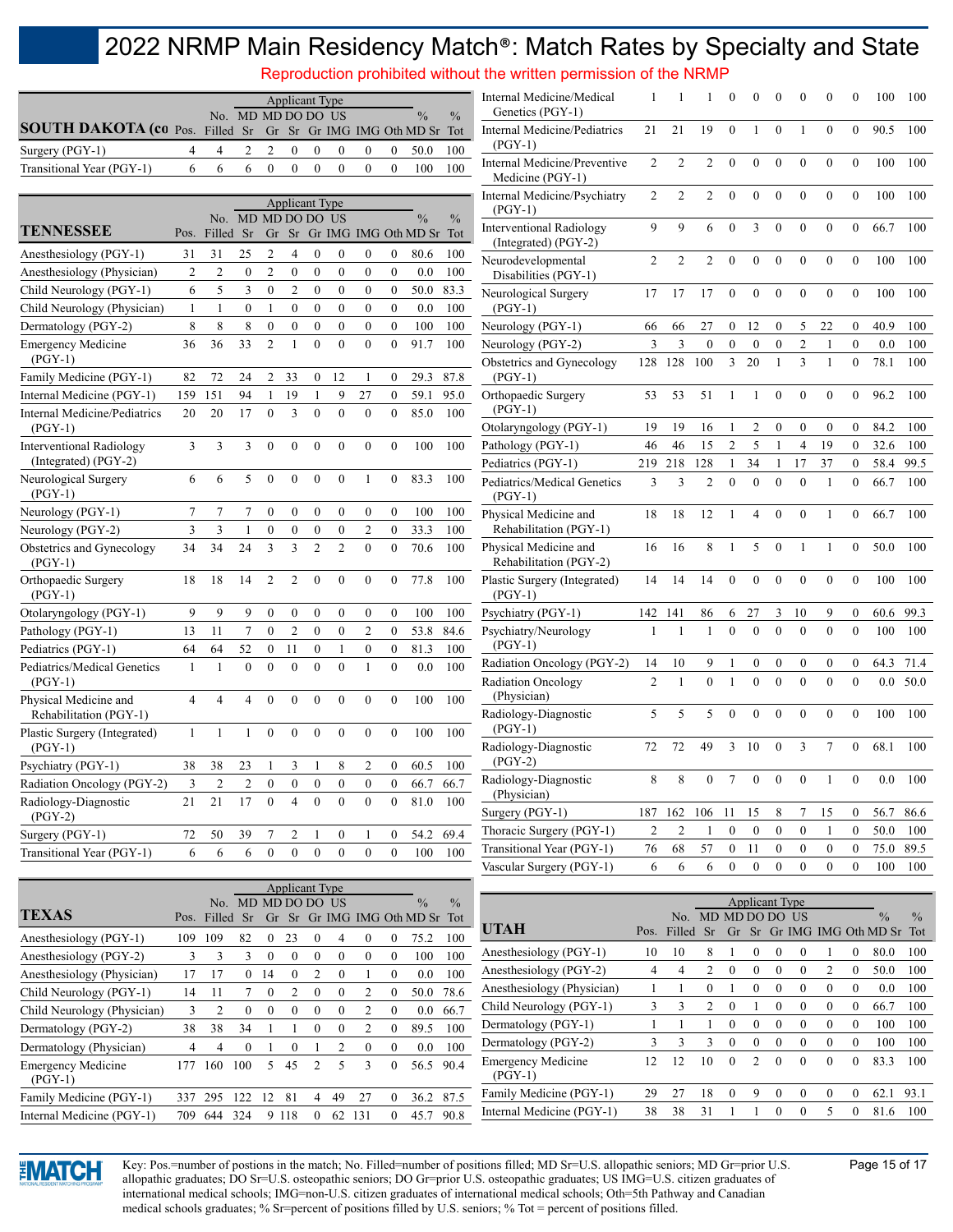Reproduction prohibited without the written permission of the NRMP

|                                                           |                |                | No. MD MD DO DO US          |                  |                  | <b>Applicant Type</b> |                  |                  |                  | $\frac{0}{0}$                          | $\frac{0}{0}$ | Internal Medicine/Medical<br>Genetics (PGY-1)           |                      |                    |                                      | $\Omega$              | $\theta$                         | 0                                |                                  | $_{0}$                           | $\Omega$                             | 100                                    | 100           |
|-----------------------------------------------------------|----------------|----------------|-----------------------------|------------------|------------------|-----------------------|------------------|------------------|------------------|----------------------------------------|---------------|---------------------------------------------------------|----------------------|--------------------|--------------------------------------|-----------------------|----------------------------------|----------------------------------|----------------------------------|----------------------------------|--------------------------------------|----------------------------------------|---------------|
| <b>SOUTH DAKOTA (co Pos. Filled Sr</b><br>Surgery (PGY-1) | 4              |                | 2                           | 2                | 0                | $\theta$              | $\mathbf{0}$     | $\mathbf{0}$     | 0                | Gr Sr Gr IMG IMG Oth MD Sr Tot<br>50.0 | 100           | Internal Medicine/Pediatrics<br>$(PGY-1)$               | 21                   | 21                 | 19                                   | $\mathbf{0}$          | 1                                | $\mathbf{0}$                     |                                  | $\mathbf{0}$                     | $\theta$                             | 90.5                                   | 100           |
| Transitional Year (PGY-1)                                 | 6              | 4<br>6         | 6                           | $\mathbf{0}$     | $\overline{0}$   | $\Omega$              | $\theta$         | $\theta$         | $\theta$         | 100                                    | 100           | Internal Medicine/Preventive<br>Medicine (PGY-1)        | 2                    | 2                  | 2                                    | $\theta$              | $\mathbf{0}$                     | $\overline{0}$                   | $\mathbf{0}$                     | $\mathbf{0}$                     | $\mathbf{0}$                         | 100                                    | 100           |
|                                                           |                |                |                             |                  |                  | <b>Applicant Type</b> |                  |                  |                  |                                        |               | Internal Medicine/Psychiatry<br>$(PGY-1)$               | 2                    | 2                  | 2                                    | $\theta$              | $\mathbf{0}$                     | $\boldsymbol{0}$                 | $\mathbf{0}$                     | $\mathbf{0}$                     | $\mathbf{0}$                         | 100                                    | 100           |
| <b>TENNESSEE</b>                                          | Pos.           | No.<br>Filled  | MD MD DO DO US<br><b>Sr</b> |                  |                  |                       |                  |                  |                  | Gr Sr Gr IMG IMG Oth MD Sr Tot         | $\frac{0}{0}$ | <b>Interventional Radiology</b><br>(Integrated) (PGY-2) | 9                    | 9                  | 6                                    | $\mathbf{0}$          | 3                                | $\mathbf{0}$                     | $\mathbf{0}$                     | $\boldsymbol{0}$                 | $\mathbf{0}$                         | 66.7                                   | 100           |
| Anesthesiology (PGY-1)                                    | 31             | 31             | 25                          | 2                | 4                | 0                     | $\boldsymbol{0}$ | $\boldsymbol{0}$ | 0                | 80.6                                   | 100           | Neurodevelopmental                                      | 2                    | 2                  | 2                                    | $\overline{0}$        | $\mathbf{0}$                     | $\mathbf{0}$                     | $\mathbf{0}$                     | $\mathbf{0}$                     | $\mathbf{0}$                         | 100                                    | 100           |
| Anesthesiology (Physician)                                | $\overline{c}$ | $\overline{2}$ | $\boldsymbol{0}$            | $\overline{2}$   | $\boldsymbol{0}$ | $\theta$              | $\boldsymbol{0}$ | $\boldsymbol{0}$ | $\boldsymbol{0}$ | 0.0                                    | 100           | Disabilities (PGY-1)                                    |                      |                    |                                      |                       |                                  |                                  |                                  |                                  |                                      |                                        |               |
| Child Neurology (PGY-1)                                   | 6              | 5              | 3                           | $\boldsymbol{0}$ | $\mathfrak{2}$   | $\mathbf{0}$          | $\boldsymbol{0}$ | $\mathbf{0}$     | $\overline{0}$   | 50.0                                   | 83.3          | Neurological Surgery                                    | 17                   | 17                 | 17                                   | $\mathbf{0}$          | $\mathbf{0}$                     | $\overline{0}$                   | $\mathbf{0}$                     | $\mathbf{0}$                     | $\mathbf{0}$                         | 100                                    | 100           |
| Child Neurology (Physician)                               | 1              | 1              | $\boldsymbol{0}$            | $\mathbf{1}$     | $\boldsymbol{0}$ | $\boldsymbol{0}$      | $\boldsymbol{0}$ | $\boldsymbol{0}$ | $\boldsymbol{0}$ | 0.0                                    | 100           | $(PGY-1)$                                               |                      |                    |                                      |                       |                                  |                                  |                                  |                                  |                                      |                                        |               |
| Dermatology (PGY-2)                                       | 8              | 8              | 8                           | $\mathbf{0}$     | $\mathbf{0}$     | $\mathbf{0}$          | $\mathbf{0}$     | $\mathbf{0}$     | $\mathbf{0}$     | 100                                    | 100           | Neurology (PGY-1)                                       | 66                   | 66                 | 27                                   | $\bf{0}$              | 12                               | 0                                | 5                                | 22                               | $\overline{0}$                       | 40.9                                   | 100           |
| <b>Emergency Medicine</b><br>$(PGY-1)$                    | 36             | 36             | 33                          | $\overline{2}$   |                  | $\mathbf{0}$          | $\mathbf{0}$     | $\mathbf{0}$     | $\mathbf{0}$     | 91.7                                   | 100           | Neurology (PGY-2)<br>Obstetrics and Gynecology          | 3<br>128             | 3<br>128           | $\mathbf{0}$<br>100                  | $\boldsymbol{0}$<br>3 | $\boldsymbol{0}$<br>20           | $\boldsymbol{0}$<br>1            | $\overline{2}$<br>3              | 1<br>1                           | $\boldsymbol{0}$<br>$\boldsymbol{0}$ | 0.0<br>78.1                            | 100<br>100    |
| Family Medicine (PGY-1)                                   | 82             | 72             | 24                          | 2                | 33               | $\boldsymbol{0}$      | 12               | -1               | $\theta$         | 29.3                                   | 87.8          | $(PGY-1)$                                               |                      |                    |                                      |                       |                                  |                                  |                                  |                                  |                                      |                                        |               |
| Internal Medicine (PGY-1)                                 | 159            | 151            | 94                          | $\mathbf{1}$     | 19               |                       | 9                | 27               | $\boldsymbol{0}$ | 59.1                                   | 95.0          | Orthopaedic Surgery                                     | 53                   | 53                 | 51                                   |                       | -1                               | $\boldsymbol{0}$                 | $\mathbf{0}$                     | $\mathbf{0}$                     | $\mathbf{0}$                         | 96.2                                   | 100           |
| <b>Internal Medicine/Pediatrics</b>                       | 20             | 20             | 17                          | $\mathbf{0}$     | 3                | $\mathbf{0}$          | $\mathbf{0}$     | $\mathbf{0}$     | $\mathbf{0}$     | 85.0                                   | 100           | $(PGY-1)$                                               |                      |                    |                                      |                       |                                  |                                  |                                  |                                  |                                      |                                        |               |
| $(PGY-1)$                                                 |                |                |                             |                  |                  |                       |                  |                  |                  |                                        |               | Otolaryngology (PGY-1)                                  | 19                   | 19                 | 16                                   |                       | 2                                | $\boldsymbol{0}$                 | $\boldsymbol{0}$                 | $\boldsymbol{0}$                 | $\overline{0}$                       | 84.2                                   | 100           |
| <b>Interventional Radiology</b><br>(Integrated) (PGY-2)   | 3              | 3              | 3                           | $\mathbf{0}$     | $\boldsymbol{0}$ | $\theta$              | $\theta$         | $\mathbf{0}$     | $\mathbf{0}$     | 100                                    | 100           | Pathology (PGY-1)                                       | 46                   | 46                 | 15                                   | $\overline{c}$        | 5                                |                                  | $\overline{4}$                   | 19                               | $\boldsymbol{0}$                     | 32.6                                   | 100           |
| Neurological Surgery                                      | 6              | 6              | 5                           | $\mathbf{0}$     | $\mathbf{0}$     | $\mathbf{0}$          | $\mathbf{0}$     | -1               | $\overline{0}$   | 83.3                                   | 100           | Pediatrics (PGY-1)<br>Pediatrics/Medical Genetics       | 219<br>3             | 218<br>3           | 128<br>$\overline{2}$                | 1<br>$\theta$         | 34<br>$\theta$                   | 1<br>$\theta$                    | 17<br>$\theta$                   | 37<br>1                          | $\overline{0}$<br>$\mathbf{0}$       | 58.4<br>66.7                           | 99.5<br>100   |
| $(PGY-1)$                                                 |                | 7              | 7                           | $\boldsymbol{0}$ | $\boldsymbol{0}$ | $\boldsymbol{0}$      | $\boldsymbol{0}$ | $\boldsymbol{0}$ | $\boldsymbol{0}$ | 100                                    | 100           | $(PGY-1)$                                               |                      |                    |                                      |                       |                                  |                                  |                                  |                                  |                                      |                                        |               |
| Neurology (PGY-1)<br>Neurology (PGY-2)                    | 7<br>3         | 3              |                             | $\boldsymbol{0}$ | $\boldsymbol{0}$ | $\mathbf{0}$          | $\mathbf{0}$     | $\overline{2}$   | $\boldsymbol{0}$ | 33.3                                   | 100           | Physical Medicine and<br>Rehabilitation (PGY-1)         | 18                   | 18                 | 12                                   | -1                    | 4                                | $\mathbf{0}$                     | $\mathbf{0}$                     | 1                                | $\overline{0}$                       | 66.7                                   | 100           |
| Obstetrics and Gynecology<br>$(PGY-1)$                    | 34             | 34             | 24                          | 3                | 3                | $\overline{2}$        | $\overline{2}$   | $\mathbf{0}$     | $\theta$         | 70.6                                   | 100           | Physical Medicine and<br>Rehabilitation (PGY-2)         | 16                   | 16                 | 8                                    | -1                    | 5                                | $\boldsymbol{0}$                 | -1                               | 1                                | $\mathbf{0}$                         | 50.0                                   | 100           |
| Orthopaedic Surgery<br>$(PGY-1)$                          | 18             | 18             | 14                          | 2                | 2                | $\mathbf{0}$          | $\mathbf{0}$     | $\mathbf{0}$     | $\mathbf{0}$     | 77.8                                   | 100           | Plastic Surgery (Integrated)<br>$(PGY-1)$               | 14                   | 14                 | 14                                   | $\mathbf{0}$          | $\mathbf{0}$                     | $\mathbf{0}$                     | $\mathbf{0}$                     | $\mathbf{0}$                     | $\mathbf{0}$                         | 100                                    | 100           |
| Otolaryngology (PGY-1)                                    | 9              | 9              | 9                           | $\mathbf{0}$     | $\boldsymbol{0}$ | $\mathbf{0}$          | $\boldsymbol{0}$ | $\mathbf{0}$     | $\theta$         | 100                                    | 100           | Psychiatry (PGY-1)                                      | 142                  | 141                | 86                                   | 6                     | 27                               | 3                                | 10                               | 9                                | $\overline{0}$                       | 60.6                                   | 99.3          |
| Pathology (PGY-1)                                         | 13             | 11             | $\overline{7}$              | $\mathbf{0}$     | 2                | $\mathbf{0}$          | $\boldsymbol{0}$ | $\overline{2}$   | $\boldsymbol{0}$ | 53.8                                   | 84.6          | Psychiatry/Neurology                                    | -1                   | -1                 | $\mathbf{1}$                         | $\theta$              | $\theta$                         | $\theta$                         | $\theta$                         | $\theta$                         | $\theta$                             | 100                                    | 100           |
| Pediatrics (PGY-1)                                        | 64             | 64             | 52                          | $\boldsymbol{0}$ | 11               | $\boldsymbol{0}$      | $\mathbf{1}$     | $\boldsymbol{0}$ | $\boldsymbol{0}$ | 81.3                                   | 100           | $(PGY-1)$                                               |                      |                    |                                      |                       |                                  |                                  |                                  |                                  |                                      |                                        |               |
| Pediatrics/Medical Genetics<br>$(PGY-1)$                  | $\mathbf{1}$   |                | $\theta$                    | $\mathbf{0}$     | $\theta$         | $\theta$              | $\mathbf{0}$     | $\mathbf{1}$     | $\theta$         | 0.0                                    | 100           | Radiation Oncology (PGY-2)<br><b>Radiation Oncology</b> | 14<br>$\overline{2}$ | 10<br>$\mathbf{1}$ | 9<br>$\theta$                        | $\overline{1}$        | $\boldsymbol{0}$<br>$\mathbf{0}$ | $\boldsymbol{0}$<br>$\mathbf{0}$ | $\boldsymbol{0}$<br>$\mathbf{0}$ | $\boldsymbol{0}$<br>$\mathbf{0}$ | $\boldsymbol{0}$<br>$\mathbf{0}$     | 64.3<br>$0.0\,$                        | 71.4<br>50.0  |
| Physical Medicine and<br>Rehabilitation (PGY-1)           | $\overline{4}$ | $\overline{4}$ | $\overline{A}$              | $\mathbf{0}$     | $\boldsymbol{0}$ | $\Omega$              | $\mathbf{0}$     | $\mathbf{0}$     | $\mathbf{0}$     | 100                                    | 100           | (Physician)<br>Radiology-Diagnostic                     | 5                    | 5                  | 5                                    | $\theta$              | $\mathbf{0}$                     | $\mathbf{0}$                     | $\mathbf{0}$                     | $\mathbf{0}$                     | $\mathbf{0}$                         | 100                                    | 100           |
| Plastic Surgery (Integrated)                              | $\mathbf{1}$   | $\mathbf{1}$   | 1                           | $\mathbf{0}$     | $\mathbf{0}$     | $\mathbf{0}$          | $\mathbf{0}$     | $\mathbf{0}$     | $\mathbf{0}$     | 100                                    | 100           | $(PGY-1)$                                               |                      | 72                 | 49                                   | 3                     | 10                               | $\Omega$                         | 3                                | 7                                | $\Omega$                             | 68.1                                   | 100           |
| $(PGY-1)$<br>Psychiatry (PGY-1)                           | 38             | 38             | 23                          |                  | 3                |                       | 8                | $\overline{2}$   | $\theta$         | 60.5                                   | 100           | Radiology-Diagnostic<br>$(PGY-2)$                       | 72                   |                    |                                      |                       |                                  |                                  |                                  |                                  |                                      |                                        |               |
| Radiation Oncology (PGY-2)                                | 3              | 2              | 2                           | $\boldsymbol{0}$ | 0                | $\boldsymbol{0}$      | $\boldsymbol{0}$ | $\boldsymbol{0}$ | 0                | 66.7                                   | 66.7          | Radiology-Diagnostic                                    | 8                    | 8                  | $\overline{0}$                       | $\tau$                | $\boldsymbol{0}$                 | $\boldsymbol{0}$                 |                                  |                                  |                                      | $0.0\,$                                | 100           |
| Radiology-Diagnostic<br>$(PGY-2)$                         | 21             | 21             | 17                          | $\boldsymbol{0}$ | 4                | $\boldsymbol{0}$      | $\mathbf{0}$     | $\bf{0}$         | $\boldsymbol{0}$ | 81.0                                   | 100           | (Physician)<br>Surgery (PGY-1)                          |                      |                    | 187 162 106 11 15                    |                       |                                  | 8                                | $\tau$                           | 15                               | $\overline{0}$                       | 56.7                                   | 86.6          |
| Surgery (PGY-1)                                           | 72             | 50             | 39                          | $\tau$           | $\overline{c}$   | $\mathbf{1}$          | $\boldsymbol{0}$ | $\mathbf{1}$     | $\boldsymbol{0}$ | 54.2                                   | 69.4          | Thoracic Surgery (PGY-1)                                | 2                    | $\overline{c}$     | -1                                   | $\boldsymbol{0}$      | $\boldsymbol{0}$                 | $\boldsymbol{0}$                 | $\boldsymbol{0}$                 | 1                                | $\overline{0}$                       | 50.0                                   | 100           |
| Transitional Year (PGY-1)                                 | 6              | 6              | 6                           | $\boldsymbol{0}$ | $\boldsymbol{0}$ | $\mathbf{0}$          | $\boldsymbol{0}$ | $\boldsymbol{0}$ | $\boldsymbol{0}$ | 100                                    | 100           | Transitional Year (PGY-1)                               | 76                   | 68                 | 57                                   | $\bf{0}$              | 11                               | $\boldsymbol{0}$                 | $\boldsymbol{0}$                 | $\boldsymbol{0}$                 | $\bf{0}$                             |                                        | 75.0 89.5     |
|                                                           |                |                |                             |                  |                  |                       |                  |                  |                  |                                        |               | Vascular Surgery (PGY-1)                                | 6                    | 6                  | 6                                    | $\boldsymbol{0}$      | $\boldsymbol{0}$                 | $\mathbf{0}$                     | $\boldsymbol{0}$                 | $\boldsymbol{0}$                 | $\boldsymbol{0}$                     | 100                                    | 100           |
|                                                           |                |                |                             |                  |                  | <b>Applicant Type</b> |                  |                  |                  |                                        |               |                                                         |                      |                    |                                      |                       |                                  |                                  |                                  |                                  |                                      |                                        |               |
|                                                           |                |                | No. MD MD DO DO US          |                  |                  |                       |                  |                  |                  | $\frac{0}{0}$                          | $\frac{0}{0}$ |                                                         |                      |                    |                                      |                       | <b>Applicant Type</b>            |                                  |                                  |                                  |                                      |                                        |               |
| <b>TEXAS</b>                                              |                | Pos. Filled Sr |                             |                  |                  |                       |                  |                  |                  | Gr Sr Gr IMG IMG Oth MD Sr Tot         |               | <b>UTAH</b>                                             |                      |                    | No. MD MD DO DO US<br>Pos. Filled Sr |                       |                                  |                                  |                                  |                                  |                                      | $\%$<br>Gr Sr Gr IMG IMG Oth MD Sr Tot | $\frac{0}{0}$ |
| Anesthesiology (PGY-1)                                    | 109 109        |                | 82                          | $\boldsymbol{0}$ | 23               | $\boldsymbol{0}$      | 4                | $\boldsymbol{0}$ | $\boldsymbol{0}$ | 75.2                                   | 100           |                                                         |                      |                    |                                      |                       |                                  |                                  |                                  |                                  |                                      |                                        |               |
| Anesthesiology (PGY-2)                                    | 3              | 3              | $\mathbf{3}$                | $\boldsymbol{0}$ | $\boldsymbol{0}$ | $\boldsymbol{0}$      | $\boldsymbol{0}$ | $\boldsymbol{0}$ | $\boldsymbol{0}$ | 100                                    | 100           | Anesthesiology (PGY-1)                                  | 10                   | 10                 | 8                                    | -1                    | $\boldsymbol{0}$                 | $\bf{0}$                         | $\boldsymbol{0}$                 | 1                                | $\boldsymbol{0}$                     | 80.0                                   | 100           |
| Anesthesiology (Physician)                                | 17             | 17             |                             | $0 \t14$         | $\bf{0}$         | 2                     | $\bf{0}$         | -1               | $\boldsymbol{0}$ | 0.0                                    | 100           | Anesthesiology (PGY-2)                                  | 4                    | $\overline{4}$     | $\overline{c}$                       | $\boldsymbol{0}$      | $\boldsymbol{0}$                 | $\boldsymbol{0}$                 | $\boldsymbol{0}$                 | $\overline{c}$                   | $\boldsymbol{0}$                     | 50.0                                   | 100           |
| Child Neurology (PGY-1)                                   | 14             | 11             | $7\overline{ }$             | $\mathbf{0}$     | 2                | $\mathbf{0}$          | $\boldsymbol{0}$ | $\overline{2}$   | $\boldsymbol{0}$ | 50.0 78.6                              |               | Anesthesiology (Physician)                              | -1                   | 1                  | $\boldsymbol{0}$                     | 1                     | $\bf{0}$                         | $\boldsymbol{0}$                 | $\boldsymbol{0}$                 | $\boldsymbol{0}$                 | $\boldsymbol{0}$                     | $0.0\,$                                | 100           |

Emergency Medicine (PGY-1)

| Internal Medicine (PGY-1) |  |  | 709 644 324 9 118 0 62 131 |  |  | $0\quad 45.7\quad 90.8$ | Internal Medicine (PGY-1)                                                                                                                                                                                                                                                                                                                                                                                                                                                                                                |  | 38 38 31 1 1 0 0 5 |  |  |  | 0 81.6 100    |  |
|---------------------------|--|--|----------------------------|--|--|-------------------------|--------------------------------------------------------------------------------------------------------------------------------------------------------------------------------------------------------------------------------------------------------------------------------------------------------------------------------------------------------------------------------------------------------------------------------------------------------------------------------------------------------------------------|--|--------------------|--|--|--|---------------|--|
|                           |  |  |                            |  |  |                         |                                                                                                                                                                                                                                                                                                                                                                                                                                                                                                                          |  |                    |  |  |  |               |  |
| <b>EMATCH</b>             |  |  |                            |  |  |                         | Key: Pos.=number of postions in the match; No. Filled=number of positions filled; MD Sr=U.S. allopathic seniors; MD Gr=prior U.S.<br>allopathic graduates; DO Sr=U.S. osteopathic seniors; DO Gr=prior U.S. osteopathic graduates; US IMG=U.S. citizen graduates of<br>international medical schools; IMG=non-U.S. citizen graduates of international medical schools; Oth=5th Pathway and Canadian<br>medical schools graduates; % Sr=percent of positions filled by U.S. seniors; % Tot = percent of positions filled. |  |                    |  |  |  | Page 15 of 17 |  |

177 160 100 5 45 2 5 3 0 56.5 90.4

Child Neurology (Physician) 3 2 0 0 0 0 0 2 0 0.0 66.7 Dermatology (PGY-2) 38 38 34 1 1 0 0 2 0 89.5 100 Dermatology (Physician) 4 4 0 1 0 1 2 0 0 0.0 100

Family Medicine (PGY-1) 337 295 122 12 81 4 49 27 0 36.2 87.5

Emergency Medicine (PGY-1)

Child Neurology (PGY-1) 3 3 2 0 1 0 0 0 0 66.7 100 Dermatology (PGY-1) 1 1 1 0 0 0 0 0 0 100 100 Dermatology (PGY-2) 3 3 3 0 0 0 0 0 0 100 100

Family Medicine (PGY-1) 29 27 18 0 9 0 0 0 0 62.1 93.1

12 12 10 0 2 0 0 0 83.3 100 0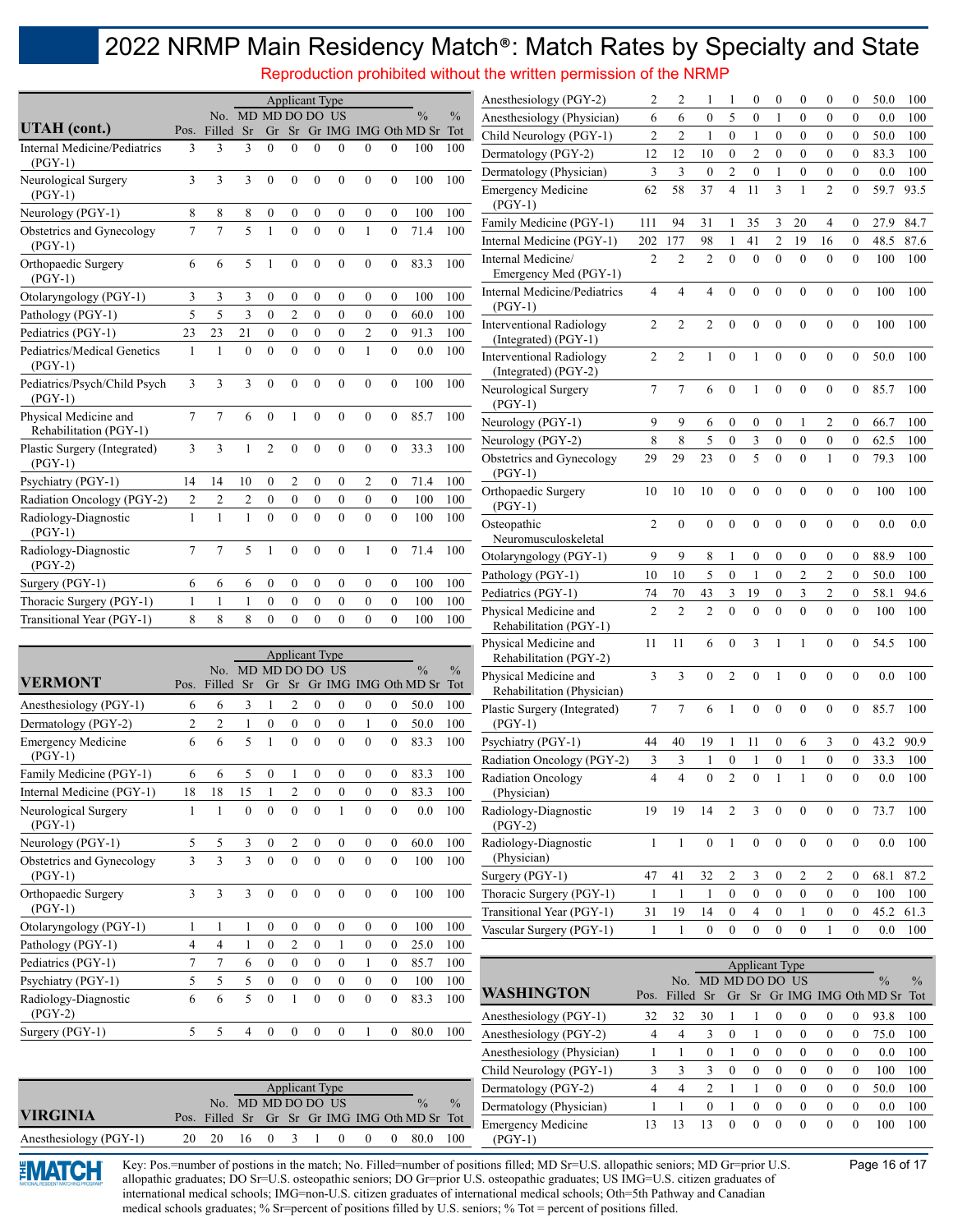Reproduction prohibited without the written permission of the NRMP

|                                                    |                   |                     |                    |                              |                              | <b>Applicant Type</b>        |                              |                                  |                          |                                       |               | Anesthesiology (PGY-2)                                                                                                                                                                                                                                              | 2              | $\overline{c}$           |                        |                                  | $\mathbf{0}$           | $\boldsymbol{0}$                 | $\mathbf{0}$                     | $\mathbf{0}$                       | $\boldsymbol{0}$                     | 50.0                                   | 100         |
|----------------------------------------------------|-------------------|---------------------|--------------------|------------------------------|------------------------------|------------------------------|------------------------------|----------------------------------|--------------------------|---------------------------------------|---------------|---------------------------------------------------------------------------------------------------------------------------------------------------------------------------------------------------------------------------------------------------------------------|----------------|--------------------------|------------------------|----------------------------------|------------------------|----------------------------------|----------------------------------|------------------------------------|--------------------------------------|----------------------------------------|-------------|
| UTAH (cont.)                                       |                   |                     | No. MD MD DO DO US |                              |                              |                              |                              |                                  |                          | $\frac{0}{0}$                         | $\%$          | Anesthesiology (Physician)                                                                                                                                                                                                                                          | 6              | 6                        | $\mathbf{0}$           | 5                                | $\mathbf{0}$           | $\mathbf{1}$                     | $\mathbf{0}$                     | $\mathbf{0}$                       | $\mathbf{0}$                         | 0.0                                    | 100         |
| Internal Medicine/Pediatrics                       | 3                 | Pos. Filled Sr<br>3 | 3                  | $\theta$                     | $\Omega$                     | $\theta$                     | $\Omega$                     | $\Omega$                         | $\Omega$                 | Gr Sr Gr IMG IMG Oth MD Sr Tot<br>100 | 100           | Child Neurology (PGY-1)                                                                                                                                                                                                                                             | $\sqrt{2}$     | $\overline{2}$           | $\mathbf{1}$           | $\mathbf{0}$                     | 1                      | $\mathbf{0}$                     | $\mathbf{0}$                     | $\mathbf{0}$                       | $\mathbf{0}$                         | 50.0                                   | 100         |
| $(PGY-1)$                                          |                   |                     |                    |                              |                              |                              |                              |                                  |                          |                                       |               | Dermatology (PGY-2)                                                                                                                                                                                                                                                 | 12             | 12                       | 10                     | $\boldsymbol{0}$                 | $\mathfrak{2}$         | $\boldsymbol{0}$                 | $\mathbf{0}$                     | $\boldsymbol{0}$                   | $\boldsymbol{0}$                     | 83.3                                   | 100         |
| Neurological Surgery<br>$(PGY-1)$                  | $\overline{3}$    | 3                   | 3                  | $\mathbf{0}$                 | $\mathbf{0}$                 | $\mathbf{0}$                 | $\Omega$                     | $\theta$                         | $\Omega$                 | 100                                   | 100           | Dermatology (Physician)<br><b>Emergency Medicine</b>                                                                                                                                                                                                                | 3<br>62        | $\mathfrak{Z}$<br>58     | $\boldsymbol{0}$<br>37 | $\overline{2}$<br>$\overline{4}$ | $\boldsymbol{0}$<br>11 | -1<br>3                          | $\boldsymbol{0}$<br>$\mathbf{1}$ | $\boldsymbol{0}$<br>$\overline{c}$ | $\mathbf{0}$<br>$\mathbf{0}$         | 0.0<br>59.7                            | 100<br>93.5 |
| Neurology (PGY-1)                                  | 8                 | 8                   | 8                  | $\boldsymbol{0}$             | $\boldsymbol{0}$             | $\boldsymbol{0}$             | $\bf{0}$                     | $\boldsymbol{0}$                 | $\mathbf{0}$             | 100                                   | 100           | $(PGY-1)$<br>Family Medicine (PGY-1)                                                                                                                                                                                                                                | 111            | 94                       | 31                     | -1                               | 35                     | 3                                | 20                               | 4                                  | $\boldsymbol{0}$                     | 27.9                                   | 84.7        |
| Obstetrics and Gynecology<br>$(PGY-1)$             | $\overline{7}$    | 7                   | 5                  |                              | $\theta$                     | $\theta$                     | $\theta$                     | $\mathbf{1}$                     | $\theta$                 | 71.4                                  | 100           | Internal Medicine (PGY-1)                                                                                                                                                                                                                                           | 202            | 177                      | 98                     |                                  | 41                     | $\overline{c}$                   | 19                               | 16                                 | $\mathbf{0}$                         | 48.5                                   | 87.6        |
| Orthopaedic Surgery<br>$(PGY-1)$                   | 6                 | 6                   | 5                  | $\mathbf{1}$                 | $\mathbf{0}$                 | $\mathbf{0}$                 | $\mathbf{0}$                 | $\mathbf{0}$                     | $\overline{0}$           | 83.3                                  | 100           | Internal Medicine/<br>Emergency Med (PGY-1)                                                                                                                                                                                                                         | $\overline{2}$ | $\overline{2}$           | $\overline{2}$         | $\Omega$                         | $\Omega$               | $\theta$                         | $\theta$                         | $\theta$                           | $\mathbf{0}$                         | 100                                    | 100         |
| Otolaryngology (PGY-1)                             | 3                 | 3                   | 3                  | $\boldsymbol{0}$             | $\boldsymbol{0}$             | $\boldsymbol{0}$             | $\mathbf{0}$                 | $\boldsymbol{0}$                 | $\mathbf{0}$             | 100                                   | 100           | <b>Internal Medicine/Pediatrics</b><br>$(PGY-1)$                                                                                                                                                                                                                    | 4              | 4                        | 4                      | $\theta$                         | $\theta$               | $\mathbf{0}$                     | $\mathbf{0}$                     | $\theta$                           | $\mathbf{0}$                         | 100                                    | 100         |
| Pathology (PGY-1)                                  | 5                 | 5                   | 3                  | $\mathbf{0}$                 | $\overline{2}$               | $\mathbf{0}$                 | $\mathbf{0}$                 | $\mathbf{0}$                     | $\mathbf{0}$             | 60.0                                  | 100           | <b>Interventional Radiology</b>                                                                                                                                                                                                                                     | 2              | $\overline{2}$           | $\overline{c}$         | $\theta$                         | $\Omega$               | $\theta$                         | $\mathbf{0}$                     | $\theta$                           | $\theta$                             | 100                                    | 100         |
| Pediatrics (PGY-1)                                 | 23                | 23                  | 21                 | $\boldsymbol{0}$             | $\boldsymbol{0}$             | $\boldsymbol{0}$             | $\boldsymbol{0}$             | $\overline{c}$                   | $\boldsymbol{0}$         | 91.3                                  | 100           | (Integrated) (PGY-1)                                                                                                                                                                                                                                                |                |                          |                        |                                  |                        |                                  |                                  |                                    |                                      |                                        |             |
| Pediatrics/Medical Genetics<br>$(PGY-1)$           | $\mathbf{1}$      |                     | $\theta$           | $\theta$                     | $\theta$                     | $\theta$                     | $\theta$                     | $\mathbf{1}$                     | $\theta$                 | 0.0                                   | 100           | <b>Interventional Radiology</b><br>(Integrated) (PGY-2)                                                                                                                                                                                                             | 2              | $\overline{2}$           | $\mathbf{1}$           | $\mathbf{0}$                     | 1                      | $\boldsymbol{0}$                 | $\boldsymbol{0}$                 | $\mathbf{0}$                       | $\mathbf{0}$                         | 50.0                                   | 100         |
| Pediatrics/Psych/Child Psych<br>$(PGY-1)$          | 3                 | 3                   | 3                  | $\theta$                     | $\theta$                     | $\theta$                     | $\theta$                     | $\mathbf{0}$                     | $\Omega$                 | 100                                   | 100           | Neurological Surgery<br>$(PGY-1)$                                                                                                                                                                                                                                   | 7              | 7                        | 6                      | $\mathbf{0}$                     |                        | $\boldsymbol{0}$                 | $\boldsymbol{0}$                 | $\mathbf{0}$                       | $\mathbf{0}$                         | 85.7                                   | 100         |
| Physical Medicine and<br>Rehabilitation (PGY-1)    | $7\phantom{.0}$   | 7                   | 6                  | $\mathbf{0}$                 | 1                            | $\Omega$                     | $\Omega$                     | $\theta$                         | $\theta$                 | 85.7                                  | 100           | Neurology (PGY-1)                                                                                                                                                                                                                                                   | 9              | 9                        | 6                      | $\mathbf{0}$                     | $\boldsymbol{0}$       | $\boldsymbol{0}$                 | 1                                | 2                                  | $\mathbf{0}$                         | 66.7                                   | 100         |
| Plastic Surgery (Integrated)                       | 3                 | 3                   | $\mathbf{1}$       | $\overline{2}$               | $\boldsymbol{0}$             | $\mathbf{0}$                 | $\mathbf{0}$                 | $\mathbf{0}$                     | $\overline{0}$           | 33.3                                  | 100           | Neurology (PGY-2)                                                                                                                                                                                                                                                   | 8              | 8                        | 5                      | $\boldsymbol{0}$                 | 3                      | $\boldsymbol{0}$                 | $\boldsymbol{0}$                 | $\boldsymbol{0}$                   | $\mathbf{0}$                         | 62.5                                   | 100         |
| $(PGY-1)$                                          |                   |                     |                    |                              |                              |                              |                              |                                  |                          |                                       |               | Obstetrics and Gynecology<br>$(PGY-1)$                                                                                                                                                                                                                              | 29             | 29                       | 23                     | $\mathbf{0}$                     | 5                      | $\mathbf{0}$                     | $\boldsymbol{0}$                 | $\mathbf{1}$                       | $\mathbf{0}$                         | 79.3                                   | 100         |
| Psychiatry (PGY-1)                                 | 14                | 14                  | 10                 | $\boldsymbol{0}$             | 2                            | $\boldsymbol{0}$             | $\boldsymbol{0}$             | 2                                | $\bf{0}$                 | 71.4                                  | 100           | Orthopaedic Surgery                                                                                                                                                                                                                                                 | 10             | 10                       | 10                     | $\mathbf{0}$                     | $\theta$               | $\theta$                         | $\theta$                         | $\theta$                           | $\theta$                             | 100                                    | 100         |
| Radiation Oncology (PGY-2)<br>Radiology-Diagnostic | 2<br>$\mathbf{1}$ | $\overline{2}$<br>1 | $\overline{c}$     | $\boldsymbol{0}$<br>$\theta$ | $\boldsymbol{0}$<br>$\theta$ | $\boldsymbol{0}$<br>$\Omega$ | $\boldsymbol{0}$<br>$\Omega$ | $\boldsymbol{0}$<br>$\mathbf{0}$ | $\mathbf{0}$<br>$\theta$ | 100<br>100                            | 100<br>100    | $(PGY-1)$<br>Osteopathic                                                                                                                                                                                                                                            | $\overline{2}$ | $\mathbf{0}$             | $\mathbf{0}$           | $\mathbf{0}$                     | $\mathbf{0}$           | $\mathbf{0}$                     | $\boldsymbol{0}$                 | $\overline{0}$                     | $\mathbf{0}$                         | 0.0                                    | 0.0         |
| $(PGY-1)$                                          |                   |                     |                    |                              |                              |                              |                              |                                  |                          |                                       |               | Neuromusculoskeletal                                                                                                                                                                                                                                                |                |                          |                        |                                  |                        |                                  |                                  |                                    |                                      |                                        |             |
| Radiology-Diagnostic<br>$(PGY-2)$                  | $\tau$            | 7                   | 5                  |                              | $\Omega$                     | $\mathbf{0}$                 | $\mathbf{0}$                 |                                  | $\theta$                 | 71.4                                  | 100           | Otolaryngology (PGY-1)                                                                                                                                                                                                                                              | 9              | 9                        | 8                      |                                  | $\boldsymbol{0}$       | $\boldsymbol{0}$                 | $\boldsymbol{0}$                 | $\mathbf{0}$                       | $\boldsymbol{0}$                     | 88.9                                   | 100         |
| Surgery (PGY-1)                                    | 6                 | 6                   | 6                  | $\boldsymbol{0}$             | $\boldsymbol{0}$             | $\boldsymbol{0}$             | $\boldsymbol{0}$             | $\boldsymbol{0}$                 | $\mathbf{0}$             | 100                                   | 100           | Pathology (PGY-1)                                                                                                                                                                                                                                                   | 10             | 10                       | 5                      | $\mathbf{0}$                     | $\mathbf{1}$           | $\mathbf{0}$                     | $\overline{c}$                   | $\mathfrak{2}$                     | $\mathbf{0}$                         | 50.0                                   | 100         |
| Thoracic Surgery (PGY-1)                           | $\mathbf{1}$      | $\mathbf{1}$        | 1                  | $\boldsymbol{0}$             | $\boldsymbol{0}$             | $\boldsymbol{0}$             | $\boldsymbol{0}$             | $\boldsymbol{0}$                 | $\mathbf{0}$             | 100                                   | 100           | Pediatrics (PGY-1)                                                                                                                                                                                                                                                  | 74             | 70                       | 43                     | 3                                | 19                     | $\boldsymbol{0}$                 | 3                                | 2                                  | $\boldsymbol{0}$                     | 58.1                                   | 94.6        |
| Transitional Year (PGY-1)                          | 8                 | 8                   | 8                  | $\boldsymbol{0}$             | $\overline{0}$               | $\mathbf{0}$                 | $\theta$                     | $\overline{0}$                   | $\mathbf{0}$             | 100                                   | 100           | Physical Medicine and<br>Rehabilitation (PGY-1)                                                                                                                                                                                                                     | $\overline{2}$ | $\overline{2}$           | $\overline{2}$         | $\theta$                         | $\theta$               | $\theta$                         | $\overline{0}$                   | $\theta$                           | $\mathbf{0}$                         | 100                                    | 100         |
|                                                    |                   |                     |                    |                              |                              | <b>Applicant Type</b>        |                              |                                  |                          |                                       |               | Physical Medicine and                                                                                                                                                                                                                                               | 11             | -11                      | 6                      | $\Omega$                         | 3                      |                                  |                                  | $\Omega$                           | $\Omega$                             | 54.5                                   | 100         |
|                                                    |                   |                     | No. MD MD DO DO US |                              |                              |                              |                              |                                  |                          | $\%$                                  | $\frac{0}{0}$ | Rehabilitation (PGY-2)<br>Physical Medicine and                                                                                                                                                                                                                     | 3              | 3                        | $\mathbf{0}$           | 2                                | $\theta$               | $\mathbf{1}$                     | $\mathbf{0}$                     | $\theta$                           | $\theta$                             | 0.0                                    | 100         |
| <b>VERMONT</b>                                     | Pos.              | Filled Sr           |                    |                              |                              |                              |                              |                                  |                          | Gr Sr Gr IMG IMG Oth MD Sr Tot        |               | Rehabilitation (Physician)                                                                                                                                                                                                                                          |                |                          |                        |                                  |                        |                                  |                                  |                                    |                                      |                                        |             |
| Anesthesiology (PGY-1)                             | 6                 | 6                   | 3                  | $\mathbf{1}$                 | $\overline{c}$               | $\boldsymbol{0}$             | $\boldsymbol{0}$             | $\boldsymbol{0}$                 | 0                        | 50.0                                  | 100           | Plastic Surgery (Integrated)                                                                                                                                                                                                                                        | $\tau$         | 7                        | 6                      |                                  | $\Omega$               | $\mathbf{0}$                     | $\mathbf{0}$                     | $\theta$                           | $\Omega$                             | 85.7                                   | 100         |
| Dermatology (PGY-2)                                | $\overline{c}$    | $\overline{2}$      | 1                  | $\boldsymbol{0}$             | $\boldsymbol{0}$             | $\boldsymbol{0}$             | $\mathbf{0}$                 | -1                               | $\overline{0}$           | 50.0                                  | 100           | $(PGY-1)$                                                                                                                                                                                                                                                           |                |                          |                        |                                  |                        |                                  |                                  |                                    |                                      |                                        |             |
| <b>Emergency Medicine</b><br>$(PGY-1)$             | 6                 | 6                   | 5                  |                              | $\overline{0}$               | $\theta$                     | $\theta$                     | $\mathbf{0}$                     | $\mathbf{0}$             | 83.3                                  | 100           | Psychiatry (PGY-1)<br>Radiation Oncology (PGY-2)                                                                                                                                                                                                                    | 44<br>3        | 40<br>3                  | 19<br>$\mathbf{1}$     | $\mathbf{1}$<br>$\boldsymbol{0}$ | 11<br>1                | $\boldsymbol{0}$<br>$\mathbf{0}$ | 6                                | 3<br>$\boldsymbol{0}$              | $\boldsymbol{0}$<br>$\boldsymbol{0}$ | 43.2<br>33.3                           | 90.9<br>100 |
| Family Medicine (PGY-1)                            | 6                 | 6                   | 5                  | $\bf{0}$                     | -1                           | $\bf{0}$                     | $\boldsymbol{0}$             | $\mathbf{0}$                     | $\overline{0}$           | 83.3                                  | 100           | Radiation Oncology                                                                                                                                                                                                                                                  | $\overline{4}$ | $\overline{\mathcal{L}}$ | $\mathbf{0}$           | $\overline{2}$                   | $\theta$               |                                  |                                  | $\mathbf{0}$                       | $\mathbf{0}$                         | 0.0                                    | 100         |
| Internal Medicine (PGY-1)                          | 18                | 18                  | 15                 |                              | 2                            | $\boldsymbol{0}$             | $\bf{0}$                     | $\bf{0}$                         | $\bf{0}$                 | 83.3                                  | 100           | (Physician)                                                                                                                                                                                                                                                         |                |                          |                        |                                  |                        |                                  |                                  |                                    |                                      |                                        |             |
| Neurological Surgery<br>$(PGY-1)$                  | 1                 |                     | $\mathbf{0}$       | $\boldsymbol{0}$             | $\mathbf{0}$                 | $\mathbf{0}$                 |                              | $\mathbf{0}$                     | $\mathbf{0}$             | $0.0\,$                               | 100           | Radiology-Diagnostic<br>$(PGY-2)$                                                                                                                                                                                                                                   | 19             | 19                       | 14                     | 2                                | 3                      | $\boldsymbol{0}$                 | $\boldsymbol{0}$                 | $\boldsymbol{0}$                   | $\boldsymbol{0}$                     | 73.7                                   | 100         |
| Neurology (PGY-1)                                  | 5                 | 5                   | 3                  | $\bf{0}$                     | $\overline{2}$               | $\boldsymbol{0}$             | $\boldsymbol{0}$             | $\boldsymbol{0}$                 | $\overline{0}$           | 60.0                                  | 100           | Radiology-Diagnostic                                                                                                                                                                                                                                                | $\mathbf{1}$   | -1                       | $\boldsymbol{0}$       | 1                                | $\boldsymbol{0}$       | $\boldsymbol{0}$                 | $\boldsymbol{0}$                 | $\boldsymbol{0}$                   | $\boldsymbol{0}$                     | 0.0                                    | 100         |
| Obstetrics and Gynecology                          | 3                 | 3                   | $\mathfrak{Z}$     | $\boldsymbol{0}$             | $\boldsymbol{0}$             | $\boldsymbol{0}$             | $\overline{0}$               | $\boldsymbol{0}$                 | $\boldsymbol{0}$         | 100                                   | 100           | (Physician)                                                                                                                                                                                                                                                         |                |                          |                        | $\overline{c}$                   | 3                      | $\boldsymbol{0}$                 | $\overline{c}$                   | 2                                  | $\boldsymbol{0}$                     | 68.1                                   |             |
| (PGY-1)<br>Orthopaedic Surgery                     | 3                 | 3                   | 3                  | $\boldsymbol{0}$             | $\boldsymbol{0}$             | $\bf{0}$                     | $\boldsymbol{0}$             | $\bf{0}$                         | $\boldsymbol{0}$         | 100                                   | 100           | Surgery (PGY-1)<br>Thoracic Surgery (PGY-1)                                                                                                                                                                                                                         | 47<br>1        | 41<br>-1                 | 32<br>1                | $\boldsymbol{0}$                 | $\boldsymbol{0}$       | $\boldsymbol{0}$                 | $\boldsymbol{0}$                 | $\boldsymbol{0}$                   | $\boldsymbol{0}$                     | 100                                    | 87.2<br>100 |
| $(PGY-1)$                                          |                   |                     |                    |                              |                              |                              |                              |                                  |                          |                                       |               | Transitional Year (PGY-1)                                                                                                                                                                                                                                           | 31             | 19                       | 14                     | $\boldsymbol{0}$                 | 4                      | $\boldsymbol{0}$                 | 1                                | $\bf{0}$                           | $\bf{0}$                             | 45.2                                   | 61.3        |
| Otolaryngology (PGY-1)                             | 1                 | 1                   |                    | $\boldsymbol{0}$             | $\boldsymbol{0}$             | $\boldsymbol{0}$             | $\boldsymbol{0}$             | $\boldsymbol{0}$                 | $\boldsymbol{0}$         | 100                                   | 100           | Vascular Surgery (PGY-1)                                                                                                                                                                                                                                            |                |                          | $\mathbf{0}$           | $\mathbf{0}$                     | $\overline{0}$         | $\mathbf{0}$                     | $\mathbf{0}$                     | -1                                 | $\mathbf{0}$                         | $0.0\,$                                | 100         |
| Pathology (PGY-1)                                  | 4                 | $\overline{4}$      | $\mathbf{1}$       | $\boldsymbol{0}$             | $\sqrt{2}$                   | $\boldsymbol{0}$             | 1                            | $\boldsymbol{0}$                 | $\overline{0}$           | 25.0                                  | 100           |                                                                                                                                                                                                                                                                     |                |                          |                        |                                  |                        |                                  |                                  |                                    |                                      |                                        |             |
| Pediatrics (PGY-1)                                 | $\boldsymbol{7}$  | 7                   | 6                  | $\boldsymbol{0}$             | $\boldsymbol{0}$             | $\boldsymbol{0}$             | $\boldsymbol{0}$             | 1                                | $\overline{0}$           | 85.7                                  | 100           |                                                                                                                                                                                                                                                                     |                |                          |                        |                                  | <b>Applicant Type</b>  |                                  |                                  |                                    |                                      |                                        |             |
| Psychiatry (PGY-1)                                 | 5                 | 5                   | 5                  | $\boldsymbol{0}$             | $\boldsymbol{0}$             | $\boldsymbol{0}$             | $\boldsymbol{0}$             | $\boldsymbol{0}$                 | $\bf{0}$                 | 100                                   | 100           |                                                                                                                                                                                                                                                                     |                |                          | No. MD MD DO DO US     |                                  |                        |                                  |                                  |                                    |                                      | $\frac{0}{0}$                          | $\%$        |
| Radiology-Diagnostic<br>$(PGY-2)$                  | 6                 | 6                   | 5                  | $\mathbf{0}$                 | $\mathbf{1}$                 | $\boldsymbol{0}$             | $\boldsymbol{0}$             | $\boldsymbol{0}$                 | $\boldsymbol{0}$         | 83.3                                  | 100           | <b>WASHINGTON</b><br>Anesthesiology (PGY-1)                                                                                                                                                                                                                         | 32             | 32                       | Pos. Filled Sr<br>30   |                                  | 1                      | $\boldsymbol{0}$                 | $\boldsymbol{0}$                 | $\boldsymbol{0}$                   | $\boldsymbol{0}$                     | Gr Sr Gr IMG IMG Oth MD Sr Tot<br>93.8 | 100         |
| Surgery (PGY-1)                                    | 5                 | 5                   | $\overline{4}$     | $\boldsymbol{0}$             | $\boldsymbol{0}$             | $\bf{0}$                     | $\boldsymbol{0}$             | -1                               | $\overline{0}$           | 80.0                                  | 100           | Anesthesiology (PGY-2)                                                                                                                                                                                                                                              | 4              | $\overline{4}$           | 3                      | $\boldsymbol{0}$                 | 1                      | $\boldsymbol{0}$                 | $\boldsymbol{0}$                 | $\boldsymbol{0}$                   | $\boldsymbol{0}$                     | 75.0                                   | 100         |
|                                                    |                   |                     |                    |                              |                              |                              |                              |                                  |                          |                                       |               | Anesthesiology (Physician)                                                                                                                                                                                                                                          | 1              | 1                        | $\boldsymbol{0}$       | $\mathbf{1}$                     | $\boldsymbol{0}$       | $\boldsymbol{0}$                 | $\boldsymbol{0}$                 | $\boldsymbol{0}$                   | $\boldsymbol{0}$                     | 0.0                                    | 100         |
|                                                    |                   |                     |                    |                              |                              |                              |                              |                                  |                          |                                       |               | Child Neurology (PGY-1)                                                                                                                                                                                                                                             | 3              | 3                        | 3                      | $\boldsymbol{0}$                 | $\boldsymbol{0}$       | $\boldsymbol{0}$                 | $\boldsymbol{0}$                 | $\boldsymbol{0}$                   | $\boldsymbol{0}$                     | 100                                    | 100         |
|                                                    |                   |                     |                    |                              |                              | <b>Applicant Type</b>        |                              |                                  |                          |                                       |               | Dermatology (PGY-2)                                                                                                                                                                                                                                                 | 4              | $\overline{4}$           | $\sqrt{2}$             | $\mathbf{1}$                     | $\mathbf{1}$           | $\boldsymbol{0}$                 | $\boldsymbol{0}$                 | $\boldsymbol{0}$                   | $\boldsymbol{0}$                     | 50.0                                   | 100         |
|                                                    |                   |                     | No. MD MD DO DO US |                              |                              |                              |                              |                                  |                          | $\frac{0}{0}$                         | $\%$          | Dermatology (Physician)                                                                                                                                                                                                                                             | 1              | $\mathbf{1}$             | $\boldsymbol{0}$       | $\mathbf{1}$                     | $\boldsymbol{0}$       | $\boldsymbol{0}$                 | $\boldsymbol{0}$                 | $\boldsymbol{0}$                   | $\boldsymbol{0}$                     | 0.0                                    | 100         |
| <b>VIRGINIA</b>                                    |                   | Pos. Filled Sr      |                    |                              |                              |                              |                              |                                  |                          | Gr Sr Gr IMG IMG Oth MD Sr Tot        |               | <b>Emergency Medicine</b>                                                                                                                                                                                                                                           | 13             | 13                       | 13                     | $\boldsymbol{0}$                 | $\mathbf{0}$           | $\boldsymbol{0}$                 | $\boldsymbol{0}$                 | $\boldsymbol{0}$                   | $\boldsymbol{0}$                     | 100                                    | 100         |
| Anesthesiology (PGY-1)                             | 20                | 20                  | 16                 | $\mathbf{0}$                 | 3                            |                              | $\boldsymbol{0}$             | $\theta$                         | $\overline{0}$           | 80.0                                  | 100           | $(PGY-1)$                                                                                                                                                                                                                                                           |                |                          |                        |                                  |                        |                                  |                                  |                                    |                                      |                                        |             |
| EMAI CH                                            |                   |                     |                    |                              |                              |                              |                              |                                  |                          |                                       |               | Key: Pos.=number of postions in the match; No. Filled=number of positions filled; MD Sr=U.S. allopathic seniors; MD Gr=prior U.S.<br>allopathic graduates; DO Sr=U.S. osteopathic seniors; DO Gr=prior U.S. osteopathic graduates; US IMG=U.S. citizen graduates of |                |                          |                        |                                  |                        |                                  |                                  |                                    |                                      | Page 16 of 17                          |             |

international medical schools; IMG=non-U.S. citizen graduates of international medical schools; Oth=5th Pathway and Canadian medical schools graduates; % Sr=percent of positions filled by U.S. seniors; % Tot = percent of positions filled.